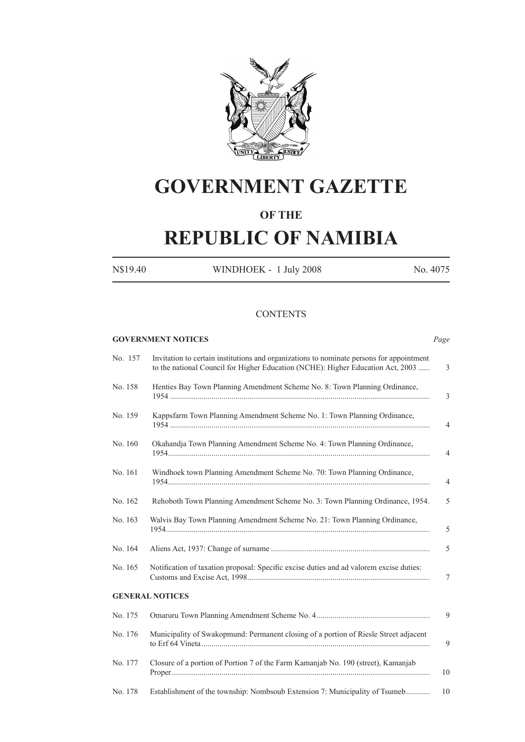

# **GOVERNMENT GAZETTE**

### **OF THE**

# **REPUBLIC OF NAMIBIA**

N\$19.40 WINDHOEK - 1 July 2008 No. 4075

#### **CONTENTS**

|         |         | <b>GOVERNMENT NOTICES</b>                                                                                                                                                   | Page           |
|---------|---------|-----------------------------------------------------------------------------------------------------------------------------------------------------------------------------|----------------|
|         | No. 157 | Invitation to certain institutions and organizations to nominate persons for appointment<br>to the national Council for Higher Education (NCHE): Higher Education Act, 2003 | 3              |
| No. 158 |         | Henties Bay Town Planning Amendment Scheme No. 8: Town Planning Ordinance,                                                                                                  | 3              |
| No. 159 |         | Kappsfarm Town Planning Amendment Scheme No. 1: Town Planning Ordinance,                                                                                                    | 4              |
| No. 160 |         | Okahandja Town Planning Amendment Scheme No. 4: Town Planning Ordinance,                                                                                                    | 4              |
| No. 161 |         | Windhoek town Planning Amendment Scheme No. 70: Town Planning Ordinance,                                                                                                    | $\overline{4}$ |
| No. 162 |         | Rehoboth Town Planning Amendment Scheme No. 3: Town Planning Ordinance, 1954.                                                                                               | 5              |
| No. 163 |         | Walvis Bay Town Planning Amendment Scheme No. 21: Town Planning Ordinance,                                                                                                  | 5              |
| No. 164 |         |                                                                                                                                                                             | 5              |
| No. 165 |         | Notification of taxation proposal: Specific excise duties and ad valorem excise duties:                                                                                     | 7              |
|         |         | <b>GENERAL NOTICES</b>                                                                                                                                                      |                |
| No. 175 |         |                                                                                                                                                                             | 9              |
| No. 176 |         | Municipality of Swakopmund: Permanent closing of a portion of Riesle Street adjacent                                                                                        | 9              |
| No. 177 |         | Closure of a portion of Portion 7 of the Farm Kamanjab No. 190 (street), Kamanjab                                                                                           | 10             |
| No. 178 |         | Establishment of the township: Nombsoub Extension 7: Municipality of Tsumeb                                                                                                 | 10             |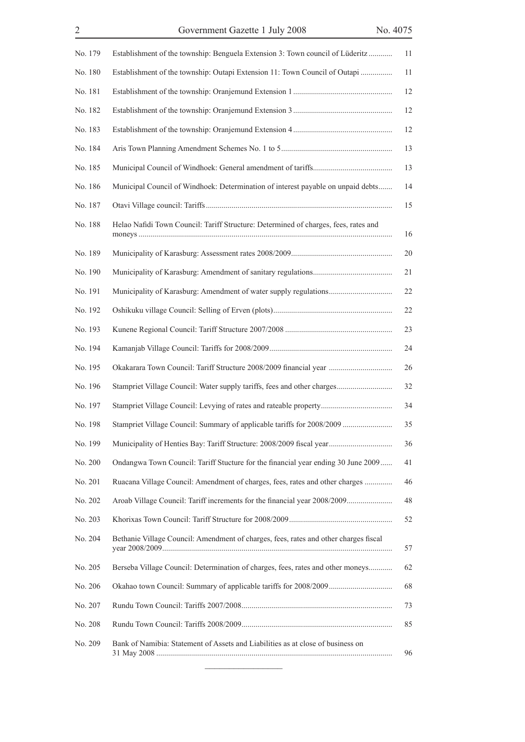| No. 179 | Establishment of the township: Benguela Extension 3: Town council of Lüderitz        | 11 |
|---------|--------------------------------------------------------------------------------------|----|
| No. 180 | Establishment of the township: Outapi Extension 11: Town Council of Outapi           | 11 |
| No. 181 |                                                                                      | 12 |
| No. 182 |                                                                                      | 12 |
| No. 183 |                                                                                      | 12 |
| No. 184 |                                                                                      | 13 |
| No. 185 |                                                                                      | 13 |
| No. 186 | Municipal Council of Windhoek: Determination of interest payable on unpaid debts     | 14 |
| No. 187 |                                                                                      | 15 |
| No. 188 | Helao Nafidi Town Council: Tariff Structure: Determined of charges, fees, rates and  | 16 |
| No. 189 |                                                                                      | 20 |
| No. 190 |                                                                                      | 21 |
| No. 191 | Municipality of Karasburg: Amendment of water supply regulations                     | 22 |
| No. 192 |                                                                                      | 22 |
| No. 193 |                                                                                      | 23 |
| No. 194 |                                                                                      | 24 |
| No. 195 | Okakarara Town Council: Tariff Structure 2008/2009 financial year                    | 26 |
| No. 196 | Stampriet Village Council: Water supply tariffs, fees and other charges              | 32 |
| No. 197 | Stampriet Village Council: Levying of rates and rateable property                    | 34 |
| No. 198 | Stampriet Village Council: Summary of applicable tariffs for 2008/2009               | 35 |
|         | No. 199 Municipality of Henties Bay: Tariff Structure: 2008/2009 fiscal year         | 36 |
| No. 200 | Ondangwa Town Council: Tariff Stucture for the financial year ending 30 June 2009    | 41 |
| No. 201 | Ruacana Village Council: Amendment of charges, fees, rates and other charges         | 46 |
| No. 202 | Aroab Village Council: Tariff increments for the financial year 2008/2009            | 48 |
| No. 203 |                                                                                      | 52 |
| No. 204 | Bethanie Village Council: Amendment of charges, fees, rates and other charges fiscal | 57 |
| No. 205 | Berseba Village Council: Determination of charges, fees, rates and other moneys      | 62 |
| No. 206 |                                                                                      | 68 |
| No. 207 |                                                                                      | 73 |
| No. 208 |                                                                                      | 85 |
| No. 209 | Bank of Namibia: Statement of Assets and Liabilities as at close of business on      | 96 |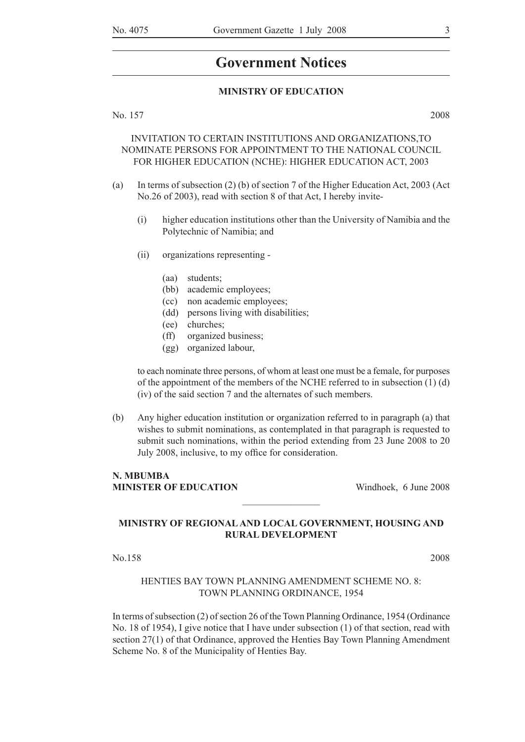### **Government Notices**

#### **MINISTRY OF EDUCATION**

No. 157 2008

#### INVITATION TO CERTAIN INSTITUTIONS AND ORGANIZATIONS,TO NOMINATE PERSONS FOR APPOINTMENT TO THE NATIONAL COUNCIL FOR HIGHER EDUCATION (NCHE): HIGHER EDUCATION ACT, 2003

- (a) In terms of subsection (2) (b) of section 7 of the Higher Education Act, 2003 (Act No.26 of 2003), read with section 8 of that Act, I hereby invite-
	- (i) higher education institutions other than the University of Namibia and the Polytechnic of Namibia; and
	- (ii) organizations representing
		- (aa) students;
		- (bb) academic employees;
		- (cc) non academic employees;
		- (dd) persons living with disabilities;
		- (ee) churches;
		- (ff) organized business;
		- (gg) organized labour,

 to each nominate three persons, of whom at least one must be a female, for purposes of the appointment of the members of the NCHE referred to in subsection  $(1)$   $(d)$ (iv) of the said section 7 and the alternates of such members.

(b) Any higher education institution or organization referred to in paragraph (a) that wishes to submit nominations, as contemplated in that paragraph is requested to submit such nominations, within the period extending from 23 June 2008 to 20 July 2008, inclusive, to my office for consideration.

#### N. MBUMBA **MINISTER OF EDUCATION** Windhoek, 6 June 2008

#### **MINISTRY OF REGIONAL AND LOCAL GOVERNMENT, HOUSING AND RURAL DEVELOPMENT**

 $\frac{1}{2}$ 

No.158 2008

#### HENTIES BAY TOWN PLANNING AMENDMENT SCHEME NO. 8: TOWN PLANNING ORDINANCE, 1954

In terms of subsection (2) of section 26 of the Town Planning Ordinance, 1954 (Ordinance No. 18 of 1954), I give notice that I have under subsection (1) of that section, read with section 27(1) of that Ordinance, approved the Henties Bay Town Planning Amendment Scheme No. 8 of the Municipality of Henties Bay.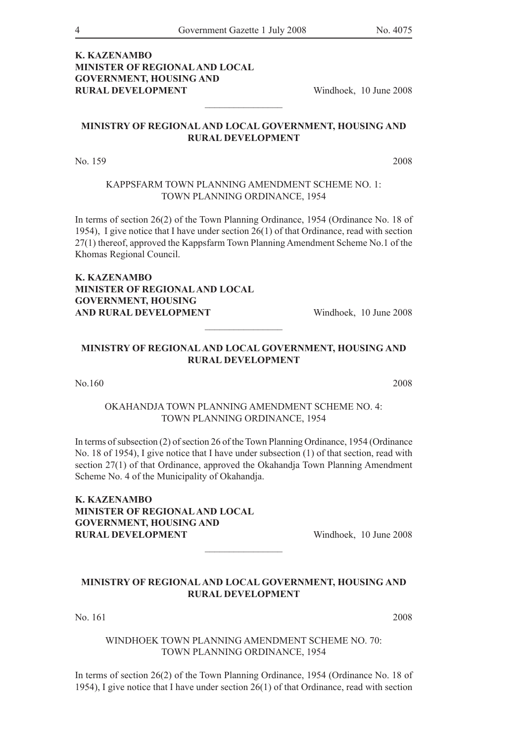#### **K. KAZENAMBO MINISTER OF REGIONAL AND LOCAL GOVERNMENT, HOUSING AND RURAL DEVELOPMENT** Windhoek, 10 June 2008

#### **MINISTRY OF REGIONAL AND LOCAL GOVERNMENT, HOUSING AND RURAL DEVELOPMENT**

 $\frac{1}{2}$  , where  $\frac{1}{2}$  , where  $\frac{1}{2}$ 

No. 159 2008

#### KAPPSFARM TOWN PLANNING AMENDMENT SCHEME NO. 1: TOWN PLANNING ORDINANCE, 1954

In terms of section 26(2) of the Town Planning Ordinance, 1954 (Ordinance No. 18 of 1954), I give notice that I have under section 26(1) of that Ordinance, read with section 27(1) thereof, approved the Kappsfarm Town Planning Amendment Scheme No.1 of the Khomas Regional Council.

**K. KAZENAMBO MINISTER OF REGIONAL AND LOCAL GOVERNMENT, HOUSING AND RURAL DEVELOPMENT** Windhoek, 10 June 2008

#### **MINISTRY OF REGIONAL AND LOCAL GOVERNMENT, HOUSING AND RURAL DEVELOPMENT**

 $\frac{1}{2}$ 

#### No.160 2008

#### OKAHANDJA TOWN PLANNING AMENDMENT SCHEME NO. 4: TOWN PLANNING ORDINANCE, 1954

In terms of subsection (2) of section 26 of the Town Planning Ordinance, 1954 (Ordinance No. 18 of 1954), I give notice that I have under subsection (1) of that section, read with section 27(1) of that Ordinance, approved the Okahandja Town Planning Amendment Scheme No. 4 of the Municipality of Okahandja.

**K. KAZENAMBO MINISTER OF REGIONAL AND LOCAL GOVERNMENT, HOUSING AND RURAL DEVELOPMENT** Windhoek, 10 June 2008

#### **MINISTRY OF REGIONAL AND LOCAL GOVERNMENT, HOUSING AND RURAL DEVELOPMENT**

 $\frac{1}{2}$ 

No. 161 2008

#### WINDHOEK TOWN PLANNING AMENDMENT SCHEME NO. 70: TOWN PLANNING ORDINANCE, 1954

In terms of section 26(2) of the Town Planning Ordinance, 1954 (Ordinance No. 18 of 1954), I give notice that I have under section 26(1) of that Ordinance, read with section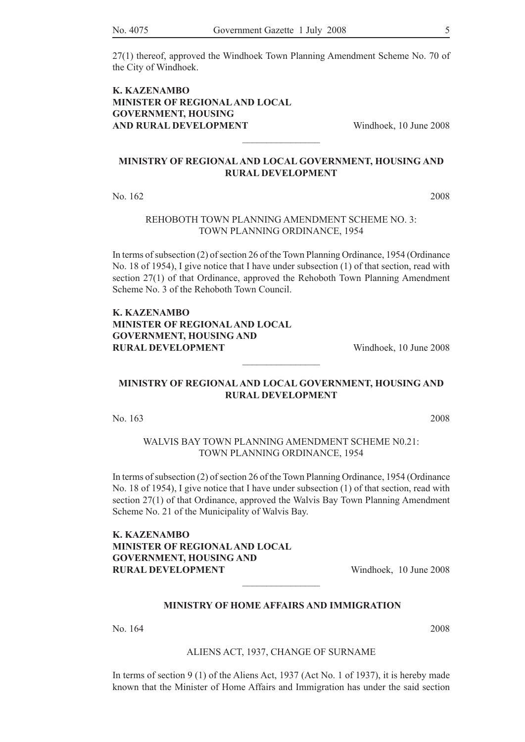27(1) thereof, approved the Windhoek Town Planning Amendment Scheme No. 70 of the City of Windhoek.

#### **K. KAZENAMBO MINISTER OF REGIONAL AND LOCAL GOVERNMENT, HOUSING AND RURAL DEVELOPMENT** Windhoek, 10 June 2008

#### **MINISTRY OF REGIONAL AND LOCAL GOVERNMENT, HOUSING AND RURAL DEVELOPMENT**

 $\frac{1}{2}$ 

No. 162 2008

REHOBOTH TOWN PLANNING AMENDMENT SCHEME NO. 3: TOWN PLANNING ORDINANCE, 1954

In terms of subsection (2) of section 26 of the Town Planning Ordinance, 1954 (Ordinance No. 18 of 1954), I give notice that I have under subsection (1) of that section, read with section 27(1) of that Ordinance, approved the Rehoboth Town Planning Amendment Scheme No. 3 of the Rehoboth Town Council.

#### **K. KAZENAMBO MINISTER OF REGIONAL AND LOCAL GOVERNMENT, HOUSING AND RURAL DEVELOPMENT** Windhoek, 10 June 2008

#### **MINISTRY OF REGIONAL AND LOCAL GOVERNMENT, HOUSING AND RURAL DEVELOPMENT**

 $\frac{1}{2}$ 

No. 163 2008

#### WALVIS BAY TOWN PLANNING AMENDMENT SCHEME N0.21 TOWN PLANNING ORDINANCE, 1954

In terms of subsection (2) of section 26 of the Town Planning Ordinance, 1954 (Ordinance No. 18 of 1954), I give notice that I have under subsection (1) of that section, read with section 27(1) of that Ordinance, approved the Walvis Bay Town Planning Amendment Scheme No. 21 of the Municipality of Walvis Bay.

**K. KAZENAMBO MINISTER OF REGIONAL AND LOCAL GOVERNMENT, HOUSING AND RURAL DEVELOPMENT** Windhoek, 10 June 2008

#### **MINISTRY OF HOME AFFAIRS AND IMMIGRATION**

 $\frac{1}{2}$ 

No. 164 2008

#### ALIENS ACT, 1937, CHANGE OF SURNAME

In terms of section 9 (1) of the Aliens Act, 1937 (Act No. 1 of 1937), it is hereby made known that the Minister of Home Affairs and Immigration has under the said section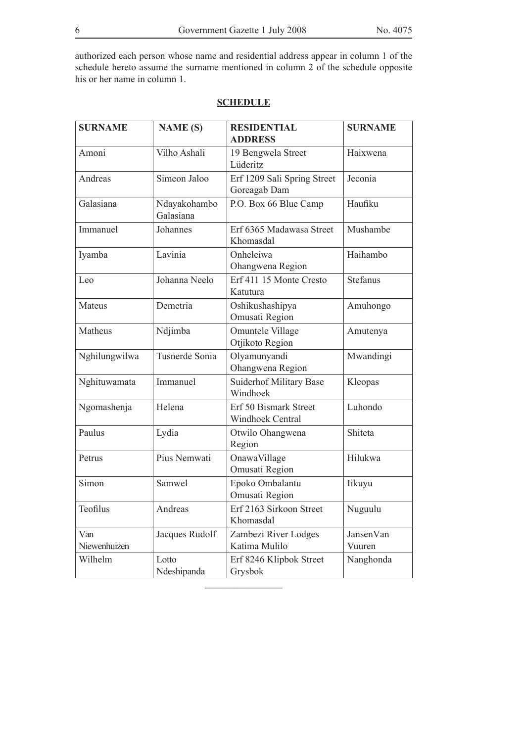authorized each person whose name and residential address appear in column 1 of the schedule hereto assume the surname mentioned in column 2 of the schedule opposite his or her name in column 1.

| <b>SURNAME</b>      | <b>NAME (S)</b>           | <b>RESIDENTIAL</b><br><b>ADDRESS</b>        | <b>SURNAME</b>      |
|---------------------|---------------------------|---------------------------------------------|---------------------|
| Amoni               | Vilho Ashali              | 19 Bengwela Street<br>Lüderitz              | Haixwena            |
| Andreas             | Simeon Jaloo              | Erf 1209 Sali Spring Street<br>Goreagab Dam | Jeconia             |
| Galasiana           | Ndayakohambo<br>Galasiana | P.O. Box 66 Blue Camp                       | Haufiku             |
| Immanuel            | Johannes                  | Erf 6365 Madawasa Street<br>Khomasdal       | Mushambe            |
| Iyamba              | Lavinia                   | Onheleiwa<br>Ohangwena Region               | Haihambo            |
| Leo                 | Johanna Neelo             | Erf 411 15 Monte Cresto<br>Katutura         | Stefanus            |
| Mateus              | Demetria                  | Oshikushashipya<br>Omusati Region           | Amuhongo            |
| Matheus             | Ndjimba                   | Omuntele Village<br>Otjikoto Region         | Amutenya            |
| Nghilungwilwa       | Tusnerde Sonia            | Olyamunyandi<br>Ohangwena Region            | Mwandingi           |
| Nghituwamata        | Immanuel                  | <b>Suiderhof Military Base</b><br>Windhoek  | Kleopas             |
| Ngomashenja         | Helena                    | Erf 50 Bismark Street<br>Windhoek Central   | Luhondo             |
| Paulus              | Lydia                     | Otwilo Ohangwena<br>Region                  | Shiteta             |
| Petrus              | Pius Nemwati              | OnawaVillage<br>Omusati Region              | Hilukwa             |
| Simon               | Samwel                    | Epoko Ombalantu<br>Omusati Region           | Iikuyu              |
| Teofilus            | Andreas                   | Erf 2163 Sirkoon Street<br>Khomasdal        | Nuguulu             |
| Van<br>Niewenhuizen | Jacques Rudolf            | Zambezi River Lodges<br>Katima Mulilo       | JansenVan<br>Vuuren |
| Wilhelm             | Lotto<br>Ndeshipanda      | Erf 8246 Klipbok Street<br>Grysbok          | Nanghonda           |

#### **SCHEDULE**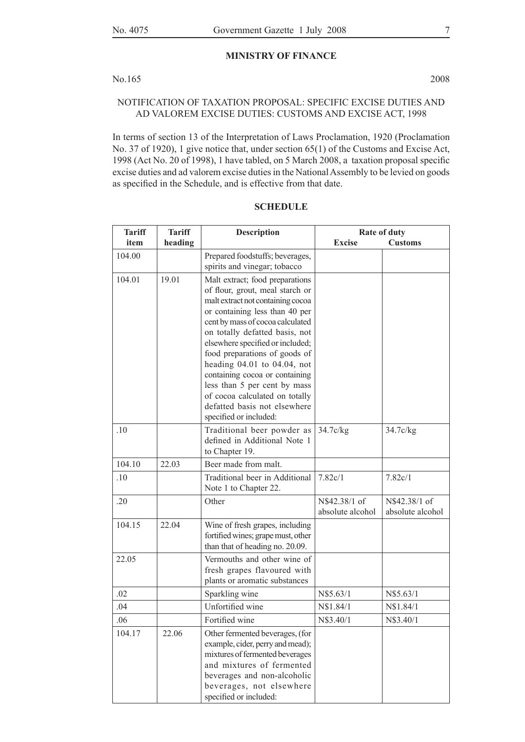#### **MINISTRY OF FINANCE**

#### No.165 2008

#### NOTIFICATION OF TAXATION PROPOSAL: SPECIFIC EXCISE DUTIES AND AD VALOREM EXCISE DUTIES: CUSTOMS AND EXCISE ACT, 1998

In terms of section 13 of the Interpretation of Laws Proclamation, 1920 (Proclamation No. 37 of 1920), 1 give notice that, under section 65(1) of the Customs and Excise Act, 1998 (Act No. 20 of 1998), 1 have tabled, on 5 March 2008, a taxation proposal specific excise duties and ad valorem excise duties in the National Assembly to be levied on goods as specified in the Schedule, and is effective from that date.

| <b>Tariff</b> | <b>Tariff</b> | <b>Description</b>                                                                                                                                                                                                                                                                                                                                                                                                                                                                | Rate of duty                      |                                   |
|---------------|---------------|-----------------------------------------------------------------------------------------------------------------------------------------------------------------------------------------------------------------------------------------------------------------------------------------------------------------------------------------------------------------------------------------------------------------------------------------------------------------------------------|-----------------------------------|-----------------------------------|
| item          | heading       |                                                                                                                                                                                                                                                                                                                                                                                                                                                                                   | <b>Excise</b>                     | <b>Customs</b>                    |
| 104.00        |               | Prepared foodstuffs; beverages,                                                                                                                                                                                                                                                                                                                                                                                                                                                   |                                   |                                   |
|               |               | spirits and vinegar; tobacco                                                                                                                                                                                                                                                                                                                                                                                                                                                      |                                   |                                   |
| 104.01        | 19.01         | Malt extract; food preparations<br>of flour, grout, meal starch or<br>malt extract not containing cocoa<br>or containing less than 40 per<br>cent by mass of cocoa calculated<br>on totally defatted basis, not<br>elsewhere specified or included;<br>food preparations of goods of<br>heading 04.01 to 04.04, not<br>containing cocoa or containing<br>less than 5 per cent by mass<br>of cocoa calculated on totally<br>defatted basis not elsewhere<br>specified or included: |                                   |                                   |
| .10           |               | Traditional beer powder as<br>defined in Additional Note 1<br>to Chapter 19.                                                                                                                                                                                                                                                                                                                                                                                                      | 34.7c/kg                          | 34.7c/kg                          |
| 104.10        | 22.03         | Beer made from malt.                                                                                                                                                                                                                                                                                                                                                                                                                                                              |                                   |                                   |
| .10           |               | Traditional beer in Additional<br>Note 1 to Chapter 22.                                                                                                                                                                                                                                                                                                                                                                                                                           | 7.82c/1                           | 7.82c/1                           |
| .20           |               | Other                                                                                                                                                                                                                                                                                                                                                                                                                                                                             | N\$42.38/1 of<br>absolute alcohol | N\$42.38/1 of<br>absolute alcohol |
| 104.15        | 22.04         | Wine of fresh grapes, including<br>fortified wines; grape must, other<br>than that of heading no. 20.09.                                                                                                                                                                                                                                                                                                                                                                          |                                   |                                   |
| 22.05         |               | Vermouths and other wine of<br>fresh grapes flavoured with<br>plants or aromatic substances                                                                                                                                                                                                                                                                                                                                                                                       |                                   |                                   |
| .02           |               | Sparkling wine                                                                                                                                                                                                                                                                                                                                                                                                                                                                    | N\$5.63/1                         | N\$5.63/1                         |
| .04           |               | Unfortified wine                                                                                                                                                                                                                                                                                                                                                                                                                                                                  | N\$1.84/1                         | N\$1.84/1                         |
| 06            |               | Fortified wine                                                                                                                                                                                                                                                                                                                                                                                                                                                                    | N\$3.40/1                         | N\$3 40/1                         |
| 104.17        | 22.06         | Other fermented beverages, (for<br>example, cider, perry and mead);<br>mixtures of fermented beverages<br>and mixtures of fermented<br>beverages and non-alcoholic<br>beverages, not elsewhere<br>specified or included:                                                                                                                                                                                                                                                          |                                   |                                   |

#### **SCHEDULE**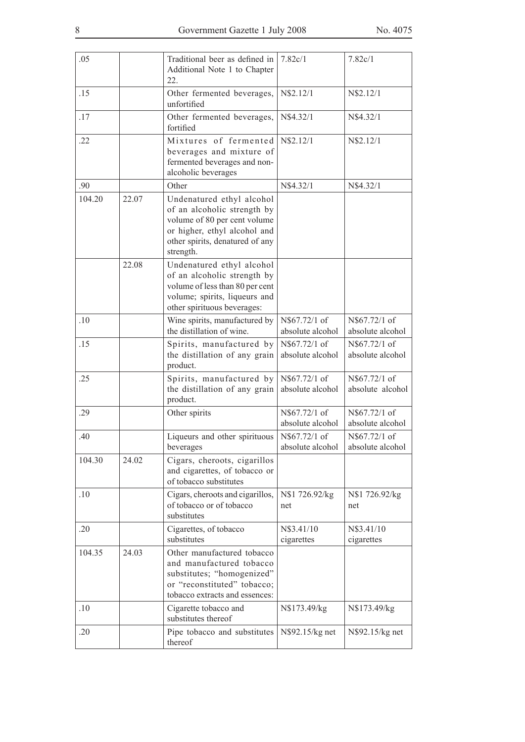| .05    |       | Traditional beer as defined in<br>Additional Note 1 to Chapter<br>22.                                                                                                    | 7.82c/1                            | 7.82c/1                           |
|--------|-------|--------------------------------------------------------------------------------------------------------------------------------------------------------------------------|------------------------------------|-----------------------------------|
| .15    |       | Other fermented beverages,<br>unfortified                                                                                                                                | N\$2.12/1                          | N\$2.12/1                         |
| .17    |       | Other fermented beverages,<br>fortified                                                                                                                                  | N\$4.32/1                          | N\$4.32/1                         |
| .22    |       | Mixtures of fermented<br>beverages and mixture of<br>fermented beverages and non-<br>alcoholic beverages                                                                 | N\$2.12/1                          | N\$2.12/1                         |
| .90    |       | Other                                                                                                                                                                    | N\$4.32/1                          | N\$4.32/1                         |
| 104.20 | 22.07 | Undenatured ethyl alcohol<br>of an alcoholic strength by<br>volume of 80 per cent volume<br>or higher, ethyl alcohol and<br>other spirits, denatured of any<br>strength. |                                    |                                   |
|        | 22.08 | Undenatured ethyl alcohol<br>of an alcoholic strength by<br>volume of less than 80 per cent<br>volume; spirits, liqueurs and<br>other spirituous beverages:              |                                    |                                   |
| .10    |       | Wine spirits, manufactured by<br>the distillation of wine.                                                                                                               | N\$67.72/1 of<br>absolute alcohol  | N\$67.72/1 of<br>absolute alcohol |
| .15    |       | Spirits, manufactured by<br>the distillation of any grain<br>product.                                                                                                    | N\$67.72/1 of<br>absolute alcohol  | N\$67.72/1 of<br>absolute alcohol |
| .25    |       | Spirits, manufactured by<br>the distillation of any grain<br>product.                                                                                                    | N\$67.72/1 of<br>absolute alcohol  | N\$67.72/1 of<br>absolute alcohol |
| .29    |       | Other spirits                                                                                                                                                            | N\$67.72/1 of<br>absolute alcohol  | N\$67.72/1 of<br>absolute alcohol |
| .40    |       | Liqueurs and other spirituous<br>beverages                                                                                                                               | N\\$67.72/1 of<br>absolute alcohol | N\$67.72/1 of<br>absolute alcohol |
| 104.30 | 24.02 | Cigars, cheroots, cigarillos<br>and cigarettes, of tobacco or<br>of tobacco substitutes                                                                                  |                                    |                                   |
| .10    |       | Cigars, cheroots and cigarillos,<br>of tobacco or of tobacco<br>substitutes                                                                                              | N\$1 726.92/kg<br>net              | N\$1 726.92/kg<br>net             |
| .20    |       | Cigarettes, of tobacco<br>substitutes                                                                                                                                    | N\$3.41/10<br>cigarettes           | N\$3.41/10<br>cigarettes          |
| 104.35 | 24.03 | Other manufactured tobacco<br>and manufactured tobacco<br>substitutes; "homogenized"<br>or "reconstituted" tobacco;<br>tobacco extracts and essences:                    |                                    |                                   |
| .10    |       | Cigarette tobacco and<br>substitutes thereof                                                                                                                             | N\$173.49/kg                       | N\$173.49/kg                      |
| .20    |       | Pipe tobacco and substitutes<br>thereof                                                                                                                                  | N\$92.15/kg net                    | N\$92.15/kg net                   |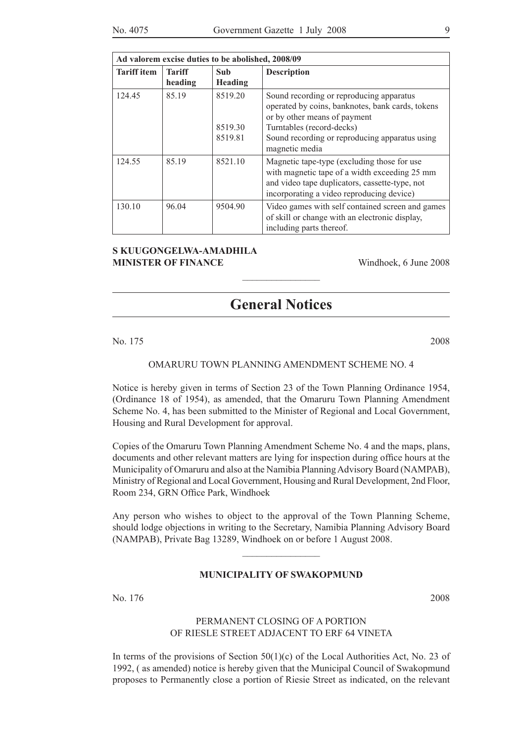| Ad valorem excise duties to be abolished, 2008/09 |                          |                               |                                                                                                                                                                                                                               |  |  |
|---------------------------------------------------|--------------------------|-------------------------------|-------------------------------------------------------------------------------------------------------------------------------------------------------------------------------------------------------------------------------|--|--|
| <b>Tariff</b> item                                | <b>Tariff</b><br>heading | Sub<br><b>Heading</b>         | <b>Description</b>                                                                                                                                                                                                            |  |  |
| 124.45                                            | 85.19                    | 8519.20<br>8519.30<br>8519.81 | Sound recording or reproducing apparatus<br>operated by coins, banknotes, bank cards, tokens<br>or by other means of payment<br>Turntables (record-decks)<br>Sound recording or reproducing apparatus using<br>magnetic media |  |  |
| 124.55                                            | 85.19                    | 8521.10                       | Magnetic tape-type (excluding those for use<br>with magnetic tape of a width exceeding 25 mm<br>and video tape duplicators, cassette-type, not<br>incorporating a video reproducing device)                                   |  |  |
| 130.10                                            | 96.04                    | 9504.90                       | Video games with self contained screen and games<br>of skill or change with an electronic display,<br>including parts thereof.                                                                                                |  |  |

#### **S Kuugongelwa-Amadhila MINISTER OF FINANCE** Windhoek, 6 June 2008

## **General Notices**

 $\overline{\phantom{a}}$  , where  $\overline{\phantom{a}}$ 

No. 175 2008

#### OMARURU TOWN PLANNING AMENDMENT SCHEME NO. 4

Notice is hereby given in terms of Section 23 of the Town Planning Ordinance 1954, (Ordinance 18 of 1954), as amended, that the Omaruru Town Planning Amendment Scheme No. 4, has been submitted to the Minister of Regional and Local Government, Housing and Rural Development for approval.

Copies of the Omaruru Town Planning Amendment Scheme No. 4 and the maps, plans, documents and other relevant matters are lying for inspection during office hours at the Municipality of Omaruru and also at the Namibia Planning Advisory Board (NAMPAB), Ministry of Regional and Local Government, Housing and Rural Development, 2nd Floor, Room 234, GRN Office Park, Windhoek

Any person who wishes to object to the approval of the Town Planning Scheme, should lodge objections in writing to the Secretary, Namibia Planning Advisory Board (NAMPAB), Private Bag 13289, Windhoek on or before 1 August 2008.

 $\frac{1}{2}$ 

#### **MUNICIPALITY OF SWAKOPMUND**

No. 176 2008

#### PERMANENT CLOSING OF A PORTION OF RIESLE STREET ADJACENT TO ERF 64 VINETA

In terms of the provisions of Section  $50(1)(c)$  of the Local Authorities Act, No. 23 of 1992, ( as amended) notice is hereby given that the Municipal Council of Swakopmund proposes to Permanently close a portion of Riesie Street as indicated, on the relevant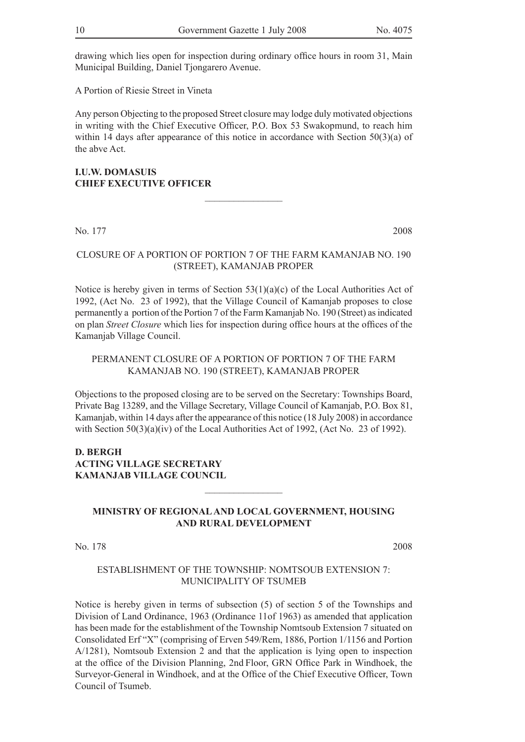drawing which lies open for inspection during ordinary office hours in room 31, Main Municipal Building, Daniel Tjongarero Avenue.

A Portion of Riesie Street in Vineta

Any person Objecting to the proposed Street closure may lodge duly motivated objections in writing with the Chief Executive Officer, P.O. Box 53 Swakopmund, to reach him within 14 days after appearance of this notice in accordance with Section 50(3)(a) of the abve Act.

 $\frac{1}{2}$ 

**I.U.W. DOMASUIS CHIEF EXECUTIVE OFFICER**

No. 177 2008

#### CLOSURE OF A PORTION OF PORTION 7 OF THE FARM KAMANJAB NO. 190 (STREET), KAMANJAB PROPER

Notice is hereby given in terms of Section  $53(1)(a)(c)$  of the Local Authorities Act of 1992, (Act No. 23 of 1992), that the Village Council of Kamanjab proposes to close permanently a portion of the Portion 7 of the Farm Kamanjab No. 190 (Street) as indicated on plan *Street Closure* which lies for inspection during office hours at the offices of the Kamanjab Village Council.

#### PERMANENT CLOSURE OF A PORTION OF PORTION 7 OF THE FARM KAMANJAB NO. 190 (STREET), KAMANJAB PROPER

Objections to the proposed closing are to be served on the Secretary: Townships Board, Private Bag 13289, and the Village Secretary, Village Council of Kamanjab, P.O. Box 81, Kamanjab, within 14 days after the appearance of this notice (18 July 2008) in accordance with Section 50(3)(a)(iv) of the Local Authorities Act of 1992, (Act No. 23 of 1992).

#### **D. Bergh Acting Village Secretary Kamanjab Village Council**

#### **MINISTRY OF REGIONAL AND LOCAL GOVERNMENT, HOUSING AND RURAL DEVELOPMENT**

 $\frac{1}{2}$  , where  $\frac{1}{2}$  , where  $\frac{1}{2}$ 

No. 178 2008

#### ESTABLISHMENT OF THE TOWNSHIP: NOMTSOUB EXTENSION 7: MUNICIPALITY OF TSUMEB

Notice is hereby given in terms of subsection (5) of section 5 of the Townships and Division of Land Ordinance, 1963 (Ordinance 11of 1963) as amended that application has been made for the establishment of the Township Nomtsoub Extension 7 situated on Consolidated Erf "X" (comprising of Erven 549/Rem, 1886, Portion 1/1156 and Portion A/1281), Nomtsoub Extension 2 and that the application is lying open to inspection at the office of the Division Planning, 2nd Floor, GRN Office Park in Windhoek, the Surveyor-General in Windhoek, and at the Office of the Chief Executive Officer, Town Council of Tsumeb.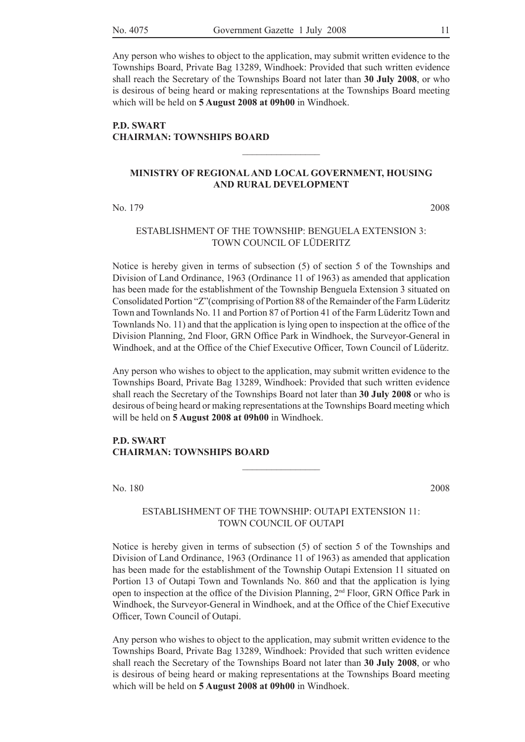Any person who wishes to object to the application, may submit written evidence to the Townships Board, Private Bag 13289, Windhoek: Provided that such written evidence shall reach the Secretary of the Townships Board not later than **30 July 2008**, or who is desirous of being heard or making representations at the Townships Board meeting which will be held on **5 August 2008 at 09h00** in Windhoek.

#### **P.D. SWART CHAIRMAN: TOWNSHIPS BOARD**

#### **MINISTRY OF REGIONAL AND LOCAL GOVERNMENT, HOUSING AND RURAL DEVELOPMENT**

 $\frac{1}{2}$ 

No. 179 2008

#### ESTABLISHMENT OF THE TOWNSHIP: BENGUELA EXTENSION 3: TOWN COUNCIL OF LÜDERITZ

Notice is hereby given in terms of subsection (5) of section 5 of the Townships and Division of Land Ordinance, 1963 (Ordinance 11 of 1963) as amended that application has been made for the establishment of the Township Benguela Extension 3 situated on Consolidated Portion "Z"(comprising of Portion 88 of the Remainder of the Farm Lüderitz Town and Townlands No. 11 and Portion 87 of Portion 41 of the Farm Lüderitz Town and Townlands No. 11) and that the application is lying open to inspection at the office of the Division Planning, 2nd Floor, GRN Office Park in Windhoek, the Surveyor-General in Windhoek, and at the Office of the Chief Executive Officer, Town Council of Lüderitz.

Any person who wishes to object to the application, may submit written evidence to the Townships Board, Private Bag 13289, Windhoek: Provided that such written evidence shall reach the Secretary of the Townships Board not later than **30 July 2008** or who is desirous of being heard or making representations at the Townships Board meeting which will be held on **5 August 2008 at 09h00** in Windhoek.

#### **P.D. SWART CHAIRMAN: TOWNSHIPS BOARD**

No. 180 2008

#### ESTABLISHMENT OF THE TOWNSHIP: OUTAPI EXTENSION 11: TOWN COUNCIL OF OUTAPI

 $\frac{1}{2}$ 

Notice is hereby given in terms of subsection (5) of section 5 of the Townships and Division of Land Ordinance, 1963 (Ordinance 11 of 1963) as amended that application has been made for the establishment of the Township Outapi Extension 11 situated on Portion 13 of Outapi Town and Townlands No. 860 and that the application is lying open to inspection at the office of the Division Planning, 2nd Floor, GRN Office Park in Windhoek, the Surveyor-General in Windhoek, and at the Office of the Chief Executive Officer, Town Council of Outapi.

Any person who wishes to object to the application, may submit written evidence to the Townships Board, Private Bag 13289, Windhoek: Provided that such written evidence shall reach the Secretary of the Townships Board not later than **30 July 2008**, or who is desirous of being heard or making representations at the Townships Board meeting which will be held on **5 August 2008 at 09h00** in Windhoek.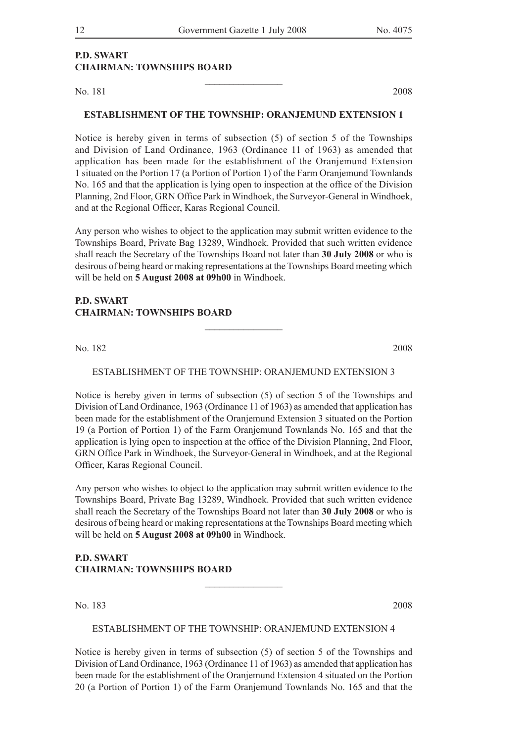#### **P.D. SWART CHAIRMAN: TOWNSHIPS BOARD**

No. 181 2008

#### **ESTABLISHMENT OF THE TOWNSHIP: ORANJEMUND EXTENSION 1**

 $\frac{1}{2}$ 

Notice is hereby given in terms of subsection (5) of section 5 of the Townships and Division of Land Ordinance, 1963 (Ordinance 11 of 1963) as amended that application has been made for the establishment of the Oranjemund Extension 1 situated on the Portion 17 (a Portion of Portion 1) of the Farm Oranjemund Townlands No. 165 and that the application is lying open to inspection at the office of the Division Planning, 2nd Floor, GRN Office Park in Windhoek, the Surveyor-General in Windhoek, and at the Regional Officer, Karas Regional Council.

Any person who wishes to object to the application may submit written evidence to the Townships Board, Private Bag 13289, Windhoek. Provided that such written evidence shall reach the Secretary of the Townships Board not later than **30 July 2008** or who is desirous of being heard or making representations at the Townships Board meeting which will be held on **5 August 2008 at 09h00** in Windhoek.

#### **P.D. SWART CHAIRMAN: TOWNSHIPS BOARD**

No. 182 2008

ESTABLISHMENT OF THE TOWNSHIP: ORANJEMUND EXTENSION 3

 $\frac{1}{2}$ 

Notice is hereby given in terms of subsection (5) of section 5 of the Townships and Division of Land Ordinance, 1963 (Ordinance 11 of 1963) as amended that application has been made for the establishment of the Oranjemund Extension 3 situated on the Portion 19 (a Portion of Portion 1) of the Farm Oranjemund Townlands No. 165 and that the application is lying open to inspection at the office of the Division Planning, 2nd Floor, GRN Office Park in Windhoek, the Surveyor-General in Windhoek, and at the Regional Officer, Karas Regional Council.

Any person who wishes to object to the application may submit written evidence to the Townships Board, Private Bag 13289, Windhoek. Provided that such written evidence shall reach the Secretary of the Townships Board not later than **30 July 2008** or who is desirous of being heard or making representations at the Townships Board meeting which will be held on **5 August 2008 at 09h00** in Windhoek.

#### **P.D. SWART CHAIRMAN: TOWNSHIPS BOARD**

No. 183 2008

#### ESTABLISHMENT OF THE TOWNSHIP: ORANJEMUND EXTENSION 4

 $\frac{1}{2}$ 

Notice is hereby given in terms of subsection (5) of section 5 of the Townships and Division of Land Ordinance, 1963 (Ordinance 11 of 1963) as amended that application has been made for the establishment of the Oranjemund Extension 4 situated on the Portion 20 (a Portion of Portion 1) of the Farm Oranjemund Townlands No. 165 and that the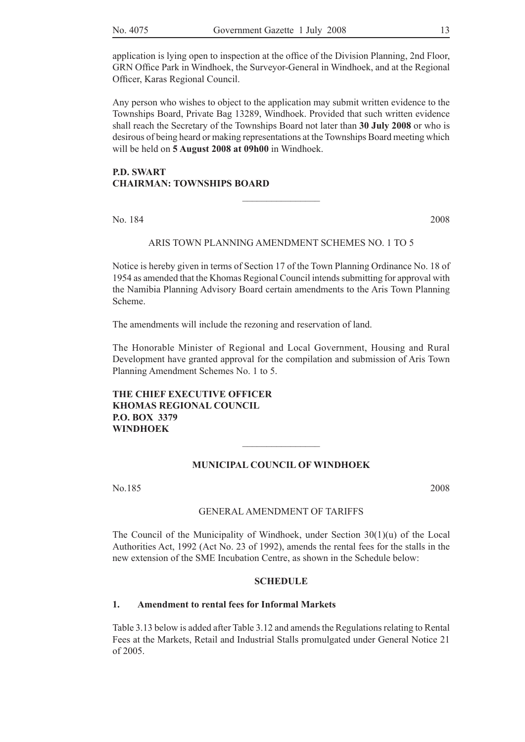application is lying open to inspection at the office of the Division Planning, 2nd Floor, GRN Office Park in Windhoek, the Surveyor-General in Windhoek, and at the Regional Officer, Karas Regional Council.

Any person who wishes to object to the application may submit written evidence to the Townships Board, Private Bag 13289, Windhoek. Provided that such written evidence shall reach the Secretary of the Townships Board not later than **30 July 2008** or who is desirous of being heard or making representations at the Townships Board meeting which will be held on **5 August 2008 at 09h00** in Windhoek.

#### **P.D. SWART CHAIRMAN: TOWNSHIPS BOARD**

No. 184 2008

#### ARIS TOWN PLANNING AMENDMENT SCHEMES NO. 1 TO 5

 $\frac{1}{2}$ 

Notice is hereby given in terms of Section 17 of the Town Planning Ordinance No. 18 of 1954 as amended that the Khomas Regional Council intends submitting for approval with the Namibia Planning Advisory Board certain amendments to the Aris Town Planning Scheme.

The amendments will include the rezoning and reservation of land.

The Honorable Minister of Regional and Local Government, Housing and Rural Development have granted approval for the compilation and submission of Aris Town Planning Amendment Schemes No. 1 to 5.

#### **The Chief Executive Officer Khomas Regional Council P.O. Box 3379 Windhoek**

#### **MUNICIPAL COUNCIL OF WINDHOEK**

 $\frac{1}{2}$ 

No.185 2008

#### GENERAL AMENDMENT OF TARIFFS

The Council of the Municipality of Windhoek, under Section  $30(1)(u)$  of the Local Authorities Act, 1992 (Act No. 23 of 1992), amends the rental fees for the stalls in the new extension of the SME Incubation Centre, as shown in the Schedule below:

#### **SCHEDULE**

#### **1. Amendment to rental fees for Informal Markets**

Table 3.13 below is added after Table 3.12 and amends the Regulations relating to Rental Fees at the Markets, Retail and Industrial Stalls promulgated under General Notice 21 of 2005.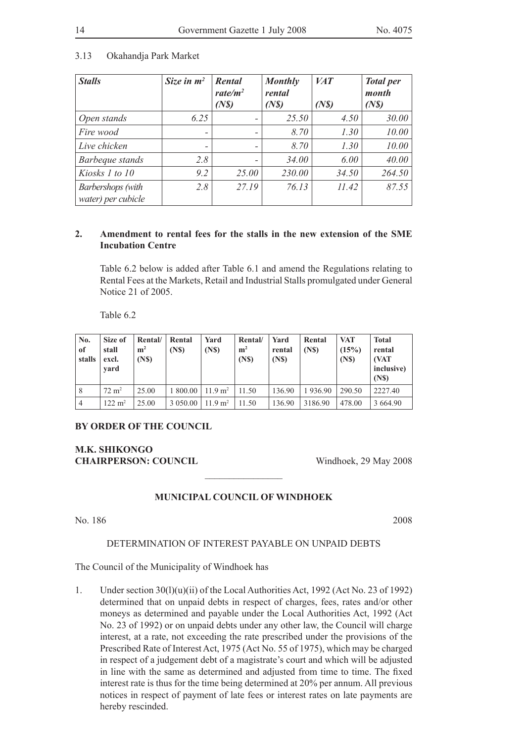#### 3.13 Okahandja Park Market

| <b>Stalls</b>                           | Size in $m^2$            | Rental<br>rate/m <sup>2</sup><br>(N <sub>s</sub> ) | <b>Monthly</b><br>rental<br>$(N\mathcal{S})$ | <b>VAT</b><br>$(N\mathcal{S})$ | <b>Total</b> per<br>month<br>$(N\mathcal{S})$ |
|-----------------------------------------|--------------------------|----------------------------------------------------|----------------------------------------------|--------------------------------|-----------------------------------------------|
| Open stands                             | 6.25                     |                                                    | 25.50                                        | 4.50                           | 30.00                                         |
| Fire wood                               | $\overline{\phantom{0}}$ | -                                                  | 8.70                                         | 1.30                           | 10.00                                         |
| Live chicken                            | -                        | -                                                  | 8.70                                         | 1.30                           | 10.00                                         |
| Barbeque stands                         | 2.8                      |                                                    | 34.00                                        | 6.00                           | 40.00                                         |
| Kiosks 1 to 10                          | 9.2                      | 25.00                                              | 230.00                                       | 34.50                          | 264.50                                        |
| Barbershops (with<br>water) per cubicle | 2.8                      | 27.19                                              | 76.13                                        | 11.42                          | 87.55                                         |

#### **2. Amendment to rental fees for the stalls in the new extension of the SME Incubation Centre**

Table 6.2 below is added after Table 6.1 and amend the Regulations relating to Rental Fees at the Markets, Retail and Industrial Stalls promulgated under General Notice 21 of 2005.

Table 6.2

| No.<br>of<br>stalls | Size of<br>stall<br>excl.<br>vard | Rental/<br>m <sup>2</sup><br>(N <sub>s</sub> ) | Rental<br>(N <sub>S</sub> ) | Yard<br>(N <sub>S</sub> )  | Rental/<br>m <sup>2</sup><br>(N <sub>s</sub> ) | Yard<br>rental<br>(N <sub>s</sub> ) | Rental<br>(N <sub>S</sub> ) | <b>VAT</b><br>(15%)<br>(N <sub>S</sub> ) | <b>Total</b><br>rental<br>(VAT<br>inclusive)<br>(N <sub>S</sub> ) |
|---------------------|-----------------------------------|------------------------------------------------|-----------------------------|----------------------------|------------------------------------------------|-------------------------------------|-----------------------------|------------------------------------------|-------------------------------------------------------------------|
| 8                   | $72 \text{ m}^2$                  | 25.00                                          | 1800.00                     | $11.9 \text{ m}^2$   11.50 |                                                | 136.90                              | 1936.90                     | 290.50                                   | 2227.40                                                           |
| $\overline{4}$      | $122 \text{ m}^2$                 | 25.00                                          | 3 0 5 0 .00                 | $11.9 \text{ m}^2$         | 11.50                                          | 136.90                              | 3186.90                     | 478.00                                   | 3 6 6 4 9 0                                                       |

#### **BY ORDER OF THE COUNCIL**

#### **M.K. SHIKONGO CHAIRPERSON: COUNCIL** Windhoek, 29 May 2008

#### **MUNICIPAL COUNCIL OF WINDHOEK**

 $\frac{1}{2}$  , where  $\frac{1}{2}$  , where  $\frac{1}{2}$ 

#### No. 186 2008

#### DETERMINATION OF INTEREST PAYABLE ON UNPAID DEBTS

The Council of the Municipality of Windhoek has

1. Under section  $30(1)(u)(ii)$  of the Local Authorities Act, 1992 (Act No. 23 of 1992) determined that on unpaid debts in respect of charges, fees, rates and/or other moneys as determined and payable under the Local Authorities Act, 1992 (Act No. 23 of 1992) or on unpaid debts under any other law, the Council will charge interest, at a rate, not exceeding the rate prescribed under the provisions of the Prescribed Rate of Interest Act, 1975 (Act No. 55 of 1975), which may be charged in respect of a judgement debt of a magistrate's court and which will be adjusted in line with the same as determined and adjusted from time to time. The fixed interest rate is thus for the time being determined at 20% per annum. All previous notices in respect of payment of late fees or interest rates on late payments are hereby rescinded.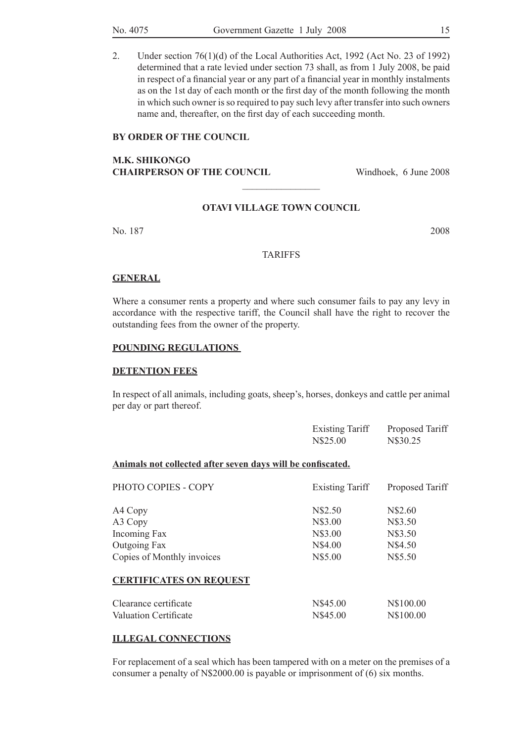2. Under section 76(1)(d) of the Local Authorities Act, 1992 (Act No. 23 of 1992) determined that a rate levied under section 73 shall, as from 1 July 2008, be paid in respect of a financial year or any part of a financial year in monthly instalments as on the 1st day of each month or the first day of the month following the month in which such owner is so required to pay such levy after transfer into such owners name and, thereafter, on the first day of each succeeding month.

#### **BY ORDER OF THE COUNCIL**

#### **M.K. SHIKONGO CHAIRPERSON OF THE COUNCIL** Windhoek, 6 June 2008

#### **OTAVI VILLAGE TOWN COUNCIL**

 $\frac{1}{2}$ 

No. 187 2008

#### **TARIFFS**

#### **GENERAL**

Where a consumer rents a property and where such consumer fails to pay any levy in accordance with the respective tariff, the Council shall have the right to recover the outstanding fees from the owner of the property.

#### **POUNDING REGULATIONS**

#### **DETENTION FEES**

In respect of all animals, including goats, sheep's, horses, donkeys and cattle per animal per day or part thereof.

| <b>Existing Tariff</b> | Proposed Tariff |
|------------------------|-----------------|
| N\$25.00               | N\$30.25        |
|                        |                 |

#### **Animals not collected after seven days will be confiscated.**

| PHOTO COPIES - COPY            | <b>Existing Tariff</b> | Proposed Tariff |
|--------------------------------|------------------------|-----------------|
| A4 Copy                        | N\$2.50                | N\$2.60         |
| A3 Copy                        | N\$3.00                | N\$3.50         |
| Incoming Fax                   | N\$3.00                | N\$3.50         |
| Outgoing Fax                   | N\$4.00                | N\$4.50         |
| Copies of Monthly invoices     | N\$5.00                | N\$5.50         |
| <b>CERTIFICATES ON REQUEST</b> |                        |                 |
| Clearance certificate          | N\$45.00               | N\$100.00       |
| Valuation Certificate          | N\$45.00               | N\$100.00       |

#### **ILLEGAL CONNECTIONS**

For replacement of a seal which has been tampered with on a meter on the premises of a consumer a penalty of N\$2000.00 is payable or imprisonment of (6) six months.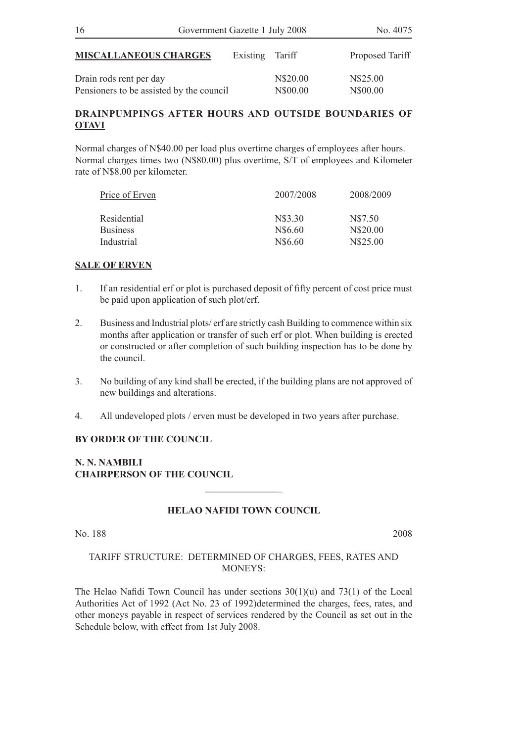| 16                                                                  | Government Gazette 1 July 2008 |                      | No. 4075             |
|---------------------------------------------------------------------|--------------------------------|----------------------|----------------------|
| <b>MISCALLANEOUS CHARGES</b>                                        | Existing Tariff                |                      | Proposed Tariff      |
| Drain rods rent per day<br>Pensioners to be assisted by the council |                                | N\$20.00<br>N\$00.00 | N\$25.00<br>N\$00.00 |

#### **DRAINPUMPINGS AFTER HOURS AND OUTSIDE BOUNDARIES OF OTAVI**

Normal charges of N\$40.00 per load plus overtime charges of employees after hours. Normal charges times two (N\$80.00) plus overtime, S/T of employees and Kilometer rate of N\$8.00 per kilometer.

| 2007/2008 | 2008/2009 |
|-----------|-----------|
| N\$3.30   | N\$7.50   |
| N\$6.60   | N\$20.00  |
| N\$6.60   | N\$25.00  |
|           |           |

#### **SALE OF ERVEN**

- 1. If an residential erf or plot is purchased deposit of fifty percent of cost price must be paid upon application of such plot/erf.
- 2. Business and Industrial plots/ erf are strictly cash Building to commence within six months after application or transfer of such erf or plot. When building is erected or constructed or after completion of such building inspection has to be done by the council.
- 3. No building of any kind shall be erected, if the building plans are not approved of new buildings and alterations.
- 4. All undeveloped plots / erven must be developed in two years after purchase.

#### **BY ORDER OF THE COUNCIL**

**N. N. NAMBILI CHAIRPERSON OF THE COUNCIL**

#### **HELAO NAFIDI TOWN COUNCIL**

**\_\_\_\_\_\_\_\_\_\_\_\_\_\_\_**\_

No. 188 2008

#### TARIFF STRUCTURE: DETERMINED OF CHARGES, FEES, RATES AND MONEYS<sup>.</sup>

The Helao Nafidi Town Council has under sections 30(1)(u) and 73(1) of the Local Authorities Act of 1992 (Act No. 23 of 1992)determined the charges, fees, rates, and other moneys payable in respect of services rendered by the Council as set out in the Schedule below, with effect from 1st July 2008.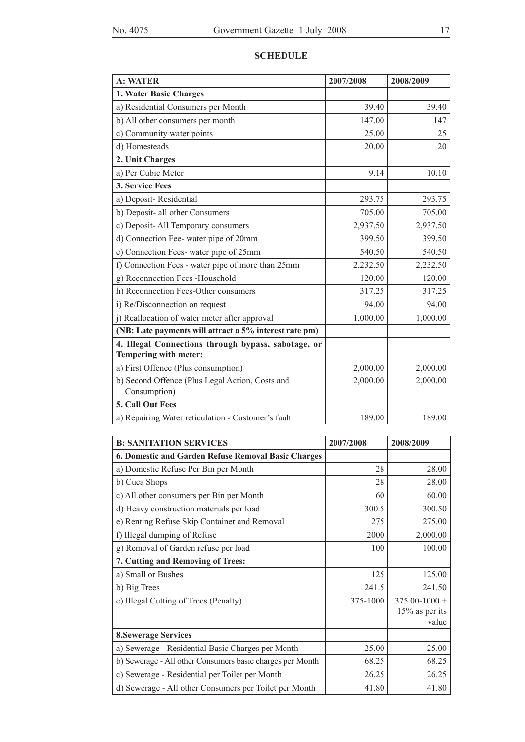|  | . . |
|--|-----|
|  |     |
|  |     |

| <b>SCHEDULE</b> |
|-----------------|
|-----------------|

| <b>A: WATER</b>                                                              | 2007/2008 | 2008/2009 |
|------------------------------------------------------------------------------|-----------|-----------|
| 1. Water Basic Charges                                                       |           |           |
| a) Residential Consumers per Month                                           | 39.40     | 39.40     |
| b) All other consumers per month                                             | 147.00    | 147       |
| c) Community water points                                                    | 25.00     | 25        |
| d) Homesteads                                                                | 20.00     | 20        |
| 2. Unit Charges                                                              |           |           |
| a) Per Cubic Meter                                                           | 9.14      | 10.10     |
| 3. Service Fees                                                              |           |           |
| a) Deposit-Residential                                                       | 293.75    | 293.75    |
| b) Deposit- all other Consumers                                              | 705.00    | 705.00    |
| c) Deposit-All Temporary consumers                                           | 2,937.50  | 2,937.50  |
| d) Connection Fee- water pipe of 20mm                                        | 399.50    | 399.50    |
| e) Connection Fees-water pipe of 25mm                                        | 540.50    | 540.50    |
| f) Connection Fees - water pipe of more than 25mm                            | 2,232.50  | 2,232.50  |
| g) Reconnection Fees -Household                                              | 120.00    | 120.00    |
| h) Reconnection Fees-Other consumers                                         | 317.25    | 317.25    |
| i) Re/Disconnection on request                                               | 94.00     | 94.00     |
| j) Reallocation of water meter after approval                                | 1,000.00  | 1,000.00  |
| (NB: Late payments will attract a 5% interest rate pm)                       |           |           |
| 4. Illegal Connections through bypass, sabotage, or<br>Tempering with meter: |           |           |
| a) First Offence (Plus consumption)                                          | 2,000.00  | 2,000.00  |
| b) Second Offence (Plus Legal Action, Costs and<br>Consumption)              | 2,000.00  | 2,000.00  |
| 5. Call Out Fees                                                             |           |           |
| a) Repairing Water reticulation - Customer's fault                           | 189.00    | 189.00    |

| <b>B: SANITATION SERVICES</b>                             | 2007/2008 | 2008/2009         |
|-----------------------------------------------------------|-----------|-------------------|
| 6. Domestic and Garden Refuse Removal Basic Charges       |           |                   |
| a) Domestic Refuse Per Bin per Month                      | 28        | 28.00             |
| b) Cuca Shops                                             | 28        | 28.00             |
| c) All other consumers per Bin per Month                  | 60        | 60.00             |
| d) Heavy construction materials per load                  | 300.5     | 300.50            |
| e) Renting Refuse Skip Container and Removal              | 275       | 275.00            |
| f) Illegal dumping of Refuse                              | 2000      | 2,000.00          |
| g) Removal of Garden refuse per load                      | 100       | 100.00            |
| 7. Cutting and Removing of Trees:                         |           |                   |
| a) Small or Bushes                                        | 125       | 125.00            |
| b) Big Trees                                              | 241.5     | 241.50            |
| c) Illegal Cutting of Trees (Penalty)                     | 375-1000  | $375.00 - 1000 +$ |
|                                                           |           | $15\%$ as per its |
|                                                           |           | value             |
| <b>8. Sewerage Services</b>                               |           |                   |
| a) Sewerage - Residential Basic Charges per Month         | 25.00     | 25.00             |
| b) Sewerage - All other Consumers basic charges per Month | 68.25     | 68.25             |
| c) Sewerage - Residential per Toilet per Month            | 26.25     | 26.25             |
| d) Sewerage - All other Consumers per Toilet per Month    | 41.80     | 41.80             |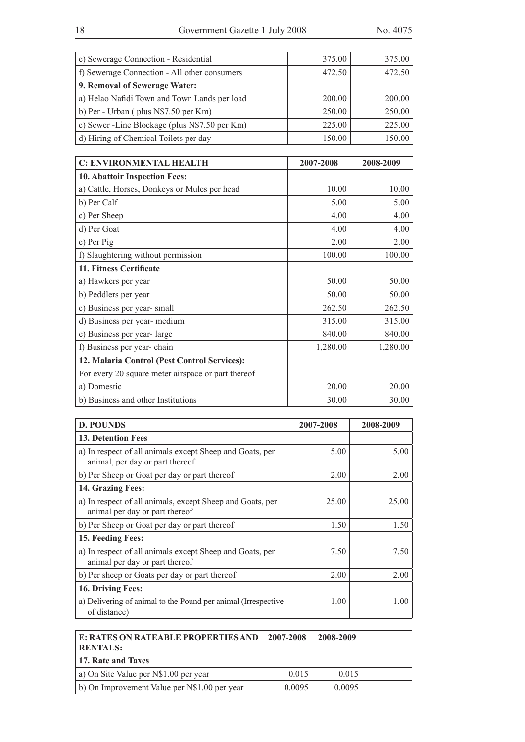| e) Sewerage Connection - Residential           | 375.00 | 375.00 |
|------------------------------------------------|--------|--------|
| f) Sewerage Connection - All other consumers   | 472.50 | 472.50 |
| 9. Removal of Sewerage Water:                  |        |        |
| a) Helao Nafidi Town and Town Lands per load   | 200.00 | 200.00 |
| b) Per - Urban (plus $N$7.50$ per Km)          | 250.00 | 250.00 |
| c) Sewer - Line Blockage (plus N\$7.50 per Km) | 225.00 | 225.00 |
| d) Hiring of Chemical Toilets per day          | 150.00 | 150.00 |
|                                                |        |        |

| <b>C: ENVIRONMENTAL HEALTH</b>                     | 2007-2008 | 2008-2009 |
|----------------------------------------------------|-----------|-----------|
| 10. Abattoir Inspection Fees:                      |           |           |
| a) Cattle, Horses, Donkeys or Mules per head       | 10.00     | 10.00     |
| b) Per Calf                                        | 5.00      | 5.00      |
| c) Per Sheep                                       | 4.00      | 4.00      |
| d) Per Goat                                        | 4.00      | 4.00      |
| e) Per Pig                                         | 2.00      | 2.00      |
| f) Slaughtering without permission                 | 100.00    | 100.00    |
| 11. Fitness Certificate                            |           |           |
| a) Hawkers per year                                | 50.00     | 50.00     |
| b) Peddlers per year                               | 50.00     | 50.00     |
| c) Business per year-small                         | 262.50    | 262.50    |
| d) Business per year- medium                       | 315.00    | 315.00    |
| e) Business per year-large                         | 840.00    | 840.00    |
| f) Business per year-chain                         | 1,280.00  | 1,280.00  |
| 12. Malaria Control (Pest Control Services):       |           |           |
| For every 20 square meter airspace or part thereof |           |           |
| a) Domestic                                        | 20.00     | 20.00     |
| b) Business and other Institutions                 | 30.00     | 30.00     |

| <b>D. POUNDS</b>                                                                            | 2007-2008 | 2008-2009 |
|---------------------------------------------------------------------------------------------|-----------|-----------|
| <b>13. Detention Fees</b>                                                                   |           |           |
| a) In respect of all animals except Sheep and Goats, per<br>animal, per day or part thereof | 5.00      | 5.00      |
| b) Per Sheep or Goat per day or part thereof                                                | 2.00      | 2.00      |
| 14. Grazing Fees:                                                                           |           |           |
| a) In respect of all animals, except Sheep and Goats, per<br>animal per day or part thereof | 25.00     | 25.00     |
| b) Per Sheep or Goat per day or part thereof                                                | 1.50      | 1.50      |
| 15. Feeding Fees:                                                                           |           |           |
| a) In respect of all animals except Sheep and Goats, per<br>animal per day or part thereof  | 7.50      | 7.50      |
| b) Per sheep or Goats per day or part thereof                                               | 2.00      | 2.00      |
| 16. Driving Fees:                                                                           |           |           |
| a) Delivering of animal to the Pound per animal (Irrespective<br>of distance)               | 1.00      | 1.00      |

| E: RATES ON RATEABLE PROPERTIES AND<br><b>RENTALS:</b> | 2007-2008 | 2008-2009 |  |
|--------------------------------------------------------|-----------|-----------|--|
| 17. Rate and Taxes                                     |           |           |  |
| a) On Site Value per N\$1.00 per year                  | 0.015     | 0.015     |  |
| b) On Improvement Value per N\$1.00 per year           | 0.0095    | 0.0095    |  |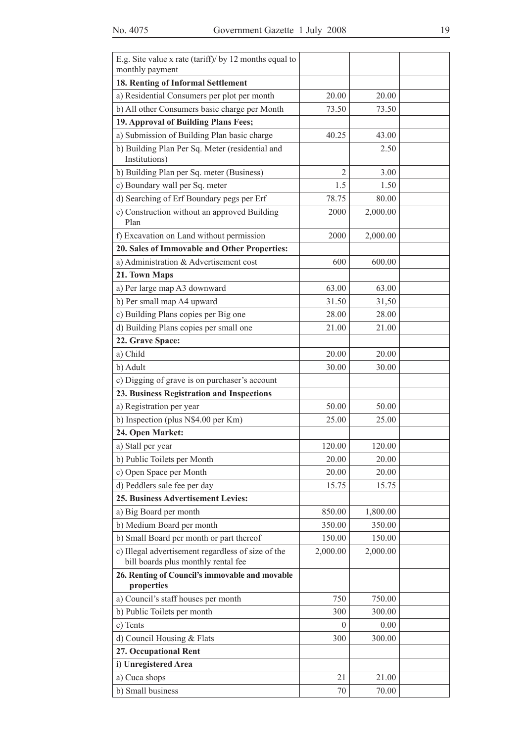| E.g. Site value x rate (tariff)/ by 12 months equal to<br>monthly payment                 |          |          |  |
|-------------------------------------------------------------------------------------------|----------|----------|--|
| 18. Renting of Informal Settlement                                                        |          |          |  |
| a) Residential Consumers per plot per month                                               | 20.00    | 20.00    |  |
| b) All other Consumers basic charge per Month                                             | 73.50    | 73.50    |  |
| 19. Approval of Building Plans Fees;                                                      |          |          |  |
|                                                                                           |          |          |  |
| a) Submission of Building Plan basic charge                                               | 40.25    | 43.00    |  |
| b) Building Plan Per Sq. Meter (residential and<br>Institutions)                          |          | 2.50     |  |
| b) Building Plan per Sq. meter (Business)                                                 | 2        | 3.00     |  |
| c) Boundary wall per Sq. meter                                                            | 1.5      | 1.50     |  |
| d) Searching of Erf Boundary pegs per Erf                                                 | 78.75    | 80.00    |  |
| e) Construction without an approved Building<br>Plan                                      | 2000     | 2,000.00 |  |
| f) Excavation on Land without permission                                                  | 2000     | 2,000.00 |  |
| 20. Sales of Immovable and Other Properties:                                              |          |          |  |
| a) Administration & Advertisement cost                                                    | 600      | 600.00   |  |
| 21. Town Maps                                                                             |          |          |  |
| a) Per large map A3 downward                                                              | 63.00    | 63.00    |  |
| b) Per small map A4 upward                                                                | 31.50    | 31,50    |  |
| c) Building Plans copies per Big one                                                      | 28.00    | 28.00    |  |
| d) Building Plans copies per small one                                                    | 21.00    | 21.00    |  |
| 22. Grave Space:                                                                          |          |          |  |
| a) Child                                                                                  | 20.00    | 20.00    |  |
| b) Adult                                                                                  | 30.00    | 30.00    |  |
| c) Digging of grave is on purchaser's account                                             |          |          |  |
| 23. Business Registration and Inspections                                                 |          |          |  |
| a) Registration per year                                                                  | 50.00    | 50.00    |  |
| b) Inspection (plus N\$4.00 per Km)                                                       | 25.00    | 25.00    |  |
| 24. Open Market:                                                                          |          |          |  |
| a) Stall per year                                                                         | 120.00   | 120.00   |  |
| b) Public Toilets per Month                                                               | 20.00    | 20.00    |  |
| c) Open Space per Month                                                                   | 20.00    | 20.00    |  |
| d) Peddlers sale fee per day                                                              | 15.75    | 15.75    |  |
| 25. Business Advertisement Levies:                                                        |          |          |  |
| a) Big Board per month                                                                    | 850.00   | 1,800.00 |  |
| b) Medium Board per month                                                                 | 350.00   | 350.00   |  |
| b) Small Board per month or part thereof                                                  | 150.00   | 150.00   |  |
| c) Illegal advertisement regardless of size of the<br>bill boards plus monthly rental fee | 2,000.00 | 2,000.00 |  |
| 26. Renting of Council's immovable and movable                                            |          |          |  |
| properties                                                                                |          |          |  |
| a) Council's staff houses per month                                                       | 750      | 750.00   |  |
| b) Public Toilets per month                                                               | 300      | 300.00   |  |
| c) Tents                                                                                  | $\theta$ | 0.00     |  |
| d) Council Housing & Flats                                                                | 300      | 300.00   |  |
| 27. Occupational Rent                                                                     |          |          |  |
| i) Unregistered Area                                                                      |          |          |  |
| a) Cuca shops                                                                             | 21       | 21.00    |  |
| b) Small business                                                                         | 70       | 70.00    |  |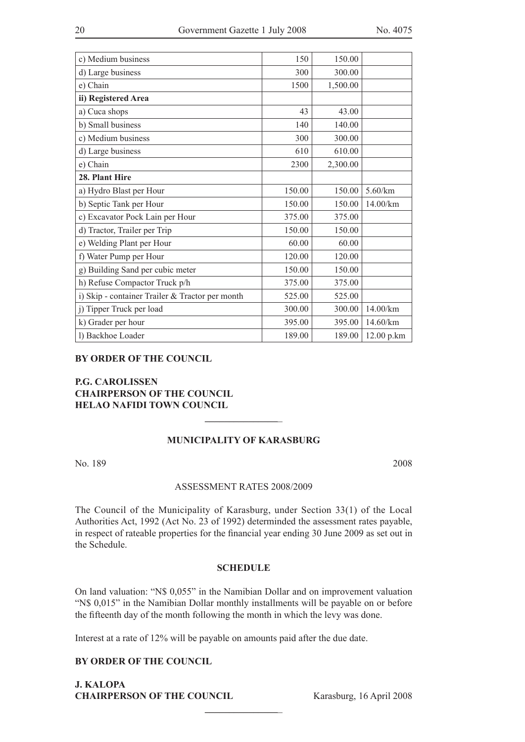| c) Medium business                              | 150    | 150.00   |            |
|-------------------------------------------------|--------|----------|------------|
| d) Large business                               | 300    | 300.00   |            |
| e) Chain                                        | 1500   | 1,500.00 |            |
| ii) Registered Area                             |        |          |            |
| a) Cuca shops                                   | 43     | 43.00    |            |
| b) Small business                               | 140    | 140.00   |            |
| c) Medium business                              | 300    | 300.00   |            |
| d) Large business                               | 610    | 610.00   |            |
| e) Chain                                        | 2300   | 2,300.00 |            |
| 28. Plant Hire                                  |        |          |            |
| a) Hydro Blast per Hour                         | 150.00 | 150.00   | $5.60$ /km |
| b) Septic Tank per Hour                         | 150.00 | 150.00   | 14.00/km   |
| c) Excavator Pock Lain per Hour                 | 375.00 | 375.00   |            |
| d) Tractor, Trailer per Trip                    | 150.00 | 150.00   |            |
| e) Welding Plant per Hour                       | 60.00  | 60.00    |            |
| f) Water Pump per Hour                          | 120.00 | 120.00   |            |
| g) Building Sand per cubic meter                | 150.00 | 150.00   |            |
| h) Refuse Compactor Truck p/h                   | 375.00 | 375.00   |            |
| i) Skip - container Trailer & Tractor per month | 525.00 | 525.00   |            |
| j) Tipper Truck per load                        | 300.00 | 300.00   | 14.00/km   |
| k) Grader per hour                              | 395.00 | 395.00   | 14.60/km   |
| l) Backhoe Loader                               | 189.00 | 189.00   | 12.00 p.km |

#### **BY ORDER OF THE COUNCIL**

#### **P.G. CAROLISSEN CHAIRPERSON OF THE COUNCIL HELAO NAFIDI TOWN COUNCIL**

#### **MUNICIPALITY OF KARASBURG**

**\_\_\_\_\_\_\_\_\_\_\_\_\_\_\_**\_

No. 189 2008

#### ASSESSMENT RATES 2008/2009

The Council of the Municipality of Karasburg, under Section 33(1) of the Local Authorities Act, 1992 (Act No. 23 of 1992) determinded the assessment rates payable, in respect of rateable properties for the financial year ending 30 June 2009 as set out in the Schedule.

#### **Schedule**

On land valuation: "N\$ 0,055" in the Namibian Dollar and on improvement valuation "N\$ 0,015" in the Namibian Dollar monthly installments will be payable on or before the fifteenth day of the month following the month in which the levy was done.

**\_\_\_\_\_\_\_\_\_\_\_\_\_\_\_**\_

Interest at a rate of 12% will be payable on amounts paid after the due date.

#### **By order of the council**

**J. KALOPA CHAIRPERson of the council** Karasburg, 16 April 2008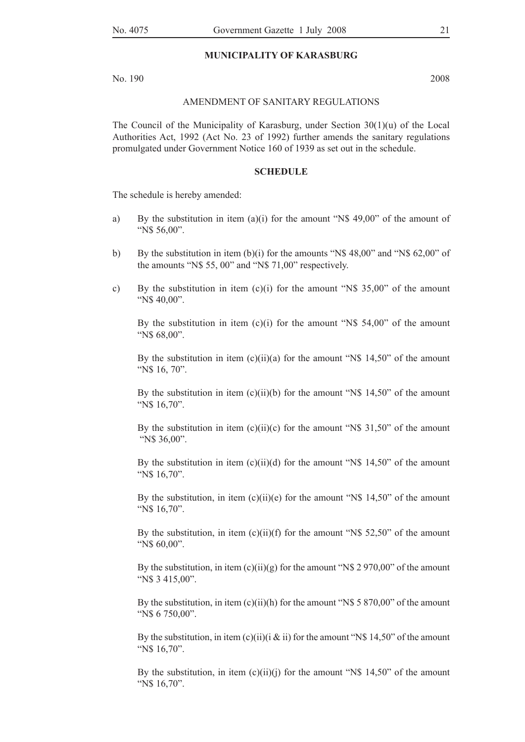#### **MUNICIPALITY OF KARASBURG**

No. 190 2008

#### AMENDMENT OF SANITARY REGULATIONS

The Council of the Municipality of Karasburg, under Section  $30(1)(u)$  of the Local Authorities Act, 1992 (Act No. 23 of 1992) further amends the sanitary regulations promulgated under Government Notice 160 of 1939 as set out in the schedule.

#### **Schedule**

The schedule is hereby amended:

- a) By the substitution in item (a)(i) for the amount "N\$ 49,00" of the amount of "N\$ 56,00".
- b) By the substitution in item (b)(i) for the amounts "N\$ 48,00" and "N\$ 62,00" of the amounts "N\$ 55, 00" and "N\$ 71,00" respectively.
- c) By the substitution in item  $(c)(i)$  for the amount "N\$ 35,00" of the amount "N\$ 40,00".

By the substitution in item  $(c)(i)$  for the amount "N\$ 54,00" of the amount "N\$ 68,00".

By the substitution in item  $(c)(ii)(a)$  for the amount "N\$ 14,50" of the amount "N\$ 16, 70".

By the substitution in item  $(c)(ii)(b)$  for the amount "N\$ 14,50" of the amount "N\$ 16,70".

By the substitution in item  $(c)(ii)(c)$  for the amount "N\$ 31,50" of the amount "N\$ 36,00".

By the substitution in item  $(c)(ii)(d)$  for the amount "N\$ 14,50" of the amount "N\$ 16,70".

By the substitution, in item  $(c)(ii)(e)$  for the amount "N\$ 14,50" of the amount "N\$ 16,70".

By the substitution, in item  $(c)(ii)(f)$  for the amount "N\$ 52,50" of the amount "N\$ 60,00".

By the substitution, in item  $(c)(ii)(g)$  for the amount "N\$ 2 970,00" of the amount "N\$ 3 415,00".

By the substitution, in item  $(c)(ii)(h)$  for the amount "N\$ 5 870,00" of the amount "N\$ 6 750,00".

By the substitution, in item (c)(ii)(i & ii) for the amount "N\$ 14,50" of the amount "N\$ 16,70".

By the substitution, in item  $(c)(ii)(j)$  for the amount "N\$ 14,50" of the amount "N\$ 16,70".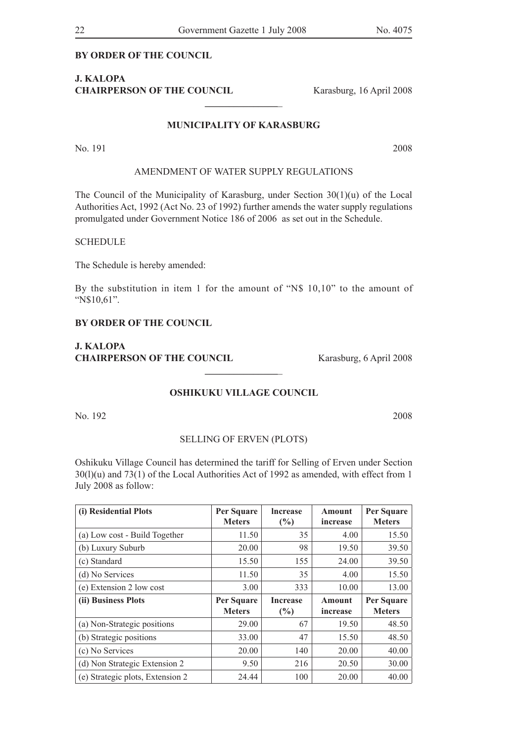#### **By order of the council**

#### **J. KALOPA CHAIRPERson of the council** Karasburg, 16 April 2008

#### **MUNICIPALITY OF KARASBURG**

**\_\_\_\_\_\_\_\_\_\_\_\_\_\_\_**\_

No. 191 2008

#### AMENDMENT OF WATER SUPPLY REGULATIONS

The Council of the Municipality of Karasburg, under Section  $30(1)(u)$  of the Local Authorities Act, 1992 (Act No. 23 of 1992) further amends the water supply regulations promulgated under Government Notice 186 of 2006 as set out in the Schedule.

#### SCHEDULE

The Schedule is hereby amended:

By the substitution in item 1 for the amount of "N\$ 10,10" to the amount of "N\$10,61".

#### **By order of the council**

**J. KALOPA CHAIRPERSON OF THE COUNCIL** Karasburg, 6 April 2008

#### **OSHIKUKU VILLAGE COUNCIL**

**\_\_\_\_\_\_\_\_\_\_\_\_\_\_\_**\_

No. 192 2008

#### SELLING OF ERVEN (PLOTS)

Oshikuku Village Council has determined the tariff for Selling of Erven under Section  $30(1)(u)$  and  $73(1)$  of the Local Authorities Act of 1992 as amended, with effect from 1 July 2008 as follow:

| (i) Residential Plots         | Per Square<br><b>Meters</b> | <b>Increase</b><br>(%) | Amount<br>increase        | Per Square<br><b>Meters</b> |
|-------------------------------|-----------------------------|------------------------|---------------------------|-----------------------------|
| (a) Low cost - Build Together | 11.50                       | 35                     | 4.00                      | 15.50                       |
| (b) Luxury Suburb             | 20.00                       | 98                     | 19.50                     | 39.50                       |
| (c) Standard                  | 15.50                       | 155                    | 24.00                     | 39.50                       |
| (d) No Services               | 11.50                       | 35                     | 4.00                      | 15.50                       |
| (e) Extension 2 low cost      | 3.00                        | 333                    | 10.00                     | 13.00                       |
| (ii) Business Plots           | Per Square<br><b>Meters</b> | <b>Increase</b><br>(%) | <b>Amount</b><br>increase | Per Square<br><b>Meters</b> |
| (a) Non-Strategic positions   | 29.00                       | 67                     | 19.50                     | 48.50                       |
|                               |                             |                        |                           |                             |
| (b) Strategic positions       | 33.00                       | 47                     | 15.50                     | 48.50                       |
| (c) No Services               | 20.00                       | 140                    | 20.00                     | 40.00                       |
| (d) Non Strategic Extension 2 | 9.50                        | 216                    | 20.50                     | 30.00                       |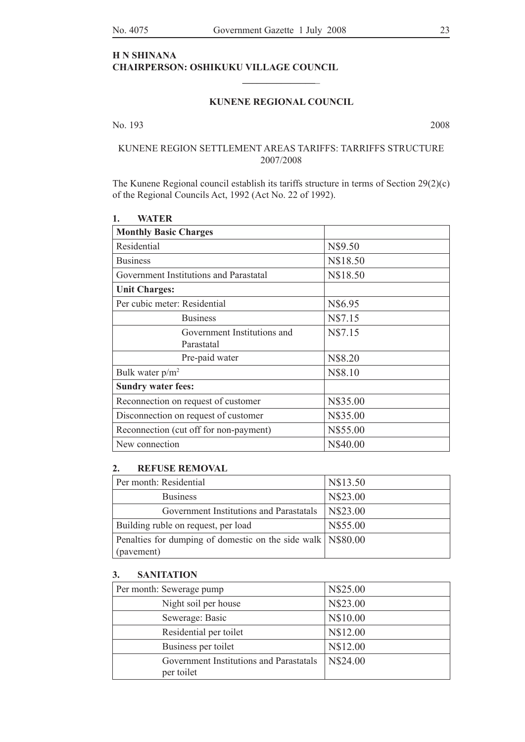#### **H N SHINANA CHAIRPERSON: OSHIKUKU VILLAGE COUNCIL**

#### **KUNENE REGIONAL COUNCIL**

**\_\_\_\_\_\_\_\_\_\_\_\_\_\_\_**\_

No. 193 2008

#### KUNENE REGION SETTLEMENT AREAS TARIFFS: TARRIFFS STRUCTURE 2007/2008

The Kunene Regional council establish its tariffs structure in terms of Section 29(2)(c) of the Regional Councils Act, 1992 (Act No. 22 of 1992).

| <b>Monthly Basic Charges</b>           |          |
|----------------------------------------|----------|
| Residential                            | N\$9.50  |
| <b>Business</b>                        | N\$18.50 |
| Government Institutions and Parastatal | N\$18.50 |
| <b>Unit Charges:</b>                   |          |
| Per cubic meter: Residential           | N\$6.95  |
| <b>Business</b>                        | N\$7.15  |
| Government Institutions and            | N\$7.15  |
| Parastatal                             |          |
| Pre-paid water                         | N\$8.20  |
| Bulk water $p/m^2$                     | N\$8.10  |
| <b>Sundry water fees:</b>              |          |
| Reconnection on request of customer    | N\$35.00 |
| Disconnection on request of customer   | N\$35.00 |
| Reconnection (cut off for non-payment) | N\$55.00 |
| New connection                         | N\$40.00 |

**1. Water**

#### **2. REFUSE REMOVAL**

| Per month: Residential                                       | N\$13.50 |
|--------------------------------------------------------------|----------|
| <b>Business</b>                                              | N\$23.00 |
| Government Institutions and Parastatals                      | N\$23.00 |
| Building ruble on request, per load                          | N\$55.00 |
| Penalties for dumping of domestic on the side walk N\\$80.00 |          |
| (pavement)                                                   |          |

#### **3. SANITATION**

| Per month: Sewerage pump                              | N\$25.00 |
|-------------------------------------------------------|----------|
| Night soil per house                                  | N\$23.00 |
| Sewerage: Basic                                       | N\$10.00 |
| Residential per toilet                                | N\$12.00 |
| Business per toilet                                   | N\$12.00 |
| Government Institutions and Parastatals<br>per toilet | N\$24.00 |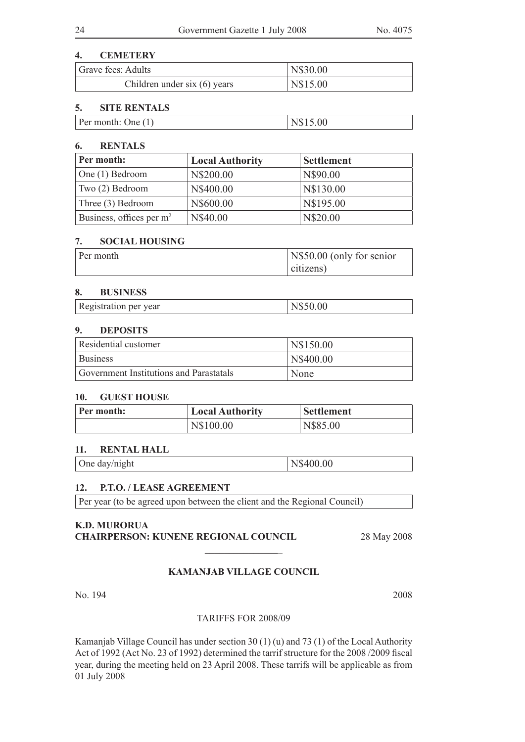#### **4. CEMETERY**

| Grave fees: Adults           | N\$30.00 |
|------------------------------|----------|
| Children under six (6) years | N\$15.00 |

#### **5. SITE RENTALS**

| Per month: One $(1)$ | N\$15.00 |
|----------------------|----------|
|----------------------|----------|

#### **6. RENTALS**

| Per month:                           | <b>Local Authority</b> | <b>Settlement</b> |
|--------------------------------------|------------------------|-------------------|
| One (1) Bedroom                      | N\$200.00              | N\$90.00          |
| Two (2) Bedroom                      | N\$400.00              | N\$130.00         |
| Three (3) Bedroom                    | N\$600.00              | N\$195.00         |
| Business, offices per m <sup>2</sup> | N\$40.00               | N\$20.00          |

#### **7. SOCIAL HOUSING**

| Per month | N\\$50.00 (only for senior |
|-----------|----------------------------|
|           | citizens)                  |

#### **8. BUSINESS**

| Registration per year | N\$50.00 |
|-----------------------|----------|
|-----------------------|----------|

#### **9. DEPOSITS**

| Residential customer                    | N\$150.00 |
|-----------------------------------------|-----------|
| <b>Business</b>                         | N\$400.00 |
| Government Institutions and Parastatals | None      |

#### **10. GUEST HOUSE**

| Per month: | <b>Local Authority</b> | <b>Settlement</b> |
|------------|------------------------|-------------------|
|            | N\$100.00              | N\$85.00          |

#### **11. RENTAL HALL**

One day/night N\$400.00

#### **12. P.T.O. / LEASE AGREEMENT**

Per year (to be agreed upon between the client and the Regional Council)

#### **K.D. MURORUA CHAIRPERSON: KUNENE REGIONAL COUNCIL** 28 May 2008

#### **KAMANJAB VILLAGE COUNCIL**

**\_\_\_\_\_\_\_\_\_\_\_\_\_\_\_**\_

No. 194 2008

#### Tariffs for 2008/09

Kamanjab Village Council has under section 30 (1) (u) and 73 (1) of the Local Authority Act of 1992 (Act No. 23 of 1992) determined the tarrif structure for the 2008 /2009 fiscal year, during the meeting held on 23 April 2008. These tarrifs will be applicable as from 01 July 2008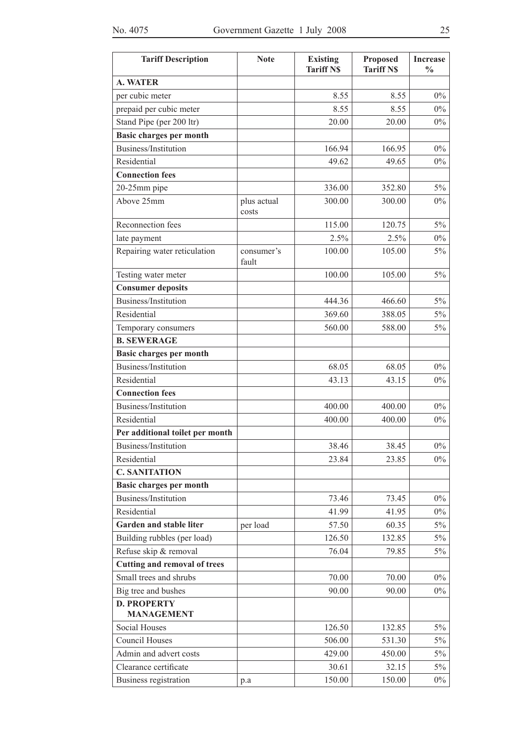| <b>Tariff Description</b>               | <b>Note</b>          | <b>Existing</b><br><b>Tariff NS</b> | <b>Proposed</b><br><b>Tariff N\$</b> | <b>Increase</b><br>$\frac{0}{0}$ |
|-----------------------------------------|----------------------|-------------------------------------|--------------------------------------|----------------------------------|
| <b>A. WATER</b>                         |                      |                                     |                                      |                                  |
| per cubic meter                         |                      | 8.55                                | 8.55                                 | $0\%$                            |
| prepaid per cubic meter                 |                      | 8.55                                | 8.55                                 | $0\%$                            |
| Stand Pipe (per 200 ltr)                |                      | 20.00                               | 20.00                                | $0\%$                            |
| <b>Basic charges per month</b>          |                      |                                     |                                      |                                  |
| Business/Institution                    |                      | 166.94                              | 166.95                               | $0\%$                            |
| Residential                             |                      | 49.62                               | 49.65                                | $0\%$                            |
| <b>Connection fees</b>                  |                      |                                     |                                      |                                  |
| 20-25mm pipe                            |                      | 336.00                              | 352.80                               | $5\%$                            |
| Above 25mm                              | plus actual<br>costs | 300.00                              | 300.00                               | $0\%$                            |
| Reconnection fees                       |                      | 115.00                              | 120.75                               | $5\%$                            |
| late payment                            |                      | 2.5%                                | 2.5%                                 | $0\%$                            |
| Repairing water reticulation            | consumer's<br>fault  | 100.00                              | 105.00                               | 5%                               |
| Testing water meter                     |                      | 100.00                              | 105.00                               | 5%                               |
| <b>Consumer deposits</b>                |                      |                                     |                                      |                                  |
| Business/Institution                    |                      | 444.36                              | 466.60                               | 5%                               |
| Residential                             |                      | 369.60                              | 388.05                               | 5%                               |
| Temporary consumers                     |                      | 560.00                              | 588.00                               | 5%                               |
| <b>B. SEWERAGE</b>                      |                      |                                     |                                      |                                  |
| <b>Basic charges per month</b>          |                      |                                     |                                      |                                  |
| Business/Institution                    |                      | 68.05                               | 68.05                                | $0\%$                            |
| Residential                             |                      | 43.13                               | 43.15                                | $0\%$                            |
| <b>Connection fees</b>                  |                      |                                     |                                      |                                  |
| Business/Institution                    |                      | 400.00                              | 400.00                               | $0\%$                            |
| Residential                             |                      | 400.00                              | 400.00                               | $0\%$                            |
| Per additional toilet per month         |                      |                                     |                                      |                                  |
| Business/Institution                    |                      | 38.46                               | 38.45                                | $0\%$                            |
| Residential                             |                      | 23.84                               | 23.85                                | $0\%$                            |
| <b>C. SANITATION</b>                    |                      |                                     |                                      |                                  |
| <b>Basic charges per month</b>          |                      |                                     |                                      |                                  |
| Business/Institution                    |                      | 73.46                               | 73.45                                | $0\%$                            |
| Residential                             |                      | 41.99                               | 41.95                                | $0\%$                            |
| Garden and stable liter                 | per load             | 57.50                               | 60.35                                | $5\%$                            |
| Building rubbles (per load)             |                      | 126.50                              | 132.85                               | $5\%$                            |
| Refuse skip & removal                   |                      | 76.04                               | 79.85                                | $5\%$                            |
| <b>Cutting and removal of trees</b>     |                      |                                     |                                      |                                  |
| Small trees and shrubs                  |                      | 70.00                               | 70.00                                | $0\%$                            |
| Big tree and bushes                     |                      | 90.00                               | 90.00                                | $0\%$                            |
| <b>D. PROPERTY</b><br><b>MANAGEMENT</b> |                      |                                     |                                      |                                  |
| Social Houses                           |                      | 126.50                              | 132.85                               | 5%                               |
| Council Houses                          |                      | 506.00                              | 531.30                               | $5\%$                            |
| Admin and advert costs                  |                      | 429.00                              | 450.00                               | $5\%$                            |
| Clearance certificate                   |                      | 30.61                               | 32.15                                | $5\%$                            |
| Business registration                   | p.a                  | 150.00                              | 150.00                               | $0\%$                            |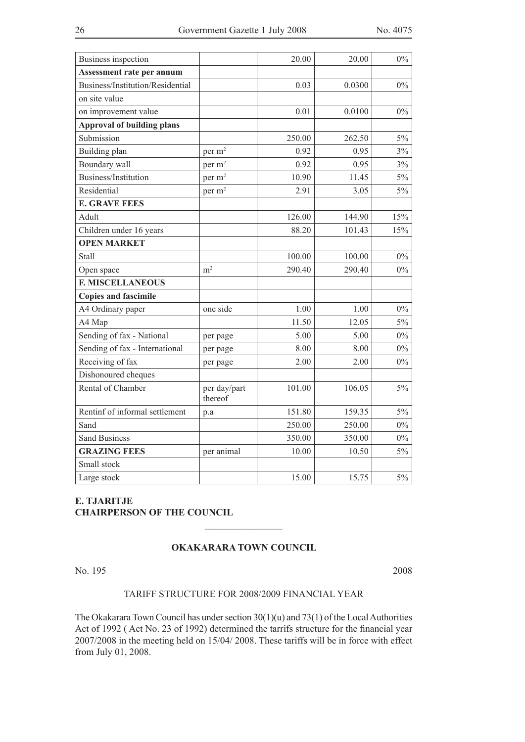| Business inspection               |                         | 20.00  | 20.00  | $0\%$ |
|-----------------------------------|-------------------------|--------|--------|-------|
| Assessment rate per annum         |                         |        |        |       |
| Business/Institution/Residential  |                         | 0.03   | 0.0300 | $0\%$ |
| on site value                     |                         |        |        |       |
| on improvement value              |                         | 0.01   | 0.0100 | $0\%$ |
| <b>Approval of building plans</b> |                         |        |        |       |
| Submission                        |                         | 250.00 | 262.50 | $5\%$ |
| Building plan                     | per m <sup>2</sup>      | 0.92   | 0.95   | 3%    |
| Boundary wall                     | per m <sup>2</sup>      | 0.92   | 0.95   | 3%    |
| Business/Institution              | per m <sup>2</sup>      | 10.90  | 11.45  | $5\%$ |
| Residential                       | per m <sup>2</sup>      | 2.91   | 3.05   | $5\%$ |
| <b>E. GRAVE FEES</b>              |                         |        |        |       |
| Adult                             |                         | 126.00 | 144.90 | 15%   |
| Children under 16 years           |                         | 88.20  | 101.43 | 15%   |
| <b>OPEN MARKET</b>                |                         |        |        |       |
| Stall                             |                         | 100.00 | 100.00 | $0\%$ |
| Open space                        | m <sup>2</sup>          | 290.40 | 290.40 | $0\%$ |
| <b>F. MISCELLANEOUS</b>           |                         |        |        |       |
| <b>Copies and fascimile</b>       |                         |        |        |       |
| A4 Ordinary paper                 | one side                | 1.00   | 1.00   | $0\%$ |
| A4 Map                            |                         | 11.50  | 12.05  | $5\%$ |
| Sending of fax - National         | per page                | 5.00   | 5.00   | $0\%$ |
| Sending of fax - International    | per page                | 8.00   | 8.00   | $0\%$ |
| Receiving of fax                  | per page                | 2.00   | 2.00   | $0\%$ |
| Dishonoured cheques               |                         |        |        |       |
| Rental of Chamber                 | per day/part<br>thereof | 101.00 | 106.05 | 5%    |
| Rentinf of informal settlement    | p.a                     | 151.80 | 159.35 | $5\%$ |
| Sand                              |                         | 250.00 | 250.00 | $0\%$ |
| <b>Sand Business</b>              |                         | 350.00 | 350.00 | $0\%$ |
| <b>GRAZING FEES</b>               | per animal              | 10.00  | 10.50  | 5%    |
| Small stock                       |                         |        |        |       |
| Large stock                       |                         | 15.00  | 15.75  | $5\%$ |

#### **E. TJARITJE CHAIRPERSON OF THE COUNCIL**

#### **OKAKARARA TOWN COUNCIL**

**\_\_\_\_\_\_\_\_\_\_\_\_\_\_\_\_**

No. 195 2008

#### TARIFF STRUCTURE FOR 2008/2009 FINANCIAL YEAR

The Okakarara Town Council has under section  $30(1)(u)$  and  $73(1)$  of the Local Authorities Act of 1992 ( Act No. 23 of 1992) determined the tarrifs structure for the financial year 2007/2008 in the meeting held on 15/04/ 2008. These tariffs will be in force with effect from July 01, 2008.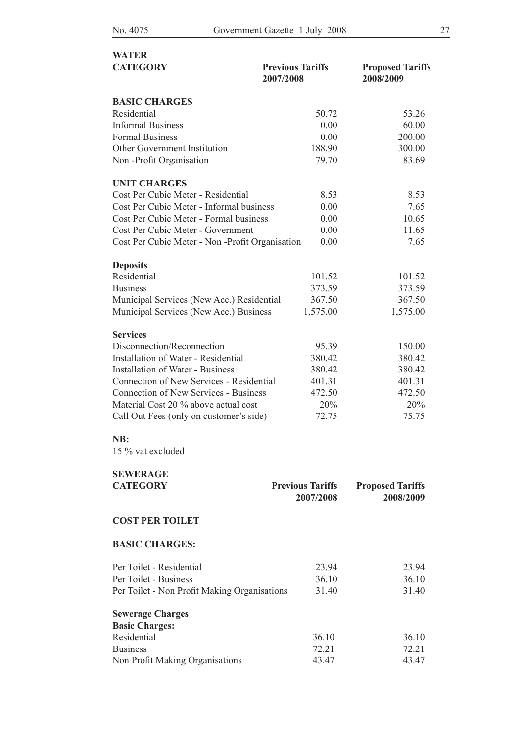| <b>WATER</b>                                    |                                      |                                      |
|-------------------------------------------------|--------------------------------------|--------------------------------------|
| <b>CATEGORY</b>                                 | <b>Previous Tariffs</b><br>2007/2008 | <b>Proposed Tariffs</b><br>2008/2009 |
| <b>BASIC CHARGES</b>                            |                                      |                                      |
| Residential                                     | 50.72                                | 53.26                                |
| <b>Informal Business</b>                        | 0.00                                 | 60.00                                |
| <b>Formal Business</b>                          | 0.00                                 | 200.00                               |
| <b>Other Government Institution</b>             | 188.90                               | 300.00                               |
| Non-Profit Organisation                         | 79.70                                | 83.69                                |
| <b>UNIT CHARGES</b>                             |                                      |                                      |
| Cost Per Cubic Meter - Residential              | 8.53                                 | 8.53                                 |
| Cost Per Cubic Meter - Informal business        | 0.00                                 | 7.65                                 |
| Cost Per Cubic Meter - Formal business          | 0.00                                 | 10.65                                |
| Cost Per Cubic Meter - Government               | 0.00                                 | 11.65                                |
| Cost Per Cubic Meter - Non -Profit Organisation | 0.00                                 | 7.65                                 |
| <b>Deposits</b>                                 |                                      |                                      |
| Residential                                     | 101.52                               | 101.52                               |
| <b>Business</b>                                 | 373.59                               | 373.59                               |
| Municipal Services (New Acc.) Residential       | 367.50                               | 367.50                               |
| Municipal Services (New Acc.) Business          | 1,575.00                             | 1,575.00                             |
| <b>Services</b>                                 |                                      |                                      |
| Disconnection/Reconnection                      | 95.39                                | 150.00                               |
| <b>Installation of Water - Residential</b>      | 380.42                               | 380.42                               |
| <b>Installation of Water - Business</b>         | 380.42                               | 380.42                               |
| Connection of New Services - Residential        | 401.31                               | 401.31                               |
| <b>Connection of New Services - Business</b>    | 472.50                               | 472.50                               |
| Material Cost 20 % above actual cost            | 20%                                  | 20%                                  |
| Call Out Fees (only on customer's side)         | 72.75                                | 75.75                                |
| NB:<br>15 % vat excluded                        |                                      |                                      |
| <b>SEWERAGE</b>                                 |                                      |                                      |
| <b>CATEGORY</b>                                 | <b>Previous Tariffs</b><br>2007/2008 | <b>Proposed Tariffs</b><br>2008/2009 |

#### **COST PER TOILET**

#### **BASIC CHARGES:**

| Per Toilet - Residential                     | 23.94 | 23.94 |
|----------------------------------------------|-------|-------|
| Per Toilet - Business                        | 36.10 | 36.10 |
| Per Toilet - Non Profit Making Organisations | 31.40 | 31.40 |
| <b>Sewerage Charges</b>                      |       |       |
| <b>Basic Charges:</b>                        |       |       |
| Residential                                  | 36.10 | 36.10 |
| <b>Business</b>                              | 72.21 | 72.21 |
| Non Profit Making Organisations              | 43.47 | 43.47 |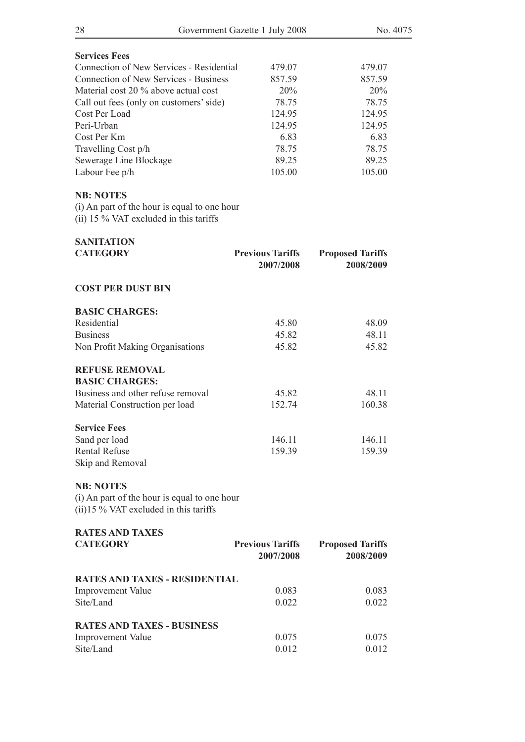| 28                                                                                                            | Government Gazette 1 July 2008 | No. 4075                |
|---------------------------------------------------------------------------------------------------------------|--------------------------------|-------------------------|
| <b>Services Fees</b>                                                                                          |                                |                         |
| Connection of New Services - Residential                                                                      | 479.07                         | 479.07                  |
| <b>Connection of New Services - Business</b>                                                                  | 857.59                         | 857.59                  |
| Material cost 20 % above actual cost                                                                          | 20%                            | 20%                     |
| Call out fees (only on customers' side)                                                                       | 78.75                          | 78.75                   |
| Cost Per Load                                                                                                 | 124.95                         | 124.95                  |
| Peri-Urban                                                                                                    | 124.95                         | 124.95                  |
| Cost Per Km                                                                                                   | 6.83                           | 6.83                    |
| Travelling Cost p/h                                                                                           | 78.75                          | 78.75                   |
| Sewerage Line Blockage                                                                                        | 89.25                          | 89.25                   |
| Labour Fee p/h                                                                                                | 105.00                         | 105.00                  |
| <b>NB: NOTES</b><br>(i) An part of the hour is equal to one hour<br>(ii) 15 $\%$ VAT excluded in this tariffs |                                |                         |
|                                                                                                               |                                |                         |
| <b>SANITATION</b><br><b>CATEGORY</b>                                                                          | <b>Previous Tariffs</b>        | <b>Proposed Tariffs</b> |
|                                                                                                               | 2007/2008                      | 2008/2009               |
| <b>COST PER DUST BIN</b>                                                                                      |                                |                         |
| <b>BASIC CHARGES:</b>                                                                                         |                                |                         |
| Residential                                                                                                   | 45.80                          | 48.09                   |
| <b>Business</b>                                                                                               | 45.82                          | 48.11                   |
| Non Profit Making Organisations                                                                               | 45.82                          | 45.82                   |
| <b>REFUSE REMOVAL</b><br><b>BASIC CHARGES:</b>                                                                |                                |                         |
| Business and other refuse removal                                                                             | 45.82                          | 48.11                   |
| Material Construction per load                                                                                | 152.74                         | 160.38                  |
| <b>Service Fees</b>                                                                                           |                                |                         |
| Sand per load                                                                                                 | 146.11                         | 146.11                  |
| <b>Rental Refuse</b>                                                                                          | 159.39                         | 159.39                  |
| Skip and Removal                                                                                              |                                |                         |
| <b>NB: NOTES</b><br>(i) An part of the hour is equal to one hour<br>$(ii)$ 15 % VAT excluded in this tariffs  |                                |                         |
| <b>RATES AND TAXES</b>                                                                                        |                                |                         |
| <b>CATEGORY</b>                                                                                               | <b>Previous Tariffs</b>        | <b>Proposed Tariffs</b> |
|                                                                                                               | 2007/2008                      | 2008/2009               |
| <b>RATES AND TAXES - RESIDENTIAL</b>                                                                          |                                |                         |
| <b>Improvement Value</b>                                                                                      | 0.083                          | 0.083                   |
| Site/Land                                                                                                     | 0.022                          | 0.022                   |
| <b>RATES AND TAXES - BUSINESS</b>                                                                             |                                |                         |
| <b>Improvement Value</b>                                                                                      | 0.075                          | 0.075                   |
| Site/Land                                                                                                     | 0.012                          | 0.012                   |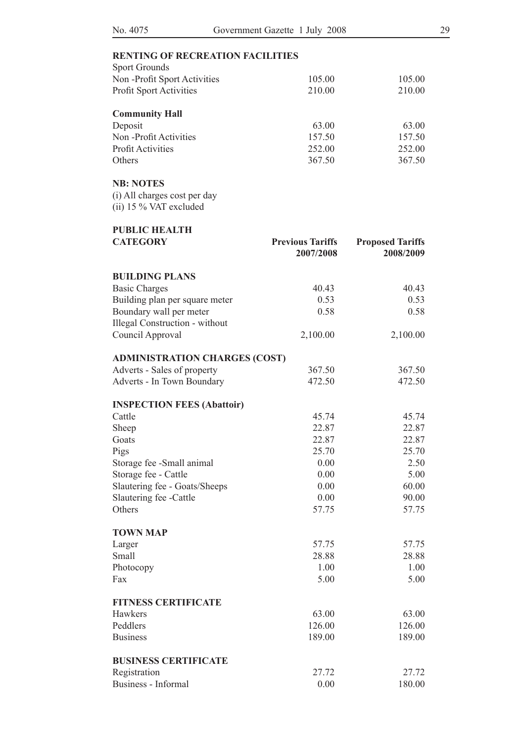| <b>Sport Grounds</b>           |        |        |
|--------------------------------|--------|--------|
| Non-Profit Sport Activities    | 105.00 | 105.00 |
| <b>Profit Sport Activities</b> | 210.00 | 210.00 |
| <b>Community Hall</b>          |        |        |
| Deposit                        | 63.00  | 63.00  |
| Non-Profit Activities          | 157.50 | 157.50 |
| <b>Profit Activities</b>       | 252.00 | 252.00 |
|                                |        |        |

Others 367.50 367.50

#### **NB: NOTES**

(i) All charges cost per day (ii) 15 % VAT excluded

| <b>PUBLIC HEALTH</b>                  |                                      |                                      |
|---------------------------------------|--------------------------------------|--------------------------------------|
| <b>CATEGORY</b>                       | <b>Previous Tariffs</b><br>2007/2008 | <b>Proposed Tariffs</b><br>2008/2009 |
| <b>BUILDING PLANS</b>                 |                                      |                                      |
| <b>Basic Charges</b>                  | 40.43                                | 40.43                                |
| Building plan per square meter        | 0.53                                 | 0.53                                 |
| Boundary wall per meter               | 0.58                                 | 0.58                                 |
| <b>Illegal Construction - without</b> |                                      |                                      |
| Council Approval                      | 2,100.00                             | 2,100.00                             |
| <b>ADMINISTRATION CHARGES (COST)</b>  |                                      |                                      |
| Adverts - Sales of property           | 367.50                               | 367.50                               |
| Adverts - In Town Boundary            | 472.50                               | 472.50                               |
| <b>INSPECTION FEES (Abattoir)</b>     |                                      |                                      |
| Cattle                                | 45.74                                | 45.74                                |
| Sheep                                 | 22.87                                | 22.87                                |
| Goats                                 | 22.87                                | 22.87                                |
| Pigs                                  | 25.70                                | 25.70                                |
| Storage fee -Small animal             | 0.00                                 | 2.50                                 |
| Storage fee - Cattle                  | 0.00                                 | 5.00                                 |
| Slautering fee - Goats/Sheeps         | 0.00                                 | 60.00                                |
| Slautering fee -Cattle                | 0.00                                 | 90.00                                |
| Others                                | 57.75                                | 57.75                                |
| <b>TOWN MAP</b>                       |                                      |                                      |
| Larger                                | 57.75                                | 57.75                                |
| Small                                 | 28.88                                | 28.88                                |
| Photocopy                             | 1.00                                 | 1.00                                 |
| Fax                                   | 5.00                                 | 5.00                                 |
| <b>FITNESS CERTIFICATE</b>            |                                      |                                      |
| Hawkers                               | 63.00                                | 63.00                                |
| Peddlers                              | 126.00                               | 126.00                               |
| <b>Business</b>                       | 189.00                               | 189.00                               |
| <b>BUSINESS CERTIFICATE</b>           |                                      |                                      |
| Registration                          | 27.72                                | 27.72                                |
| Business - Informal                   | 0.00                                 | 180.00                               |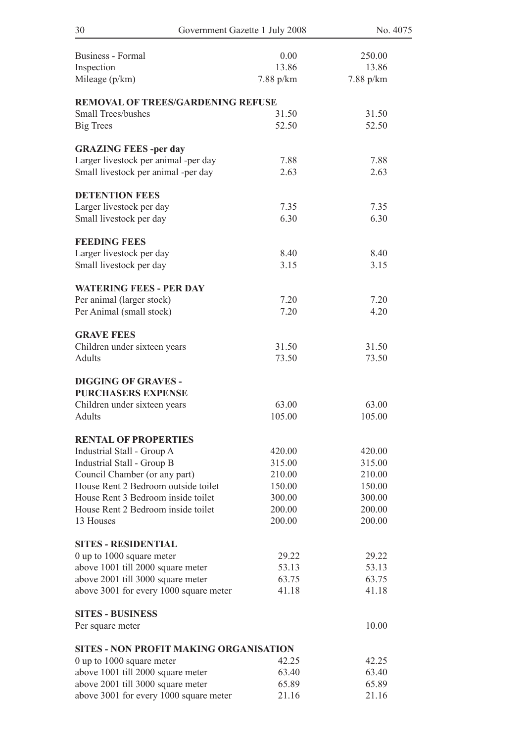| 30<br>Government Gazette 1 July 2008                                       |               | No. 4075        |  |
|----------------------------------------------------------------------------|---------------|-----------------|--|
|                                                                            |               |                 |  |
| <b>Business - Formal</b>                                                   | 0.00<br>13.86 | 250.00<br>13.86 |  |
| Inspection<br>Mileage (p/km)                                               | 7.88 p/km     | 7.88 p/km       |  |
|                                                                            |               |                 |  |
| <b>REMOVAL OF TREES/GARDENING REFUSE</b>                                   |               |                 |  |
| <b>Small Trees/bushes</b>                                                  | 31.50         | 31.50           |  |
| <b>Big Trees</b>                                                           | 52.50         | 52.50           |  |
| <b>GRAZING FEES-per day</b>                                                |               |                 |  |
| Larger livestock per animal -per day                                       | 7.88          | 7.88            |  |
| Small livestock per animal -per day                                        | 2.63          | 2.63            |  |
|                                                                            |               |                 |  |
| <b>DETENTION FEES</b>                                                      | 7.35          | 7.35            |  |
| Larger livestock per day<br>Small livestock per day                        | 6.30          | 6.30            |  |
|                                                                            |               |                 |  |
| <b>FEEDING FEES</b>                                                        |               |                 |  |
| Larger livestock per day                                                   | 8.40          | 8.40            |  |
| Small livestock per day                                                    | 3.15          | 3.15            |  |
| <b>WATERING FEES - PER DAY</b>                                             |               |                 |  |
| Per animal (larger stock)                                                  | 7.20          | 7.20            |  |
| Per Animal (small stock)                                                   | 7.20          | 4.20            |  |
|                                                                            |               |                 |  |
| <b>GRAVE FEES</b>                                                          |               |                 |  |
| Children under sixteen years                                               | 31.50         | 31.50           |  |
| <b>Adults</b>                                                              | 73.50         | 73.50           |  |
| <b>DIGGING OF GRAVES -</b>                                                 |               |                 |  |
| <b>PURCHASERS EXPENSE</b>                                                  |               |                 |  |
| Children under sixteen years                                               | 63.00         | 63.00           |  |
| Adults                                                                     | 105.00        | 105.00          |  |
| <b>RENTAL OF PROPERTIES</b>                                                |               |                 |  |
| Industrial Stall - Group A                                                 | 420.00        | 420.00          |  |
| Industrial Stall - Group B                                                 | 315.00        | 315.00          |  |
| Council Chamber (or any part)                                              | 210.00        | 210.00          |  |
| House Rent 2 Bedroom outside toilet                                        | 150.00        | 150.00          |  |
| House Rent 3 Bedroom inside toilet                                         | 300.00        | 300.00          |  |
| House Rent 2 Bedroom inside toilet                                         | 200.00        | 200.00          |  |
| 13 Houses                                                                  | 200.00        | 200.00          |  |
| <b>SITES - RESIDENTIAL</b>                                                 |               |                 |  |
| 0 up to 1000 square meter                                                  | 29.22         | 29.22           |  |
| above 1001 till 2000 square meter                                          | 53.13         | 53.13           |  |
| above 2001 till 3000 square meter                                          | 63.75         | 63.75           |  |
| above 3001 for every 1000 square meter                                     | 41.18         | 41.18           |  |
| <b>SITES - BUSINESS</b>                                                    |               |                 |  |
| Per square meter                                                           |               | 10.00           |  |
|                                                                            |               |                 |  |
| <b>SITES - NON PROFIT MAKING ORGANISATION</b><br>0 up to 1000 square meter | 42.25         | 42.25           |  |
| above 1001 till 2000 square meter                                          | 63.40         | 63.40           |  |
| above 2001 till 3000 square meter                                          | 65.89         | 65.89           |  |
| above 3001 for every 1000 square meter                                     | 21.16         | 21.16           |  |
|                                                                            |               |                 |  |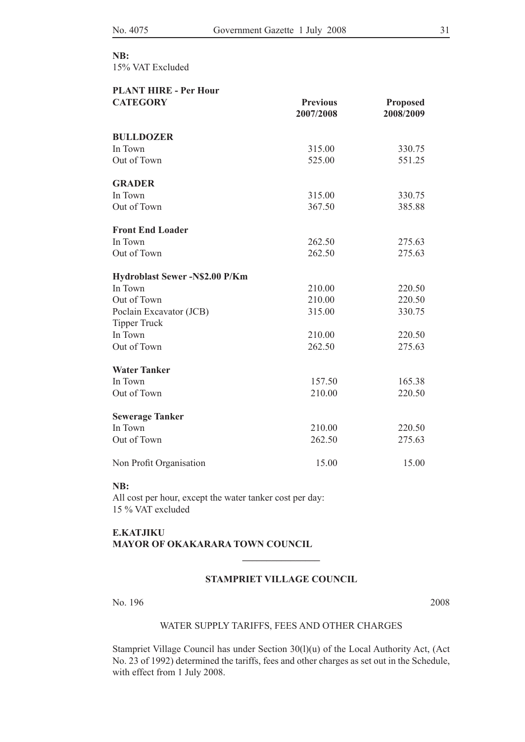## **NB:**

15% VAT Excluded

| <b>PLANT HIRE - Per Hour</b>          |                              |                              |
|---------------------------------------|------------------------------|------------------------------|
| <b>CATEGORY</b>                       | <b>Previous</b><br>2007/2008 | <b>Proposed</b><br>2008/2009 |
|                                       |                              |                              |
| <b>BULLDOZER</b>                      |                              |                              |
| In Town                               | 315.00                       | 330.75                       |
| Out of Town                           | 525.00                       | 551.25                       |
| <b>GRADER</b>                         |                              |                              |
| In Town                               | 315.00                       | 330.75                       |
| Out of Town                           | 367.50                       | 385.88                       |
| <b>Front End Loader</b>               |                              |                              |
| In Town                               | 262.50                       | 275.63                       |
| Out of Town                           | 262.50                       | 275.63                       |
| <b>Hydroblast Sewer -N\$2.00 P/Km</b> |                              |                              |
| In Town                               | 210.00                       | 220.50                       |
| Out of Town                           | 210.00                       | 220.50                       |
| Poclain Excavator (JCB)               | 315.00                       | 330.75                       |
| <b>Tipper Truck</b>                   |                              |                              |
| In Town                               | 210.00                       | 220.50                       |
| Out of Town                           | 262.50                       | 275.63                       |
| <b>Water Tanker</b>                   |                              |                              |
| In Town                               | 157.50                       | 165.38                       |
| Out of Town                           | 210.00                       | 220.50                       |
| <b>Sewerage Tanker</b>                |                              |                              |
| In Town                               | 210.00                       | 220.50                       |
| Out of Town                           | 262.50                       | 275.63                       |
| Non Profit Organisation               | 15.00                        | 15.00                        |

#### **NB:**

All cost per hour, except the water tanker cost per day: 15 % VAT excluded

#### **E.Katjiku Mayor of Okakarara Town Council**

#### **STAMPRIET VILLAGE COUNCIL**

**\_\_\_\_\_\_\_\_\_\_\_\_\_\_\_\_**

No. 196 2008

#### WATER SUPPLY TARIFFS, FEES AND OTHER CHARGES

Stampriet Village Council has under Section 30(l)(u) of the Local Authority Act, (Act No. 23 of 1992) determined the tariffs, fees and other charges as set out in the Schedule, with effect from 1 July 2008.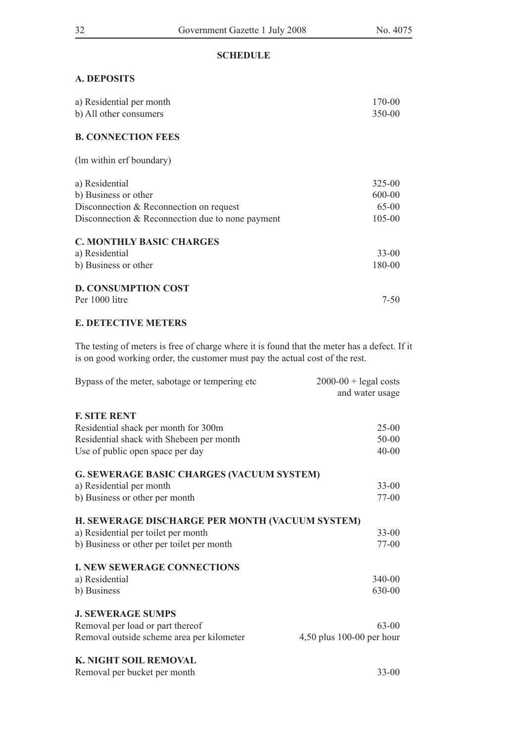#### **SCHEDULE**

#### **A. DEPOSITS**

| a) Residential per month                           | 170-00     |
|----------------------------------------------------|------------|
| b) All other consumers                             | 350-00     |
| <b>B. CONNECTION FEES</b>                          |            |
|                                                    |            |
| (lm within erf boundary)                           |            |
|                                                    |            |
| a) Residential                                     | $325 - 00$ |
| b) Business or other                               | 600-00     |
| Disconnection & Reconnection on request            | $65-00$    |
| Disconnection $&$ Reconnection due to none payment | 105-00     |
| <b>C. MONTHLY BASIC CHARGES</b>                    |            |
| a) Residential                                     | $33-00$    |
| b) Business or other                               | 180-00     |
| <b>D. CONSUMPTION COST</b>                         |            |
| Per 1000 litre                                     | 7-50       |

#### **E. DETECTIVE METERS**

The testing of meters is free of charge where it is found that the meter has a defect. If it is on good working order, the customer must pay the actual cost of the rest.

| Bypass of the meter, sabotage or tempering etc.  | $2000-00$ + legal costs<br>and water usage |
|--------------------------------------------------|--------------------------------------------|
|                                                  |                                            |
| <b>F. SITE RENT</b>                              |                                            |
| Residential shack per month for 300m             | $25-00$                                    |
| Residential shack with Shebeen per month         | 50-00                                      |
| Use of public open space per day                 | $40 - 00$                                  |
| <b>G. SEWERAGE BASIC CHARGES (VACUUM SYSTEM)</b> |                                            |
| a) Residential per month                         | $33 - 00$                                  |
| b) Business or other per month                   | $77-00$                                    |
| H. SEWERAGE DISCHARGE PER MONTH (VACUUM SYSTEM)  |                                            |
| a) Residential per toilet per month              | $33 - 00$                                  |
| b) Business or other per toilet per month        | $77-00$                                    |
| <b>I. NEW SEWERAGE CONNECTIONS</b>               |                                            |
| a) Residential                                   | 340-00                                     |
| b) Business                                      | 630-00                                     |
| <b>J. SEWERAGE SUMPS</b>                         |                                            |
| Removal per load or part thereof                 | $63 - 00$                                  |
| Removal outside scheme area per kilometer        | 4,50 plus 100-00 per hour                  |
| K. NIGHT SOIL REMOVAL                            |                                            |
| Removal per bucket per month                     | $33 - 00$                                  |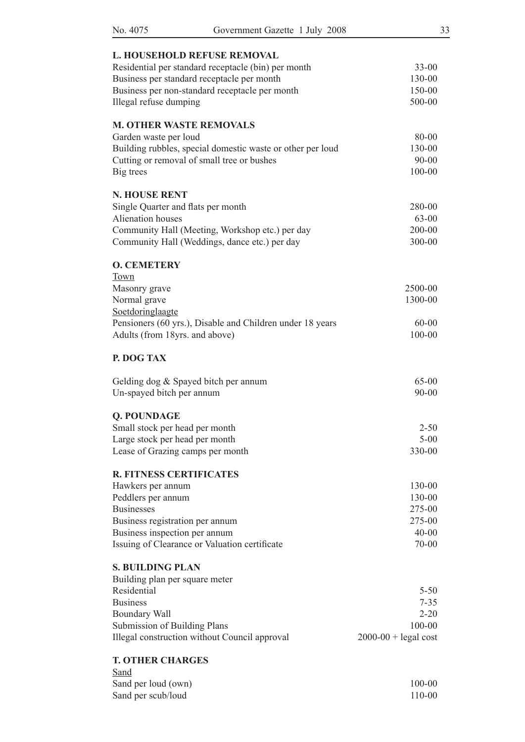| No. 4075<br>Government Gazette 1 July 2008                                    | 33                     |
|-------------------------------------------------------------------------------|------------------------|
| L. HOUSEHOLD REFUSE REMOVAL                                                   |                        |
| Residential per standard receptacle (bin) per month                           | $33 - 00$              |
| Business per standard receptacle per month                                    | 130-00                 |
| Business per non-standard receptacle per month                                | 150-00                 |
| Illegal refuse dumping                                                        | 500-00                 |
|                                                                               |                        |
| <b>M. OTHER WASTE REMOVALS</b>                                                |                        |
| Garden waste per loud                                                         | 80-00                  |
| Building rubbles, special domestic waste or other per loud                    | 130-00                 |
| Cutting or removal of small tree or bushes                                    | $90 - 00$              |
| Big trees                                                                     | 100-00                 |
| <b>N. HOUSE RENT</b>                                                          |                        |
| Single Quarter and flats per month                                            | 280-00                 |
| Alienation houses                                                             | 63-00                  |
| Community Hall (Meeting, Workshop etc.) per day                               | 200-00                 |
| Community Hall (Weddings, dance etc.) per day                                 | 300-00                 |
|                                                                               |                        |
| <b>O. CEMETERY</b>                                                            |                        |
| Town<br>Masonry grave                                                         | 2500-00                |
| Normal grave                                                                  | 1300-00                |
|                                                                               |                        |
| Soetdoringlaagte<br>Pensioners (60 yrs.), Disable and Children under 18 years | $60 - 00$              |
| Adults (from 18yrs. and above)                                                | 100-00                 |
|                                                                               |                        |
| P. DOG TAX                                                                    |                        |
| Gelding dog & Spayed bitch per annum                                          | $65 - 00$              |
| Un-spayed bitch per annum                                                     | $90 - 00$              |
| Q. POUNDAGE                                                                   |                        |
| Small stock per head per month                                                | $2 - 50$               |
| Large stock per head per month                                                | $5 - 00$               |
| Lease of Grazing camps per month                                              | 330-00                 |
|                                                                               |                        |
| <b>R. FITNESS CERTIFICATES</b>                                                |                        |
| Hawkers per annum                                                             | 130-00                 |
| Peddlers per annum                                                            | 130-00                 |
| <b>Businesses</b>                                                             | 275-00                 |
| Business registration per annum                                               | 275-00                 |
| Business inspection per annum                                                 | $40 - 00$              |
| Issuing of Clearance or Valuation certificate                                 | 70-00                  |
| <b>S. BUILDING PLAN</b>                                                       |                        |
| Building plan per square meter                                                |                        |
| Residential                                                                   | $5 - 50$               |
| <b>Business</b>                                                               | $7 - 35$               |
| <b>Boundary Wall</b>                                                          | $2 - 20$               |
| Submission of Building Plans                                                  | 100-00                 |
| Illegal construction without Council approval                                 | $2000-00$ + legal cost |
| <b>T. OTHER CHARGES</b>                                                       |                        |
| Sand                                                                          |                        |
| Sand per loud (own)                                                           | 100-00                 |
| Sand per scub/loud                                                            | 110-00                 |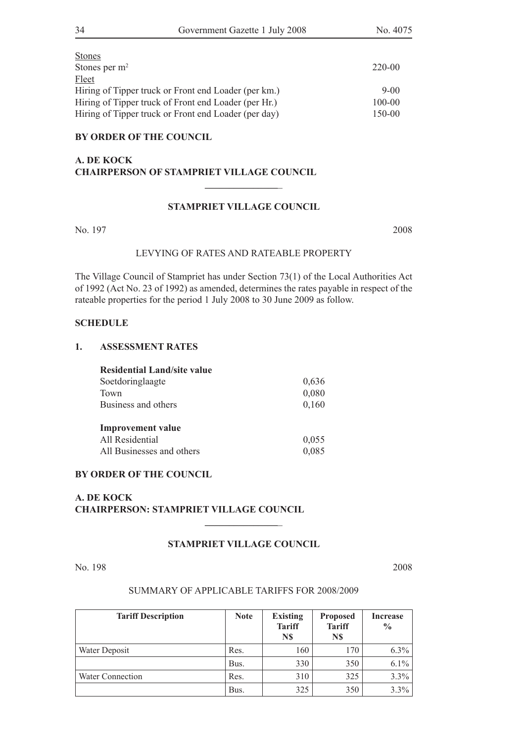| Stones                                               |          |
|------------------------------------------------------|----------|
| Stones per $m2$                                      | 220-00   |
| Fleet                                                |          |
| Hiring of Tipper truck or Front end Loader (per km.) | $9 - 00$ |
| Hiring of Tipper truck of Front end Loader (per Hr.) | 100-00   |
| Hiring of Tipper truck or Front end Loader (per day) | 150-00   |

#### **BY ORDER OF THE COUNCIL**

#### **A. DE KOCK CHAIRPERSON OF STAMPRIET VILLAGE COUNCIL**

#### **STAMPRIET VILLAGE COUNCIL**

**\_\_\_\_\_\_\_\_\_\_\_\_\_\_\_**\_

No. 197 2008

#### LEVYING OF RATES AND RATEABLE PROPERTY

The Village Council of Stampriet has under Section 73(1) of the Local Authorities Act of 1992 (Act No. 23 of 1992) as amended, determines the rates payable in respect of the rateable properties for the period 1 July 2008 to 30 June 2009 as follow.

#### **SCHEDULE**

#### **1. ASSESSMENT RATES**

| <b>Residential Land/site value</b> |       |
|------------------------------------|-------|
| Soetdoringlaagte                   | 0,636 |
| Town                               | 0,080 |
| Business and others                | 0,160 |
| <b>Improvement</b> value           |       |
| All Residential                    | 0,055 |
| All Businesses and others          | 0,085 |

#### **BY ORDER OF THE COUNCIL**

#### **A. DE KOCK CHAIRPERSON: STAMPRIET VILLAGE COUNCIL**

#### **STAMPRIET VILLAGE COUNCIL**

**\_\_\_\_\_\_\_\_\_\_\_\_\_\_\_**\_

No. 198 2008

#### SUMMARY OF APPLICABLE TARIFFS FOR 2008/2009

| <b>Tariff Description</b> | <b>Note</b> | <b>Existing</b><br><b>Tariff</b><br>N\$ | <b>Proposed</b><br><b>Tariff</b><br>N\$ | <b>Increase</b><br>$\frac{0}{0}$ |
|---------------------------|-------------|-----------------------------------------|-----------------------------------------|----------------------------------|
| Water Deposit             | Res.        | 160                                     | 170                                     | 6.3%                             |
|                           | Bus.        | 330                                     | 350                                     | 6.1%                             |
| Water Connection          | Res.        | 310                                     | 325                                     | 3.3%                             |
|                           | Bus.        | 325                                     | 350                                     | 3.3%                             |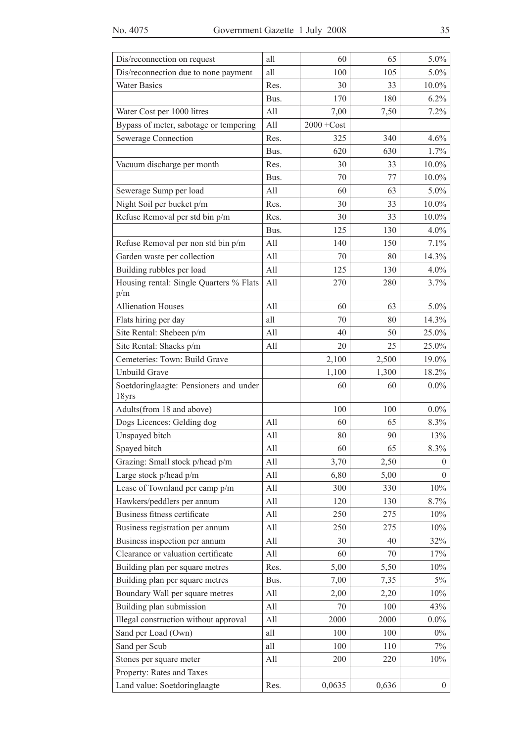| Dis/reconnection on request                     | all  | 60            | 65    | 5.0%             |
|-------------------------------------------------|------|---------------|-------|------------------|
| Dis/reconnection due to none payment            | all  | 100           | 105   | 5.0%             |
| <b>Water Basics</b>                             | Res. | 30            | 33    | 10.0%            |
|                                                 | Bus. | 170           | 180   | 6.2%             |
| Water Cost per 1000 litres                      | All  | 7,00          | 7,50  | 7.2%             |
| Bypass of meter, sabotage or tempering          | All  | $2000 + Cost$ |       |                  |
| Sewerage Connection                             | Res. | 325           | 340   | 4.6%             |
|                                                 | Bus. | 620           | 630   | 1.7%             |
| Vacuum discharge per month                      | Res. | 30            | 33    | 10.0%            |
|                                                 | Bus. | 70            | 77    | $10.0\%$         |
| Sewerage Sump per load                          | All  | 60            | 63    | 5.0%             |
| Night Soil per bucket p/m                       | Res. | 30            | 33    | 10.0%            |
| Refuse Removal per std bin p/m                  | Res. | 30            | 33    | 10.0%            |
|                                                 | Bus. | 125           | 130   | 4.0%             |
| Refuse Removal per non std bin p/m              | All  | 140           | 150   | 7.1%             |
| Garden waste per collection                     | All  | 70            | 80    | 14.3%            |
| Building rubbles per load                       | All  | 125           | 130   | 4.0%             |
| Housing rental: Single Quarters % Flats<br>p/m  | All  | 270           | 280   | 3.7%             |
| <b>Allienation Houses</b>                       | All  | 60            | 63    | 5.0%             |
| Flats hiring per day                            | all  | 70            | 80    | 14.3%            |
| Site Rental: Shebeen p/m                        | All  | 40            | 50    | 25.0%            |
| Site Rental: Shacks p/m                         | All  | 20            | 25    | 25.0%            |
| Cemeteries: Town: Build Grave                   |      | 2,100         | 2,500 | 19.0%            |
| Unbuild Grave                                   |      | 1,100         | 1,300 | 18.2%            |
| Soetdoringlaagte: Pensioners and under<br>18yrs |      | 60            | 60    | $0.0\%$          |
| Adults(from 18 and above)                       |      | 100           | 100   | $0.0\%$          |
| Dogs Licences: Gelding dog                      | All  | 60            | 65    | 8.3%             |
| Unspayed bitch                                  | All  | 80            | 90    | 13%              |
| Spayed bitch                                    | All  | 60            | 65    | 8.3%             |
| Grazing: Small stock p/head p/m                 | All  | 3,70          | 2,50  | $\theta$         |
| Large stock p/head p/m                          | All  | 6,80          | 5,00  | $\Omega$         |
| Lease of Townland per camp p/m                  | All  | 300           | 330   | $10\%$           |
| Hawkers/peddlers per annum                      | All  | 120           | 130   | 8.7%             |
| Business fitness certificate                    | All  | 250           | 275   | $10\%$           |
| Business registration per annum                 | All  | 250           | 275   | $10\%$           |
| Business inspection per annum                   | All  | 30            | 40    | 32%              |
| Clearance or valuation certificate              | All  | 60            | 70    | 17%              |
| Building plan per square metres                 | Res. | 5,00          | 5,50  | 10%              |
| Building plan per square metres                 | Bus. | 7,00          | 7,35  | 5%               |
| Boundary Wall per square metres                 | All  | 2,00          | 2,20  | 10%              |
| Building plan submission                        | All  | 70            | 100   | 43%              |
| Illegal construction without approval           | All  | 2000          | 2000  | $0.0\%$          |
| Sand per Load (Own)                             | all  | 100           | 100   | $0\%$            |
| Sand per Scub                                   | all  | 100           | 110   | 7%               |
| Stones per square meter                         | All  | 200           | 220   | $10\%$           |
| Property: Rates and Taxes                       |      |               |       |                  |
| Land value: Soetdoringlaagte                    | Res. | 0,0635        | 0,636 | $\boldsymbol{0}$ |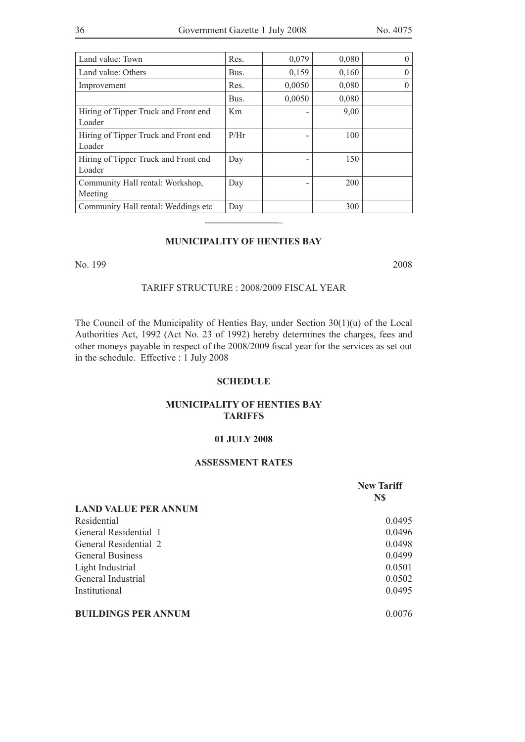| Land value: Town                               | Res.           | 0,079  | 0,080 | $\theta$ |
|------------------------------------------------|----------------|--------|-------|----------|
|                                                |                |        |       |          |
| Land value: Others                             | Bus.           | 0,159  | 0,160 | $\theta$ |
| Improvement                                    | Res.           | 0,0050 | 0,080 | $\theta$ |
|                                                | Bus.           | 0,0050 | 0,080 |          |
| Hiring of Tipper Truck and Front end<br>Loader | K <sub>m</sub> |        | 9,00  |          |
| Hiring of Tipper Truck and Front end<br>Loader | P/Hr           |        | 100   |          |
| Hiring of Tipper Truck and Front end<br>Loader | Day            |        | 150   |          |
| Community Hall rental: Workshop,<br>Meeting    | Day            |        | 200   |          |
| Community Hall rental: Weddings etc            | Day            |        | 300   |          |
|                                                |                |        |       |          |

#### **MUNICIPALITY OF HENTIES BAY**

No. 199 2008

#### TARIFF STRUCTURE : 2008/2009 FISCAL YEAR

The Council of the Municipality of Henties Bay, under Section 30(1)(u) of the Local Authorities Act, 1992 (Act No. 23 of 1992) hereby determines the charges, fees and other moneys payable in respect of the 2008/2009 fiscal year for the services as set out in the schedule. Effective : 1 July 2008

#### **SCHEDULE**

#### **MUNICIPALITY OF HENTIES BAY TARIFFS**

#### **01 JULY 2008**

#### **ASSESSMENT RATES**

|                             | <b>New Tariff</b> |
|-----------------------------|-------------------|
|                             | N\$               |
| <b>LAND VALUE PER ANNUM</b> |                   |
| Residential                 | 0.0495            |
| General Residential 1       | 0.0496            |
| General Residential 2       | 0.0498            |
| <b>General Business</b>     | 0.0499            |
| Light Industrial            | 0.0501            |
| General Industrial          | 0.0502            |
| Institutional               | 0.0495            |
| <b>BUILDINGS PER ANNUM</b>  | 0.0076            |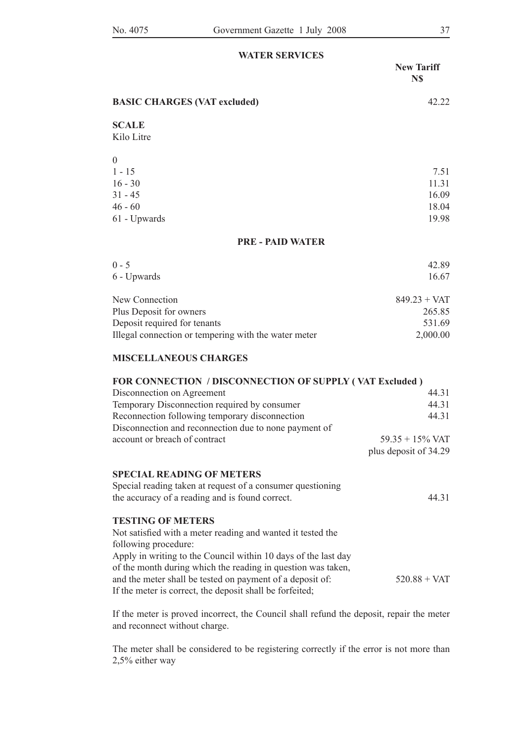| <b>WATER SERVICES</b>               |                          |
|-------------------------------------|--------------------------|
|                                     | <b>New Tariff</b><br>N\$ |
| <b>BASIC CHARGES (VAT excluded)</b> | 42.22                    |
| <b>SCALE</b>                        |                          |
| Kilo Litre                          |                          |
| $\theta$                            |                          |
| $1 - 15$                            | 7.51                     |
| $16 - 30$                           | 11.31                    |
| $31 - 45$                           | 16.09                    |
| $46 - 60$                           | 18.04                    |
| 61 - Upwards                        | 19.98                    |
| <b>PRE - PAID WATER</b>             |                          |
| $0 - 5$                             | 42.89                    |
| 6 - Upwards                         | 16.67                    |
| New Connection                      | $849.23 + VAT$           |
| Plus Deposit for owners             | 265.85                   |
| Deposit required for tenants        | 531.69                   |

#### **MISCELLANEOUS CHARGES**

### **FOR CONNECTION / DISCONNECTION OF SUPPLY ( VAT Excluded )**

Illegal connection or tempering with the water meter 2,000.00

| Disconnection on Agreement                                     | 44.31                 |
|----------------------------------------------------------------|-----------------------|
| Temporary Disconnection required by consumer                   | 44.31                 |
| Reconnection following temporary disconnection                 | 44.31                 |
| Disconnection and reconnection due to none payment of          |                       |
| account or breach of contract                                  | $59.35 + 15\%$ VAT    |
|                                                                | plus deposit of 34.29 |
| <b>SPECIAL READING OF METERS</b>                               |                       |
| Special reading taken at request of a consumer questioning     |                       |
| the accuracy of a reading and is found correct.                | 44.31                 |
| <b>TESTING OF METERS</b>                                       |                       |
| Not satisfied with a meter reading and wanted it tested the    |                       |
| following procedure:                                           |                       |
| Apply in writing to the Council within 10 days of the last day |                       |
| of the month during which the reading in question was taken,   |                       |
| and the meter shall be tested on payment of a deposit of:      | $520.88 + VAT$        |
| If the meter is correct, the deposit shall be forfeited;       |                       |

If the meter is proved incorrect, the Council shall refund the deposit, repair the meter and reconnect without charge.

The meter shall be considered to be registering correctly if the error is not more than 2,5% either way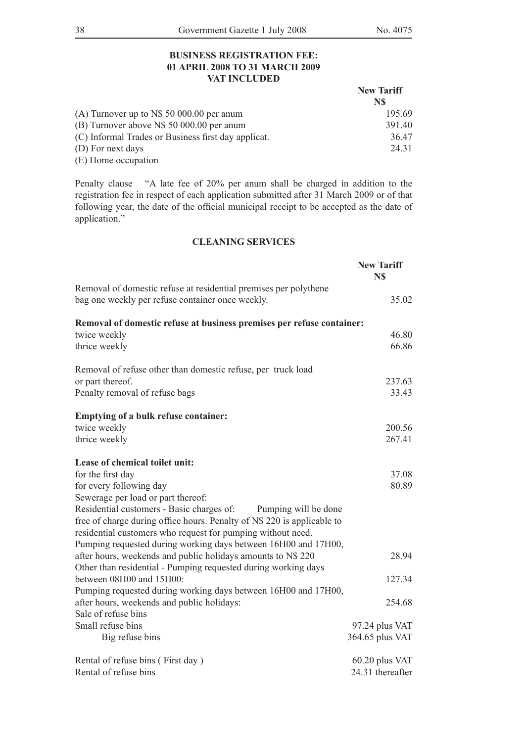### **BUSINESS REGISTRATION FEE: 01 APRIL 2008 TO 31 MARCH 2009 VAT INCLUDED**

|                                                     | <b>New Tariff</b><br>N\$ |
|-----------------------------------------------------|--------------------------|
|                                                     |                          |
| (A) Turnover up to $N\$ 50 000.00 per anum          | 195.69                   |
| (B) Turnover above N\$ 50 000.00 per anum           | 391.40                   |
| (C) Informal Trades or Business first day applicat. | 36.47                    |
| (D) For next days                                   | 24 31                    |
| (E) Home occupation                                 |                          |

Penalty clause "A late fee of 20% per anum shall be charged in addition to the registration fee in respect of each application submitted after 31 March 2009 or of that following year, the date of the official municipal receipt to be accepted as the date of application."

### **CLEANING SERVICES**

|                                                                         | <b>New Tariff</b><br>N\$ |
|-------------------------------------------------------------------------|--------------------------|
| Removal of domestic refuse at residential premises per polythene        |                          |
| bag one weekly per refuse container once weekly.                        | 35.02                    |
| Removal of domestic refuse at business premises per refuse container:   |                          |
| twice weekly                                                            | 46.80                    |
| thrice weekly                                                           | 66.86                    |
| Removal of refuse other than domestic refuse, per truck load            |                          |
| or part thereof.                                                        | 237.63                   |
| Penalty removal of refuse bags                                          | 33.43                    |
| Emptying of a bulk refuse container:                                    |                          |
| twice weekly                                                            | 200.56                   |
| thrice weekly                                                           | 267.41                   |
| Lease of chemical toilet unit:                                          |                          |
| for the first day                                                       | 37.08                    |
| for every following day                                                 | 80.89                    |
| Sewerage per load or part thereof:                                      |                          |
| Residential customers - Basic charges of:<br>Pumping will be done       |                          |
| free of charge during office hours. Penalty of N\$ 220 is applicable to |                          |
| residential customers who request for pumping without need.             |                          |
| Pumping requested during working days between 16H00 and 17H00,          |                          |
| after hours, weekends and public holidays amounts to N\$ 220            | 28.94                    |
| Other than residential - Pumping requested during working days          |                          |
| between 08H00 and 15H00:                                                | 127.34                   |
| Pumping requested during working days between 16H00 and 17H00,          |                          |
| after hours, weekends and public holidays:                              | 254.68                   |
| Sale of refuse bins                                                     |                          |
| Small refuse bins                                                       | 97.24 plus VAT           |
| Big refuse bins                                                         | 364.65 plus VAT          |
| Rental of refuse bins (First day)                                       | 60.20 plus VAT           |
| Rental of refuse bins                                                   | 24.31 thereafter         |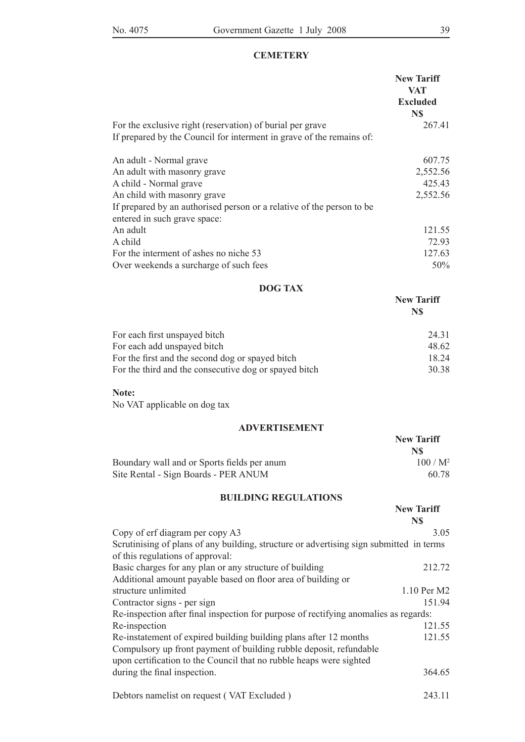### **CEMETERY**

|                                                                                                       | <b>New Tariff</b><br><b>VAT</b> |
|-------------------------------------------------------------------------------------------------------|---------------------------------|
|                                                                                                       | <b>Excluded</b><br>N\$          |
| For the exclusive right (reservation) of burial per grave                                             | 267.41                          |
| If prepared by the Council for interment in grave of the remains of:                                  |                                 |
| An adult - Normal grave                                                                               | 607.75                          |
| An adult with masonry grave                                                                           | 2,552.56                        |
| A child - Normal grave                                                                                | 425.43                          |
| An child with masonry grave                                                                           | 2,552.56                        |
| If prepared by an authorised person or a relative of the person to be<br>entered in such grave space: |                                 |
| An adult                                                                                              | 121.55                          |
| A child                                                                                               | 72.93                           |
| For the interment of ashes no niche 53                                                                | 127.63                          |
| Over weekends a surcharge of such fees                                                                | 50%                             |

# **DOG TAX**

|                                                       | NS.   |
|-------------------------------------------------------|-------|
| For each first unspayed bitch                         | 24 31 |
| For each add unspayed bitch                           | 48.62 |
| For the first and the second dog or spayed bitch      | 18 24 |
| For the third and the consecutive dog or spayed bitch | 30.38 |

#### **Note:**

No VAT applicable on dog tax

### **ADVERTISEMENT**

|                                             | <b>New Tariff</b> |  |
|---------------------------------------------|-------------------|--|
|                                             | N\$               |  |
| Boundary wall and or Sports fields per anum | $100/M^2$         |  |
| Site Rental - Sign Boards - PER ANUM        | 60.78             |  |

### **BUILDING REGULATIONS**

|                                                                                                                             | <b>New Tariff</b><br>N\$ |
|-----------------------------------------------------------------------------------------------------------------------------|--------------------------|
| Copy of erf diagram per copy A3                                                                                             | 3.05                     |
| Scrutinising of plans of any building, structure or advertising sign submitted in terms<br>of this regulations of approval: |                          |
| Basic charges for any plan or any structure of building                                                                     | 212.72                   |
| Additional amount payable based on floor area of building or                                                                |                          |
| structure unlimited                                                                                                         | 1.10 Per M2              |
| Contractor signs - per sign                                                                                                 | 151.94                   |
| Re-inspection after final inspection for purpose of rectifying anomalies as regards:                                        |                          |
| Re-inspection                                                                                                               | 121.55                   |
| Re-instatement of expired building building plans after 12 months                                                           | 121.55                   |
| Compulsory up front payment of building rubble deposit, refundable                                                          |                          |
| upon certification to the Council that no rubble heaps were sighted                                                         |                          |
| during the final inspection.                                                                                                | 364.65                   |
| Debtors namelist on request (VAT Excluded)                                                                                  | 243.11                   |

**New Tariff N\$**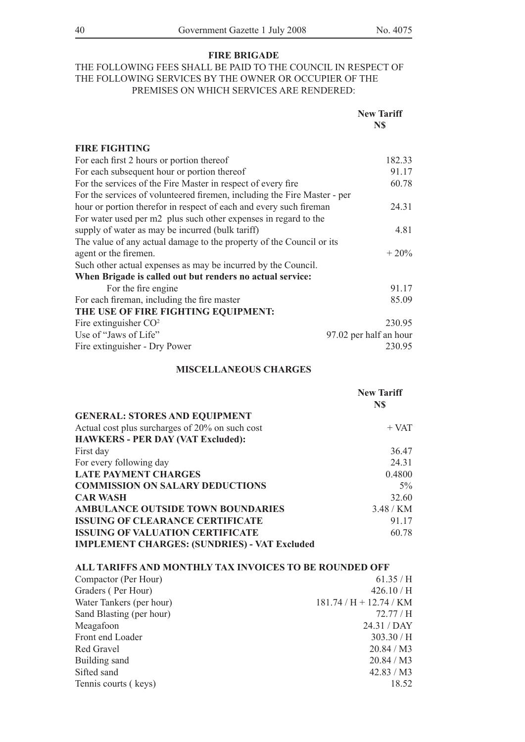### **FIRE BRIGADE**

## THE FOLLOWING FEES SHALL BE PAID TO THE COUNCIL IN RESPECT OF THE FOLLOWING SERVICES BY THE OWNER OR OCCUPIER OF THE PREMISES ON WHICH SERVICES ARE RENDERED:

|                                                                          | <b>New Tariff</b><br>N\$ |
|--------------------------------------------------------------------------|--------------------------|
| <b>FIRE FIGHTING</b>                                                     |                          |
| For each first 2 hours or portion thereof                                | 182.33                   |
| For each subsequent hour or portion thereof                              | 91.17                    |
| For the services of the Fire Master in respect of every fire             | 60.78                    |
| For the services of volunteered firemen, including the Fire Master - per |                          |
| hour or portion therefor in respect of each and every such fireman       | 24.31                    |
| For water used per m2 plus such other expenses in regard to the          |                          |
| supply of water as may be incurred (bulk tariff)                         | 4.81                     |
| The value of any actual damage to the property of the Council or its     |                          |
| agent or the firemen.                                                    | $+20%$                   |
| Such other actual expenses as may be incurred by the Council.            |                          |
| When Brigade is called out but renders no actual service:                |                          |
| For the fire engine                                                      | 91.17                    |
| For each fireman, including the fire master                              | 85.09                    |
| THE USE OF FIRE FIGHTING EQUIPMENT:                                      |                          |
| Fire extinguisher $CO2$                                                  | 230.95                   |
| Use of "Jaws of Life"                                                    | 97.02 per half an hour   |
| Fire extinguisher - Dry Power                                            | 230.95                   |

### **MISCELLANEOUS CHARGES**

|                                                     | <b>New Tariff</b><br>N\$ |
|-----------------------------------------------------|--------------------------|
| <b>GENERAL: STORES AND EQUIPMENT</b>                |                          |
| Actual cost plus surcharges of 20% on such cost     | $+$ VAT                  |
| <b>HAWKERS - PER DAY (VAT Excluded):</b>            |                          |
| First day                                           | 36.47                    |
| For every following day                             | 24.31                    |
| <b>LATE PAYMENT CHARGES</b>                         | 0.4800                   |
| <b>COMMISSION ON SALARY DEDUCTIONS</b>              | $5\%$                    |
| <b>CAR WASH</b>                                     | 32.60                    |
| <b>AMBULANCE OUTSIDE TOWN BOUNDARIES</b>            | 3.48/KM                  |
| <b>ISSUING OF CLEARANCE CERTIFICATE</b>             | 91.17                    |
| <b>ISSUING OF VALUATION CERTIFICATE</b>             | 60.78                    |
| <b>IMPLEMENT CHARGES: (SUNDRIES) - VAT Excluded</b> |                          |

#### **ALL TARIFFS AND MONTHLY TAX INVOICES TO BE ROUNDED OFF**

| Compactor (Per Hour)     | 61.35/H               |
|--------------------------|-----------------------|
| Graders (Per Hour)       | 426.10/H              |
| Water Tankers (per hour) | $181.74/H + 12.74/KM$ |
| Sand Blasting (per hour) | 72.77 / H             |
| Meagafoon                | 24.31 / DAY           |
| Front end Loader         | 303.30/H              |
| Red Gravel               | 20.84 / M3            |
| Building sand            | 20.84 / M3            |
| Sifted sand              | 42.83 / M3            |
| Tennis courts (keys)     | 18.52                 |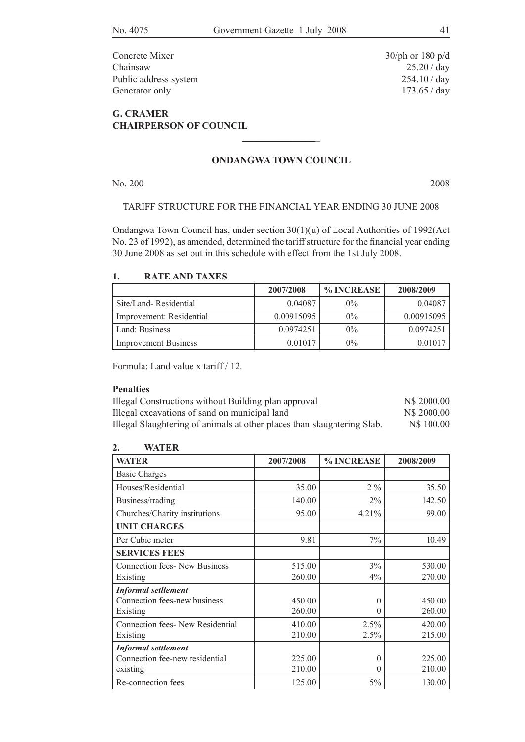Concrete Mixer 30/ph or 180 p/d Chainsaw 25.20 / day Public address system 254.10 / day Generator only 173.65 / day

## **G. CRAMER CHAIRPERSON OF COUNCIL**

### **ONDANGWA TOWN COUNCIL**

**\_\_\_\_\_\_\_\_\_\_\_\_\_\_\_**\_

No. 200 2008

### tariff structure for the financial year ending 30 June 2008

Ondangwa Town Council has, under section 30(1)(u) of Local Authorities of 1992(Act No. 23 of 1992), as amended, determined the tariff structure for the financial year ending 30 June 2008 as set out in this schedule with effect from the 1st July 2008.

### **1. RATE AND TAXES**

|                             | 2007/2008  | % INCREASE | 2008/2009  |
|-----------------------------|------------|------------|------------|
| Site/Land-Residential       | 0.04087    | $0\%$      | 0.04087    |
| Improvement: Residential    | 0.00915095 | $0\%$      | 0.00915095 |
| Land: Business              | 0.0974251  | $0\%$      | 0.0974251  |
| <b>Improvement Business</b> | 0.01017    | $0\%$      | 0.01017    |

Formula: Land value x tariff / 12.

### **Penalties**

| Illegal Constructions without Building plan approval                    | N\$ 2000.00 |
|-------------------------------------------------------------------------|-------------|
| Illegal excavations of sand on municipal land                           | N\$ 2000,00 |
| Illegal Slaughtering of animals at other places than slaughtering Slab. | N\$ 100.00  |

### **2. WATER**

| <b>WATER</b>                        | 2007/2008 | % INCREASE | 2008/2009 |
|-------------------------------------|-----------|------------|-----------|
| <b>Basic Charges</b>                |           |            |           |
| Houses/Residential                  | 35.00     | $2\%$      | 35.50     |
| Business/trading                    | 140.00    | $2\%$      | 142.50    |
| Churches/Charity institutions       | 95.00     | 4.21%      | 99.00     |
| <b>UNIT CHARGES</b>                 |           |            |           |
| Per Cubic meter                     | 9.81      | 7%         | 10.49     |
| <b>SERVICES FEES</b>                |           |            |           |
| <b>Connection fees-New Business</b> | 515.00    | 3%         | 530.00    |
| Existing                            | 260.00    | $4\%$      | 270.00    |
| <b>Informal setllement</b>          |           |            |           |
| Connection fees-new business        | 450.00    | $\Omega$   | 450.00    |
| Existing                            | 260.00    | $\Omega$   | 260.00    |
| Connection fees-New Residential     | 410.00    | 2.5%       | 420.00    |
| Existing                            | 210.00    | 2.5%       | 215.00    |
| <b>Informal settlement</b>          |           |            |           |
| Connection fee-new residential      | 225.00    | $\theta$   | 225.00    |
| existing                            | 210.00    | $\Omega$   | 210.00    |
| Re-connection fees                  | 125.00    | 5%         | 130.00    |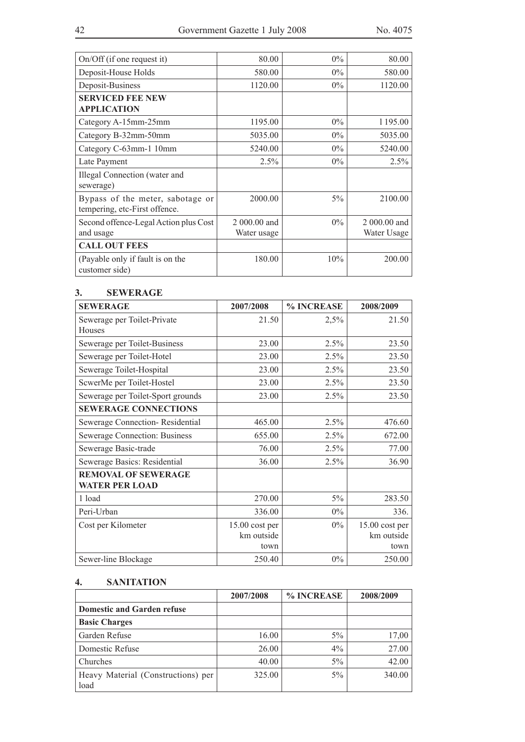| $On/Off$ (if one request it)                                      | 80.00        | $0\%$ | 80.00        |
|-------------------------------------------------------------------|--------------|-------|--------------|
| Deposit-House Holds                                               | 580.00       | $0\%$ | 580.00       |
| Deposit-Business                                                  | 1120.00      | $0\%$ | 1120.00      |
| <b>SERVICED FEE NEW</b>                                           |              |       |              |
| <b>APPLICATION</b>                                                |              |       |              |
| Category A-15mm-25mm                                              | 1195.00      | $0\%$ | 1195.00      |
| Category B-32mm-50mm                                              | 5035.00      | $0\%$ | 5035.00      |
| Category C-63mm-1 10mm                                            | 5240.00      | $0\%$ | 5240.00      |
| Late Payment                                                      | 2.5%         | $0\%$ | 2.5%         |
| Illegal Connection (water and<br>sewerage)                        |              |       |              |
| Bypass of the meter, sabotage or<br>tempering, etc-First offence. | 2000.00      | 5%    | 2100.00      |
| Second offence-Legal Action plus Cost                             | 2 000,00 and | $0\%$ | 2 000,00 and |
| and usage                                                         | Water usage  |       | Water Usage  |
| <b>CALL OUT FEES</b>                                              |              |       |              |
| (Payable only if fault is on the<br>customer side)                | 180.00       | 10%   | 200.00       |

### **3. SEWERAGE**

| <b>SEWERAGE</b>                   | 2007/2008      | % INCREASE | 2008/2009      |
|-----------------------------------|----------------|------------|----------------|
| Sewerage per Toilet-Private       | 21.50          | 2,5%       | 21.50          |
| Houses                            |                |            |                |
| Sewerage per Toilet-Business      | 23.00          | 2.5%       | 23.50          |
| Sewerage per Toilet-Hotel         | 23.00          | 2.5%       | 23.50          |
| Sewerage Toilet-Hospital          | 23.00          | 2.5%       | 23.50          |
| ScwerMe per Toilet-Hostel         | 23.00          | 2.5%       | 23.50          |
| Sewerage per Toilet-Sport grounds | 23.00          | 2.5%       | 23.50          |
| <b>SEWERAGE CONNECTIONS</b>       |                |            |                |
| Sewerage Connection-Residential   | 465.00         | 2.5%       | 476.60         |
| Sewerage Connection: Business     | 655.00         | 2.5%       | 672.00         |
| Sewerage Basic-trade              | 76.00          | 2.5%       | 77.00          |
| Sewerage Basics: Residential      | 36.00          | 2.5%       | 36.90          |
| <b>REMOVAL OF SEWERAGE</b>        |                |            |                |
| <b>WATER PER LOAD</b>             |                |            |                |
| 1 load                            | 270.00         | 5%         | 283.50         |
| Peri-Urban                        | 336.00         | $0\%$      | 336.           |
| Cost per Kilometer                | $15.00 \cos p$ | $0\%$      | $15.00 \cos p$ |
|                                   | km outside     |            | km outside     |
|                                   | town           |            | town           |
| Sewer-line Blockage               | 250.40         | $0\%$      | 250.00         |

## **4. SANITATION**

|                                            | 2007/2008 | % INCREASE | 2008/2009 |
|--------------------------------------------|-----------|------------|-----------|
| <b>Domestic and Garden refuse</b>          |           |            |           |
| <b>Basic Charges</b>                       |           |            |           |
| Garden Refuse                              | 16.00     | $5\%$      | 17,00     |
| Domestic Refuse                            | 26.00     | $4\%$      | 27.00     |
| Churches                                   | 40.00     | $5\%$      | 42.00     |
| Heavy Material (Constructions) per<br>load | 325.00    | $5\%$      | 340.00    |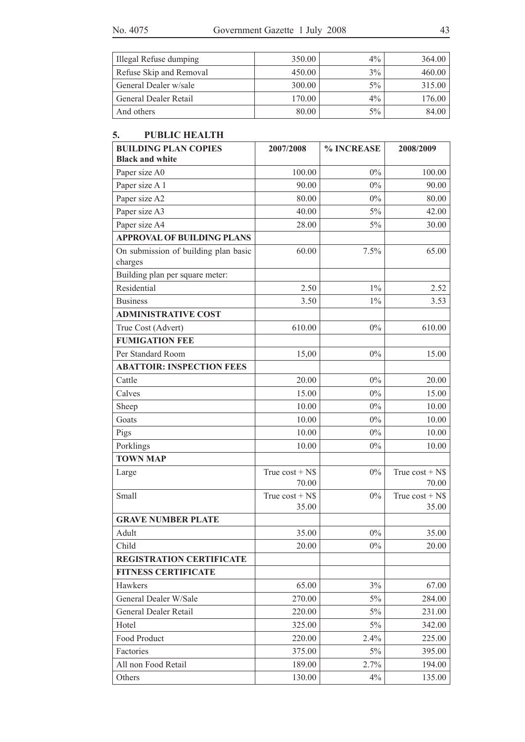| Illegal Refuse dumping  | 350.00 | $4\%$ | 364.00 |
|-------------------------|--------|-------|--------|
| Refuse Skip and Removal | 450.00 | $3\%$ | 460.00 |
| General Dealer w/sale   | 300.00 | $5\%$ | 315.00 |
| General Dealer Retail   | 170.00 | $4\%$ | 176.00 |
| And others              | 80.00  | $5\%$ | 84.00  |

## **5. PUBLIC HEALTH**

| <b>BUILDING PLAN COPIES</b>                     | 2007/2008                 | % INCREASE | 2008/2009                 |
|-------------------------------------------------|---------------------------|------------|---------------------------|
| <b>Black and white</b>                          |                           |            |                           |
| Paper size A0                                   | 100.00                    | $0\%$      | 100.00                    |
| Paper size A 1                                  | 90.00                     | 0%         | 90.00                     |
| Paper size A2                                   | 80.00                     | $0\%$      | 80.00                     |
| Paper size A3                                   | 40.00                     | $5\%$      | 42.00                     |
| Paper size A4                                   | 28.00                     | 5%         | 30.00                     |
| <b>APPROVAL OF BUILDING PLANS</b>               |                           |            |                           |
| On submission of building plan basic<br>charges | 60.00                     | 7.5%       | 65.00                     |
| Building plan per square meter:                 |                           |            |                           |
| Residential                                     | 2.50                      | $1\%$      | 2.52                      |
| <b>Business</b>                                 | 3.50                      | $1\%$      | 3.53                      |
| <b>ADMINISTRATIVE COST</b>                      |                           |            |                           |
| True Cost (Advert)                              | 610.00                    | $0\%$      | 610.00                    |
| <b>FUMIGATION FEE</b>                           |                           |            |                           |
| Per Standard Room                               | 15,00                     | $0\%$      | 15.00                     |
| <b>ABATTOIR: INSPECTION FEES</b>                |                           |            |                           |
| Cattle                                          | 20.00                     | $0\%$      | 20.00                     |
| Calves                                          | 15.00                     | $0\%$      | 15.00                     |
| Sheep                                           | 10.00                     | $0\%$      | 10.00                     |
| Goats                                           | 10.00                     | $0\%$      | 10.00                     |
| Pigs                                            | 10.00                     | $0\%$      | 10.00                     |
| Porklings                                       | 10.00                     | $0\%$      | 10.00                     |
| <b>TOWN MAP</b>                                 |                           |            |                           |
| Large                                           | True $cost + NS$<br>70.00 | 0%         | True $cost + NS$<br>70.00 |
| Small                                           | True $cost + NS$          | $0\%$      | True $cost + NS$          |
|                                                 | 35.00                     |            | 35.00                     |
| <b>GRAVE NUMBER PLATE</b>                       |                           |            |                           |
| Adult                                           | 35.00                     | $0\%$      | 35.00                     |
| Child                                           | 20.00                     | $0\%$      | 20.00                     |
| <b>REGISTRATION CERTIFICATE</b>                 |                           |            |                           |
| <b>FITNESS CERTIFICATE</b>                      |                           |            |                           |
| Hawkers                                         | 65.00                     | 3%         | 67.00                     |
| General Dealer W/Sale                           | 270.00                    | $5\%$      | 284.00                    |
| General Dealer Retail                           | 220.00                    | 5%         | 231.00                    |
| Hotel                                           | 325.00                    | $5\%$      | 342.00                    |
| Food Product                                    | 220.00                    | 2.4%       | 225.00                    |
| Factories                                       | 375.00                    | 5%         | 395.00                    |
| All non Food Retail                             | 189.00                    | 2.7%       | 194.00                    |
| Others                                          | 130.00                    | 4%         | 135.00                    |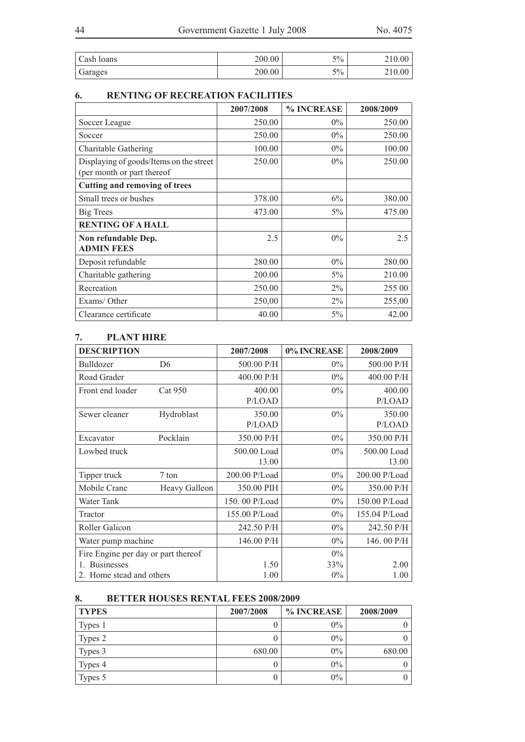| Cash Ioans | 200.00 | $5\%$ | $\angle 10.00$ |
|------------|--------|-------|----------------|
| Garages    | 200.00 | 5%    | 210.00         |

# **6. RENTiNG OF RECREATION FACILITIES**

|                                                                       | 2007/2008 | % INCREASE | 2008/2009 |
|-----------------------------------------------------------------------|-----------|------------|-----------|
| Soccer League                                                         | 250.00    | $0\%$      | 250.00    |
| Soccer                                                                | 250.00    | $0\%$      | 250.00    |
| Charitable Gathering                                                  | 100.00    | $0\%$      | 100.00    |
| Displaying of goods/Items on the street<br>(per month or part thereof | 250.00    | $0\%$      | 250.00    |
| <b>Cutting and removing of trees</b>                                  |           |            |           |
| Small trees or bushes                                                 | 378.00    | 6%         | 380.00    |
| Big Trees                                                             | 473.00    | $5\%$      | 475.00    |
| <b>RENTING OF A HALL</b>                                              |           |            |           |
| Non refundable Dep.<br><b>ADMIN FEES</b>                              | 2.5       | $0\%$      | 2.5       |
| Deposit refundable                                                    | 280.00    | $0\%$      | 280.00    |
| Charitable gathering                                                  | 200.00    | $5\%$      | 210.00    |
| Recreation                                                            | 250.00    | $2\%$      | 255 00    |
| Exams/Other                                                           | 250,00    | 2%         | 255,00    |
| Clearance certificate                                                 | 40.00     | 5%         | 42.00     |

# **7. PLANT hIRE**

| <b>DESCRIPTION</b>                  |                | 2007/2008     | 0% INCREASE | 2008/2009     |
|-------------------------------------|----------------|---------------|-------------|---------------|
| Bulldozer                           | D <sub>6</sub> | 500.00 P/H    | $0\%$       | 500.00 P/H    |
| Road Grader                         |                | 400.00 P/H    | $0\%$       | 400.00 P/H    |
| Front end loader                    | Cat 950        | 400.00        | $0\%$       | 400.00        |
|                                     |                | P/LOAD        |             | P/LOAD        |
| Sewer cleaner                       | Hydroblast     | 350.00        | $0\%$       | 350.00        |
|                                     |                | P/LOAD        |             | P/LOAD        |
| Excavator                           | Pocklain       | 350.00 P/H    | $0\%$       | 350.00 P/H    |
| Lowbed truck                        |                | 500.00 Load   | $0\%$       | 500.00 Load   |
|                                     |                | 13.00         |             | 13.00         |
| Tipper truck                        | 7 ton          | 200.00 P/Load | $0\%$       | 200.00 P/Load |
| Mobile Crane                        | Heavy Galleon  | 350.00 PIH    | $0\%$       | 350.00 P/H    |
| Water Tank                          |                | 150.00 P/Load | $0\%$       | 150.00 P/Load |
| Tractor                             |                | 155.00 P/Load | $0\%$       | 155.04 P/Load |
| Roller Galicon                      |                | 242.50 P/H    | $0\%$       | 242.50 P/H    |
| Water pump machine                  |                | 146.00 P/H    | $0\%$       | 146.00 P/H    |
| Fire Engine per day or part thereof |                |               | $0\%$       |               |
| <b>Businesses</b>                   |                | 1.50          | 33%         | 2.00          |
| Home stead and others<br>2          |                | 1.00          | $0\%$       | 1.00          |

## **8. BETTER HOUSES RENTAL FEES 2008/2009**

| <b>TYPES</b> | 2007/2008 | % INCREASE | 2008/2009 |
|--------------|-----------|------------|-----------|
| Types 1      |           | $0\%$      |           |
| Types 2      |           | $0\%$      |           |
| Types 3      | 680.00    | $0\%$      | 680.00    |
| Types 4      |           | $0\%$      |           |
| Types 5      |           | $0\%$      |           |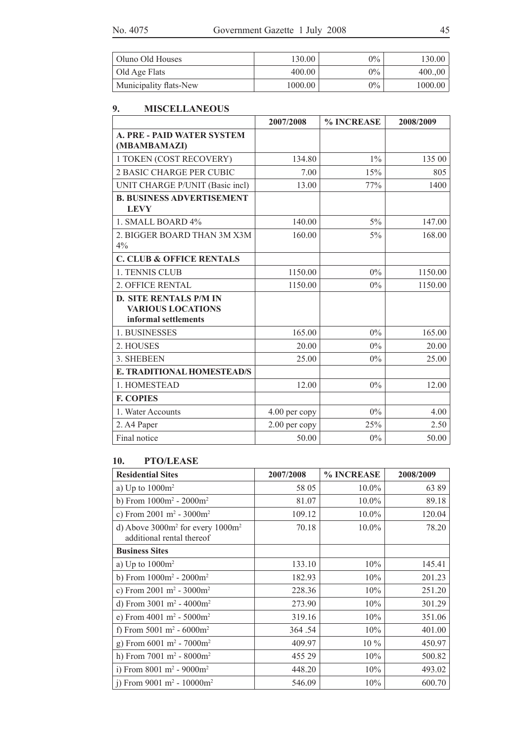| Oluno Old Houses       | 130.00  | $0\%$ | 130.00  |
|------------------------|---------|-------|---------|
| Old Age Flats          | 400.00  | $0\%$ | 400.00  |
| Municipality flats-New | 1000.00 | $0\%$ | 1000.00 |

## **9. MISCELLANEOUS**

|                                                                                   | 2007/2008     | % INCREASE | 2008/2009 |
|-----------------------------------------------------------------------------------|---------------|------------|-----------|
| <b>A. PRE - PAID WATER SYSTEM</b><br>(MBAMBAMAZI)                                 |               |            |           |
| 1 TOKEN (COST RECOVERY)                                                           | 134.80        | $1\%$      | 135 00    |
| <b>2 BASIC CHARGE PER CUBIC</b>                                                   | 7.00          | 15%        | 805       |
| UNIT CHARGE P/UNIT (Basic incl)                                                   | 13.00         | 77%        | 1400      |
| <b>B. BUSINESS ADVERTISEMENT</b><br><b>LEVY</b>                                   |               |            |           |
| 1. SMALL BOARD 4%                                                                 | 140.00        | $5\%$      | 147.00    |
| 2. BIGGER BOARD THAN 3M X3M<br>4%                                                 | 160.00        | 5%         | 168.00    |
| <b>C. CLUB &amp; OFFICE RENTALS</b>                                               |               |            |           |
| 1. TENNIS CLUB                                                                    | 1150.00       | $0\%$      | 1150.00   |
| 2. OFFICE RENTAL                                                                  | 1150.00       | $0\%$      | 1150.00   |
| <b>D. SITE RENTALS P/M IN</b><br><b>VARIOUS LOCATIONS</b><br>informal settlements |               |            |           |
| 1. BUSINESSES                                                                     | 165.00        | $0\%$      | 165.00    |
| 2. HOUSES                                                                         | 20.00         | $0\%$      | 20.00     |
| 3. SHEBEEN                                                                        | 25.00         | $0\%$      | 25.00     |
| E. TRADITIONAL HOMESTEAD/S                                                        |               |            |           |
| 1. HOMESTEAD                                                                      | 12.00         | $0\%$      | 12.00     |
| <b>F. COPIES</b>                                                                  |               |            |           |
| 1. Water Accounts                                                                 | 4.00 per copy | $0\%$      | 4.00      |
| 2. A4 Paper                                                                       | 2.00 per copy | 25%        | 2.50      |
| Final notice                                                                      | 50.00         | $0\%$      | 50.00     |

# **10. PTO/LEASE**

| <b>Residential Sites</b>                                            | 2007/2008 | % INCREASE | 2008/2009 |
|---------------------------------------------------------------------|-----------|------------|-----------|
| a) Up to $1000m^2$                                                  | 58 05     | $10.0\%$   | 6389      |
| b) From $1000m^2 - 2000m^2$                                         | 81.07     | $10.0\%$   | 89.18     |
| c) From 2001 $m^2$ - 3000 $m^2$                                     | 109.12    | $10.0\%$   | 120.04    |
| d) Above $3000m^2$ for every $1000m^2$<br>additional rental thereof | 70.18     | $10.0\%$   | 78.20     |
| <b>Business Sites</b>                                               |           |            |           |
| a) Up to $1000m^2$                                                  | 133.10    | 10%        | 145.41    |
| b) From $1000m^2 - 2000m^2$                                         | 182.93    | 10%        | 201.23    |
| c) From 2001 m <sup>2</sup> - 3000m <sup>2</sup>                    | 228.36    | 10%        | 251.20    |
| d) From $3001 \text{ m}^2 - 4000 \text{ m}^2$                       | 273.90    | 10%        | 301.29    |
| e) From $4001 \text{ m}^2 - 5000 \text{ m}^2$                       | 319.16    | 10%        | 351.06    |
| f) From 5001 m <sup>2</sup> - 6000m <sup>2</sup>                    | 364.54    | 10%        | 401.00    |
| g) From $6001 \text{ m}^2$ - $7000 \text{ m}^2$                     | 409.97    | $10\%$     | 450.97    |
| h) From $7001 \text{ m}^2 - 8000 \text{ m}^2$                       | 455 29    | 10%        | 500.82    |
| i) From 8001 m <sup>2</sup> - 9000m <sup>2</sup>                    | 448.20    | 10%        | 493.02    |
| i) From 9001 m <sup>2</sup> - 10000m <sup>2</sup>                   | 546.09    | 10%        | 600.70    |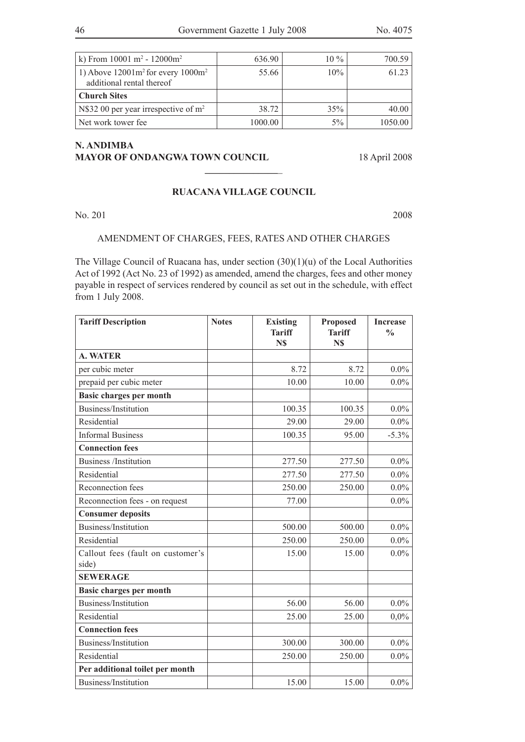| k) From $10001 \text{ m}^2 - 12000 \text{m}^2$                       | 636.90  | $10\%$ | 700.59  |
|----------------------------------------------------------------------|---------|--------|---------|
| 1) Above $12001m^2$ for every $1000m^2$<br>additional rental thereof | 55.66   | 10%    | 61.23   |
| <b>Church Sites</b>                                                  |         |        |         |
| N\$32 00 per year irrespective of $m2$                               | 38.72   | 35%    | 40.00   |
| Net work tower fee.                                                  | 1000.00 | $5\%$  | 1050.00 |

## **N. ANDIMBA MAYOR OF ONDANGWA TOWN COUNCIL** 18 April 2008

### **RUACANA VILLAGE COUNCIL**

**\_\_\_\_\_\_\_\_\_\_\_\_\_\_\_**\_

No. 201 2008

## AMENDMENT Of CHARGES, FEES, RATES AND OTHER CHARGES

The Village Council of Ruacana has, under section (30)(1)(u) of the Local Authorities Act of 1992 (Act No. 23 of 1992) as amended, amend the charges, fees and other money payable in respect of services rendered by council as set out in the schedule, with effect from 1 July 2008.

| <b>Tariff Description</b>                  | <b>Notes</b> | <b>Existing</b><br><b>Tariff</b><br>N\$ | <b>Proposed</b><br><b>Tariff</b><br>N\$ | <b>Increase</b><br>$\frac{0}{0}$ |
|--------------------------------------------|--------------|-----------------------------------------|-----------------------------------------|----------------------------------|
| <b>A. WATER</b>                            |              |                                         |                                         |                                  |
| per cubic meter                            |              | 8.72                                    | 8.72                                    | $0.0\%$                          |
| prepaid per cubic meter                    |              | 10.00                                   | 10.00                                   | $0.0\%$                          |
| <b>Basic charges per month</b>             |              |                                         |                                         |                                  |
| Business/Institution                       |              | 100.35                                  | 100.35                                  | $0.0\%$                          |
| Residential                                |              | 29.00                                   | 29.00                                   | $0.0\%$                          |
| <b>Informal Business</b>                   |              | 100.35                                  | 95.00                                   | $-5.3%$                          |
| <b>Connection fees</b>                     |              |                                         |                                         |                                  |
| <b>Business</b> /Institution               |              | 277.50                                  | 277.50                                  | $0.0\%$                          |
| Residential                                |              | 277.50                                  | 277.50                                  | $0.0\%$                          |
| Reconnection fees                          |              | 250.00                                  | 250.00                                  | $0.0\%$                          |
| Reconnection fees - on request             |              | 77.00                                   |                                         | $0.0\%$                          |
| <b>Consumer deposits</b>                   |              |                                         |                                         |                                  |
| Business/Institution                       |              | 500.00                                  | 500.00                                  | $0.0\%$                          |
| Residential                                |              | 250.00                                  | 250.00                                  | $0.0\%$                          |
| Callout fees (fault on customer's<br>side) |              | 15.00                                   | 15.00                                   | $0.0\%$                          |
| <b>SEWERAGE</b>                            |              |                                         |                                         |                                  |
| <b>Basic charges per month</b>             |              |                                         |                                         |                                  |
| Business/Institution                       |              | 56.00                                   | 56.00                                   | $0.0\%$                          |
| Residential                                |              | 25.00                                   | 25.00                                   | 0,0%                             |
| <b>Connection fees</b>                     |              |                                         |                                         |                                  |
| Business/Institution                       |              | 300.00                                  | 300.00                                  | $0.0\%$                          |
| Residential                                |              | 250.00                                  | 250.00                                  | $0.0\%$                          |
| Per additional toilet per month            |              |                                         |                                         |                                  |
| Business/Institution                       |              | 15.00                                   | 15.00                                   | $0.0\%$                          |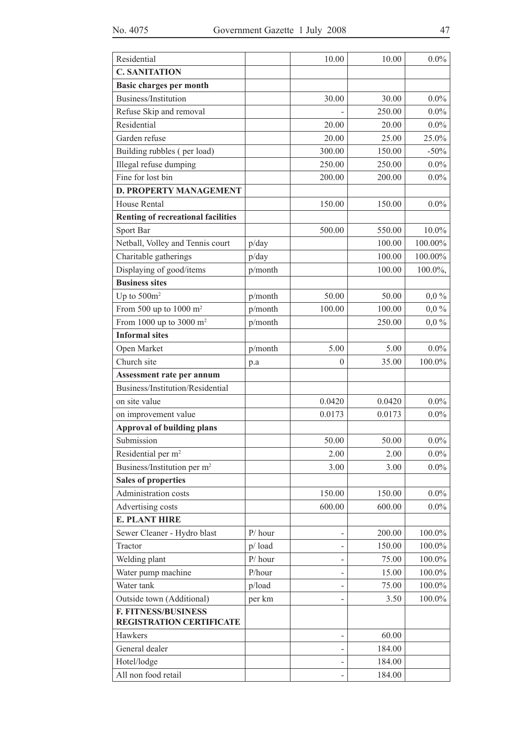| Residential                                                   |           | 10.00          | 10.00  | $0.0\%$ |
|---------------------------------------------------------------|-----------|----------------|--------|---------|
| <b>C. SANITATION</b>                                          |           |                |        |         |
| <b>Basic charges per month</b>                                |           |                |        |         |
| Business/Institution                                          |           | 30.00          | 30.00  | $0.0\%$ |
| Refuse Skip and removal                                       |           |                | 250.00 | $0.0\%$ |
| Residential                                                   |           | 20.00          | 20.00  | $0.0\%$ |
| Garden refuse                                                 |           | 20.00          | 25.00  | 25.0%   |
| Building rubbles (per load)                                   |           | 300.00         | 150.00 | $-50%$  |
| Illegal refuse dumping                                        |           | 250.00         | 250.00 | $0.0\%$ |
| Fine for lost bin                                             |           | 200.00         | 200.00 | $0.0\%$ |
| <b>D. PROPERTY MANAGEMENT</b>                                 |           |                |        |         |
| <b>House Rental</b>                                           |           | 150.00         | 150.00 | $0.0\%$ |
| <b>Renting of recreational facilities</b>                     |           |                |        |         |
| Sport Bar                                                     |           | 500.00         | 550.00 | 10.0%   |
| Netball, Volley and Tennis court                              | p/day     |                | 100.00 | 100.00% |
| Charitable gatherings                                         | p/day     |                | 100.00 | 100.00% |
| Displaying of good/items                                      | p/month   |                | 100.00 | 100.0%, |
| <b>Business sites</b>                                         |           |                |        |         |
| Up to $500m^2$                                                | p/month   | 50.00          | 50.00  | $0,0\%$ |
| From 500 up to 1000 $m2$                                      | p/month   | 100.00         | 100.00 | $0,0\%$ |
| From 1000 up to 3000 $m2$                                     | p/month   |                | 250.00 | $0,0\%$ |
| <b>Informal sites</b>                                         |           |                |        |         |
| Open Market                                                   | p/month   | 5.00           | 5.00   | $0.0\%$ |
| Church site                                                   | p.a       | $\overline{0}$ | 35.00  | 100.0%  |
| Assessment rate per annum                                     |           |                |        |         |
| Business/Institution/Residential                              |           |                |        |         |
| on site value                                                 |           | 0.0420         | 0.0420 | $0.0\%$ |
| on improvement value                                          |           | 0.0173         | 0.0173 | $0.0\%$ |
| <b>Approval of building plans</b>                             |           |                |        |         |
| Submission                                                    |           | 50.00          | 50.00  | $0.0\%$ |
| Residential per m <sup>2</sup>                                |           | 2.00           | 2.00   | $0.0\%$ |
| Business/Institution per m <sup>2</sup>                       |           | 3.00           | 3.00   | $0.0\%$ |
| <b>Sales of properties</b>                                    |           |                |        |         |
| Administration costs                                          |           | 150.00         | 150.00 | $0.0\%$ |
| Advertising costs                                             |           | 600.00         | 600.00 | $0.0\%$ |
| <b>E. PLANT HIRE</b>                                          |           |                |        |         |
| Sewer Cleaner - Hydro blast                                   | $P/$ hour |                | 200.00 | 100.0%  |
| Tractor                                                       | p/load    |                | 150.00 | 100.0%  |
| Welding plant                                                 | $P/$ hour |                | 75.00  | 100.0%  |
| Water pump machine                                            | P/hour    | -              | 15.00  | 100.0%  |
| Water tank                                                    | p/load    | ÷              | 75.00  | 100.0%  |
| Outside town (Additional)                                     | per km    | $\overline{a}$ | 3.50   | 100.0%  |
| <b>F. FITNESS/BUSINESS</b><br><b>REGISTRATION CERTIFICATE</b> |           |                |        |         |
| Hawkers                                                       |           |                | 60.00  |         |
| General dealer                                                |           |                | 184.00 |         |
| Hotel/lodge                                                   |           |                | 184.00 |         |
| All non food retail                                           |           |                | 184.00 |         |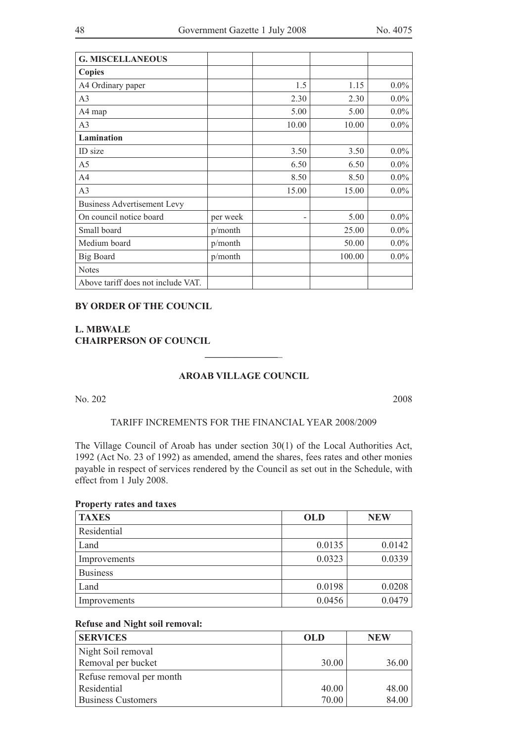| <b>G. MISCELLANEOUS</b>            |          |                          |        |         |
|------------------------------------|----------|--------------------------|--------|---------|
| <b>Copies</b>                      |          |                          |        |         |
| A4 Ordinary paper                  |          | 1.5                      | 1.15   | $0.0\%$ |
| A <sub>3</sub>                     |          | 2.30                     | 2.30   | $0.0\%$ |
| A4 map                             |          | 5.00                     | 5.00   | $0.0\%$ |
| A <sub>3</sub>                     |          | 10.00                    | 10.00  | $0.0\%$ |
| Lamination                         |          |                          |        |         |
| ID size                            |          | 3.50                     | 3.50   | $0.0\%$ |
| A <sub>5</sub>                     |          | 6.50                     | 6.50   | $0.0\%$ |
| A <sub>4</sub>                     |          | 8.50                     | 8.50   | $0.0\%$ |
| A <sub>3</sub>                     |          | 15.00                    | 15.00  | $0.0\%$ |
| <b>Business Advertisement Levy</b> |          |                          |        |         |
| On council notice board            | per week | $\overline{\phantom{0}}$ | 5.00   | $0.0\%$ |
| Small board                        | p/month  |                          | 25.00  | $0.0\%$ |
| Medium board                       | p/month  |                          | 50.00  | $0.0\%$ |
| <b>Big Board</b>                   | p/month  |                          | 100.00 | $0.0\%$ |
| <b>Notes</b>                       |          |                          |        |         |
| Above tariff does not include VAT. |          |                          |        |         |

### **BY ORDER OF THE COUNCIL**

### **L. MBWALE CHAIRPERSON OF COUNCIL**

## **AROAB VILLAGE COUNCIL**

**\_\_\_\_\_\_\_\_\_\_\_\_\_\_\_**\_

No. 202 2008

### TARIFF INCREMENTS FOR THE FINANCIAL YEAR 2008/2009

The Village Council of Aroab has under section 30(1) of the Local Authorities Act, 1992 (Act No. 23 of 1992) as amended, amend the shares, fees rates and other monies payable in respect of services rendered by the Council as set out in the Schedule, with effect from 1 July 2008.

#### **Property rates and taxes**

| <b>TAXES</b>    | <b>OLD</b> | <b>NEW</b> |
|-----------------|------------|------------|
| Residential     |            |            |
| Land            | 0.0135     | 0.0142     |
| Improvements    | 0.0323     | 0.0339     |
| <b>Business</b> |            |            |
| Land            | 0.0198     | 0.0208     |
| Improvements    | 0.0456     | 0.0479     |

### **Refuse and Night soil removal:**

| <b>SERVICES</b>           | <b>OLD</b> | <b>NEW</b> |
|---------------------------|------------|------------|
| Night Soil removal        |            |            |
| Removal per bucket        | 30.00      | 36.00      |
| Refuse removal per month  |            |            |
| Residential               | 40.00      | 48.00      |
| <b>Business Customers</b> | 70.00      | 84.00      |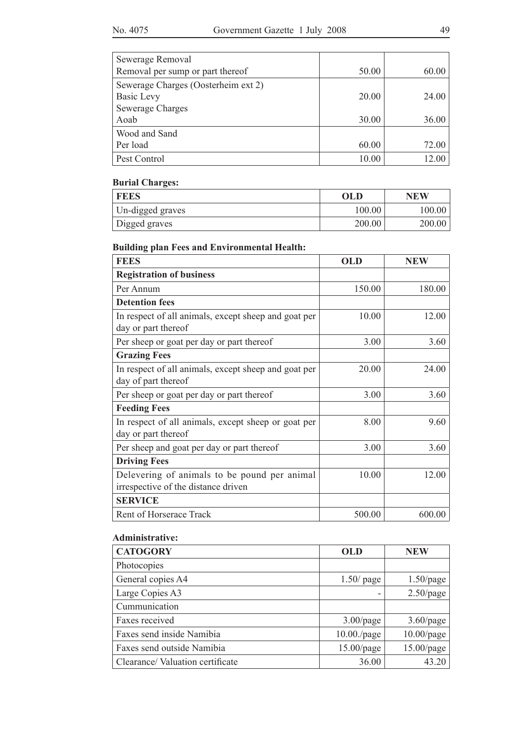| Sewerage Removal                    |       |       |
|-------------------------------------|-------|-------|
| Removal per sump or part thereof    | 50.00 | 60.00 |
| Sewerage Charges (Oosterheim ext 2) |       |       |
| Basic Levy                          | 20.00 | 24.00 |
| Sewerage Charges                    |       |       |
| Aoab                                | 30.00 | 36.00 |
| Wood and Sand                       |       |       |
| Per load                            | 60.00 | 72.00 |
| Pest Control                        | 10.00 | 12.00 |

# **Burial Charges:**

| <b>FEES</b>      | <b>OLD</b> | <b>NEW</b> |
|------------------|------------|------------|
| Un-digged graves | 100.00     | 100.00     |
| Digged graves    | 200.00     | 200.00     |

# **Building plan Fees and Environmental Health:**

| <b>FEES</b>                                                                         | <b>OLD</b> | <b>NEW</b> |
|-------------------------------------------------------------------------------------|------------|------------|
| <b>Registration of business</b>                                                     |            |            |
| Per Annum                                                                           | 150.00     | 180.00     |
| <b>Detention fees</b>                                                               |            |            |
| In respect of all animals, except sheep and goat per<br>day or part thereof         | 10.00      | 12.00      |
| Per sheep or goat per day or part thereof                                           | 3.00       | 3.60       |
| <b>Grazing Fees</b>                                                                 |            |            |
| In respect of all animals, except sheep and goat per<br>day of part thereof         | 20.00      | 24.00      |
| Per sheep or goat per day or part thereof                                           | 3.00       | 3.60       |
| <b>Feeding Fees</b>                                                                 |            |            |
| In respect of all animals, except sheep or goat per<br>day or part thereof          | 8.00       | 9.60       |
| Per sheep and goat per day or part thereof                                          | 3.00       | 3.60       |
| <b>Driving Fees</b>                                                                 |            |            |
| Delevering of animals to be pound per animal<br>irrespective of the distance driven | 10.00      | 12.00      |
| <b>SERVICE</b>                                                                      |            |            |
| Rent of Horserace Track                                                             | 500.00     | 600.00     |

## **Administrative:**

| <b>CATOGORY</b>                 | <b>OLD</b>     | <b>NEW</b>    |
|---------------------------------|----------------|---------------|
| Photocopies                     |                |               |
| General copies A4               | $1.50$ / page  | $1.50$ /page  |
| Large Copies A3                 |                | $2.50$ /page  |
| Cummunication                   |                |               |
| Faxes received                  | $3.00$ /page   | $3.60$ /page  |
| Faxes send inside Namibia       | $10.00$ ./page | $10.00$ /page |
| Faxes send outside Namibia      | $15.00$ /page  | 15.00/page    |
| Clearance/Valuation certificate | 36.00          | 43.20         |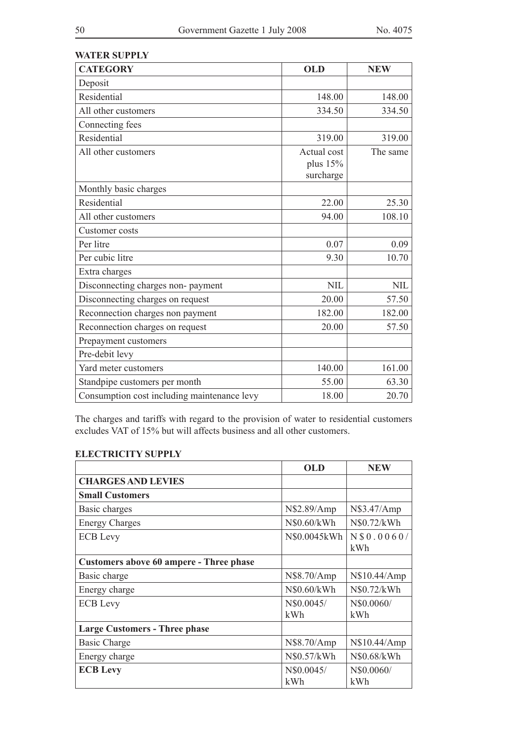| <b>WATER SUPPLY</b><br><b>CATEGORY</b>      | <b>OLD</b>                           | <b>NEW</b> |
|---------------------------------------------|--------------------------------------|------------|
| Deposit                                     |                                      |            |
| Residential                                 | 148.00                               | 148.00     |
| All other customers                         | 334.50                               | 334.50     |
| Connecting fees                             |                                      |            |
| Residential                                 | 319.00                               | 319.00     |
| All other customers                         | Actual cost<br>plus 15%<br>surcharge | The same   |
| Monthly basic charges                       |                                      |            |
| Residential                                 | 22.00                                | 25.30      |
| All other customers                         | 94.00                                | 108.10     |
| Customer costs                              |                                      |            |
| Per litre                                   | 0.07                                 | 0.09       |
| Per cubic litre                             | 9.30                                 | 10.70      |
| Extra charges                               |                                      |            |
| Disconnecting charges non-payment           | <b>NIL</b>                           | <b>NIL</b> |
| Disconnecting charges on request            | 20.00                                | 57.50      |
| Reconnection charges non payment            | 182.00                               | 182.00     |
| Reconnection charges on request             | 20.00                                | 57.50      |
| Prepayment customers                        |                                      |            |
| Pre-debit levy                              |                                      |            |
| Yard meter customers                        | 140.00                               | 161.00     |
| Standpipe customers per month               | 55.00                                | 63.30      |
| Consumption cost including maintenance levy | 18.00                                | 20.70      |

The charges and tariffs with regard to the provision of water to residential customers excludes VAT of 15% but will affects business and all other customers.

## **ELECTRICITY SUPPLY**

|                                         | OLD               | <b>NEW</b>         |
|-----------------------------------------|-------------------|--------------------|
| <b>CHARGES AND LEVIES</b>               |                   |                    |
| <b>Small Customers</b>                  |                   |                    |
| Basic charges                           | N\$2.89/Amp       | N\$3.47/Amp        |
| <b>Energy Charges</b>                   | N\$0.60/kWh       | N\$0.72/kWh        |
| <b>ECB</b> Levy                         | N\$0.0045kWh      | N \$0.0060/<br>kWh |
| Customers above 60 ampere - Three phase |                   |                    |
| Basic charge                            | N\$8.70/Amp       | N\$10.44/Amp       |
| Energy charge                           | N\$0.60/kWh       | N\$0.72/kWh        |
| <b>ECB</b> Levy                         | N\$0.0045/<br>kWh | N\$0.0060/<br>kWh  |
| <b>Large Customers - Three phase</b>    |                   |                    |
| <b>Basic Charge</b>                     | N\$8.70/Amp       | N\$10.44/Amp       |
| Energy charge                           | N\$0.57/kWh       | N\$0.68/kWh        |
| <b>ECB Levy</b>                         | N\$0.0045/<br>kWh | N\$0.0060/<br>kWh  |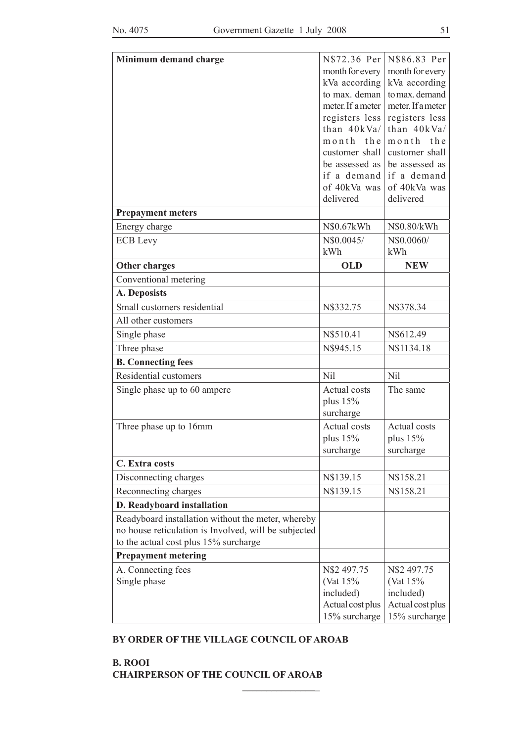| Minimum demand charge                                | N\$72.36 Per        | N\$86.83 Per      |
|------------------------------------------------------|---------------------|-------------------|
|                                                      | month for every     | month for every   |
|                                                      | kVa according       | kVa according     |
|                                                      | to max. deman       | to max. demand    |
|                                                      | meter. If a meter   | meter. If a meter |
|                                                      | registers less      | registers less    |
|                                                      | than $40kVa/$       | than 40kVa/       |
|                                                      | month the           | month the         |
|                                                      | customer shall      | customer shall    |
|                                                      | be assessed as      | be assessed as    |
|                                                      | if a demand         | if a demand       |
|                                                      | of 40kVa was        | of 40kVa was      |
|                                                      | delivered           | delivered         |
| <b>Prepayment meters</b>                             |                     |                   |
| Energy charge                                        | N\$0.67kWh          | N\$0.80/kWh       |
| <b>ECB</b> Levy                                      | N\$0.0045/          | N\$0.0060/        |
|                                                      | kWh                 | kWh               |
| <b>Other charges</b>                                 | <b>OLD</b>          | <b>NEW</b>        |
| Conventional metering                                |                     |                   |
| A. Deposists                                         |                     |                   |
| Small customers residential                          | N\$332.75           | N\$378.34         |
| All other customers                                  |                     |                   |
| Single phase                                         | N\$510.41           | N\$612.49         |
| Three phase                                          | N\$945.15           | N\$1134.18        |
| <b>B.</b> Connecting fees                            |                     |                   |
| Residential customers                                | <b>Nil</b>          | Nil               |
| Single phase up to 60 ampere                         | <b>Actual costs</b> | The same          |
|                                                      | plus $15%$          |                   |
|                                                      | surcharge           |                   |
| Three phase up to 16mm                               | <b>Actual costs</b> | Actual costs      |
|                                                      | plus $15%$          | plus $15%$        |
|                                                      | surcharge           | surcharge         |
| C. Extra costs                                       |                     |                   |
| Disconnecting charges                                | N\$139.15           | N\$158.21         |
| Reconnecting charges                                 | N\$139.15           | N\$158.21         |
| D. Readyboard installation                           |                     |                   |
| Readyboard installation without the meter, whereby   |                     |                   |
| no house reticulation is Involved, will be subjected |                     |                   |
| to the actual cost plus 15% surcharge                |                     |                   |
| <b>Prepayment metering</b>                           |                     |                   |
| A. Connecting fees                                   | N\$2 497.75         | N\$2 497.75       |
| Single phase                                         | (Vat 15%)           | (Vat 15%)         |
|                                                      | included)           | included)         |
|                                                      | Actual cost plus    | Actual cost plus  |
|                                                      | 15% surcharge       | 15% surcharge     |

### **BY ORDER OF THE VILLAGE COUNCIL OF AROAB**

**\_\_\_\_\_\_\_\_\_\_\_\_\_\_\_**\_

**B. ROOI CHAIRPERSON OF THE COUNCIL OF AROAB**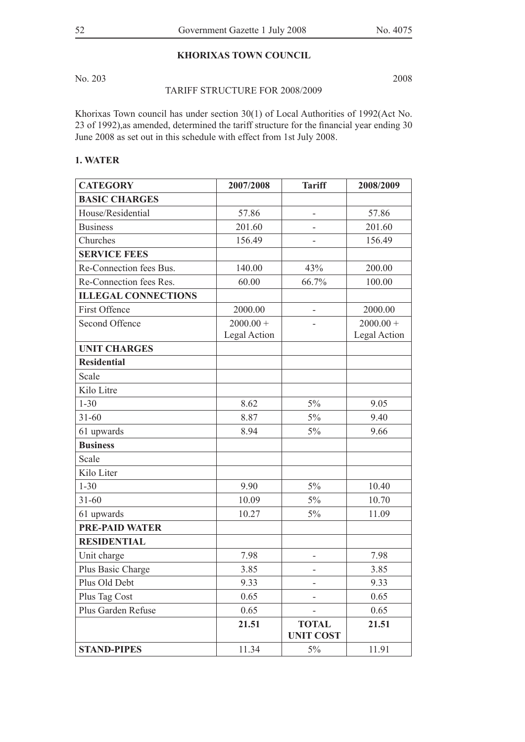### **KHORIXAS TOWN COUNCIL**

No. 203 2008

### TARIFF STRUCTURE FOR 2008/2009

Khorixas Town council has under section 30(1) of Local Authorities of 1992(Act No. 23 of 1992),as amended, determined the tariff structure for the financial year ending 30 June 2008 as set out in this schedule with effect from 1st July 2008.

## **1. WATER**

| <b>CATEGORY</b>            | 2007/2008    | <b>Tariff</b>                    | 2008/2009    |
|----------------------------|--------------|----------------------------------|--------------|
| <b>BASIC CHARGES</b>       |              |                                  |              |
| House/Residential          | 57.86        | -                                | 57.86        |
| <b>Business</b>            | 201.60       |                                  | 201.60       |
| Churches                   | 156.49       |                                  | 156.49       |
| <b>SERVICE FEES</b>        |              |                                  |              |
| Re-Connection fees Bus.    | 140.00       | 43%                              | 200.00       |
| Re-Connection fees Res.    | 60.00        | 66.7%                            | 100.00       |
| <b>ILLEGAL CONNECTIONS</b> |              |                                  |              |
| First Offence              | 2000.00      | $\overline{a}$                   | 2000.00      |
| <b>Second Offence</b>      | $2000.00 +$  |                                  | $2000.00 +$  |
|                            | Legal Action |                                  | Legal Action |
| <b>UNIT CHARGES</b>        |              |                                  |              |
| <b>Residential</b>         |              |                                  |              |
| Scale                      |              |                                  |              |
| Kilo Litre                 |              |                                  |              |
| $1 - 30$                   | 8.62         | 5%                               | 9.05         |
| $31 - 60$                  | 8.87         | 5%                               | 9.40         |
| 61 upwards                 | 8.94         | $5\%$                            | 9.66         |
| <b>Business</b>            |              |                                  |              |
| Scale                      |              |                                  |              |
| Kilo Liter                 |              |                                  |              |
| $1 - 30$                   | 9.90         | $5\%$                            | 10.40        |
| $31 - 60$                  | 10.09        | 5%                               | 10.70        |
| 61 upwards                 | 10.27        | 5%                               | 11.09        |
| <b>PRE-PAID WATER</b>      |              |                                  |              |
| <b>RESIDENTIAL</b>         |              |                                  |              |
| Unit charge                | 7.98         |                                  | 7.98         |
| Plus Basic Charge          | 3.85         | ٠                                | 3.85         |
| Plus Old Debt              | 9.33         |                                  | 9.33         |
| Plus Tag Cost              | 0.65         |                                  | 0.65         |
| Plus Garden Refuse         | 0.65         |                                  | 0.65         |
|                            | 21.51        | <b>TOTAL</b><br><b>UNIT COST</b> | 21.51        |
| <b>STAND-PIPES</b>         | 11.34        | 5%                               | 11.91        |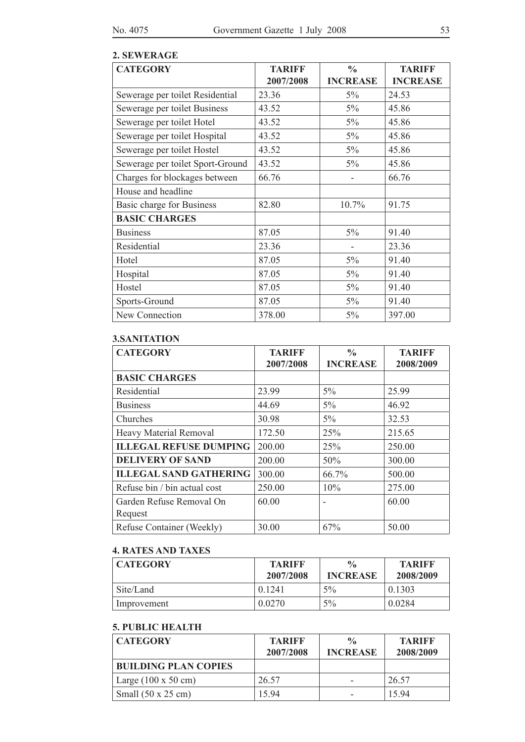## **2. SEWERAGE**

| <b>CATEGORY</b>                  | <b>TARIFF</b> | $\frac{0}{0}$   | <b>TARIFF</b>   |
|----------------------------------|---------------|-----------------|-----------------|
|                                  | 2007/2008     | <b>INCREASE</b> | <b>INCREASE</b> |
| Sewerage per toilet Residential  | 23.36         | 5%              | 24.53           |
| Sewerage per toilet Business     | 43.52         | 5%              | 45.86           |
| Sewerage per toilet Hotel        | 43.52         | 5%              | 45.86           |
| Sewerage per toilet Hospital     | 43.52         | 5%              | 45.86           |
| Sewerage per toilet Hostel       | 43.52         | 5%              | 45.86           |
| Sewerage per toilet Sport-Ground | 43.52         | 5%              | 45.86           |
| Charges for blockages between    | 66.76         |                 | 66.76           |
| House and headline               |               |                 |                 |
| Basic charge for Business        | 82.80         | 10.7%           | 91.75           |
| <b>BASIC CHARGES</b>             |               |                 |                 |
| <b>Business</b>                  | 87.05         | 5%              | 91.40           |
| Residential                      | 23.36         |                 | 23.36           |
| Hotel                            | 87.05         | 5%              | 91.40           |
| Hospital                         | 87.05         | 5%              | 91.40           |
| Hostel                           | 87.05         | 5%              | 91.40           |
| Sports-Ground                    | 87.05         | 5%              | 91.40           |
| New Connection                   | 378.00        | 5%              | 397.00          |

# **3.SANITATION**

| <b>CATEGORY</b>               | <b>TARIFF</b> | $\frac{0}{0}$   | <b>TARIFF</b> |
|-------------------------------|---------------|-----------------|---------------|
|                               | 2007/2008     | <b>INCREASE</b> | 2008/2009     |
| <b>BASIC CHARGES</b>          |               |                 |               |
| Residential                   | 23.99         | $5\%$           | 25.99         |
| <b>Business</b>               | 44.69         | $5\%$           | 46.92         |
| Churches                      | 30.98         | $5\%$           | 32.53         |
| <b>Heavy Material Removal</b> | 172.50        | 25%             | 215.65        |
| <b>ILLEGAL REFUSE DUMPING</b> | 200.00        | 25%             | 250.00        |
| <b>DELIVERY OF SAND</b>       | 200.00        | 50%             | 300.00        |
| <b>ILLEGAL SAND GATHERING</b> | 300.00        | 66.7%           | 500.00        |
| Refuse bin / bin actual cost  | 250.00        | 10%             | 275.00        |
| Garden Refuse Removal On      | 60.00         |                 | 60.00         |
| Request                       |               |                 |               |
| Refuse Container (Weekly)     | 30.00         | 67%             | 50.00         |

# **4. RATES AND TAXES**

| <b>CATEGORY</b> | <b>TARIFF</b><br>2007/2008 | $\frac{0}{0}$<br><b>INCREASE</b> | <b>TARIFF</b><br>2008/2009 |
|-----------------|----------------------------|----------------------------------|----------------------------|
| Site/Land       | 0.1241                     | $5\%$                            | 0.1303                     |
| Improvement     | 0.0270                     | $5\%$                            | 0.0284                     |

# **5. PUBLIC HEALTH**

| <b>CATEGORY</b>                    | <b>TARIFF</b><br>2007/2008 | $\frac{0}{0}$<br><b>INCREASE</b> | <b>TARIFF</b><br>2008/2009 |
|------------------------------------|----------------------------|----------------------------------|----------------------------|
| <b>BUILDING PLAN COPIES</b>        |                            |                                  |                            |
| Large $(100 \times 50 \text{ cm})$ | 26.57                      |                                  | 26.57                      |
| Small $(50 \times 25 \text{ cm})$  | 1594                       |                                  | 1594                       |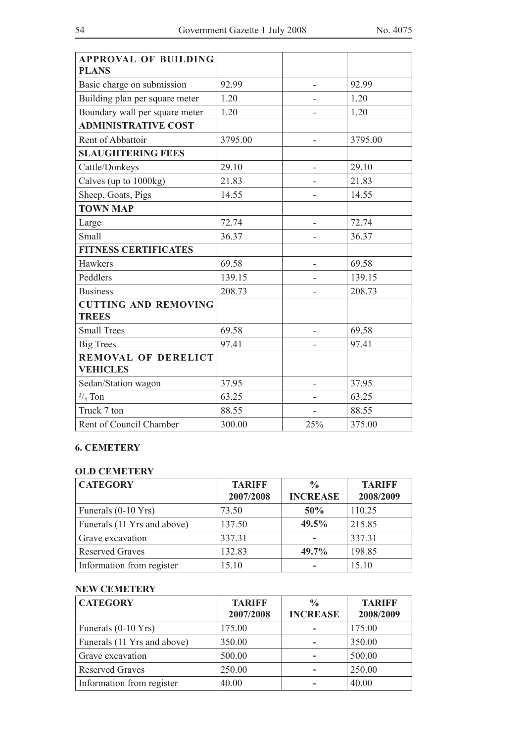| <b>APPROVAL OF BUILDING</b><br><b>PLANS</b>   |         |     |         |
|-----------------------------------------------|---------|-----|---------|
| Basic charge on submission                    | 92.99   | ÷   | 92.99   |
| Building plan per square meter                | 1.20    |     | 1.20    |
| Boundary wall per square meter                | 1.20    |     | 1.20    |
| <b>ADMINISTRATIVE COST</b>                    |         |     |         |
| Rent of Abbattoir                             | 3795.00 |     | 3795.00 |
| <b>SLAUGHTERING FEES</b>                      |         |     |         |
| Cattle/Donkeys                                | 29.10   |     | 29.10   |
| Calves (up to 1000kg)                         | 21.83   |     | 21.83   |
| Sheep, Goats, Pigs                            | 14.55   |     | 14.55   |
| <b>TOWN MAP</b>                               |         |     |         |
| Large                                         | 72.74   |     | 72.74   |
| Small                                         | 36.37   |     | 36.37   |
| <b>FITNESS CERTIFICATES</b>                   |         |     |         |
| Hawkers                                       | 69.58   |     | 69.58   |
| Peddlers                                      | 139.15  |     | 139.15  |
| <b>Business</b>                               | 208.73  |     | 208.73  |
| <b>CUTTING AND REMOVING</b><br><b>TREES</b>   |         |     |         |
| <b>Small Trees</b>                            | 69.58   |     | 69.58   |
| <b>Big Trees</b>                              | 97.41   |     | 97.41   |
| <b>REMOVAL OF DERELICT</b><br><b>VEHICLES</b> |         |     |         |
| Sedan/Station wagon                           | 37.95   |     | 37.95   |
| $\frac{3}{4}$ Ton                             | 63.25   |     | 63.25   |
| Truck 7 ton                                   | 88.55   |     | 88.55   |
| Rent of Council Chamber                       | 300.00  | 25% | 375.00  |

# **6. CEMETERY**

## **OLD CEMETERY**

| <b>CATEGORY</b>               | <b>TARIFF</b><br>2007/2008 | $\frac{0}{0}$<br><b>INCREASE</b> | <b>TARIFF</b><br>2008/2009 |
|-------------------------------|----------------------------|----------------------------------|----------------------------|
| Funerals $(0-10 \text{ Yrs})$ | 73.50                      | 50%                              | 110.25                     |
| Funerals (11 Yrs and above)   | 137.50                     | 49.5%                            | 215.85                     |
| Grave excavation              | 337.31                     |                                  | 337.31                     |
| <b>Reserved Graves</b>        | 132.83                     | 49.7%                            | 198.85                     |
| Information from register     | 15.10                      |                                  | 15.10                      |

# **NEW CEMETERY**

| <b>CATEGORY</b>               | <b>TARIFF</b> | $\frac{0}{0}$   | <b>TARIFF</b> |
|-------------------------------|---------------|-----------------|---------------|
|                               | 2007/2008     | <b>INCREASE</b> | 2008/2009     |
| Funerals $(0-10 \text{ Yrs})$ | 175.00        |                 | 175.00        |
| Funerals (11 Yrs and above)   | 350.00        |                 | 350.00        |
| Grave excavation              | 500.00        |                 | 500.00        |
| <b>Reserved Graves</b>        | 250.00        |                 | 250.00        |
| Information from register     | 40.00         |                 | 40.00         |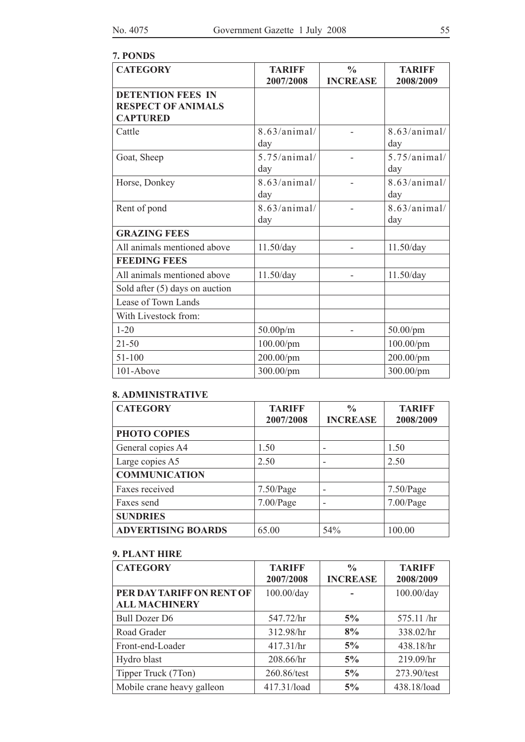# **7. PONDS**

| <b>CATEGORY</b>                                                          | <b>TARIFF</b>         | $\frac{0}{0}$   | <b>TARIFF</b>       |
|--------------------------------------------------------------------------|-----------------------|-----------------|---------------------|
|                                                                          | 2007/2008             | <b>INCREASE</b> | 2008/2009           |
| <b>DETENTION FEES IN</b><br><b>RESPECT OF ANIMALS</b><br><b>CAPTURED</b> |                       |                 |                     |
| Cattle                                                                   | 8.63/animal/<br>day   |                 | 8.63/animal/<br>day |
| Goat, Sheep                                                              | 5.75/animal/<br>day   |                 | 5.75/animal/<br>day |
| Horse, Donkey                                                            | 8.63/animal/<br>day   |                 | 8.63/animal/<br>day |
| Rent of pond                                                             | 8.63/animal/<br>day   |                 | 8.63/animal/<br>day |
| <b>GRAZING FEES</b>                                                      |                       |                 |                     |
| All animals mentioned above                                              | 11.50/day             |                 | 11.50/day           |
| <b>FEEDING FEES</b>                                                      |                       |                 |                     |
| All animals mentioned above                                              | 11.50/day             |                 | 11.50/day           |
| Sold after $(5)$ days on auction                                         |                       |                 |                     |
| Lease of Town Lands                                                      |                       |                 |                     |
| With Livestock from:                                                     |                       |                 |                     |
| $1 - 20$                                                                 | 50.00 <sub>p</sub> /m |                 | $50.00$ /pm         |
| $21 - 50$                                                                | 100.00/pm             |                 | 100.00/pm           |
| 51-100                                                                   | 200.00/pm             |                 | 200.00/pm           |
| 101-Above                                                                | 300.00/pm             |                 | 300.00/pm           |

# **8. ADMINISTRATIVE**

| <b>CATEGORY</b>           | <b>TARIFF</b> | $\frac{0}{0}$   | <b>TARIFF</b> |
|---------------------------|---------------|-----------------|---------------|
|                           | 2007/2008     | <b>INCREASE</b> | 2008/2009     |
| PHOTO COPIES              |               |                 |               |
| General copies A4         | 1.50          |                 | 1.50          |
| Large copies A5           | 2.50          |                 | 2.50          |
| <b>COMMUNICATION</b>      |               |                 |               |
| Faxes received            | $7.50$ /Page  |                 | 7.50/Page     |
| Faxes send                | 7.00/Page     |                 | 7.00/Page     |
| <b>SUNDRIES</b>           |               |                 |               |
| <b>ADVERTISING BOARDS</b> | 65.00         | 54%             | 100.00        |

# **9. PLANT HIRE**

| <b>CATEGORY</b>            | <b>TARIFF</b><br>2007/2008 | $\frac{0}{0}$<br><b>INCREASE</b> | <b>TARIFF</b><br>2008/2009 |
|----------------------------|----------------------------|----------------------------------|----------------------------|
| PER DAY TARIFF ON RENT OF  | 100.00/day                 |                                  | 100.00/day                 |
| <b>ALL MACHINERY</b>       |                            |                                  |                            |
| <b>Bull Dozer D6</b>       | 547.72/hr                  | 5%                               | 575.11 /hr                 |
| Road Grader                | 312.98/hr                  | 8%                               | 338.02/hr                  |
| Front-end-Loader           | 417.31/hr                  | 5%                               | 438.18/hr                  |
| Hydro blast                | 208.66/hr                  | 5%                               | 219.09/hr                  |
| Tipper Truck (7Ton)        | 260.86/test                | 5%                               | 273.90/test                |
| Mobile crane heavy galleon | 417.31/load                | 5%                               | 438.18/load                |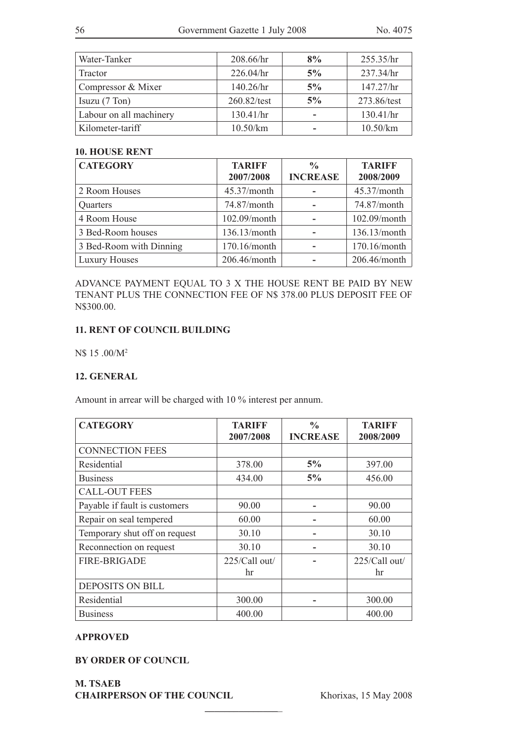| Water-Tanker            | 208.66/hr    | 8% | 255.35/hr    |
|-------------------------|--------------|----|--------------|
| Tractor                 | 226.04/hr    | 5% | 237.34/hr    |
| Compressor & Mixer      | $140.26$ /hr | 5% | $147.27$ /hr |
| Isuzu $(7$ Ton $)$      | 260.82/test  | 5% | 273.86/test  |
| Labour on all machinery | 130.41/hr    |    | 130.41/hr    |
| Kilometer-tariff        | 10.50/km     |    | 10.50/km     |

### **10. HOUSE RENT**

| <b>CATEGORY</b>         | <b>TARIFF</b> | $\frac{0}{0}$   | <b>TARIFF</b> |
|-------------------------|---------------|-----------------|---------------|
|                         | 2007/2008     | <b>INCREASE</b> | 2008/2009     |
| 2 Room Houses           | 45.37/month   |                 | 45.37/month   |
| Quarters                | 74.87/month   |                 | 74.87/month   |
| 4 Room House            | 102.09/month  |                 | 102.09/month  |
| 3 Bed-Room houses       | 136.13/month  |                 | 136.13/month  |
| 3 Bed-Room with Dinning | 170.16/month  |                 | 170.16/month  |
| <b>Luxury Houses</b>    | 206.46/month  |                 | 206.46/month  |

ADVANCE PAYMENT EQUAL TO 3 X THE HOUSE RENT BE PAID BY NEW TENANT PLUS THE CONNECTION FEE OF N\$ 378.00 PLUS DEPOSIT FEE OF N\$300.00.

### **11. RENT OF COUNCIL BUILDING**

N\$ 15 .00/M2

### **12. GENERAL**

Amount in arrear will be charged with 10 % interest per annum.

| <b>CATEGORY</b>               | <b>TARIFF</b> | $\frac{0}{0}$   | <b>TARIFF</b> |
|-------------------------------|---------------|-----------------|---------------|
|                               | 2007/2008     | <b>INCREASE</b> | 2008/2009     |
| <b>CONNECTION FEES</b>        |               |                 |               |
| Residential                   | 378.00        | 5%              | 397.00        |
| <b>Business</b>               | 434.00        | 5%              | 456.00        |
| <b>CALL-OUT FEES</b>          |               |                 |               |
| Payable if fault is customers | 90.00         |                 | 90.00         |
| Repair on seal tempered       | 60.00         |                 | 60.00         |
| Temporary shut off on request | 30.10         |                 | 30.10         |
| Reconnection on request       | 30.10         |                 | 30.10         |
| <b>FIRE-BRIGADE</b>           | 225/Call out/ |                 | 225/Call out/ |
|                               | hr            |                 | hr            |
| <b>DEPOSITS ON BILL</b>       |               |                 |               |
| Residential                   | 300.00        |                 | 300.00        |
| <b>Business</b>               | 400.00        |                 | 400.00        |

**\_\_\_\_\_\_\_\_\_\_\_\_\_\_\_**\_

### **APPROVED**

**BY ORDER OF COUNCIL**

**M. TSAEB CHAIRPERSON OF THE COUNCIL** Khorixas, 15 May 2008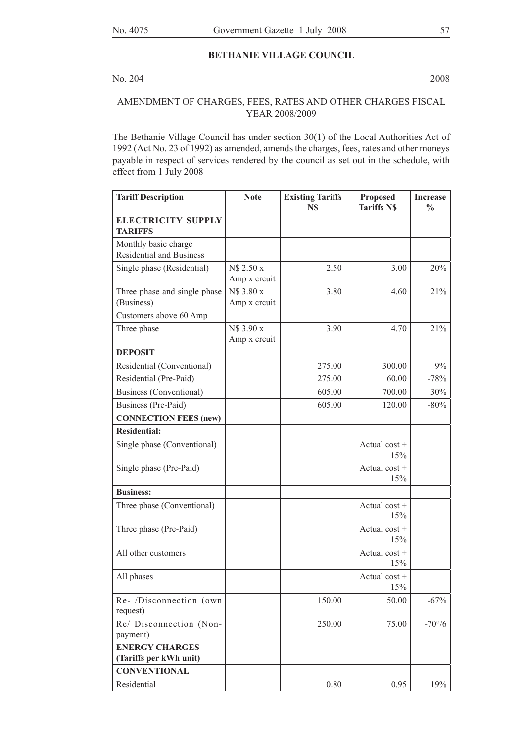## **BETHANIE VILLAGE COUNCIL**

### No. 204 2008

## AMENDMENT OF CHARGES, FEES, RATES AND OTHER CHARGES FISCAL YEAR 2008/2009

The Bethanie Village Council has under section 30(1) of the Local Authorities Act of 1992 (Act No. 23 of 1992) as amended, amends the charges, fees, rates and other moneys payable in respect of services rendered by the council as set out in the schedule, with effect from 1 July 2008

| <b>Tariff Description</b>                               | <b>Note</b>                | <b>Existing Tariffs</b><br>N\$ | <b>Proposed</b><br><b>Tariffs N\$</b> | <b>Increase</b><br>$\frac{0}{0}$ |
|---------------------------------------------------------|----------------------------|--------------------------------|---------------------------------------|----------------------------------|
| <b>ELECTRICITY SUPPLY</b><br><b>TARIFFS</b>             |                            |                                |                                       |                                  |
| Monthly basic charge<br><b>Residential and Business</b> |                            |                                |                                       |                                  |
| Single phase (Residential)                              | N\$ 2.50 x<br>Amp x creuit | 2.50                           | 3.00                                  | 20%                              |
| Three phase and single phase<br>(Business)              | N\$ 3.80 x<br>Amp x creuit | 3.80                           | 4.60                                  | 21%                              |
| Customers above 60 Amp                                  |                            |                                |                                       |                                  |
| Three phase                                             | N\$ 3.90 x<br>Amp x creuit | 3.90                           | 4.70                                  | 21%                              |
| <b>DEPOSIT</b>                                          |                            |                                |                                       |                                  |
| Residential (Conventional)                              |                            | 275.00                         | 300.00                                | 9%                               |
| Residential (Pre-Paid)                                  |                            | 275.00                         | 60.00                                 | $-78%$                           |
| <b>Business (Conventional)</b>                          |                            | 605.00                         | 700.00                                | 30%                              |
| Business (Pre-Paid)                                     |                            | 605.00                         | 120.00                                | $-80\%$                          |
| <b>CONNECTION FEES (new)</b>                            |                            |                                |                                       |                                  |
| <b>Residential:</b>                                     |                            |                                |                                       |                                  |
| Single phase (Conventional)                             |                            |                                | Actual cost +<br>15%                  |                                  |
| Single phase (Pre-Paid)                                 |                            |                                | Actual cost +<br>15%                  |                                  |
| <b>Business:</b>                                        |                            |                                |                                       |                                  |
| Three phase (Conventional)                              |                            |                                | Actual $cost +$<br>15%                |                                  |
| Three phase (Pre-Paid)                                  |                            |                                | Actual cost +<br>15%                  |                                  |
| All other customers                                     |                            |                                | Actual $cost +$<br>15%                |                                  |
| All phases                                              |                            |                                | Actual $cost +$<br>15%                |                                  |
| Re- /Disconnection (own<br>request)                     |                            | 150.00                         | 50.00                                 | $-67%$                           |
| Re/ Disconnection (Non-<br>payment)                     |                            | 250.00                         | 75.00                                 | $-70^{\circ}/6$                  |
| <b>ENERGY CHARGES</b><br>(Tariffs per kWh unit)         |                            |                                |                                       |                                  |
| <b>CONVENTIONAL</b>                                     |                            |                                |                                       |                                  |
| Residential                                             |                            | 0.80                           | 0.95                                  | 19%                              |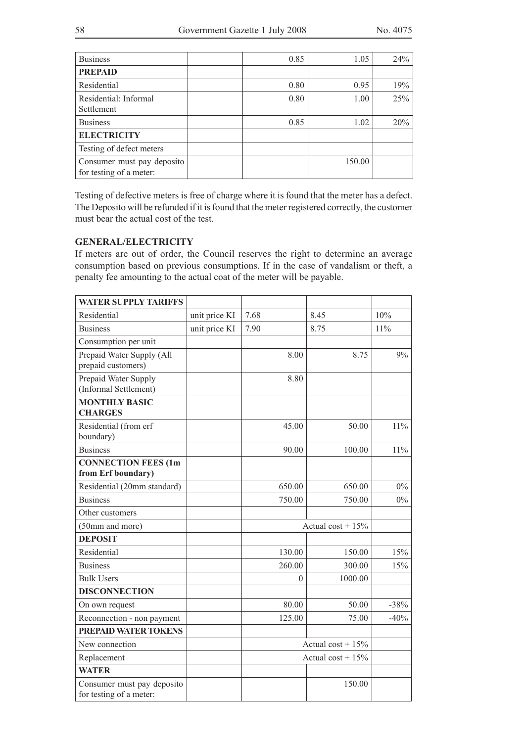| <b>Business</b>                                       | 0.85 | 1.05   | 24% |
|-------------------------------------------------------|------|--------|-----|
| <b>PREPAID</b>                                        |      |        |     |
| Residential                                           | 0.80 | 0.95   | 19% |
| Residential: Informal<br>Settlement                   | 0.80 | 1.00   | 25% |
| <b>Business</b>                                       | 0.85 | 1.02   | 20% |
| <b>ELECTRICITY</b>                                    |      |        |     |
| Testing of defect meters                              |      |        |     |
| Consumer must pay deposito<br>for testing of a meter: |      | 150.00 |     |

Testing of defective meters is free of charge where it is found that the meter has a defect. The Deposito will be refunded if it is found that the meter registered correctly, the customer must bear the actual cost of the test.

## **GENERAL/ELECTRICITY**

If meters are out of order, the Council reserves the right to determine an average consumption based on previous consumptions. If in the case of vandalism or theft, a penalty fee amounting to the actual coat of the meter will be payable.

| <b>WATER SUPPLY TARIFFS</b>                           |               |                        |                      |        |
|-------------------------------------------------------|---------------|------------------------|----------------------|--------|
| Residential                                           | unit price KI | 7.68                   | 8.45                 | 10%    |
| <b>Business</b>                                       | unit price KI | 7.90                   | 8.75                 | 11%    |
| Consumption per unit                                  |               |                        |                      |        |
| Prepaid Water Supply (All<br>prepaid customers)       |               | 8.00                   | 8.75                 | 9%     |
| Prepaid Water Supply<br>(Informal Settlement)         |               | 8.80                   |                      |        |
| <b>MONTHLY BASIC</b><br><b>CHARGES</b>                |               |                        |                      |        |
| Residential (from erf<br>boundary)                    |               | 45.00                  | 50.00                | $11\%$ |
| <b>Business</b>                                       |               | 90.00                  | 100.00               | $11\%$ |
| <b>CONNECTION FEES (1m</b><br>from Erf boundary)      |               |                        |                      |        |
| Residential (20mm standard)                           |               | 650.00                 | 650.00               | $0\%$  |
| <b>Business</b>                                       |               | 750.00                 | 750.00               | $0\%$  |
| Other customers                                       |               |                        |                      |        |
| (50mm and more)                                       |               |                        | Actual cost + $15\%$ |        |
| <b>DEPOSIT</b>                                        |               |                        |                      |        |
| Residential                                           |               | 130.00                 | 150.00               | 15%    |
| <b>Business</b>                                       |               | 260.00                 | 300.00               | 15%    |
| <b>Bulk Users</b>                                     |               | $\theta$               | 1000.00              |        |
| <b>DISCONNECTION</b>                                  |               |                        |                      |        |
| On own request                                        |               | 80.00                  | 50.00                | $-38%$ |
| Reconnection - non payment                            |               | 125.00                 | 75.00                | $-40%$ |
| <b>PREPAID WATER TOKENS</b>                           |               |                        |                      |        |
| New connection                                        |               | Actual $\cos t + 15\%$ |                      |        |
| Replacement                                           |               | Actual cost + $15%$    |                      |        |
| <b>WATER</b>                                          |               |                        |                      |        |
| Consumer must pay deposito<br>for testing of a meter: |               |                        | 150.00               |        |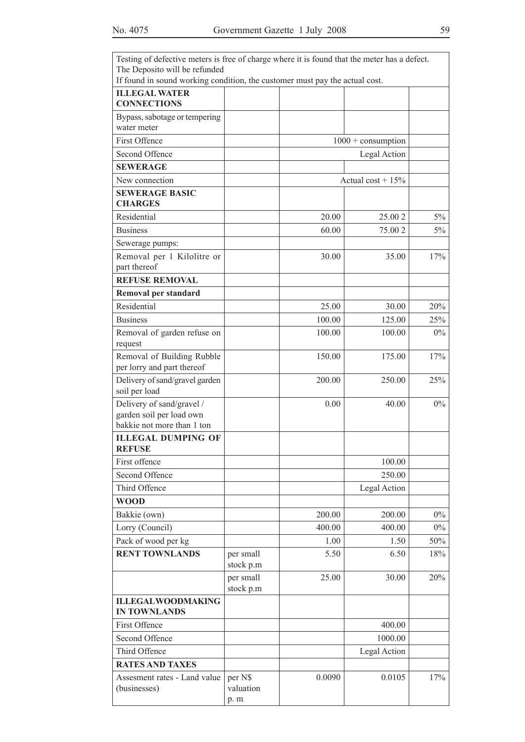| Testing of defective meters is free of charge where it is found that the meter has a defect. |                             |        |                             |       |
|----------------------------------------------------------------------------------------------|-----------------------------|--------|-----------------------------|-------|
| The Deposito will be refunded                                                                |                             |        |                             |       |
| If found in sound working condition, the customer must pay the actual cost.                  |                             |        |                             |       |
| <b>ILLEGAL WATER</b><br><b>CONNECTIONS</b>                                                   |                             |        |                             |       |
| Bypass, sabotage or tempering<br>water meter                                                 |                             |        |                             |       |
| First Offence                                                                                |                             |        | $1000 + \text{consumption}$ |       |
| Second Offence                                                                               |                             |        | Legal Action                |       |
| <b>SEWERAGE</b>                                                                              |                             |        |                             |       |
| New connection                                                                               |                             |        | Actual cost + $15%$         |       |
| <b>SEWERAGE BASIC</b><br><b>CHARGES</b>                                                      |                             |        |                             |       |
| Residential                                                                                  |                             | 20.00  | 25.00 2                     | $5\%$ |
| <b>Business</b>                                                                              |                             | 60.00  | 75.00 2                     | 5%    |
| Sewerage pumps:                                                                              |                             |        |                             |       |
| Removal per 1 Kilolitre or                                                                   |                             | 30.00  | 35.00                       | 17%   |
| part thereof                                                                                 |                             |        |                             |       |
| <b>REFUSE REMOVAL</b>                                                                        |                             |        |                             |       |
| <b>Removal per standard</b>                                                                  |                             |        |                             |       |
| Residential                                                                                  |                             | 25.00  | 30.00                       | 20%   |
| <b>Business</b>                                                                              |                             | 100.00 | 125.00                      | 25%   |
| Removal of garden refuse on<br>request                                                       |                             | 100.00 | 100.00                      | $0\%$ |
| Removal of Building Rubble<br>per lorry and part thereof                                     |                             | 150.00 | 175.00                      | 17%   |
| Delivery of sand/gravel garden<br>soil per load                                              |                             | 200.00 | 250.00                      | 25%   |
| Delivery of sand/gravel /<br>garden soil per load own<br>bakkie not more than 1 ton          |                             | 0.00   | 40.00                       | $0\%$ |
| <b>ILLEGAL DUMPING OF</b><br><b>REFUSE</b>                                                   |                             |        |                             |       |
| First offence                                                                                |                             |        | 100.00                      |       |
| Second Offence                                                                               |                             |        | 250.00                      |       |
| Third Offence                                                                                |                             |        | Legal Action                |       |
| <b>WOOD</b>                                                                                  |                             |        |                             |       |
| Bakkie (own)                                                                                 |                             | 200.00 | 200.00                      | $0\%$ |
| Lorry (Council)                                                                              |                             | 400.00 | 400.00                      | $0\%$ |
| Pack of wood per kg                                                                          |                             | 1.00   | 1.50                        | 50%   |
| <b>RENT TOWNLANDS</b>                                                                        | per small<br>stock p.m      | 5.50   | 6.50                        | 18%   |
|                                                                                              | per small<br>stock p.m      | 25.00  | 30.00                       | 20%   |
| <b>ILLEGALWOODMAKING</b><br><b>IN TOWNLANDS</b>                                              |                             |        |                             |       |
| First Offence                                                                                |                             |        | 400.00                      |       |
| Second Offence                                                                               |                             |        | 1000.00                     |       |
| Third Offence                                                                                |                             |        | Legal Action                |       |
| <b>RATES AND TAXES</b>                                                                       |                             |        |                             |       |
| Assesment rates - Land value<br>(businesses)                                                 | per N\$<br>valuation<br>p.m | 0.0090 | 0.0105                      | 17%   |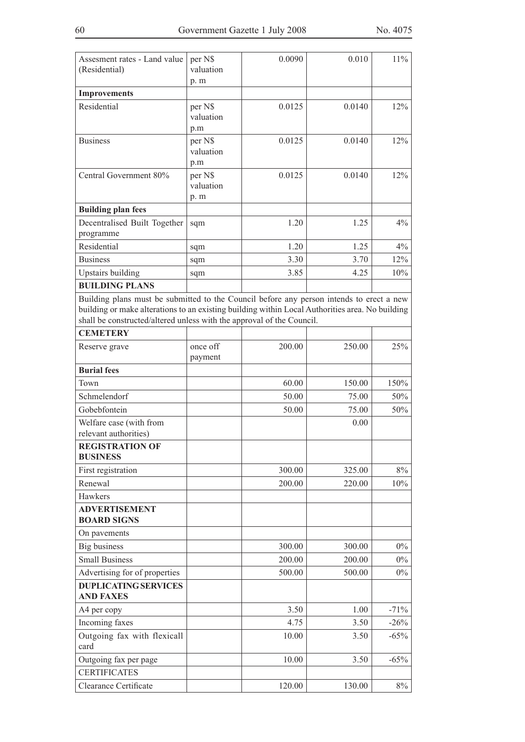| Assesment rates - Land value<br>(Residential)                                                                                                                                                                                                                        | per N\$<br>valuation<br>p.m | 0.0090 | 0.010  | $11\%$ |
|----------------------------------------------------------------------------------------------------------------------------------------------------------------------------------------------------------------------------------------------------------------------|-----------------------------|--------|--------|--------|
| <b>Improvements</b>                                                                                                                                                                                                                                                  |                             |        |        |        |
| Residential                                                                                                                                                                                                                                                          | per N\$<br>valuation<br>p.m | 0.0125 | 0.0140 | 12%    |
| <b>Business</b>                                                                                                                                                                                                                                                      | per N\$<br>valuation<br>p.m | 0.0125 | 0.0140 | 12%    |
| Central Government 80%                                                                                                                                                                                                                                               | per N\$<br>valuation<br>p.m | 0.0125 | 0.0140 | 12%    |
| <b>Building plan fees</b>                                                                                                                                                                                                                                            |                             |        |        |        |
| Decentralised Built Together<br>programme                                                                                                                                                                                                                            | sqm                         | 1.20   | 1.25   | 4%     |
| Residential                                                                                                                                                                                                                                                          | sqm                         | 1.20   | 1.25   | 4%     |
| <b>Business</b>                                                                                                                                                                                                                                                      | sqm                         | 3.30   | 3.70   | 12%    |
| <b>Upstairs building</b>                                                                                                                                                                                                                                             | sqm                         | 3.85   | 4.25   | 10%    |
| <b>BUILDING PLANS</b>                                                                                                                                                                                                                                                |                             |        |        |        |
| Building plans must be submitted to the Council before any person intends to erect a new<br>building or make alterations to an existing building within Local Authorities area. No building<br>shall be constructed/altered unless with the approval of the Council. |                             |        |        |        |
| <b>CEMETERY</b>                                                                                                                                                                                                                                                      |                             |        |        |        |
| Reserve grave                                                                                                                                                                                                                                                        | once off<br>payment         | 200.00 | 250.00 | 25%    |
| <b>Burial fees</b>                                                                                                                                                                                                                                                   |                             |        |        |        |
| Town                                                                                                                                                                                                                                                                 |                             | 60.00  | 150.00 | 150%   |
| Schmelendorf                                                                                                                                                                                                                                                         |                             | 50.00  | 75.00  | 50%    |
| Gobebfontein                                                                                                                                                                                                                                                         |                             | 50.00  | 75.00  | 50%    |
| Welfare case (with from<br>relevant authorities)                                                                                                                                                                                                                     |                             |        | 0.00   |        |
| <b>REGISTRATION OF</b><br><b>BUSINESS</b>                                                                                                                                                                                                                            |                             |        |        |        |
| First registration                                                                                                                                                                                                                                                   |                             | 300.00 | 325.00 | $8\%$  |
| Renewal                                                                                                                                                                                                                                                              |                             | 200.00 | 220.00 | 10%    |
| Hawkers                                                                                                                                                                                                                                                              |                             |        |        |        |
| <b>ADVERTISEMENT</b>                                                                                                                                                                                                                                                 |                             |        |        |        |
| <b>BOARD SIGNS</b>                                                                                                                                                                                                                                                   |                             |        |        |        |
| On pavements                                                                                                                                                                                                                                                         |                             |        |        |        |
| <b>Big business</b>                                                                                                                                                                                                                                                  |                             | 300.00 | 300.00 | $0\%$  |
| <b>Small Business</b>                                                                                                                                                                                                                                                |                             | 200.00 | 200.00 | $0\%$  |
| Advertising for of properties                                                                                                                                                                                                                                        |                             | 500.00 | 500.00 | $0\%$  |
| <b>DUPLICATING SERVICES</b>                                                                                                                                                                                                                                          |                             |        |        |        |
| <b>AND FAXES</b>                                                                                                                                                                                                                                                     |                             |        |        |        |
| A4 per copy                                                                                                                                                                                                                                                          |                             | 3.50   | 1.00   | $-71%$ |
| Incoming faxes                                                                                                                                                                                                                                                       |                             | 4.75   | 3.50   | $-26%$ |
| Outgoing fax with flexicall<br>card                                                                                                                                                                                                                                  |                             | 10.00  | 3.50   | $-65%$ |
| Outgoing fax per page                                                                                                                                                                                                                                                |                             | 10.00  | 3.50   | $-65%$ |
| <b>CERTIFICATES</b>                                                                                                                                                                                                                                                  |                             |        |        |        |
| Clearance Certificate                                                                                                                                                                                                                                                |                             | 120.00 | 130.00 | $8\%$  |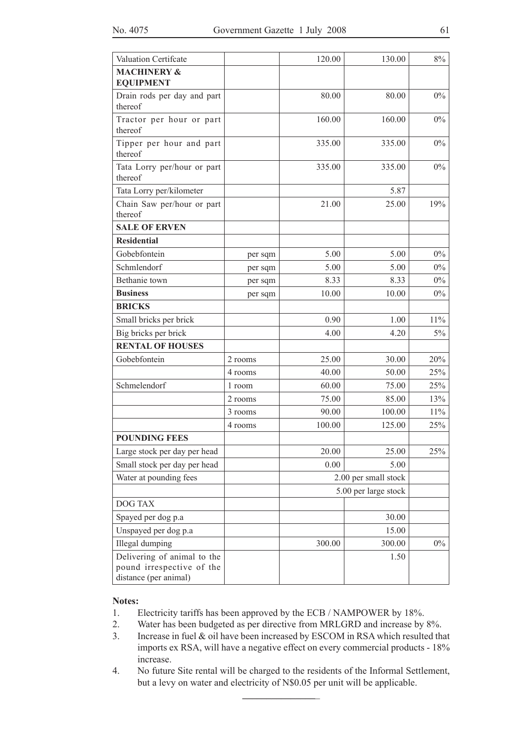| Valuation Certifcate                                                              |         | 120.00 | 130.00               | $8\%$ |
|-----------------------------------------------------------------------------------|---------|--------|----------------------|-------|
| <b>MACHINERY &amp;</b><br><b>EQUIPMENT</b>                                        |         |        |                      |       |
| Drain rods per day and part<br>thereof                                            |         | 80.00  | 80.00                | $0\%$ |
| Tractor per hour or part<br>thereof                                               |         | 160.00 | 160.00               | $0\%$ |
| Tipper per hour and part<br>thereof                                               |         | 335.00 | 335.00               | $0\%$ |
| Tata Lorry per/hour or part<br>thereof                                            |         | 335.00 | 335.00               | $0\%$ |
| Tata Lorry per/kilometer                                                          |         |        | 5.87                 |       |
| Chain Saw per/hour or part<br>thereof                                             |         | 21.00  | 25.00                | 19%   |
| <b>SALE OF ERVEN</b>                                                              |         |        |                      |       |
| <b>Residential</b>                                                                |         |        |                      |       |
| Gobebfontein                                                                      | per sqm | 5.00   | 5.00                 | $0\%$ |
| Schmlendorf                                                                       | per sqm | 5.00   | 5.00                 | $0\%$ |
| Bethanie town                                                                     | per sqm | 8.33   | 8.33                 | $0\%$ |
| <b>Business</b>                                                                   | per sqm | 10.00  | 10.00                | $0\%$ |
| <b>BRICKS</b>                                                                     |         |        |                      |       |
| Small bricks per brick                                                            |         | 0.90   | 1.00                 | 11%   |
| Big bricks per brick                                                              |         | 4.00   | 4.20                 | 5%    |
| <b>RENTAL OF HOUSES</b>                                                           |         |        |                      |       |
| Gobebfontein                                                                      | 2 rooms | 25.00  | 30.00                | 20%   |
|                                                                                   | 4 rooms | 40.00  | 50.00                | 25%   |
| Schmelendorf                                                                      | 1 room  | 60.00  | 75.00                | 25%   |
|                                                                                   | 2 rooms | 75.00  | 85.00                | 13%   |
|                                                                                   | 3 rooms | 90.00  | 100.00               | 11%   |
|                                                                                   | 4 rooms | 100.00 | 125.00               | 25%   |
| <b>POUNDING FEES</b>                                                              |         |        |                      |       |
| Large stock per day per head                                                      |         | 20.00  | 25.00                | 25%   |
| Small stock per day per head                                                      |         | 0.00   | 5.00                 |       |
| Water at pounding fees                                                            |         |        | 2.00 per small stock |       |
|                                                                                   |         |        | 5.00 per large stock |       |
| <b>DOG TAX</b>                                                                    |         |        |                      |       |
| Spayed per dog p.a                                                                |         |        | 30.00                |       |
| Unspayed per dog p.a                                                              |         |        | 15.00                |       |
| Illegal dumping                                                                   |         | 300.00 | 300.00               | $0\%$ |
| Delivering of animal to the<br>pound irrespective of the<br>distance (per animal) |         |        | 1.50                 |       |

### **Notes:**

- 1. Electricity tariffs has been approved by the ECB / NAMPOWER by 18%.
- 2. Water has been budgeted as per directive from MRLGRD and increase by 8%.
- 3. Increase in fuel & oil have been increased by ESCOM in RSA which resulted that imports ex RSA, will have a negative effect on every commercial products - 18% increase.
- 4. No future Site rental will be charged to the residents of the Informal Settlement, but a levy on water and electricity of N\$0.05 per unit will be applicable. **\_\_\_\_\_\_\_\_\_\_\_\_\_\_\_**\_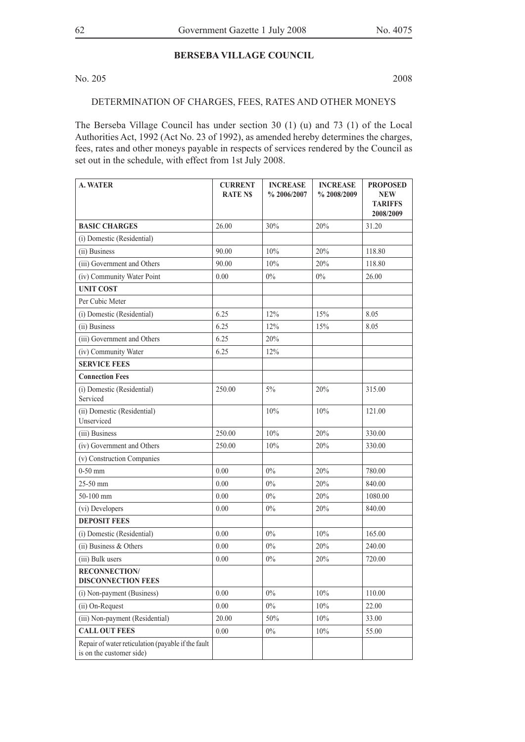### **BERSEBA VILLAGE COUNCIL**

No. 205 2008

### DETERMINATION OF CHARGES, FEES, RATES AND OTHER MONEYS

The Berseba Village Council has under section 30 (1) (u) and 73 (1) of the Local Authorities Act, 1992 (Act No. 23 of 1992), as amended hereby determines the charges, fees, rates and other moneys payable in respects of services rendered by the Council as set out in the schedule, with effect from 1st July 2008.

| <b>A. WATER</b>                                                                | <b>CURRENT</b><br><b>RATE NS</b> | <b>INCREASE</b><br>%2006/2007 | <b>INCREASE</b><br>%2008/2009 | <b>PROPOSED</b><br><b>NEW</b><br><b>TARIFFS</b><br>2008/2009 |
|--------------------------------------------------------------------------------|----------------------------------|-------------------------------|-------------------------------|--------------------------------------------------------------|
| <b>BASIC CHARGES</b>                                                           | 26.00                            | 30%                           | 20%                           | 31.20                                                        |
| (i) Domestic (Residential)                                                     |                                  |                               |                               |                                                              |
| (ii) Business                                                                  | 90.00                            | 10%                           | 20%                           | 118.80                                                       |
| (iii) Government and Others                                                    | 90.00                            | 10%                           | 20%                           | 118.80                                                       |
| (iv) Community Water Point                                                     | 0.00                             | $0\%$                         | $0\%$                         | 26.00                                                        |
| <b>UNIT COST</b>                                                               |                                  |                               |                               |                                                              |
| Per Cubic Meter                                                                |                                  |                               |                               |                                                              |
| (i) Domestic (Residential)                                                     | 6.25                             | 12%                           | 15%                           | 8.05                                                         |
| (ii) Business                                                                  | 6.25                             | 12%                           | 15%                           | 8.05                                                         |
| (iii) Government and Others                                                    | 6.25                             | 20%                           |                               |                                                              |
| (iv) Community Water                                                           | 6.25                             | 12%                           |                               |                                                              |
| <b>SERVICE FEES</b>                                                            |                                  |                               |                               |                                                              |
| <b>Connection Fees</b>                                                         |                                  |                               |                               |                                                              |
| (i) Domestic (Residential)<br>Serviced                                         | 250.00                           | $5\%$                         | 20%                           | 315.00                                                       |
| (ii) Domestic (Residential)<br>Unserviced                                      |                                  | 10%                           | 10%                           | 121.00                                                       |
| (iii) Business                                                                 | 250.00                           | 10%                           | 20%                           | 330.00                                                       |
| (iv) Government and Others                                                     | 250.00                           | 10%                           | 20%                           | 330.00                                                       |
| (v) Construction Companies                                                     |                                  |                               |                               |                                                              |
| $0-50$ mm                                                                      | 0.00                             | $0\%$                         | 20%                           | 780.00                                                       |
| 25-50 mm                                                                       | 0.00                             | $0\%$                         | 20%                           | 840.00                                                       |
| 50-100 mm                                                                      | 0.00                             | $0\%$                         | 20%                           | 1080.00                                                      |
| (vi) Developers                                                                | 0.00                             | $0\%$                         | 20%                           | 840.00                                                       |
| <b>DEPOSIT FEES</b>                                                            |                                  |                               |                               |                                                              |
| (i) Domestic (Residential)                                                     | 0.00                             | $0\%$                         | 10%                           | 165.00                                                       |
| (ii) Business & Others                                                         | 0.00                             | $0\%$                         | 20%                           | 240.00                                                       |
| (iii) Bulk users                                                               | 0.00                             | 0%                            | 20%                           | 720.00                                                       |
| <b>RECONNECTION/</b><br><b>DISCONNECTION FEES</b>                              |                                  |                               |                               |                                                              |
| (i) Non-payment (Business)                                                     | 0.00                             | $0\%$                         | 10%                           | 110.00                                                       |
| (ii) On-Request                                                                | 0.00                             | $0\%$                         | $10\%$                        | 22.00                                                        |
| (iii) Non-payment (Residential)                                                | 20.00                            | 50%                           | 10%                           | 33.00                                                        |
| <b>CALL OUT FEES</b>                                                           | 0.00                             | $0\%$                         | $10\%$                        | 55.00                                                        |
| Repair of water reticulation (payable if the fault<br>is on the customer side) |                                  |                               |                               |                                                              |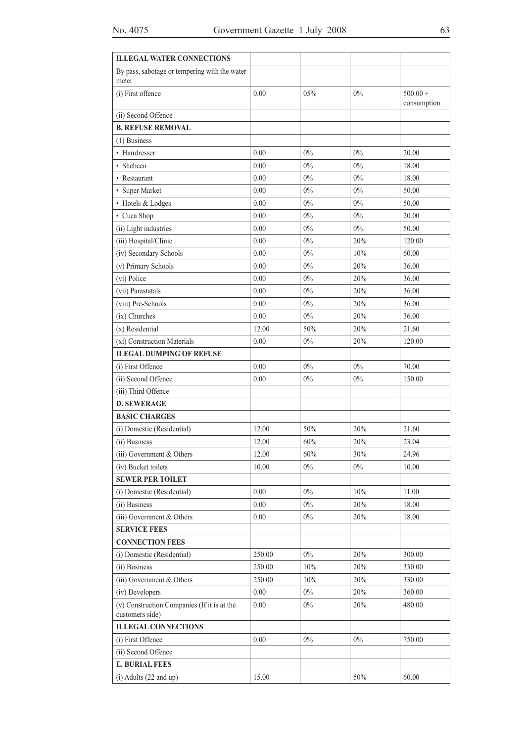| <b>ILLEGAL WATER CONNECTIONS</b>                               |        |       |       |                           |
|----------------------------------------------------------------|--------|-------|-------|---------------------------|
| By pass, sabotage or tempering with the water<br>meter         |        |       |       |                           |
| (i) First offence                                              | 0.00   | 05%   | 0%    | $500.00 +$<br>consumption |
| (ii) Second Offence                                            |        |       |       |                           |
| <b>B. REFUSE REMOVAL</b>                                       |        |       |       |                           |
| $(1)$ Business                                                 |        |       |       |                           |
| • Hairdresser                                                  | 0.00   | $0\%$ | 0%    | 20.00                     |
| • Shebeen                                                      | 0.00   | $0\%$ | 0%    | 18.00                     |
| • Restaurant                                                   | 0.00   | $0\%$ | $0\%$ | 18.00                     |
| • Super Market                                                 | 0.00   | $0\%$ | 0%    | 50.00                     |
| • Hotels & Lodges                                              | 0.00   | 0%    | $0\%$ | 50.00                     |
| • Cuca Shop                                                    | 0.00   | $0\%$ | 0%    | 20.00                     |
| (ii) Light industries                                          | 0.00   | $0\%$ | 0%    | 50.00                     |
| (iii) Hospital/Clinic                                          | 0.00   | $0\%$ | 20%   | 120.00                    |
| (iv) Secondary Schools                                         | 0.00   | $0\%$ | 10%   | 60.00                     |
| (v) Primary Schools                                            | 0.00   | $0\%$ | 20%   | 36.00                     |
| (vi) Police                                                    | 0.00   | $0\%$ | 20%   | 36.00                     |
| (vii) Parastatals                                              | 0.00   | $0\%$ | 20%   | 36.00                     |
| (viii) Pre-Schools                                             | 0.00   | $0\%$ | 20%   | 36.00                     |
| (ix) Churches                                                  | 0.00   | $0\%$ | 20%   | 36.00                     |
| (x) Residential                                                | 12.00  | 50%   | 20%   | 21.60                     |
| (xi) Construction Materials                                    | 0.00   | 0%    | 20%   | 120.00                    |
| <b>ILEGAL DUMPING OF REFUSE</b>                                |        |       |       |                           |
| (i) First Offence                                              | 0.00   | $0\%$ | 0%    | 70.00                     |
| (ii) Second Offence                                            | 0.00   | $0\%$ | $0\%$ | 150.00                    |
| (iii) Third Offence                                            |        |       |       |                           |
| <b>D. SEWERAGE</b>                                             |        |       |       |                           |
| <b>BASIC CHARGES</b>                                           |        |       |       |                           |
| (i) Domestic (Residential)                                     | 12.00  | 50%   | 20%   | 21.60                     |
| (ii) Business                                                  | 12.00  | 60%   | 20%   | 23.04                     |
| (iii) Government & Others                                      | 12.00  | 60%   | 30%   | 24.96                     |
| (iv) Bucket toilets                                            | 10.00  | $0\%$ | $0\%$ | 10.00                     |
| <b>SEWER PER TOILET</b>                                        |        |       |       |                           |
| (i) Domestic (Residential)                                     | 0.00   | $0\%$ | 10%   | 11.00                     |
| (ii) Business                                                  | 0.00   | $0\%$ | 20%   | 18.00                     |
| $(iii)$ Government & Others                                    | 0.00   | $0\%$ | 20%   | 18.00                     |
| <b>SERVICE FEES</b>                                            |        |       |       |                           |
| <b>CONNECTION FEES</b>                                         |        |       |       |                           |
| (i) Domestic (Residential)                                     | 250.00 | $0\%$ | 20%   | 300.00                    |
| (ii) Business                                                  | 250.00 | 10%   | 20%   | 330.00                    |
| (iii) Government $&$ Others                                    | 250.00 | 10%   | 20%   | 330.00                    |
| (iv) Developers                                                | 0.00   | $0\%$ | 20%   | 360.00                    |
| (v) Construction Companies (If it is at the<br>customers side) | 0.00   | $0\%$ | 20%   | 480.00                    |
| <b>ILLEGAL CONNECTIONS</b>                                     |        |       |       |                           |
| (i) First Offence                                              | 0.00   | $0\%$ | $0\%$ | 750.00                    |
| (ii) Second Offence                                            |        |       |       |                           |
| <b>E. BURIAL FEES</b>                                          |        |       |       |                           |
| $(i)$ Adults $(22$ and up)                                     | 15.00  |       | 50%   | 60.00                     |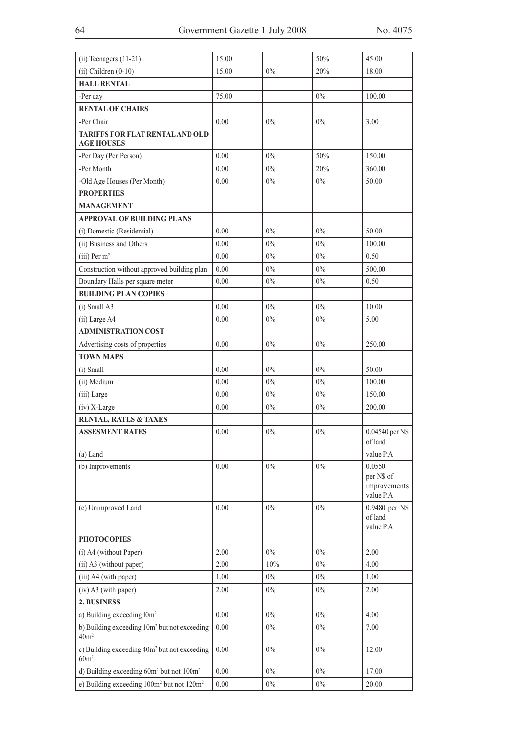| $(ii)$ Teenagers $(11-21)$                                                   | 15.00    |       | 50%   | 45.00                                             |
|------------------------------------------------------------------------------|----------|-------|-------|---------------------------------------------------|
| $(ii)$ Children $(0-10)$                                                     | 15.00    | 0%    | 20%   | 18.00                                             |
| <b>HALL RENTAL</b>                                                           |          |       |       |                                                   |
| -Per day                                                                     | 75.00    |       | $0\%$ | 100.00                                            |
| <b>RENTAL OF CHAIRS</b>                                                      |          |       |       |                                                   |
| -Per Chair                                                                   | 0.00     | $0\%$ | $0\%$ | 3.00                                              |
| TARIFFS FOR FLAT RENTAL AND OLD<br><b>AGE HOUSES</b>                         |          |       |       |                                                   |
| -Per Day (Per Person)                                                        | 0.00     | $0\%$ | 50%   | 150.00                                            |
| -Per Month                                                                   | 0.00     | $0\%$ | 20%   | 360.00                                            |
| -Old Age Houses (Per Month)                                                  | 0.00     | $0\%$ | $0\%$ | 50.00                                             |
| <b>PROPERTIES</b>                                                            |          |       |       |                                                   |
| <b>MANAGEMENT</b>                                                            |          |       |       |                                                   |
| <b>APPROVAL OF BUILDING PLANS</b>                                            |          |       |       |                                                   |
| (i) Domestic (Residential)                                                   | 0.00     | $0\%$ | $0\%$ | 50.00                                             |
| (ii) Business and Others                                                     | 0.00     | $0\%$ | $0\%$ | 100.00                                            |
| $(iii)$ Per m <sup>2</sup>                                                   | 0.00     | $0\%$ | 0%    | 0.50                                              |
| Construction without approved building plan                                  | 0.00     | $0\%$ | $0\%$ | 500.00                                            |
| Boundary Halls per square meter                                              | 0.00     | $0\%$ | $0\%$ | 0.50                                              |
| <b>BUILDING PLAN COPIES</b>                                                  |          |       |       |                                                   |
| (i) Small A3                                                                 | 0.00     | $0\%$ | $0\%$ | 10.00                                             |
| (ii) Large A4                                                                | 0.00     | $0\%$ | $0\%$ | 5.00                                              |
| <b>ADMINISTRATION COST</b>                                                   |          |       |       |                                                   |
| Advertising costs of properties                                              | 0.00     | $0\%$ | $0\%$ | 250.00                                            |
| <b>TOWN MAPS</b>                                                             |          |       |       |                                                   |
| (i) Small                                                                    | 0.00     | $0\%$ | $0\%$ | 50.00                                             |
| (ii) Medium                                                                  | 0.00     | $0\%$ | $0\%$ | 100.00                                            |
| (iii) Large                                                                  | 0.00     | $0\%$ | $0\%$ | 150.00                                            |
| (iv) X-Large                                                                 | 0.00     | $0\%$ | $0\%$ | 200.00                                            |
| RENTAL, RATES & TAXES                                                        |          |       |       |                                                   |
| <b>ASSESMENT RATES</b>                                                       | 0.00     | $0\%$ | $0\%$ | 0.04540 per N\$<br>of land                        |
| $(a)$ Land                                                                   |          |       |       | value P.A                                         |
| (b) Improvements                                                             | 0.00     | $0\%$ | $0\%$ | 0.0550<br>per N\$ of<br>improvements<br>value P.A |
| (c) Unimproved Land                                                          | $0.00\,$ | $0\%$ | $0\%$ | 0.9480 per N\$<br>of land<br>value P.A            |
| <b>PHOTOCOPIES</b>                                                           |          |       |       |                                                   |
| (i) A4 (without Paper)                                                       | 2.00     | $0\%$ | $0\%$ | 2.00                                              |
| (ii) A3 (without paper)                                                      | 2.00     | 10%   | $0\%$ | 4.00                                              |
| (iii) A4 (with paper)                                                        | 1.00     | $0\%$ | $0\%$ | 1.00                                              |
| (iv) A3 (with paper)                                                         | 2.00     | $0\%$ | $0\%$ | 2.00                                              |
| 2. BUSINESS                                                                  |          |       |       |                                                   |
| a) Building exceeding l0m <sup>2</sup>                                       | $0.00\,$ | $0\%$ | $0\%$ | 4.00                                              |
| b) Building exceeding 10m <sup>2</sup> but not exceeding<br>40m <sup>2</sup> | 0.00     | $0\%$ | $0\%$ | 7.00                                              |
| c) Building exceeding 40m <sup>2</sup> but not exceeding<br>60m <sup>2</sup> | 0.00     | $0\%$ | $0\%$ | 12.00                                             |
| d) Building exceeding 60m <sup>2</sup> but not 100m <sup>2</sup>             | 0.00     | $0\%$ | $0\%$ | 17.00                                             |
| e) Building exceeding 100m <sup>2</sup> but not 120m <sup>2</sup>            | $0.00\,$ | $0\%$ | $0\%$ | 20.00                                             |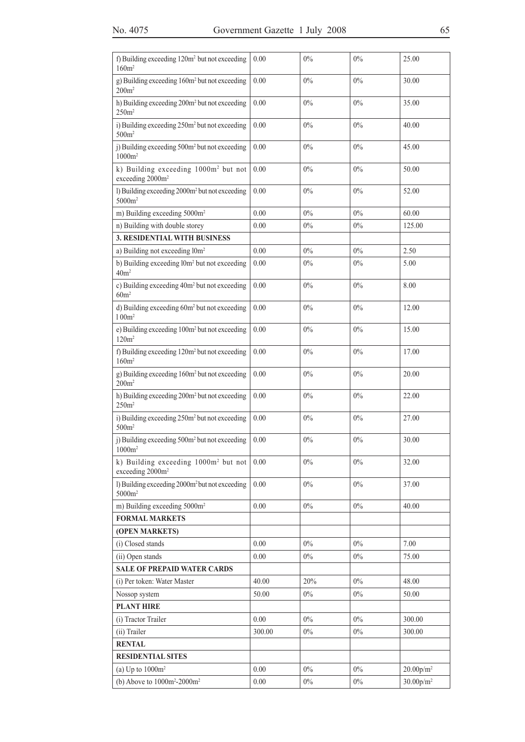| f) Building exceeding 120m <sup>2</sup> but not exceeding<br>$160m^2$            | 0.00     | 0%    | 0%    | 25.00                 |
|----------------------------------------------------------------------------------|----------|-------|-------|-----------------------|
| g) Building exceeding 160m <sup>2</sup> but not exceeding<br>$200m^2$            | 0.00     | $0\%$ | 0%    | 30.00                 |
| h) Building exceeding 200m <sup>2</sup> but not exceeding<br>250m <sup>2</sup>   | 0.00     | $0\%$ | 0%    | 35.00                 |
| i) Building exceeding 250m <sup>2</sup> but not exceeding<br>500m <sup>2</sup>   | 0.00     | $0\%$ | 0%    | 40.00                 |
| j) Building exceeding 500m <sup>2</sup> but not exceeding<br>$1000m^2$           | 0.00     | $0\%$ | $0\%$ | 45.00                 |
| k) Building exceeding 1000m <sup>2</sup> but not<br>exceeding 2000m <sup>2</sup> | 0.00     | $0\%$ | $0\%$ | 50.00                 |
| 1) Building exceeding 2000m <sup>2</sup> but not exceeding<br>5000m <sup>2</sup> | 0.00     | $0\%$ | 0%    | 52.00                 |
| m) Building exceeding 5000m <sup>2</sup>                                         | 0.00     | $0\%$ | 0%    | 60.00                 |
| n) Building with double storey                                                   | 0.00     | $0\%$ | $0\%$ | 125.00                |
| 3. RESIDENTIAL WITH BUSINESS                                                     |          |       |       |                       |
| a) Building not exceeding l0m <sup>2</sup>                                       | 0.00     | 0%    | $0\%$ | 2.50                  |
| b) Building exceeding l0m <sup>2</sup> but not exceeding<br>40m <sup>2</sup>     | 0.00     | $0\%$ | $0\%$ | 5.00                  |
| c) Building exceeding 40m <sup>2</sup> but not exceeding<br>60m <sup>2</sup>     | 0.00     | 0%    | 0%    | 8.00                  |
| d) Building exceeding 60m <sup>2</sup> but not exceeding<br>100m <sup>2</sup>    | 0.00     | $0\%$ | $0\%$ | 12.00                 |
| e) Building exceeding 100m <sup>2</sup> but not exceeding<br>120m <sup>2</sup>   | 0.00     | $0\%$ | 0%    | 15.00                 |
| f) Building exceeding 120m <sup>2</sup> but not exceeding<br>160m <sup>2</sup>   | 0.00     | $0\%$ | 0%    | 17.00                 |
| g) Building exceeding 160m <sup>2</sup> but not exceeding<br>200m <sup>2</sup>   | 0.00     | $0\%$ | 0%    | 20.00                 |
| h) Building exceeding 200m <sup>2</sup> but not exceeding<br>250m <sup>2</sup>   | 0.00     | $0\%$ | 0%    | 22.00                 |
| i) Building exceeding 250m <sup>2</sup> but not exceeding<br>500m <sup>2</sup>   | 0.00     | $0\%$ | 0%    | 27.00                 |
| i) Building exceeding 500m <sup>2</sup> but not exceeding<br>$1000m^2$           | 0.00     | $0\%$ | $0\%$ | 30.00                 |
| k) Building exceeding 1000m <sup>2</sup> but not<br>exceeding 2000m <sup>2</sup> | 0.00     | $0\%$ | 0%    | 32.00                 |
| 1) Building exceeding 2000m <sup>2</sup> but not exceeding<br>5000m <sup>2</sup> | 0.00     | $0\%$ | 0%    | 37.00                 |
| m) Building exceeding 5000m <sup>2</sup>                                         | 0.00     | $0\%$ | $0\%$ | 40.00                 |
| <b>FORMAL MARKETS</b>                                                            |          |       |       |                       |
| (OPEN MARKETS)                                                                   |          |       |       |                       |
| (i) Closed stands                                                                | 0.00     | $0\%$ | $0\%$ | 7.00                  |
| (ii) Open stands                                                                 | 0.00     | $0\%$ | $0\%$ | 75.00                 |
| <b>SALE OF PREPAID WATER CARDS</b>                                               |          |       |       |                       |
| (i) Per token: Water Master                                                      | 40.00    | 20%   | $0\%$ | 48.00                 |
| Nossop system                                                                    | 50.00    | $0\%$ | $0\%$ | 50.00                 |
| <b>PLANT HIRE</b>                                                                |          |       |       |                       |
| (i) Tractor Trailer                                                              | 0.00     | $0\%$ | $0\%$ | 300.00                |
| (ii) Trailer                                                                     | 300.00   | $0\%$ | $0\%$ | 300.00                |
| <b>RENTAL</b>                                                                    |          |       |       |                       |
| <b>RESIDENTIAL SITES</b>                                                         |          |       |       |                       |
| (a) Up to $1000m^2$                                                              | 0.00     | $0\%$ | $0\%$ | $20.00\mathrm{p/m^2}$ |
| (b) Above to $1000m^2 - 2000m^2$                                                 | $0.00\,$ | $0\%$ | $0\%$ | $30.00 p/m^2$         |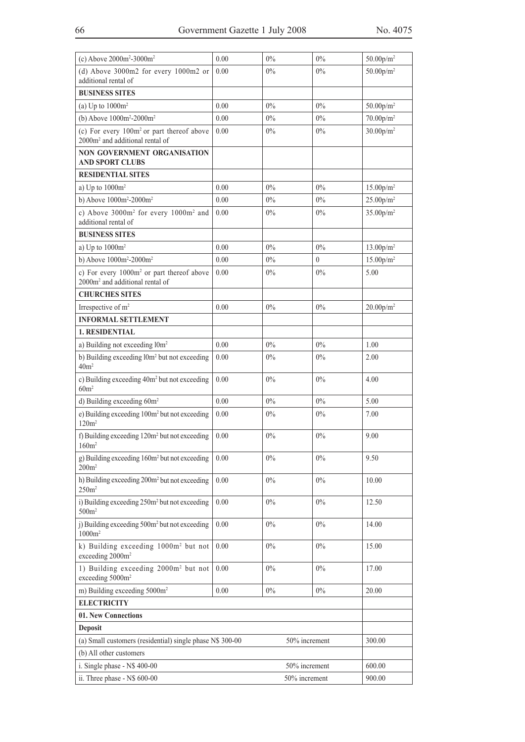| (c) Above $2000m^2 - 3000m^2$                                                                        | 0.00     | 0%            | 0%       | $50.00$ p/m <sup>2</sup>           |
|------------------------------------------------------------------------------------------------------|----------|---------------|----------|------------------------------------|
| (d) Above $3000m2$ for every $1000m2$ or                                                             | 0.00     | 0%            | 0%       | $50.00$ p/m <sup>2</sup>           |
| additional rental of                                                                                 |          |               |          |                                    |
| <b>BUSINESS SITES</b>                                                                                |          |               |          |                                    |
| (a) Up to $1000m^2$                                                                                  | 0.00     | 0%            | 0%       | $50.00$ p/m <sup>2</sup>           |
| (b) Above $1000m^2 - 2000m^2$                                                                        | 0.00     | $0\%$         | $0\%$    | $70.00$ p/m <sup>2</sup>           |
| (c) For every $100m^2$ or part thereof above<br>2000m <sup>2</sup> and additional rental of          | 0.00     | 0%            | 0%       | 30.00 p/m <sup>2</sup>             |
| <b>NON GOVERNMENT ORGANISATION</b><br><b>AND SPORT CLUBS</b>                                         |          |               |          |                                    |
| <b>RESIDENTIAL SITES</b>                                                                             |          |               |          |                                    |
| a) Up to $1000m^2$                                                                                   | 0.00     | 0%            | $0\%$    | 15.00 <sub>p</sub> /m <sup>2</sup> |
| b) Above 1000m <sup>2</sup> -2000m <sup>2</sup>                                                      | 0.00     | $0\%$         | 0%       | $25.00$ p/m <sup>2</sup>           |
| c) Above 3000m <sup>2</sup> for every 1000m <sup>2</sup> and<br>additional rental of                 | 0.00     | 0%            | $0\%$    | 35.00 <sub>p</sub> /m <sup>2</sup> |
| <b>BUSINESS SITES</b>                                                                                |          |               |          |                                    |
| a) Up to $1000m^2$                                                                                   | 0.00     | 0%            | 0%       | 13.00 p/m <sup>2</sup>             |
| b) Above $1000m^2 - 2000m^2$                                                                         | 0.00     | $0\%$         | $\bf{0}$ | 15.00 <sub>p</sub> /m <sup>2</sup> |
| c) For every 1000m <sup>2</sup> or part thereof above<br>2000m <sup>2</sup> and additional rental of | 0.00     | 0%            | 0%       | 5.00                               |
| <b>CHURCHES SITES</b>                                                                                |          |               |          |                                    |
| Irrespective of m <sup>2</sup>                                                                       | 0.00     | 0%            | 0%       | $20.00$ p/m <sup>2</sup>           |
| <b>INFORMAL SETTLEMENT</b>                                                                           |          |               |          |                                    |
| <b>1. RESIDENTIAL</b>                                                                                |          |               |          |                                    |
| a) Building not exceeding l0m <sup>2</sup>                                                           | 0.00     | 0%            | 0%       | 1.00                               |
| b) Building exceeding l0m <sup>2</sup> but not exceeding<br>40m <sup>2</sup>                         | 0.00     | $0\%$         | 0%       | 2.00                               |
| c) Building exceeding 40m <sup>2</sup> but not exceeding<br>60m <sup>2</sup>                         | 0.00     | 0%            | $0\%$    | 4.00                               |
| d) Building exceeding 60m <sup>2</sup>                                                               | 0.00     | 0%            | $0\%$    | 5.00                               |
| e) Building exceeding 100m <sup>2</sup> but not exceeding<br>120m <sup>2</sup>                       | 0.00     | $0\%$         | $0\%$    | 7.00                               |
| f) Building exceeding 120m <sup>2</sup> but not exceeding<br>160m <sup>2</sup>                       | 0.00     | $0\%$         | $0\%$    | 9.00                               |
| g) Building exceeding 160m <sup>2</sup> but not exceeding<br>$200m^2$                                | 0.00     | 0%            | $0\%$    | 9.50                               |
| h) Building exceeding 200m <sup>2</sup> but not exceeding<br>250m <sup>2</sup>                       | 0.00     | $0\%$         | $0\%$    | 10.00                              |
| i) Building exceeding 250m <sup>2</sup> but not exceeding<br>500m <sup>2</sup>                       | 0.00     | 0%            | $0\%$    | 12.50                              |
| j) Building exceeding 500m <sup>2</sup> but not exceeding<br>$1000m^2$                               | 0.00     | $0\%$         | $0\%$    | 14.00                              |
| k) Building exceeding 1000m <sup>2</sup> but not<br>exceeding 2000m <sup>2</sup>                     | 0.00     | 0%            | 0%       | 15.00                              |
| 1) Building exceeding 2000m <sup>2</sup> but not<br>exceeding 5000m <sup>2</sup>                     | 0.00     | 0%            | $0\%$    | 17.00                              |
| m) Building exceeding 5000m <sup>2</sup>                                                             | $0.00\,$ | $0\%$         | $0\%$    | 20.00                              |
| <b>ELECTRICITY</b>                                                                                   |          |               |          |                                    |
| 01. New Connections                                                                                  |          |               |          |                                    |
| <b>Deposit</b>                                                                                       |          |               |          |                                    |
| 50% increment<br>(a) Small customers (residential) single phase N\$ 300-00                           |          |               | 300.00   |                                    |
| (b) All other customers                                                                              |          |               |          |                                    |
| i. Single phase - N\$ 400-00                                                                         |          | 50% increment |          | 600.00                             |
| ii. Three phase - N\$ 600-00                                                                         |          | 50% increment |          | 900.00                             |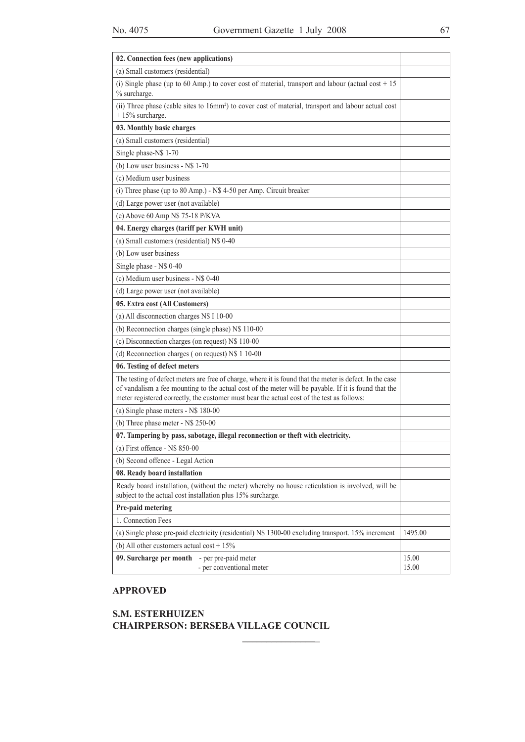| 02. Connection fees (new applications)                                                                                                                                                                                                                                                                         |                |
|----------------------------------------------------------------------------------------------------------------------------------------------------------------------------------------------------------------------------------------------------------------------------------------------------------------|----------------|
| (a) Small customers (residential)                                                                                                                                                                                                                                                                              |                |
| (i) Single phase (up to 60 Amp.) to cover cost of material, transport and labour (actual cost $+15$<br>% surcharge.                                                                                                                                                                                            |                |
| (ii) Three phase (cable sites to 16mm <sup>2</sup> ) to cover cost of material, transport and labour actual cost<br>$+15%$ surcharge.                                                                                                                                                                          |                |
| 03. Monthly basic charges                                                                                                                                                                                                                                                                                      |                |
| (a) Small customers (residential)                                                                                                                                                                                                                                                                              |                |
| Single phase-N\$ 1-70                                                                                                                                                                                                                                                                                          |                |
| (b) Low user business - N\$ 1-70                                                                                                                                                                                                                                                                               |                |
| (c) Medium user business                                                                                                                                                                                                                                                                                       |                |
| (i) Three phase (up to 80 Amp.) - N\$ 4-50 per Amp. Circuit breaker                                                                                                                                                                                                                                            |                |
| (d) Large power user (not available)                                                                                                                                                                                                                                                                           |                |
| (e) Above 60 Amp N\$ 75-18 P/KVA                                                                                                                                                                                                                                                                               |                |
| 04. Energy charges (tariff per KWH unit)                                                                                                                                                                                                                                                                       |                |
| (a) Small customers (residential) N\$ 0-40                                                                                                                                                                                                                                                                     |                |
| (b) Low user business                                                                                                                                                                                                                                                                                          |                |
| Single phase - N\$ 0-40                                                                                                                                                                                                                                                                                        |                |
| (c) Medium user business - N\$ 0-40                                                                                                                                                                                                                                                                            |                |
| (d) Large power user (not available)                                                                                                                                                                                                                                                                           |                |
| 05. Extra cost (All Customers)                                                                                                                                                                                                                                                                                 |                |
| (a) All disconnection charges N\$ I 10-00                                                                                                                                                                                                                                                                      |                |
| (b) Reconnection charges (single phase) N\$ 110-00                                                                                                                                                                                                                                                             |                |
| (c) Disconnection charges (on request) N\$ 110-00                                                                                                                                                                                                                                                              |                |
| (d) Reconnection charges (on request) N\$ 1 10-00                                                                                                                                                                                                                                                              |                |
| 06. Testing of defect meters                                                                                                                                                                                                                                                                                   |                |
| The testing of defect meters are free of charge, where it is found that the meter is defect. In the case<br>of vandalism a fee mounting to the actual cost of the meter will be payable. If it is found that the<br>meter registered correctly, the customer must bear the actual cost of the test as follows: |                |
| (a) Single phase meters - N\$ 180-00                                                                                                                                                                                                                                                                           |                |
| (b) Three phase meter - N\$ 250-00                                                                                                                                                                                                                                                                             |                |
| 07. Tampering by pass, sabotage, illegal reconnection or theft with electricity.                                                                                                                                                                                                                               |                |
| (a) First offence - $N$850-00$                                                                                                                                                                                                                                                                                 |                |
| (b) Second offence - Legal Action                                                                                                                                                                                                                                                                              |                |
| 08. Ready board installation                                                                                                                                                                                                                                                                                   |                |
| Ready board installation, (without the meter) whereby no house reticulation is involved, will be<br>subject to the actual cost installation plus 15% surcharge.                                                                                                                                                |                |
| Pre-paid metering                                                                                                                                                                                                                                                                                              |                |
| 1. Connection Fees                                                                                                                                                                                                                                                                                             |                |
| (a) Single phase pre-paid electricity (residential) N\$ 1300-00 excluding transport. 15% increment                                                                                                                                                                                                             | 1495.00        |
| (b) All other customers actual cost $+15\%$                                                                                                                                                                                                                                                                    |                |
| 09. Surcharge per month<br>- per pre-paid meter<br>- per conventional meter                                                                                                                                                                                                                                    | 15.00<br>15.00 |

# **Approved**

## **S.M. Esterhuizen Chairperson: Berseba Village Council**

**\_\_\_\_\_\_\_\_\_\_\_\_\_\_\_**\_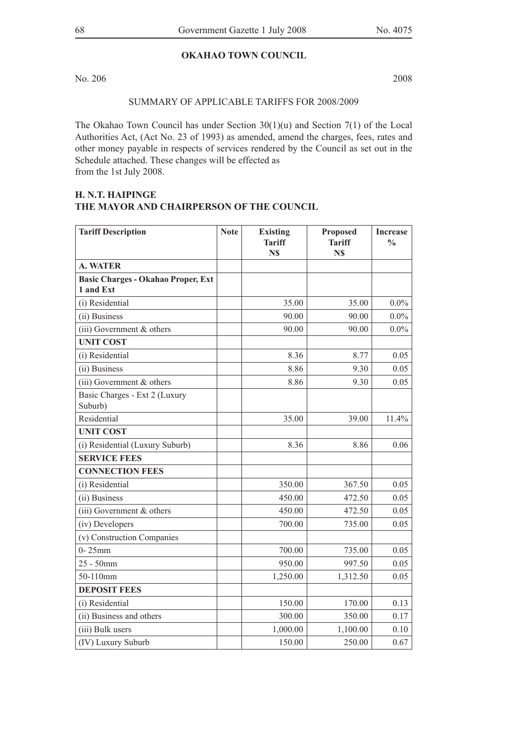## **OKAHAO TOWN COUNCIL**

No. 206 2008

SUMMARY OF APPLICABLE TARIFFS FOR 2008/2009

The Okahao Town Council has under Section 30(1)(u) and Section 7(1) of the Local Authorities Act, (Act No. 23 of 1993) as amended, amend the charges, fees, rates and other money payable in respects of services rendered by the Council as set out in the Schedule attached. These changes will be effected as from the 1st July 2008.

## **H. N.T. Haipinge The Mayor and Chairperson of the Council**

| <b>Tariff Description</b>                              | <b>Note</b> | <b>Existing</b><br><b>Tariff</b><br>N\$ | <b>Proposed</b><br><b>Tariff</b><br>N\$ | <b>Increase</b><br>$\frac{0}{0}$ |
|--------------------------------------------------------|-------------|-----------------------------------------|-----------------------------------------|----------------------------------|
| <b>A. WATER</b>                                        |             |                                         |                                         |                                  |
| <b>Basic Charges - Okahao Proper, Ext</b><br>1 and Ext |             |                                         |                                         |                                  |
| (i) Residential                                        |             | 35.00                                   | 35.00                                   | $0.0\%$                          |
| (ii) Business                                          |             | 90.00                                   | 90.00                                   | $0.0\%$                          |
| $(iii)$ Government $&$ others                          |             | 90.00                                   | 90.00                                   | $0.0\%$                          |
| <b>UNIT COST</b>                                       |             |                                         |                                         |                                  |
| (i) Residential                                        |             | 8.36                                    | 8.77                                    | 0.05                             |
| (ii) Business                                          |             | 8.86                                    | 9.30                                    | 0.05                             |
| $(iii)$ Government $&$ others                          |             | 8.86                                    | 9.30                                    | 0.05                             |
| Basic Charges - Ext 2 (Luxury<br>Suburb)               |             |                                         |                                         |                                  |
| Residential                                            |             | 35.00                                   | 39.00                                   | 11.4%                            |
| <b>UNIT COST</b>                                       |             |                                         |                                         |                                  |
| (i) Residential (Luxury Suburb)                        |             | 8.36                                    | 8.86                                    | 0.06                             |
| <b>SERVICE FEES</b>                                    |             |                                         |                                         |                                  |
| <b>CONNECTION FEES</b>                                 |             |                                         |                                         |                                  |
| (i) Residential                                        |             | 350.00                                  | 367.50                                  | 0.05                             |
| (ii) Business                                          |             | 450.00                                  | 472.50                                  | 0.05                             |
| $(iii)$ Government & others                            |             | 450.00                                  | 472.50                                  | 0.05                             |
| (iv) Developers                                        |             | 700.00                                  | 735.00                                  | 0.05                             |
| (v) Construction Companies                             |             |                                         |                                         |                                  |
| $0 - 25$ mm                                            |             | 700.00                                  | 735.00                                  | 0.05                             |
| $25 - 50$ mm                                           |             | 950.00                                  | 997.50                                  | 0.05                             |
| 50-110mm                                               |             | 1,250.00                                | 1,312.50                                | 0.05                             |
| <b>DEPOSIT FEES</b>                                    |             |                                         |                                         |                                  |
| (i) Residential                                        |             | 150.00                                  | 170.00                                  | 0.13                             |
| (ii) Business and others                               |             | 300.00                                  | 350.00                                  | 0.17                             |
| (iii) Bulk users                                       |             | 1,000.00                                | 1,100.00                                | 0.10                             |
| (IV) Luxury Suburb                                     |             | 150.00                                  | 250.00                                  | 0.67                             |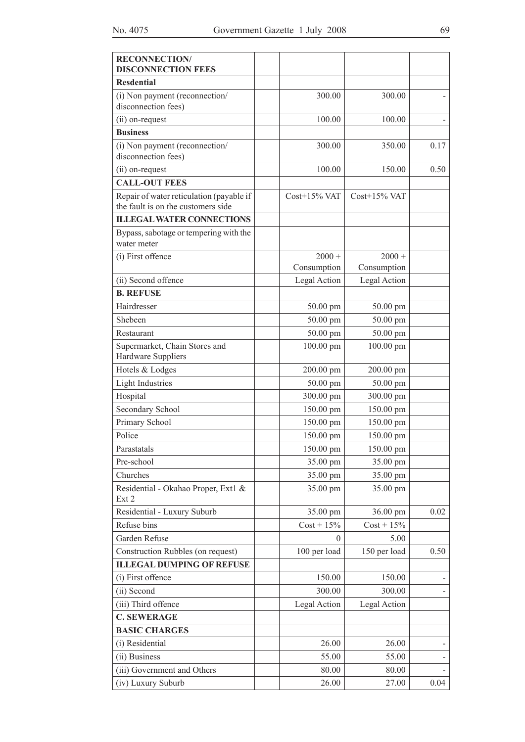| <b>RECONNECTION/</b><br><b>DISCONNECTION FEES</b>                              |                 |                 |      |
|--------------------------------------------------------------------------------|-----------------|-----------------|------|
| <b>Resdential</b>                                                              |                 |                 |      |
| (i) Non payment (reconnection/<br>disconnection fees)                          | 300.00          | 300.00          |      |
| (ii) on-request                                                                | 100.00          | 100.00          |      |
| <b>Business</b>                                                                |                 |                 |      |
| (i) Non payment (reconnection/<br>disconnection fees)                          | 300.00          | 350.00          | 0.17 |
| (ii) on-request                                                                | 100.00          | 150.00          | 0.50 |
| <b>CALL-OUT FEES</b>                                                           |                 |                 |      |
| Repair of water reticulation (payable if<br>the fault is on the customers side | $Cost+15\%$ VAT | $Cost+15\%$ VAT |      |
| <b>ILLEGAL WATER CONNECTIONS</b>                                               |                 |                 |      |
| Bypass, sabotage or tempering with the<br>water meter                          |                 |                 |      |
| (i) First offence                                                              | $2000 +$        | $2000 +$        |      |
|                                                                                | Consumption     | Consumption     |      |
| (ii) Second offence                                                            | Legal Action    | Legal Action    |      |
| <b>B. REFUSE</b>                                                               |                 |                 |      |
| Hairdresser                                                                    | 50.00 pm        | 50.00 pm        |      |
| Shebeen                                                                        | 50.00 pm        | 50.00 pm        |      |
| Restaurant                                                                     | 50.00 pm        | 50.00 pm        |      |
| Supermarket, Chain Stores and<br>Hardware Suppliers                            | 100.00 pm       | 100.00 pm       |      |
| Hotels & Lodges                                                                | 200.00 pm       | 200.00 pm       |      |
| <b>Light Industries</b>                                                        | $50.00$ pm      | 50.00 pm        |      |
| Hospital                                                                       | 300.00 pm       | 300.00 pm       |      |
| Secondary School                                                               | 150.00 pm       | 150.00 pm       |      |
| Primary School                                                                 | 150.00 pm       | 150.00 pm       |      |
| Police                                                                         | 150.00 pm       | 150.00 pm       |      |
| Parastatals                                                                    | 150.00 pm       | 150.00 pm       |      |
| Pre-school                                                                     | 35.00 pm        | 35.00 pm        |      |
| Churches                                                                       | 35.00 pm        | 35.00 pm        |      |
| Residential - Okahao Proper, Ext1 &<br>Ext 2                                   | 35.00 pm        | 35.00 pm        |      |
| Residential - Luxury Suburb                                                    | 35.00 pm        | 36.00 pm        | 0.02 |
| Refuse bins                                                                    | $Cost + 15\%$   | $Cost + 15\%$   |      |
| Garden Refuse                                                                  | $\theta$        | 5.00            |      |
| Construction Rubbles (on request)                                              | 100 per load    | 150 per load    | 0.50 |
| <b>ILLEGAL DUMPING OF REFUSE</b>                                               |                 |                 |      |
| (i) First offence                                                              | 150.00          | 150.00          |      |
| (ii) Second                                                                    | 300.00          | 300.00          |      |
| (iii) Third offence                                                            | Legal Action    | Legal Action    |      |
| <b>C. SEWERAGE</b>                                                             |                 |                 |      |
| <b>BASIC CHARGES</b>                                                           |                 |                 |      |
| (i) Residential                                                                | 26.00           | 26.00           |      |
| (ii) Business                                                                  | 55.00           | 55.00           |      |
| (iii) Government and Others                                                    | 80.00           | 80.00           |      |
| (iv) Luxury Suburb                                                             | 26.00           | 27.00           | 0.04 |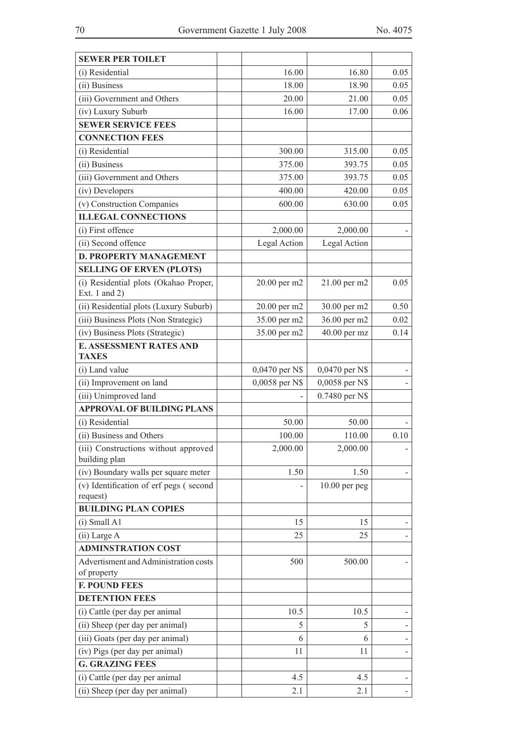| <b>SEWER PER TOILET</b>                                  |                |                 |      |
|----------------------------------------------------------|----------------|-----------------|------|
| (i) Residential                                          | 16.00          | 16.80           | 0.05 |
| (ii) Business                                            | 18.00          | 18.90           | 0.05 |
| (iii) Government and Others                              | 20.00          | 21.00           | 0.05 |
| (iv) Luxury Suburb                                       | 16.00          | 17.00           | 0.06 |
| <b>SEWER SERVICE FEES</b>                                |                |                 |      |
| <b>CONNECTION FEES</b>                                   |                |                 |      |
| (i) Residential                                          | 300.00         | 315.00          | 0.05 |
| (ii) Business                                            | 375.00         | 393.75          | 0.05 |
| (iii) Government and Others                              | 375.00         | 393.75          | 0.05 |
| (iv) Developers                                          | 400.00         | 420.00          | 0.05 |
| (v) Construction Companies                               | 600.00         | 630.00          | 0.05 |
| <b>ILLEGAL CONNECTIONS</b>                               |                |                 |      |
| (i) First offence                                        | 2,000.00       | 2,000.00        |      |
| (ii) Second offence                                      | Legal Action   | Legal Action    |      |
| <b>D. PROPERTY MANAGEMENT</b>                            |                |                 |      |
| <b>SELLING OF ERVEN (PLOTS)</b>                          |                |                 |      |
| (i) Residential plots (Okahao Proper,<br>Ext. 1 and $2)$ | 20.00 per m2   | 21.00 per m2    | 0.05 |
| (ii) Residential plots (Luxury Suburb)                   | 20.00 per m2   | 30.00 per m2    | 0.50 |
| (iii) Business Plots (Non Strategic)                     | 35.00 per m2   | 36.00 per m2    | 0.02 |
| (iv) Business Plots (Strategic)                          | 35.00 per m2   | 40.00 per mz    | 0.14 |
| <b>E. ASSESSMENT RATES AND</b><br><b>TAXES</b>           |                |                 |      |
| (i) Land value                                           | 0,0470 per N\$ | 0,0470 per N\$  |      |
| (ii) Improvement on land                                 | 0,0058 per N\$ | 0,0058 per N\$  |      |
| (iii) Unimproved land                                    |                | 0.7480 per N\$  |      |
| <b>APPROVAL OF BUILDING PLANS</b>                        |                |                 |      |
| (i) Residential                                          | 50.00          | 50.00           |      |
| (ii) Business and Others                                 | 100.00         | 110.00          | 0.10 |
| (iii) Constructions without approved<br>building plan    | 2,000.00       | 2,000.00        |      |
| (iv) Boundary walls per square meter                     | 1.50           | 1.50            |      |
| (v) Identification of erf pegs (second<br>request)       |                | $10.00$ per peg |      |
| <b>BUILDING PLAN COPIES</b>                              |                |                 |      |
| $(i)$ Small A1                                           | 15             | 15              |      |
| (ii) Large A                                             | 25             | 25              |      |
| <b>ADMINSTRATION COST</b>                                |                |                 |      |
| Advertisment and Administration costs                    | 500            | 500.00          |      |
| of property                                              |                |                 |      |
| <b>F. POUND FEES</b>                                     |                |                 |      |
| <b>DETENTION FEES</b>                                    |                |                 |      |
| (i) Cattle (per day per animal                           | 10.5           | 10.5            |      |
| (ii) Sheep (per day per animal)                          | 5              | 5               |      |
| (iii) Goats (per day per animal)                         | 6              | 6               |      |
| (iv) Pigs (per day per animal)                           | 11             | 11              |      |
| <b>G. GRAZING FEES</b>                                   |                |                 |      |
| (i) Cattle (per day per animal                           | 4.5            | 4.5             |      |
| (ii) Sheep (per day per animal)                          | 2.1            | 2.1             |      |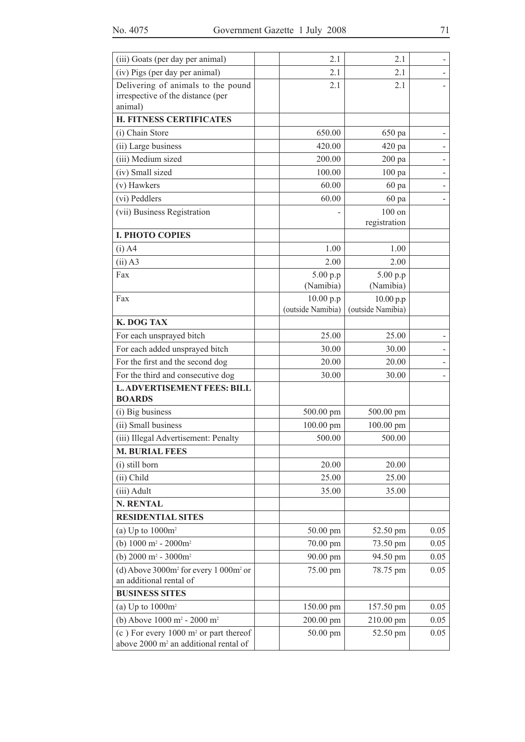| (iii) Goats (per day per animal)                                        | 2.1               | 2.1               |      |
|-------------------------------------------------------------------------|-------------------|-------------------|------|
| (iv) Pigs (per day per animal)                                          | 2.1               | 2.1               |      |
| Delivering of animals to the pound                                      | 2.1               | 2.1               |      |
| irrespective of the distance (per<br>animal)                            |                   |                   |      |
| <b>H. FITNESS CERTIFICATES</b>                                          |                   |                   |      |
| (i) Chain Store                                                         | 650.00            | 650 pa            |      |
| (ii) Large business                                                     | 420.00            | 420 pa            |      |
| (iii) Medium sized                                                      | 200.00            | 200 pa            |      |
| (iv) Small sized                                                        | 100.00            | $100$ pa          |      |
| (v) Hawkers                                                             | 60.00             | 60 pa             |      |
| (vi) Peddlers                                                           | 60.00             | 60 pa             |      |
| (vii) Business Registration                                             |                   | 100 on            |      |
| <b>I. PHOTO COPIES</b>                                                  |                   | registration      |      |
| $(i)$ A4                                                                | 1.00              | 1.00              |      |
| $(ii)$ A3                                                               | 2.00              | 2.00              |      |
| Fax                                                                     | 5.00 p.p          | 5.00 p.p          |      |
|                                                                         | (Namibia)         | (Namibia)         |      |
| Fax                                                                     | 10.00 p.p         | 10.00 p.p         |      |
|                                                                         | (outside Namibia) | (outside Namibia) |      |
| K. DOG TAX                                                              |                   |                   |      |
| For each unsprayed bitch                                                | 25.00             | 25.00             |      |
| For each added unsprayed bitch                                          | 30.00             | 30.00             |      |
| For the first and the second dog                                        | 20.00             | 20.00             |      |
| For the third and consecutive dog                                       | 30.00             | 30.00             |      |
| <b>L. ADVERTISEMENT FEES: BILL</b><br><b>BOARDS</b>                     |                   |                   |      |
| (i) Big business                                                        | 500.00 pm         | 500.00 pm         |      |
| (ii) Small business                                                     | 100.00 pm         | 100.00 pm         |      |
| (iii) Illegal Advertisement: Penalty                                    | 500.00            | 500.00            |      |
| <b>M. BURIAL FEES</b>                                                   |                   |                   |      |
| (i) still born                                                          | 20.00             | 20.00             |      |
| (ii) Child                                                              | 25.00             | 25.00             |      |
| (iii) Adult                                                             | 35.00             | 35.00             |      |
| <b>N. RENTAL</b>                                                        |                   |                   |      |
| <b>RESIDENTIAL SITES</b>                                                |                   |                   |      |
| (a) Up to $1000m^2$                                                     | 50.00 pm          | 52.50 pm          | 0.05 |
| (b) $1000 \text{ m}^2 - 2000 \text{ m}^2$                               | 70.00 pm          | 73.50 pm          | 0.05 |
| (b) $2000 \text{ m}^2 - 3000 \text{ m}^2$                               | 90.00 pm          | 94.50 pm          | 0.05 |
| (d) Above $3000m^2$ for every 1 000 $m^2$ or<br>an additional rental of | 75.00 pm          | 78.75 pm          | 0.05 |
| <b>BUSINESS SITES</b>                                                   |                   |                   |      |
| (a) Up to $1000m^2$                                                     | 150.00 pm         | 157.50 pm         | 0.05 |
| (b) Above 1000 m <sup>2</sup> - 2000 m <sup>2</sup>                     | 200.00 pm         | 210.00 pm         | 0.05 |
| (c) For every $1000 \text{ m}^2$ or part thereof                        | 50.00 pm          | 52.50 pm          | 0.05 |
| above 2000 m <sup>2</sup> an additional rental of                       |                   |                   |      |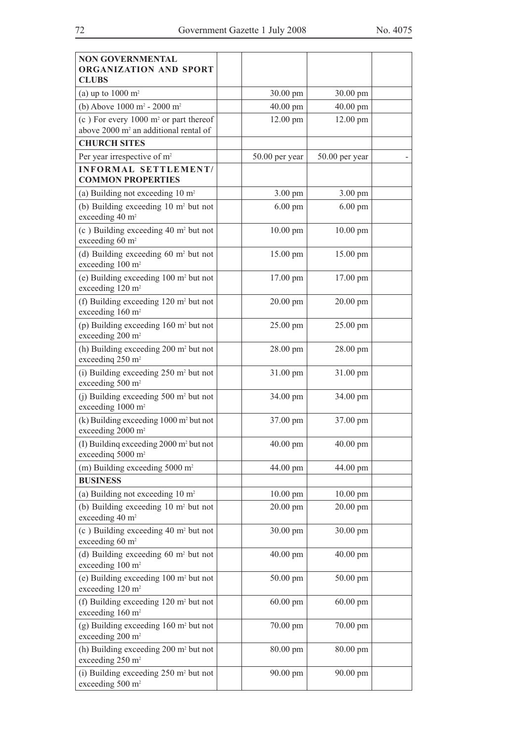| <b>NON GOVERNMENTAL</b><br>ORGANIZATION AND SPORT<br><b>CLUBS</b>                                     |                |                |  |
|-------------------------------------------------------------------------------------------------------|----------------|----------------|--|
| (a) up to $1000 \text{ m}^2$                                                                          | 30.00 pm       | 30.00 pm       |  |
| (b) Above $1000 \text{ m}^2$ - $2000 \text{ m}^2$                                                     | 40.00 pm       | 40.00 pm       |  |
| (c) For every $1000 \text{ m}^2$ or part thereof<br>above 2000 m <sup>2</sup> an additional rental of | 12.00 pm       | 12.00 pm       |  |
| <b>CHURCH SITES</b>                                                                                   |                |                |  |
| Per year irrespective of m <sup>2</sup>                                                               | 50.00 per year | 50.00 per year |  |
| <b>INFORMAL SETTLEMENT/</b><br><b>COMMON PROPERTIES</b>                                               |                |                |  |
| (a) Building not exceeding $10 \text{ m}^2$                                                           | 3.00 pm        | 3.00 pm        |  |
| (b) Building exceeding $10 \text{ m}^2$ but not<br>exceeding 40 m <sup>2</sup>                        | $6.00$ pm      | $6.00$ pm      |  |
| $(c)$ Building exceeding 40 m <sup>2</sup> but not<br>exceeding 60 m <sup>2</sup>                     | $10.00$ pm     | $10.00$ pm     |  |
| (d) Building exceeding 60 m <sup>2</sup> but not<br>exceeding 100 m <sup>2</sup>                      | 15.00 pm       | 15.00 pm       |  |
| (e) Building exceeding $100 \text{ m}^2$ but not<br>exceeding 120 m <sup>2</sup>                      | 17.00 pm       | 17.00 pm       |  |
| (f) Building exceeding $120 \text{ m}^2$ but not<br>exceeding 160 m <sup>2</sup>                      | 20.00 pm       | 20.00 pm       |  |
| (p) Building exceeding $160 \text{ m}^2$ but not<br>exceeding 200 m <sup>2</sup>                      | 25.00 pm       | 25.00 pm       |  |
| (h) Building exceeding 200 m <sup>2</sup> but not<br>exceeding 250 m <sup>2</sup>                     | 28.00 pm       | 28.00 pm       |  |
| (i) Building exceeding $250 \text{ m}^2$ but not<br>exceeding 500 m <sup>2</sup>                      | 31.00 pm       | 31.00 pm       |  |
| (i) Building exceeding $500 \text{ m}^2$ but not<br>exceeding 1000 m <sup>2</sup>                     | 34.00 pm       | 34.00 pm       |  |
| $(k)$ Building exceeding 1000 m <sup>2</sup> but not<br>exceeding 2000 m <sup>2</sup>                 | 37.00 pm       | 37.00 pm       |  |
| (I) Building exceeding $2000 \text{ m}^2$ but not<br>exceeding 5000 m <sup>2</sup>                    | 40.00 pm       | 40.00 pm       |  |
| (m) Building exceeding $5000 \text{ m}^2$                                                             | 44.00 pm       | 44.00 pm       |  |
| <b>BUSINESS</b>                                                                                       |                |                |  |
| (a) Building not exceeding $10 \text{ m}^2$                                                           | $10.00$ pm     | $10.00$ pm     |  |
| (b) Building exceeding $10 \text{ m}^2$ but not<br>exceeding 40 m <sup>2</sup>                        | 20.00 pm       | 20.00 pm       |  |
| $(c)$ Building exceeding 40 m <sup>2</sup> but not<br>exceeding 60 m <sup>2</sup>                     | 30.00 pm       | 30.00 pm       |  |
| (d) Building exceeding $60 \text{ m}^2$ but not<br>exceeding 100 m <sup>2</sup>                       | 40.00 pm       | 40.00 pm       |  |
| (e) Building exceeding $100 \text{ m}^2$ but not<br>exceeding 120 m <sup>2</sup>                      | 50.00 pm       | 50.00 pm       |  |
| (f) Building exceeding 120 m <sup>2</sup> but not<br>exceeding 160 m <sup>2</sup>                     | $60.00$ pm     | $60.00$ pm     |  |
| $(g)$ Building exceeding 160 m <sup>2</sup> but not<br>exceeding 200 m <sup>2</sup>                   | 70.00 pm       | 70.00 pm       |  |
| (h) Building exceeding $200 \text{ m}^2$ but not<br>exceeding 250 m <sup>2</sup>                      | 80.00 pm       | 80.00 pm       |  |
| (i) Building exceeding $250 \text{ m}^2$ but not<br>exceeding 500 m <sup>2</sup>                      | 90.00 pm       | 90.00 pm       |  |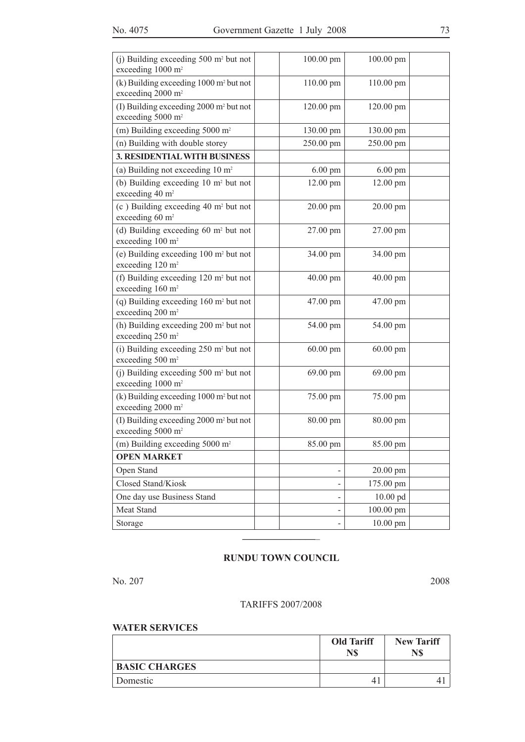| (i) Building exceeding $500 \text{ m}^2$ but not<br>exceeding 1000 m <sup>2</sup>     | 100.00 pm                | 100.00 pm  |  |
|---------------------------------------------------------------------------------------|--------------------------|------------|--|
| $(k)$ Building exceeding 1000 m <sup>2</sup> but not<br>exceeding 2000 m <sup>2</sup> | 110.00 pm                | 110.00 pm  |  |
| (I) Building exceeding $2000 \text{ m}^2$ but not<br>exceeding 5000 m <sup>2</sup>    | 120.00 pm                | 120.00 pm  |  |
| (m) Building exceeding $5000 \text{ m}^2$                                             | 130.00 pm                | 130.00 pm  |  |
| (n) Building with double storey                                                       | 250.00 pm                | 250.00 pm  |  |
| <b>3. RESIDENTIAL WITH BUSINESS</b>                                                   |                          |            |  |
| (a) Building not exceeding $10 \text{ m}^2$                                           | $6.00$ pm                | $6.00$ pm  |  |
| (b) Building exceeding $10 \text{ m}^2$ but not<br>exceeding 40 m <sup>2</sup>        | 12.00 pm                 | 12.00 pm   |  |
| $(c)$ Building exceeding 40 m <sup>2</sup> but not<br>exceeding 60 m <sup>2</sup>     | 20.00 pm                 | 20.00 pm   |  |
| (d) Building exceeding $60 \text{ m}^2$ but not<br>exceeding 100 m <sup>2</sup>       | 27.00 pm                 | 27.00 pm   |  |
| (e) Building exceeding $100 \text{ m}^2$ but not<br>exceeding 120 m <sup>2</sup>      | 34.00 pm                 | 34.00 pm   |  |
| (f) Building exceeding $120 \text{ m}^2$ but not<br>exceeding 160 m <sup>2</sup>      | 40.00 pm                 | 40.00 pm   |  |
| (q) Building exceeding $160 \text{ m}^2$ but not<br>exceeding 200 m <sup>2</sup>      | 47.00 pm                 | 47.00 pm   |  |
| (h) Building exceeding 200 m <sup>2</sup> but not<br>exceeding 250 m <sup>2</sup>     | 54.00 pm                 | 54.00 pm   |  |
| (i) Building exceeding $250 \text{ m}^2$ but not<br>exceeding 500 m <sup>2</sup>      | $60.00$ pm               | $60.00$ pm |  |
| (j) Building exceeding $500 \text{ m}^2$ but not<br>exceeding 1000 m <sup>2</sup>     | 69.00 pm                 | 69.00 pm   |  |
| $(k)$ Building exceeding 1000 m <sup>2</sup> but not<br>exceeding 2000 m <sup>2</sup> | 75.00 pm                 | 75.00 pm   |  |
| (I) Building exceeding 2000 m <sup>2</sup> but not<br>exceeding 5000 m <sup>2</sup>   | 80.00 pm                 | 80.00 pm   |  |
| (m) Building exceeding $5000 \text{ m}^2$                                             | 85.00 pm                 | 85.00 pm   |  |
| <b>OPEN MARKET</b>                                                                    |                          |            |  |
| Open Stand                                                                            | $\overline{\phantom{0}}$ | 20.00 pm   |  |
| Closed Stand/Kiosk                                                                    | -                        | 175.00 pm  |  |
| One day use Business Stand                                                            |                          | 10.00 pd   |  |
| Meat Stand                                                                            | -                        | 100.00 pm  |  |
| Storage                                                                               | -                        | 10.00 pm   |  |

#### **RUNDU TOWN COUNCIL**

**\_\_\_\_\_\_\_\_\_\_\_\_\_\_\_**\_

No. 207 2008

#### TARIFFS 2007/2008

#### **WATER SERVICES**

|                      | <b>Old Tariff</b><br>N\$ | <b>New Tariff</b><br>N\$ |
|----------------------|--------------------------|--------------------------|
| <b>BASIC CHARGES</b> |                          |                          |
| Domestic             | 4                        |                          |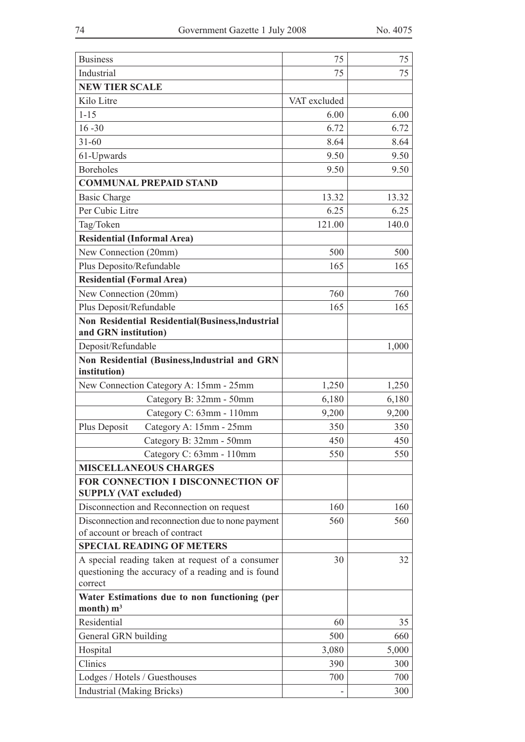| <b>Business</b>                                                   | 75           | 75    |
|-------------------------------------------------------------------|--------------|-------|
| Industrial                                                        | 75           | 75    |
| <b>NEW TIER SCALE</b>                                             |              |       |
| Kilo Litre                                                        | VAT excluded |       |
| $1 - 15$                                                          | 6.00         | 6.00  |
| $16 - 30$                                                         | 6.72         | 6.72  |
| $31 - 60$                                                         | 8.64         | 8.64  |
| 61-Upwards                                                        | 9.50         | 9.50  |
| <b>Boreholes</b>                                                  | 9.50         | 9.50  |
| <b>COMMUNAL PREPAID STAND</b>                                     |              |       |
| <b>Basic Charge</b>                                               | 13.32        | 13.32 |
| Per Cubic Litre                                                   | 6.25         | 6.25  |
| Tag/Token                                                         | 121.00       | 140.0 |
| <b>Residential (Informal Area)</b>                                |              |       |
| New Connection (20mm)                                             | 500          | 500   |
| Plus Deposito/Refundable                                          | 165          | 165   |
| <b>Residential (Formal Area)</b>                                  |              |       |
| New Connection (20mm)                                             | 760          | 760   |
| Plus Deposit/Refundable                                           | 165          | 165   |
| Non Residential Residential(Business, Industrial                  |              |       |
| and GRN institution)                                              |              |       |
| Deposit/Refundable                                                |              | 1,000 |
| Non Residential (Business, Industrial and GRN                     |              |       |
| institution)                                                      |              |       |
| New Connection Category A: 15mm - 25mm                            | 1,250        | 1,250 |
| Category B: 32mm - 50mm                                           | 6,180        | 6,180 |
| Category C: 63mm - 110mm                                          | 9,200        | 9,200 |
| Plus Deposit<br>Category A: 15mm - 25mm                           | 350          | 350   |
| Category B: 32mm - 50mm                                           | 450          | 450   |
| Category C: 63mm - 110mm                                          | 550          | 550   |
| <b>MISCELLANEOUS CHARGES</b>                                      |              |       |
| FOR CONNECTION I DISCONNECTION OF<br><b>SUPPLY (VAT excluded)</b> |              |       |
| Disconnection and Reconnection on request                         | 160          | 160   |
| Disconnection and reconnection due to none payment                | 560          | 560   |
| of account or breach of contract                                  |              |       |
| <b>SPECIAL READING OF METERS</b>                                  |              |       |
| A special reading taken at request of a consumer                  | 30           | 32    |
| questioning the accuracy of a reading and is found                |              |       |
| correct                                                           |              |       |
| Water Estimations due to non functioning (per<br>month) $m3$      |              |       |
| Residential                                                       | 60           | 35    |
| General GRN building                                              | 500          | 660   |
| Hospital                                                          | 3,080        | 5,000 |
| Clinics                                                           | 390          | 300   |
| Lodges / Hotels / Guesthouses                                     | 700          | 700   |
| <b>Industrial</b> (Making Bricks)                                 |              | 300   |
|                                                                   |              |       |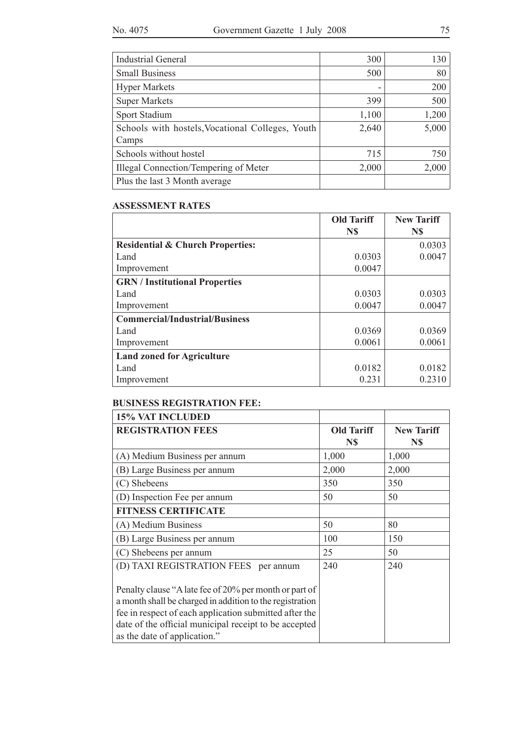| <b>Industrial General</b>                                 | 300   | 130   |
|-----------------------------------------------------------|-------|-------|
| <b>Small Business</b>                                     | 500   | 80    |
| <b>Hyper Markets</b>                                      | -     | 200   |
| <b>Super Markets</b>                                      | 399   | 500   |
| Sport Stadium                                             | 1,100 | 1,200 |
| Schools with hostels, Vocational Colleges, Youth<br>Camps | 2,640 | 5,000 |
| Schools without hostel                                    | 715   | 750   |
| Illegal Connection/Tempering of Meter                     | 2,000 | 2,000 |
| Plus the last 3 Month average                             |       |       |

#### **ASSESSMENT RATES**

|                                             | <b>Old Tariff</b> | <b>New Tariff</b> |
|---------------------------------------------|-------------------|-------------------|
|                                             | N\$               | N\$               |
| <b>Residential &amp; Church Properties:</b> |                   | 0.0303            |
| Land                                        | 0.0303            | 0.0047            |
| Improvement                                 | 0.0047            |                   |
| <b>GRN</b> / Institutional Properties       |                   |                   |
| Land                                        | 0.0303            | 0.0303            |
| Improvement                                 | 0.0047            | 0.0047            |
| <b>Commercial/Industrial/Business</b>       |                   |                   |
| Land                                        | 0.0369            | 0.0369            |
| Improvement                                 | 0.0061            | 0.0061            |
| <b>Land zoned for Agriculture</b>           |                   |                   |
| Land                                        | 0.0182            | 0.0182            |
| Improvement                                 | 0.231             | 0.2310            |

### **BUSINESS REGISTRATION FEE:**

| <b>15% VAT INCLUDED</b>                                                                                                                                                                                                                                               |                          |                          |
|-----------------------------------------------------------------------------------------------------------------------------------------------------------------------------------------------------------------------------------------------------------------------|--------------------------|--------------------------|
| <b>REGISTRATION FEES</b>                                                                                                                                                                                                                                              | <b>Old Tariff</b><br>N\$ | <b>New Tariff</b><br>N\$ |
| (A) Medium Business per annum                                                                                                                                                                                                                                         | 1,000                    | 1,000                    |
| (B) Large Business per annum                                                                                                                                                                                                                                          | 2,000                    | 2,000                    |
| (C) Shebeens                                                                                                                                                                                                                                                          | 350                      | 350                      |
| (D) Inspection Fee per annum                                                                                                                                                                                                                                          | 50                       | 50                       |
| <b>FITNESS CERTIFICATE</b>                                                                                                                                                                                                                                            |                          |                          |
| (A) Medium Business                                                                                                                                                                                                                                                   | 50                       | 80                       |
| (B) Large Business per annum                                                                                                                                                                                                                                          | 100                      | 150                      |
| (C) Shebeens per annum                                                                                                                                                                                                                                                | 25                       | 50                       |
| (D) TAXI REGISTRATION FEES per annum                                                                                                                                                                                                                                  | 240                      | 240                      |
| Penalty clause "A late fee of 20% per month or part of<br>a month shall be charged in addition to the registration<br>fee in respect of each application submitted after the<br>date of the official municipal receipt to be accepted<br>as the date of application." |                          |                          |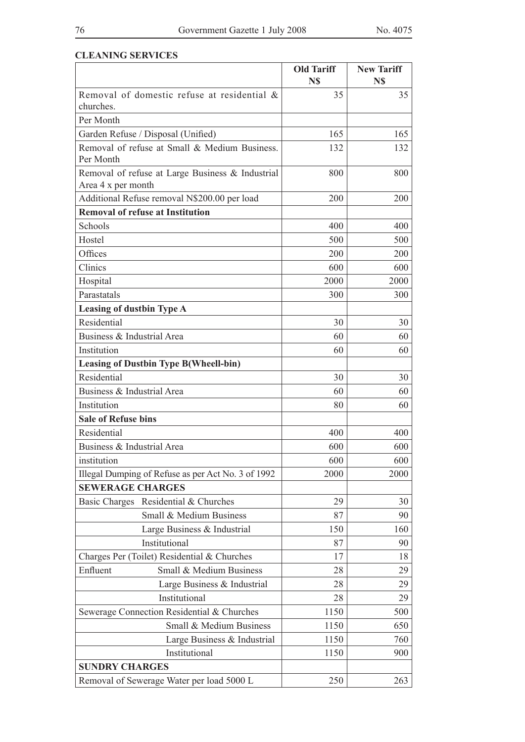# **CLEANING SERVICES**

|                                                                        | <b>Old Tariff</b><br>N\$ | <b>New Tariff</b><br>N\$ |
|------------------------------------------------------------------------|--------------------------|--------------------------|
| Removal of domestic refuse at residential &<br>churches.               | 35                       | 35                       |
| Per Month                                                              |                          |                          |
| Garden Refuse / Disposal (Unified)                                     | 165                      | 165                      |
| Removal of refuse at Small & Medium Business.<br>Per Month             | 132                      | 132                      |
| Removal of refuse at Large Business & Industrial<br>Area 4 x per month | 800                      | 800                      |
| Additional Refuse removal N\$200.00 per load                           | 200                      | 200                      |
| <b>Removal of refuse at Institution</b>                                |                          |                          |
| Schools                                                                | 400                      | 400                      |
| Hostel                                                                 | 500                      | 500                      |
| Offices                                                                | 200                      | 200                      |
| Clinics                                                                | 600                      | 600                      |
| Hospital                                                               | 2000                     | 2000                     |
| Parastatals                                                            | 300                      | 300                      |
| Leasing of dustbin Type A                                              |                          |                          |
| Residential                                                            | 30                       | 30                       |
| Business & Industrial Area                                             | 60                       | 60                       |
| Institution                                                            | 60                       | 60                       |
| <b>Leasing of Dustbin Type B(Wheell-bin)</b>                           |                          |                          |
| Residential                                                            | 30                       | 30                       |
| Business & Industrial Area                                             | 60                       | 60                       |
| Institution                                                            | 80                       | 60                       |
| <b>Sale of Refuse bins</b>                                             |                          |                          |
| Residential                                                            | 400                      | 400                      |
| Business & Industrial Area                                             | 600                      | 600                      |
| institution                                                            | 600                      | 600                      |
| Illegal Dumping of Refuse as per Act No. 3 of 1992                     | 2000                     | 2000                     |
| <b>SEWERAGE CHARGES</b>                                                |                          |                          |
| Basic Charges Residential & Churches                                   | 29                       | 30                       |
| Small & Medium Business                                                | 87                       | 90                       |
| Large Business & Industrial                                            | 150                      | 160                      |
| Institutional                                                          | 87                       | 90                       |
| Charges Per (Toilet) Residential & Churches                            | 17                       | 18                       |
| Small & Medium Business<br>Enfluent                                    | 28                       | 29                       |
| Large Business & Industrial                                            | 28                       | 29                       |
| Institutional                                                          | 28                       | 29                       |
| Sewerage Connection Residential & Churches                             | 1150                     | 500                      |
| Small & Medium Business                                                | 1150                     | 650                      |
| Large Business & Industrial                                            | 1150                     | 760                      |
| Institutional                                                          | 1150                     | 900                      |
| <b>SUNDRY CHARGES</b>                                                  |                          |                          |
| Removal of Sewerage Water per load 5000 L                              | 250                      | 263                      |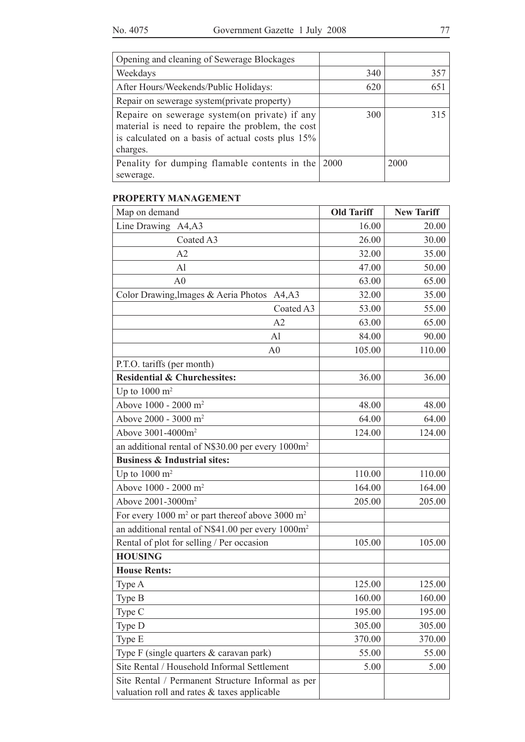| Opening and cleaning of Sewerage Blockages                                                                                                                           |      |      |
|----------------------------------------------------------------------------------------------------------------------------------------------------------------------|------|------|
| Weekdays                                                                                                                                                             | 340  | 357  |
| After Hours/Weekends/Public Holidays:                                                                                                                                | 620  | 651  |
| Repair on sewerage system(private property)                                                                                                                          |      |      |
| Repaire on sewerage system (on private) if any<br>material is need to repaire the problem, the cost<br>is calculated on a basis of actual costs plus 15%<br>charges. | 300  | 315  |
| Penality for dumping flamable contents in the                                                                                                                        | 2000 | 2000 |
| sewerage.                                                                                                                                                            |      |      |

# **PROPERTY MANAGEMENT**

| Map on demand                                                                                    | <b>Old Tariff</b> | <b>New Tariff</b> |
|--------------------------------------------------------------------------------------------------|-------------------|-------------------|
| Line Drawing A4, A3                                                                              | 16.00             | 20.00             |
| Coated A3                                                                                        | 26.00             | 30.00             |
| A2                                                                                               | 32.00             | 35.00             |
| Al                                                                                               | 47.00             | 50.00             |
| A <sub>0</sub>                                                                                   | 63.00             | 65.00             |
| Color Drawing, Images & Aeria Photos A4, A3                                                      | 32.00             | 35.00             |
| Coated A3                                                                                        | 53.00             | 55.00             |
| A2                                                                                               | 63.00             | 65.00             |
| Al                                                                                               | 84.00             | 90.00             |
| A <sub>0</sub>                                                                                   | 105.00            | 110.00            |
| P.T.O. tariffs (per month)                                                                       |                   |                   |
| <b>Residential &amp; Churchessites:</b>                                                          | 36.00             | 36.00             |
| Up to $1000 \text{ m}^2$                                                                         |                   |                   |
| Above 1000 - 2000 m <sup>2</sup>                                                                 | 48.00             | 48.00             |
| Above 2000 - 3000 m <sup>2</sup>                                                                 | 64.00             | 64.00             |
| Above 3001-4000m <sup>2</sup>                                                                    | 124.00            | 124.00            |
| an additional rental of N\$30.00 per every 1000m <sup>2</sup>                                    |                   |                   |
| <b>Business &amp; Industrial sites:</b>                                                          |                   |                   |
| Up to $1000 \text{ m}^2$                                                                         | 110.00            | 110.00            |
| Above 1000 - 2000 m <sup>2</sup>                                                                 | 164.00            | 164.00            |
| Above 2001-3000m <sup>2</sup>                                                                    | 205.00            | 205.00            |
| For every 1000 m <sup>2</sup> or part thereof above 3000 m <sup>2</sup>                          |                   |                   |
| an additional rental of N\$41.00 per every 1000m <sup>2</sup>                                    |                   |                   |
| Rental of plot for selling / Per occasion                                                        | 105.00            | 105.00            |
| <b>HOUSING</b>                                                                                   |                   |                   |
| <b>House Rents:</b>                                                                              |                   |                   |
| Type A                                                                                           | 125.00            | 125.00            |
| Type B                                                                                           | 160.00            | 160.00            |
| Type C                                                                                           | 195.00            | 195.00            |
| Type D                                                                                           | 305.00            | 305.00            |
| Type E                                                                                           | 370.00            | 370.00            |
| Type F (single quarters & caravan park)                                                          | 55.00             | 55.00             |
| Site Rental / Household Informal Settlement                                                      | 5.00              | 5.00              |
| Site Rental / Permanent Structure Informal as per<br>valuation roll and rates & taxes applicable |                   |                   |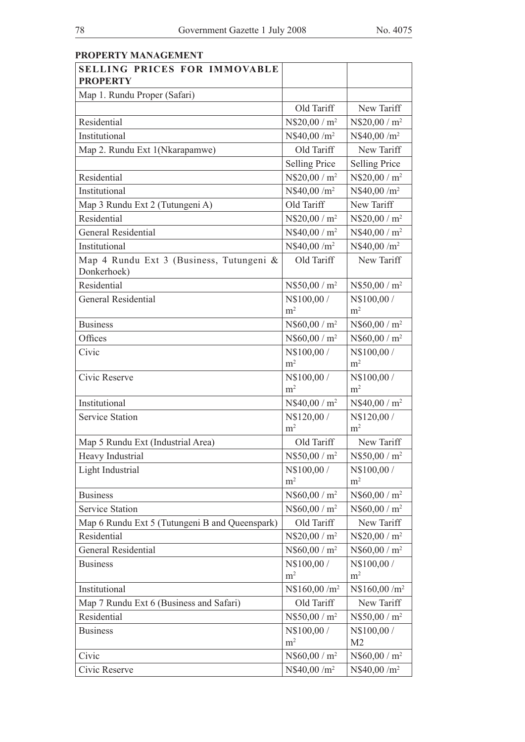| <b>PROPERTY MANAGEMENT</b>                              |                               |                               |
|---------------------------------------------------------|-------------------------------|-------------------------------|
| <b>SELLING PRICES FOR IMMOVABLE</b><br><b>PROPERTY</b>  |                               |                               |
| Map 1. Rundu Proper (Safari)                            |                               |                               |
|                                                         | Old Tariff                    | New Tariff                    |
| Residential                                             | $N$20,00/m^2$                 | $N$20,00/m^2$                 |
| Institutional                                           | N\$40,00 /m <sup>2</sup>      | N\$40,00 /m <sup>2</sup>      |
| Map 2. Rundu Ext 1(Nkarapamwe)                          | Old Tariff                    | New Tariff                    |
|                                                         | <b>Selling Price</b>          | <b>Selling Price</b>          |
| Residential                                             | N\$20,00 / m <sup>2</sup>     | $N$20,00/m^2$                 |
| Institutional                                           | N\$40,00 /m <sup>2</sup>      | N\$40,00 /m <sup>2</sup>      |
| Map 3 Rundu Ext 2 (Tutungeni A)                         | Old Tariff                    | New Tariff                    |
| Residential                                             | $N$20,00/m^2$                 | $N$20,00/m^2$                 |
| <b>General Residential</b>                              | $N$40,00 / m^2$               | $N$40,00 / m^2$               |
| Institutional                                           | N\$40,00 /m <sup>2</sup>      | $N$40,00/m^2$                 |
| Map 4 Rundu Ext 3 (Business, Tutungeni &<br>Donkerhoek) | Old Tariff                    | New Tariff                    |
| Residential                                             | $N$50,00 / m^2$               | $N$50,00/m^2$                 |
| <b>General Residential</b>                              | N\$100,00 /                   | N\$100,00 /                   |
|                                                         | m <sup>2</sup>                | m <sup>2</sup>                |
| <b>Business</b>                                         | $N$60,00/m^2$                 | N\$60,00 / m <sup>2</sup>     |
| Offices                                                 | $N$60,00/m^2$                 | $N$60,00/m^2$                 |
| Civic                                                   | N\$100,00 /<br>m <sup>2</sup> | N\$100,00 /<br>m <sup>2</sup> |
| Civic Reserve                                           | N\$100,00 /<br>m <sup>2</sup> | N\$100,00 /<br>m <sup>2</sup> |
| Institutional                                           | $N$40,00 / m^2$               | $N$40,00 / m^2$               |
| <b>Service Station</b>                                  | N\$120,00 /<br>m <sup>2</sup> | N\$120,00 /<br>m <sup>2</sup> |
| Map 5 Rundu Ext (Industrial Area)                       | Old Tariff                    | New Tariff                    |
| Heavy Industrial                                        | $N$50,00 / m^2$               | $N$50,00/m^2$                 |
| Light Industrial                                        | N\$100,00 /<br>m <sup>2</sup> | N\$100,00 /<br>m <sup>2</sup> |
| <b>Business</b>                                         | $N$60,00 / m^2$               | $N$60,00/m^2$                 |
| <b>Service Station</b>                                  | $N$60,00 / m^2$               | $N$60,00/m^2$                 |
| Map 6 Rundu Ext 5 (Tutungeni B and Queenspark)          | Old Tariff                    | New Tariff                    |
| Residential                                             | $N$20,00/m^2$                 | $N$20,00/m^2$                 |
| General Residential                                     | $N$60,00 / m^2$               | $N$60,00 / m^2$               |
| <b>Business</b>                                         | N\$100,00 /                   | N\$100,00 /                   |
|                                                         | m <sup>2</sup>                | m <sup>2</sup>                |
| Institutional                                           | N\$160,00 /m <sup>2</sup>     | N\$160,00 /m <sup>2</sup>     |
| Map 7 Rundu Ext 6 (Business and Safari)                 | Old Tariff                    | New Tariff                    |
| Residential                                             | $N$50,00/m^2$                 | $N$50,00/m^2$                 |
| <b>Business</b>                                         | N\$100,00 /<br>m <sup>2</sup> | N\$100,00 /<br>M <sub>2</sub> |
| Civic                                                   | $N$60,00/m^2$                 | $N$60,00/m^2$                 |
| Civic Reserve                                           | $N$40,00/m^2$                 | N\$40,00 /m <sup>2</sup>      |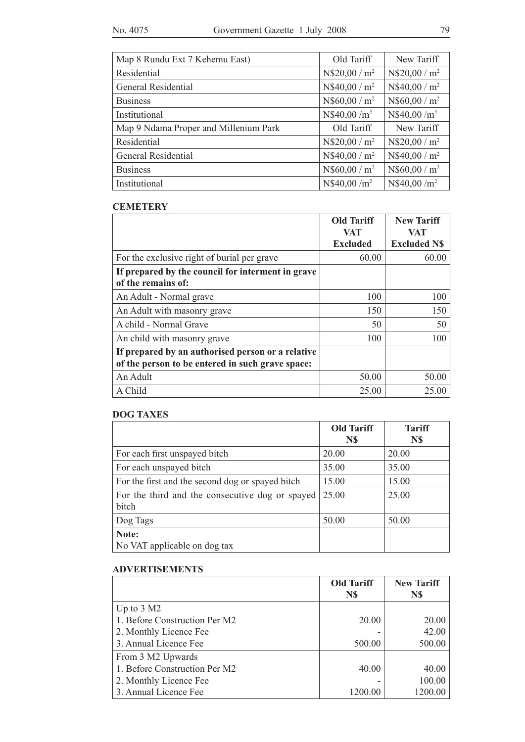| Map 8 Rundu Ext 7 Kehemu East)        | Old Tariff      | New Tariff    |
|---------------------------------------|-----------------|---------------|
| Residential                           | $N$20,00 / m^2$ | $N$20,00/m^2$ |
| General Residential                   | $N$40,00 / m^2$ | $N$40,00/m^2$ |
| <b>Business</b>                       | $N$60,00 / m^2$ | $N$60,00/m^2$ |
| Institutional                         | $N$40,00/m^2$   | $N$40,00/m^2$ |
| Map 9 Ndama Proper and Millenium Park | Old Tariff      | New Tariff    |
| Residential                           | $N$20,00/m^2$   | $N$20,00/m^2$ |
| General Residential                   | $N$40,00 / m^2$ | $N$40,00/m^2$ |
| <b>Business</b>                       | $N$60,00/m^2$   | $N$60,00/m^2$ |
| Institutional                         | $N$40,00/m^2$   | $N$40,00/m^2$ |

#### **CEMETERY**

|                                                   | <b>Old Tariff</b><br>VAT | <b>New Tariff</b><br>VAT |
|---------------------------------------------------|--------------------------|--------------------------|
|                                                   | <b>Excluded</b>          | <b>Excluded N\$</b>      |
| For the exclusive right of burial per grave       | 60.00                    | 60.00                    |
| If prepared by the council for interment in grave |                          |                          |
| of the remains of:                                |                          |                          |
| An Adult - Normal grave                           | 100                      | 100                      |
| An Adult with masonry grave                       | 150                      | 150                      |
| A child - Normal Grave                            | 50                       | 50                       |
| An child with masonry grave                       | 100                      | 100                      |
| If prepared by an authorised person or a relative |                          |                          |
| of the person to be entered in such grave space:  |                          |                          |
| An Adult                                          | 50.00                    | 50.00                    |
| A Child                                           | 25.00                    | 25.00                    |

### **DOG TAXES**

|                                                  | <b>Old Tariff</b> | <b>Tariff</b> |
|--------------------------------------------------|-------------------|---------------|
|                                                  | N\$               | N\$           |
| For each first unspayed bitch                    | 20.00             | 20.00         |
| For each unspayed bitch                          | 35.00             | 35.00         |
| For the first and the second dog or spayed bitch | 15.00             | 15.00         |
| For the third and the consecutive dog or spayed  | 25.00             | 25.00         |
| bitch                                            |                   |               |
| Dog Tags                                         | 50.00             | 50.00         |
| Note:                                            |                   |               |
| No VAT applicable on dog tax                     |                   |               |

#### **ADVERTISEMENTS**

|                               | <b>Old Tariff</b> | <b>New Tariff</b> |
|-------------------------------|-------------------|-------------------|
|                               | N\$               | N\$               |
| Up to $3 \text{ M2}$          |                   |                   |
| 1. Before Construction Per M2 | 20.00             | 20.00             |
| 2. Monthly Licence Fee        |                   | 42.00             |
| 3. Annual Licence Fee         | 500.00            | 500.00            |
| From 3 M2 Upwards             |                   |                   |
| 1. Before Construction Per M2 | 40.00             | 40.00             |
| 2. Monthly Licence Fee        |                   | 100.00            |
| 3. Annual Licence Fee         | 1200.00           | 1200.00           |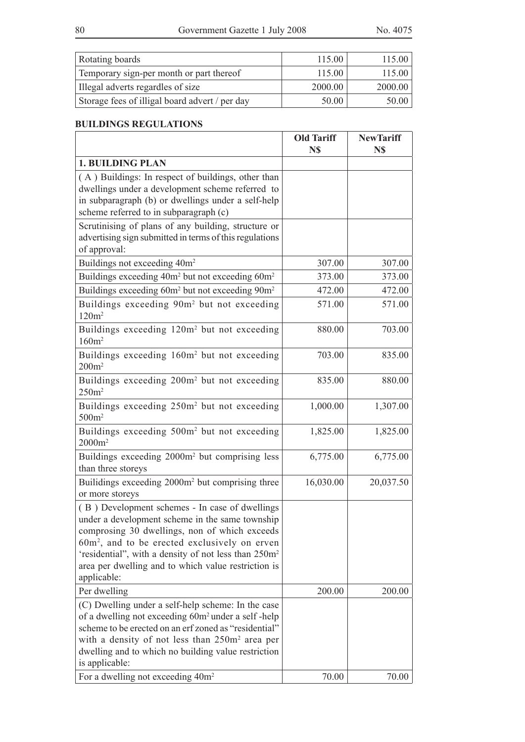$\overline{a}$ 

| Rotating boards                                | 115.00  | 115.00  |
|------------------------------------------------|---------|---------|
| Temporary sign-per month or part thereof       | 115.00  | 115.00  |
| Illegal adverts regardles of size              | 2000.00 | 2000.00 |
| Storage fees of illigal board advert / per day | 50.00   | 50.00   |

<u> 1980 - Johann Barn, mars an t-Amerikaansk kommunister (</u>

# **BUILDINGS REGULATIONS**

|                                                                                                                                                                                                                                                                                                                                                 | <b>Old Tariff</b><br>N\$ | <b>NewTariff</b><br>N\$ |
|-------------------------------------------------------------------------------------------------------------------------------------------------------------------------------------------------------------------------------------------------------------------------------------------------------------------------------------------------|--------------------------|-------------------------|
| <b>1. BUILDING PLAN</b>                                                                                                                                                                                                                                                                                                                         |                          |                         |
| (A) Buildings: In respect of buildings, other than<br>dwellings under a development scheme referred to<br>in subparagraph (b) or dwellings under a self-help<br>scheme referred to in subparagraph (c)                                                                                                                                          |                          |                         |
| Scrutinising of plans of any building, structure or<br>advertising sign submitted in terms of this regulations<br>of approval:                                                                                                                                                                                                                  |                          |                         |
| Buildings not exceeding 40m <sup>2</sup>                                                                                                                                                                                                                                                                                                        | 307.00                   | 307.00                  |
| Buildings exceeding 40m <sup>2</sup> but not exceeding 60m <sup>2</sup>                                                                                                                                                                                                                                                                         | 373.00                   | 373.00                  |
| Buildings exceeding 60m <sup>2</sup> but not exceeding 90m <sup>2</sup>                                                                                                                                                                                                                                                                         | 472.00                   | 472.00                  |
| Buildings exceeding 90m <sup>2</sup> but not exceeding<br>120m <sup>2</sup>                                                                                                                                                                                                                                                                     | 571.00                   | 571.00                  |
| Buildings exceeding 120m <sup>2</sup> but not exceeding<br>160m <sup>2</sup>                                                                                                                                                                                                                                                                    | 880.00                   | 703.00                  |
| Buildings exceeding 160m <sup>2</sup> but not exceeding<br>200m <sup>2</sup>                                                                                                                                                                                                                                                                    | 703.00                   | 835.00                  |
| Buildings exceeding 200m <sup>2</sup> but not exceeding<br>250m <sup>2</sup>                                                                                                                                                                                                                                                                    | 835.00                   | 880.00                  |
| Buildings exceeding 250m <sup>2</sup> but not exceeding<br>500m <sup>2</sup>                                                                                                                                                                                                                                                                    | 1,000.00                 | 1,307.00                |
| Buildings exceeding 500m <sup>2</sup> but not exceeding<br>$2000m^2$                                                                                                                                                                                                                                                                            | 1,825.00                 | 1,825.00                |
| Buildings exceeding 2000m <sup>2</sup> but comprising less<br>than three storeys                                                                                                                                                                                                                                                                | 6,775.00                 | 6,775.00                |
| Builidings exceeding 2000m <sup>2</sup> but comprising three<br>or more storeys                                                                                                                                                                                                                                                                 | 16,030.00                | 20,037.50               |
| (B) Development schemes - In case of dwellings<br>under a development scheme in the same township<br>comprosing 30 dwellings, non of which exceeds<br>$60m2$ , and to be erected exclusively on erven<br>'residential", with a density of not less than 250m <sup>2</sup><br>area per dwelling and to which value restriction is<br>applicable: |                          |                         |
| Per dwelling                                                                                                                                                                                                                                                                                                                                    | 200.00                   | 200.00                  |
| (C) Dwelling under a self-help scheme: In the case<br>of a dwelling not exceeding 60m <sup>2</sup> under a self-help<br>scheme to be erected on an erf zoned as "residential"<br>with a density of not less than 250m <sup>2</sup> area per<br>dwelling and to which no building value restriction<br>is applicable:                            |                          |                         |
| For a dwelling not exceeding 40m <sup>2</sup>                                                                                                                                                                                                                                                                                                   | 70.00                    | 70.00                   |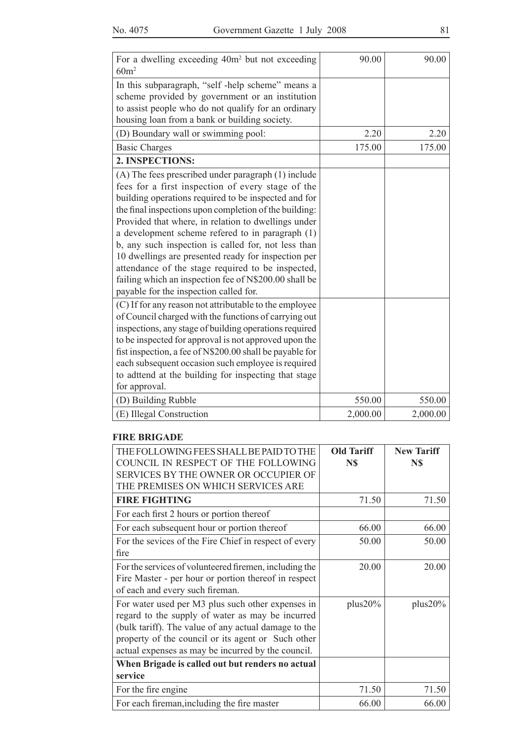| For a dwelling exceeding 40m <sup>2</sup> but not exceeding<br>60m <sup>2</sup>                                                                                                                                                                                                                                                                                                                                                                                                                                                                                                                             | 90.00    | 90.00    |
|-------------------------------------------------------------------------------------------------------------------------------------------------------------------------------------------------------------------------------------------------------------------------------------------------------------------------------------------------------------------------------------------------------------------------------------------------------------------------------------------------------------------------------------------------------------------------------------------------------------|----------|----------|
| In this subparagraph, "self-help scheme" means a<br>scheme provided by government or an institution<br>to assist people who do not qualify for an ordinary<br>housing loan from a bank or building society.                                                                                                                                                                                                                                                                                                                                                                                                 |          |          |
| (D) Boundary wall or swimming pool:                                                                                                                                                                                                                                                                                                                                                                                                                                                                                                                                                                         | 2.20     | 2.20     |
| <b>Basic Charges</b>                                                                                                                                                                                                                                                                                                                                                                                                                                                                                                                                                                                        | 175.00   | 175.00   |
| 2. INSPECTIONS:                                                                                                                                                                                                                                                                                                                                                                                                                                                                                                                                                                                             |          |          |
| (A) The fees prescribed under paragraph (1) include<br>fees for a first inspection of every stage of the<br>building operations required to be inspected and for<br>the final inspections upon completion of the building:<br>Provided that where, in relation to dwellings under<br>a development scheme refered to in paragraph (1)<br>b, any such inspection is called for, not less than<br>10 dwellings are presented ready for inspection per<br>attendance of the stage required to be inspected,<br>failing which an inspection fee of N\$200.00 shall be<br>payable for the inspection called for. |          |          |
| (C) If for any reason not attributable to the employee<br>of Council charged with the functions of carrying out<br>inspections, any stage of building operations required<br>to be inspected for approval is not approved upon the<br>fist inspection, a fee of N\$200.00 shall be payable for<br>each subsequent occasion such employee is required<br>to adttend at the building for inspecting that stage<br>for approval.                                                                                                                                                                               |          |          |
| (D) Building Rubble                                                                                                                                                                                                                                                                                                                                                                                                                                                                                                                                                                                         | 550.00   | 550.00   |
| (E) Illegal Construction                                                                                                                                                                                                                                                                                                                                                                                                                                                                                                                                                                                    | 2,000.00 | 2,000.00 |

#### **FIRE BRIGADE**

| THE FOLLOWING FEES SHALL BE PAID TO THE<br>COUNCIL IN RESPECT OF THE FOLLOWING | <b>Old Tariff</b><br>N\$ | <b>New Tariff</b><br>N\$ |
|--------------------------------------------------------------------------------|--------------------------|--------------------------|
| <b>SERVICES BY THE OWNER OR OCCUPIER OF</b>                                    |                          |                          |
| THE PREMISES ON WHICH SERVICES ARE                                             |                          |                          |
| <b>FIRE FIGHTING</b>                                                           | 71.50                    | 71.50                    |
| For each first 2 hours or portion thereof                                      |                          |                          |
| For each subsequent hour or portion thereof                                    | 66.00                    | 66.00                    |
| For the sevices of the Fire Chief in respect of every                          | 50.00                    | 50.00                    |
| fire                                                                           |                          |                          |
| For the services of volunteered firemen, including the                         | 20.00                    | 20.00                    |
| Fire Master - per hour or portion thereof in respect                           |                          |                          |
| of each and every such fireman.                                                |                          |                          |
| For water used per M3 plus such other expenses in                              | plus20%                  | $plus20\%$               |
| regard to the supply of water as may be incurred                               |                          |                          |
| (bulk tariff). The value of any actual damage to the                           |                          |                          |
| property of the council or its agent or Such other                             |                          |                          |
| actual expenses as may be incurred by the council.                             |                          |                          |
| When Brigade is called out but renders no actual                               |                          |                          |
| service                                                                        |                          |                          |
| For the fire engine                                                            | 71.50                    | 71.50                    |
| For each fireman, including the fire master                                    | 66.00                    | 66.00                    |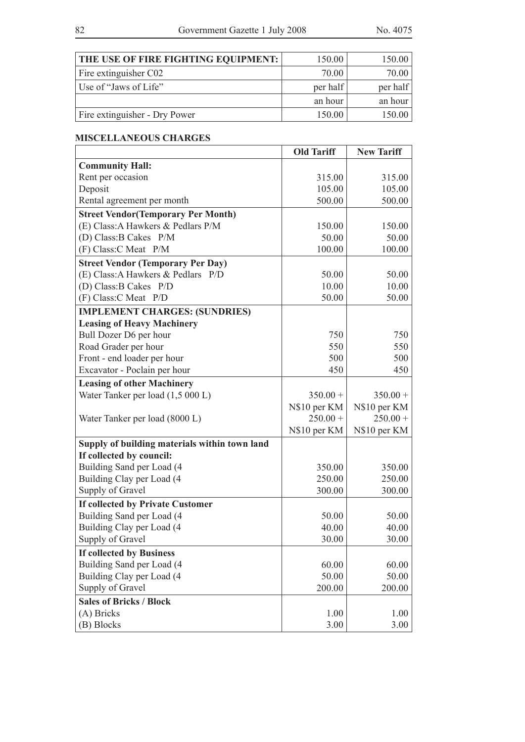| THE USE OF FIRE FIGHTING EQUIPMENT: | 150.00   | 150.00   |
|-------------------------------------|----------|----------|
| Fire extinguisher C02               | 70.00    | 70.00    |
| Use of "Jaws of Life"               | per half | per half |
|                                     | an hour  | an hour  |
| Fire extinguisher - Dry Power       | 150.00   | 150.00   |

# **MISCELLANEOUS CHARGES**

|                                               | <b>Old Tariff</b> | <b>New Tariff</b> |
|-----------------------------------------------|-------------------|-------------------|
| <b>Community Hall:</b>                        |                   |                   |
| Rent per occasion                             | 315.00            | 315.00            |
| Deposit                                       | 105.00            | 105.00            |
| Rental agreement per month                    | 500.00            | 500.00            |
| <b>Street Vendor (Temporary Per Month)</b>    |                   |                   |
| (E) Class: A Hawkers & Pedlars P/M            | 150.00            | 150.00            |
| (D) Class: B Cakes P/M                        | 50.00             | 50.00             |
| (F) Class: C Meat P/M                         | 100.00            | 100.00            |
| <b>Street Vendor (Temporary Per Day)</b>      |                   |                   |
| (E) Class: A Hawkers & Pedlars P/D            | 50.00             | 50.00             |
| (D) Class: B Cakes P/D                        | 10.00             | 10.00             |
| (F) Class: C Meat P/D                         | 50.00             | 50.00             |
| <b>IMPLEMENT CHARGES: (SUNDRIES)</b>          |                   |                   |
| <b>Leasing of Heavy Machinery</b>             |                   |                   |
| Bull Dozer D6 per hour                        | 750               | 750               |
| Road Grader per hour                          | 550               | 550               |
| Front - end loader per hour                   | 500               | 500               |
| Excavator - Poclain per hour                  | 450               | 450               |
| <b>Leasing of other Machinery</b>             |                   |                   |
| Water Tanker per load (1,5 000 L)             | $350.00 +$        | $350.00 +$        |
|                                               | N\$10 per KM      | N\$10 per KM      |
| Water Tanker per load (8000 L)                | $250.00 +$        | $250.00 +$        |
|                                               | N\$10 per KM      | N\$10 per KM      |
| Supply of building materials within town land |                   |                   |
| If collected by council:                      |                   |                   |
| Building Sand per Load (4                     | 350.00            | 350.00            |
| Building Clay per Load (4                     | 250.00            | 250.00            |
| Supply of Gravel                              | 300.00            | 300.00            |
| If collected by Private Customer              |                   |                   |
| Building Sand per Load (4                     | 50.00             | 50.00             |
| Building Clay per Load (4                     | 40.00             | 40.00             |
| Supply of Gravel                              | 30.00             | 30.00             |
| <b>If collected by Business</b>               |                   |                   |
| Building Sand per Load (4                     | 60.00             | 60.00             |
| Building Clay per Load (4                     | 50.00             | 50.00             |
| Supply of Gravel                              | 200.00            | 200.00            |
| <b>Sales of Bricks / Block</b>                |                   |                   |
| (A) Bricks                                    | 1.00              | 1.00              |
| (B) Blocks                                    | 3.00              | 3.00              |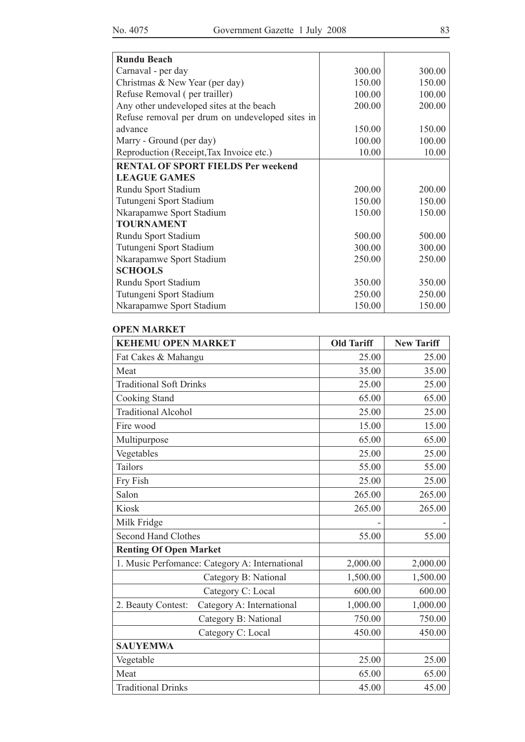| <b>Rundu Beach</b>                              |        |        |
|-------------------------------------------------|--------|--------|
| Carnaval - per day                              | 300.00 | 300.00 |
| Christmas & New Year (per day)                  | 150.00 | 150.00 |
| Refuse Removal (per trailler)                   | 100.00 | 100.00 |
| Any other undeveloped sites at the beach        | 200.00 | 200.00 |
| Refuse removal per drum on undeveloped sites in |        |        |
| advance                                         | 150.00 | 150.00 |
| Marry - Ground (per day)                        | 100.00 | 100.00 |
| Reproduction (Receipt, Tax Invoice etc.)        | 10.00  | 10.00  |
| <b>RENTAL OF SPORT FIELDS Per weekend</b>       |        |        |
| <b>LEAGUE GAMES</b>                             |        |        |
| Rundu Sport Stadium                             | 200.00 | 200.00 |
| Tutungeni Sport Stadium                         | 150.00 | 150.00 |
| Nkarapamwe Sport Stadium                        | 150.00 | 150.00 |
| <b>TOURNAMENT</b>                               |        |        |
| Rundu Sport Stadium                             | 500.00 | 500.00 |
| Tutungeni Sport Stadium                         | 300.00 | 300.00 |
| Nkarapamwe Sport Stadium                        | 250.00 | 250.00 |
| <b>SCHOOLS</b>                                  |        |        |
| Rundu Sport Stadium                             | 350.00 | 350.00 |
| Tutungeni Sport Stadium                         | 250.00 | 250.00 |
| Nkarapamwe Sport Stadium                        | 150.00 | 150.00 |

#### **OPEN MARKET**

| <b>KEHEMU OPEN MARKET</b>                       | <b>Old Tariff</b> | <b>New Tariff</b> |
|-------------------------------------------------|-------------------|-------------------|
| Fat Cakes & Mahangu                             | 25.00             | 25.00             |
| Meat                                            | 35.00             | 35.00             |
| <b>Traditional Soft Drinks</b>                  | 25.00             | 25.00             |
| Cooking Stand                                   | 65.00             | 65.00             |
| <b>Traditional Alcohol</b>                      | 25.00             | 25.00             |
| Fire wood                                       | 15.00             | 15.00             |
| Multipurpose                                    | 65.00             | 65.00             |
| Vegetables                                      | 25.00             | 25.00             |
| <b>Tailors</b>                                  | 55.00             | 55.00             |
| Fry Fish                                        | 25.00             | 25.00             |
| Salon                                           | 265.00            | 265.00            |
| Kiosk                                           | 265.00            | 265.00            |
| Milk Fridge                                     |                   |                   |
| <b>Second Hand Clothes</b>                      | 55.00             | 55.00             |
| <b>Renting Of Open Market</b>                   |                   |                   |
| 1. Music Perfomance: Category A: International  | 2,000.00          | 2,000.00          |
| Category B: National                            | 1,500.00          | 1,500.00          |
| Category C: Local                               | 600.00            | 600.00            |
| Category A: International<br>2. Beauty Contest: | 1,000.00          | 1,000.00          |
| Category B: National                            | 750.00            | 750.00            |
| Category C: Local                               | 450.00            | 450.00            |
| <b>SAUYEMWA</b>                                 |                   |                   |
| Vegetable                                       | 25.00             | 25.00             |
| Meat                                            | 65.00             | 65.00             |
| <b>Traditional Drinks</b>                       | 45.00             | 45.00             |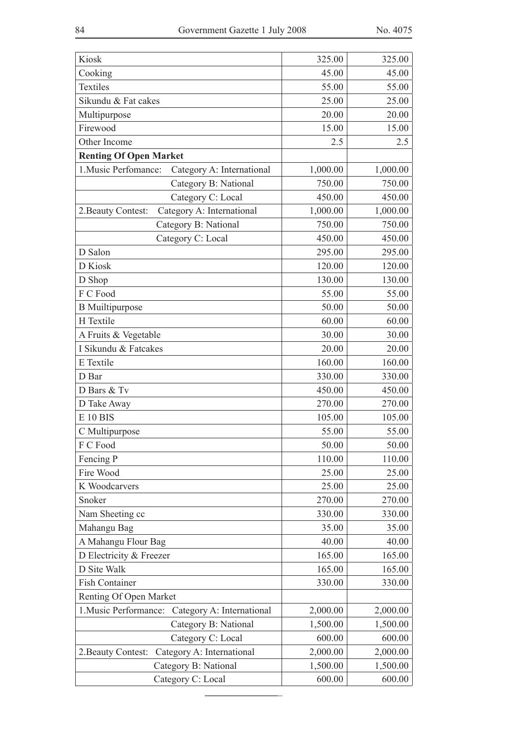| Kiosk                                              | 325.00   | 325.00   |
|----------------------------------------------------|----------|----------|
| Cooking                                            | 45.00    | 45.00    |
| Textiles                                           | 55.00    | 55.00    |
| Sikundu & Fat cakes                                | 25.00    | 25.00    |
| Multipurpose                                       | 20.00    | 20.00    |
| Firewood                                           | 15.00    | 15.00    |
| Other Income                                       | 2.5      | 2.5      |
| <b>Renting Of Open Market</b>                      |          |          |
| 1. Music Perfomance:<br>Category A: International  | 1,000.00 | 1,000.00 |
| Category B: National                               | 750.00   | 750.00   |
| Category C: Local                                  | 450.00   | 450.00   |
| Category A: International<br>2. Beauty Contest:    | 1,000.00 | 1,000.00 |
| Category B: National                               | 750.00   | 750.00   |
| Category C: Local                                  | 450.00   | 450.00   |
| D Salon                                            | 295.00   | 295.00   |
| D Kiosk                                            | 120.00   | 120.00   |
| D Shop                                             | 130.00   | 130.00   |
| F C Food                                           | 55.00    | 55.00    |
| <b>B</b> Muiltipurpose                             | 50.00    | 50.00    |
| H Textile                                          | 60.00    | 60.00    |
| A Fruits & Vegetable                               | 30.00    | 30.00    |
| I Sikundu & Fatcakes                               | 20.00    | 20.00    |
| E Textile                                          | 160.00   | 160.00   |
| D Bar                                              | 330.00   | 330.00   |
| D Bars & Tv                                        | 450.00   | 450.00   |
| D Take Away                                        | 270.00   | 270.00   |
| <b>E</b> 10 BIS                                    | 105.00   | 105.00   |
|                                                    | 55.00    | 55.00    |
| C Multipurpose<br>F C Food                         | 50.00    | 50.00    |
|                                                    |          |          |
| Fencing P                                          | 110.00   | 110.00   |
| Fire Wood                                          | 25.00    | 25.00    |
| K Woodcarvers                                      | 25.00    | 25.00    |
| Snoker                                             | 270.00   | 270.00   |
| Nam Sheeting cc                                    | 330.00   | 330.00   |
| Mahangu Bag                                        | 35.00    | 35.00    |
| A Mahangu Flour Bag                                | 40.00    | 40.00    |
| D Electricity & Freezer                            | 165.00   | 165.00   |
| D Site Walk                                        | 165.00   | 165.00   |
| Fish Container                                     | 330.00   | 330.00   |
| Renting Of Open Market                             |          |          |
| 1. Music Performance:<br>Category A: International | 2,000.00 | 2,000.00 |
| Category B: National                               | 1,500.00 | 1,500.00 |
| Category C: Local                                  | 600.00   | 600.00   |
| Category A: International<br>2. Beauty Contest:    | 2,000.00 | 2,000.00 |
| Category B: National                               | 1,500.00 | 1,500.00 |
| Category C: Local                                  | 600.00   | 600.00   |

**\_\_\_\_\_\_\_\_\_\_\_\_\_\_\_**\_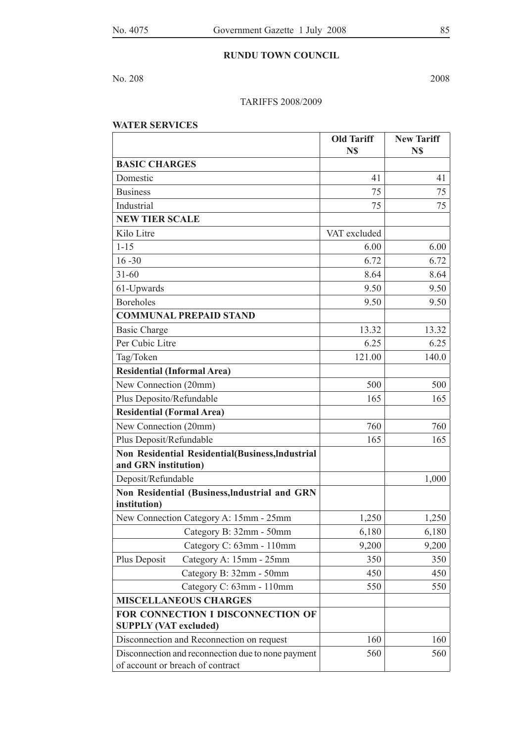#### **RUNDU TOWN COUNCIL**

No. 208 2008

#### TARIFFS 2008/2009

#### **WATER SERVICES**

|                                                                                        | <b>Old Tariff</b><br>N\$ | <b>New Tariff</b><br>N\$ |
|----------------------------------------------------------------------------------------|--------------------------|--------------------------|
| <b>BASIC CHARGES</b>                                                                   |                          |                          |
| Domestic                                                                               | 41                       | 41                       |
| <b>Business</b>                                                                        | 75                       | 75                       |
| Industrial                                                                             | 75                       | 75                       |
| <b>NEW TIER SCALE</b>                                                                  |                          |                          |
| Kilo Litre                                                                             | VAT excluded             |                          |
| $1 - 15$                                                                               | 6.00                     | 6.00                     |
| $16 - 30$                                                                              | 6.72                     | 6.72                     |
| $31 - 60$                                                                              | 8.64                     | 8.64                     |
| 61-Upwards                                                                             | 9.50                     | 9.50                     |
| <b>Boreholes</b>                                                                       | 9.50                     | 9.50                     |
| <b>COMMUNAL PREPAID STAND</b>                                                          |                          |                          |
| <b>Basic Charge</b>                                                                    | 13.32                    | 13.32                    |
| Per Cubic Litre                                                                        | 6.25                     | 6.25                     |
| Tag/Token                                                                              | 121.00                   | 140.0                    |
| <b>Residential (Informal Area)</b>                                                     |                          |                          |
| New Connection (20mm)                                                                  | 500                      | 500                      |
| Plus Deposito/Refundable                                                               | 165                      | 165                      |
| <b>Residential (Formal Area)</b>                                                       |                          |                          |
| New Connection (20mm)                                                                  | 760                      | 760                      |
| Plus Deposit/Refundable                                                                | 165                      | 165                      |
| Non Residential Residential(Business, Industrial<br>and GRN institution)               |                          |                          |
| Deposit/Refundable                                                                     |                          | 1,000                    |
| Non Residential (Business, Industrial and GRN<br>institution)                          |                          |                          |
| New Connection Category A: 15mm - 25mm                                                 | 1,250                    | 1,250                    |
| Category B: 32mm - 50mm                                                                | 6,180                    | 6,180                    |
| Category C: 63mm - 110mm                                                               | 9,200                    | 9,200                    |
| Plus Deposit<br>Category A: 15mm - 25mm                                                | 350                      | 350                      |
| Category B: 32mm - 50mm                                                                | 450                      | 450                      |
| Category C: 63mm - 110mm                                                               | 550                      | 550                      |
| <b>MISCELLANEOUS CHARGES</b>                                                           |                          |                          |
| FOR CONNECTION I DISCONNECTION OF<br><b>SUPPLY (VAT excluded)</b>                      |                          |                          |
| Disconnection and Reconnection on request                                              | 160                      | 160                      |
| Disconnection and reconnection due to none payment<br>of account or breach of contract | 560                      | 560                      |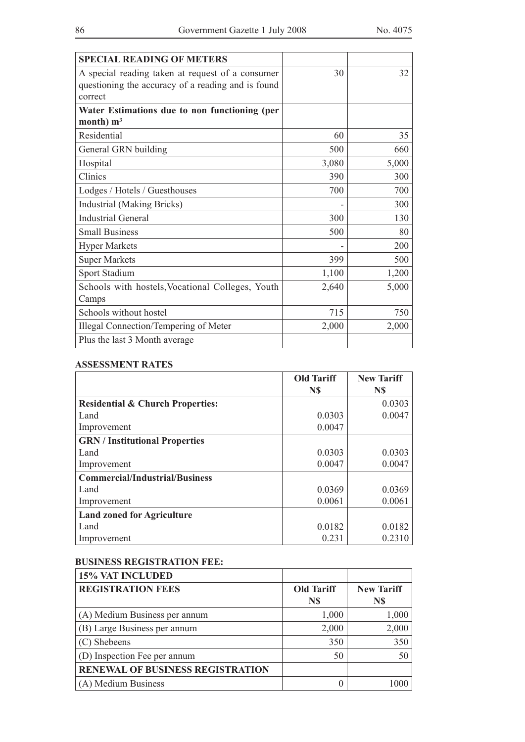| <b>SPECIAL READING OF METERS</b>                                                                                  |       |       |
|-------------------------------------------------------------------------------------------------------------------|-------|-------|
| A special reading taken at request of a consumer<br>questioning the accuracy of a reading and is found<br>correct | 30    | 32    |
| Water Estimations due to non functioning (per<br>month) $m3$                                                      |       |       |
| Residential                                                                                                       | 60    | 35    |
| General GRN building                                                                                              | 500   | 660   |
| Hospital                                                                                                          | 3,080 | 5,000 |
| Clinics                                                                                                           | 390   | 300   |
| Lodges / Hotels / Guesthouses                                                                                     | 700   | 700   |
| Industrial (Making Bricks)                                                                                        |       | 300   |
| <b>Industrial General</b>                                                                                         | 300   | 130   |
| <b>Small Business</b>                                                                                             | 500   | 80    |
| <b>Hyper Markets</b>                                                                                              |       | 200   |
| <b>Super Markets</b>                                                                                              | 399   | 500   |
| Sport Stadium                                                                                                     | 1,100 | 1,200 |
| Schools with hostels, Vocational Colleges, Youth<br>Camps                                                         | 2,640 | 5,000 |
| Schools without hostel                                                                                            | 715   | 750   |
| Illegal Connection/Tempering of Meter                                                                             | 2,000 | 2,000 |
| Plus the last 3 Month average                                                                                     |       |       |

#### **ASSESSMENT RATES**

|                                             | <b>Old Tariff</b> | <b>New Tariff</b> |
|---------------------------------------------|-------------------|-------------------|
|                                             | N\$               | N\$               |
| <b>Residential &amp; Church Properties:</b> |                   | 0.0303            |
| Land                                        | 0.0303            | 0.0047            |
| Improvement                                 | 0.0047            |                   |
| <b>GRN</b> / Institutional Properties       |                   |                   |
| Land                                        | 0.0303            | 0.0303            |
| Improvement                                 | 0.0047            | 0.0047            |
| <b>Commercial/Industrial/Business</b>       |                   |                   |
| Land                                        | 0.0369            | 0.0369            |
| Improvement                                 | 0.0061            | 0.0061            |
| <b>Land zoned for Agriculture</b>           |                   |                   |
| Land                                        | 0.0182            | 0.0182            |
| Improvement                                 | 0.231             | 0.2310            |

#### **BUSINESS REGISTRATION FEE:**

| <b>15% VAT INCLUDED</b>                 |                   |                   |
|-----------------------------------------|-------------------|-------------------|
| <b>REGISTRATION FEES</b>                | <b>Old Tariff</b> | <b>New Tariff</b> |
|                                         | N\$               | N\$               |
| (A) Medium Business per annum           | 1,000             | 1,000             |
| (B) Large Business per annum            | 2,000             | 2,000             |
| (C) Shebeens                            | 350               | 350               |
| (D) Inspection Fee per annum            | 50                | 50                |
| <b>RENEWAL OF BUSINESS REGISTRATION</b> |                   |                   |
| (A) Medium Business                     |                   |                   |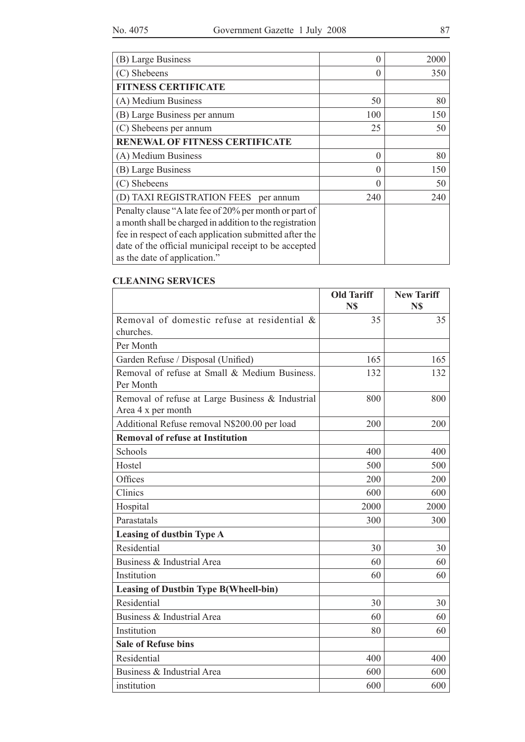| (B) Large Business                                                                                                                                                                                                                                                    | $\theta$ | 2000 |
|-----------------------------------------------------------------------------------------------------------------------------------------------------------------------------------------------------------------------------------------------------------------------|----------|------|
| (C) Shebeens                                                                                                                                                                                                                                                          | $\theta$ | 350  |
| <b>FITNESS CERTIFICATE</b>                                                                                                                                                                                                                                            |          |      |
| (A) Medium Business                                                                                                                                                                                                                                                   | 50       | 80   |
| (B) Large Business per annum                                                                                                                                                                                                                                          | 100      | 150  |
| (C) Shebeens per annum                                                                                                                                                                                                                                                | 25       | 50   |
| <b>RENEWAL OF FITNESS CERTIFICATE</b>                                                                                                                                                                                                                                 |          |      |
| (A) Medium Business                                                                                                                                                                                                                                                   | $\Omega$ | 80   |
| (B) Large Business                                                                                                                                                                                                                                                    | $\theta$ | 150  |
| (C) Shebeens                                                                                                                                                                                                                                                          | $\Omega$ | 50   |
| (D) TAXI REGISTRATION FEES per annum                                                                                                                                                                                                                                  | 240      | 240  |
| Penalty clause "A late fee of 20% per month or part of<br>a month shall be charged in addition to the registration<br>fee in respect of each application submitted after the<br>date of the official municipal receipt to be accepted<br>as the date of application." |          |      |

#### **CLEANING SERVICES**

|                                                                        | <b>Old Tariff</b><br>N\$ | <b>New Tariff</b><br>N\$ |
|------------------------------------------------------------------------|--------------------------|--------------------------|
| Removal of domestic refuse at residential &<br>churches.               | 35                       | 35                       |
| Per Month                                                              |                          |                          |
| Garden Refuse / Disposal (Unified)                                     | 165                      | 165                      |
| Removal of refuse at Small & Medium Business.<br>Per Month             | 132                      | 132                      |
| Removal of refuse at Large Business & Industrial<br>Area 4 x per month | 800                      | 800                      |
| Additional Refuse removal N\$200.00 per load                           | 200                      | 200                      |
| <b>Removal of refuse at Institution</b>                                |                          |                          |
| Schools                                                                | 400                      | 400                      |
| Hostel                                                                 | 500                      | 500                      |
| Offices                                                                | 200                      | 200                      |
| Clinics                                                                | 600                      | 600                      |
| Hospital                                                               | 2000                     | 2000                     |
| Parastatals                                                            | 300                      | 300                      |
| <b>Leasing of dustbin Type A</b>                                       |                          |                          |
| Residential                                                            | 30                       | 30                       |
| Business & Industrial Area                                             | 60                       | 60                       |
| Institution                                                            | 60                       | 60                       |
| <b>Leasing of Dustbin Type B(Wheell-bin)</b>                           |                          |                          |
| Residential                                                            | 30                       | 30                       |
| Business & Industrial Area                                             | 60                       | 60                       |
| Institution                                                            | 80                       | 60                       |
| <b>Sale of Refuse bins</b>                                             |                          |                          |
| Residential                                                            | 400                      | 400                      |
| Business & Industrial Area                                             | 600                      | 600                      |
| institution                                                            | 600                      | 600                      |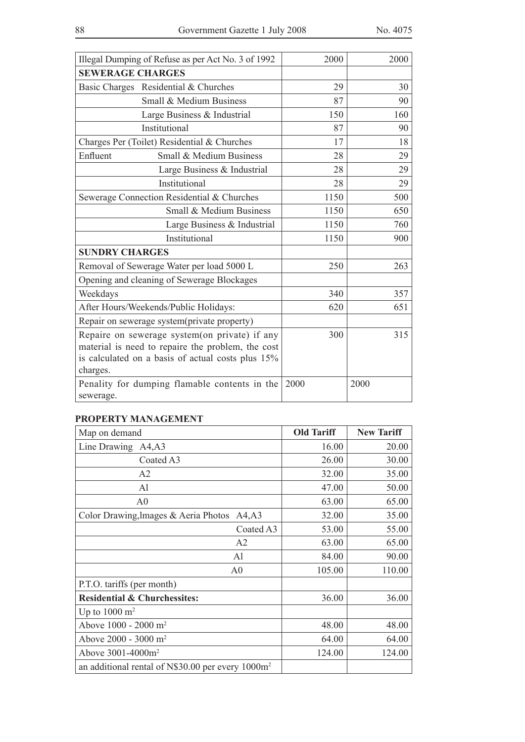|                         | Illegal Dumping of Refuse as per Act No. 3 of 1992                                                                                                      | 2000 | 2000 |
|-------------------------|---------------------------------------------------------------------------------------------------------------------------------------------------------|------|------|
| <b>SEWERAGE CHARGES</b> |                                                                                                                                                         |      |      |
|                         | Basic Charges Residential & Churches                                                                                                                    | 29   | 30   |
|                         | Small & Medium Business                                                                                                                                 | 87   | 90   |
|                         | Large Business & Industrial                                                                                                                             | 150  | 160  |
|                         | Institutional                                                                                                                                           | 87   | 90   |
|                         | Charges Per (Toilet) Residential & Churches                                                                                                             | 17   | 18   |
| Enfluent                | Small & Medium Business                                                                                                                                 | 28   | 29   |
|                         | Large Business & Industrial                                                                                                                             | 28   | 29   |
|                         | Institutional                                                                                                                                           | 28   | 29   |
|                         | Sewerage Connection Residential & Churches                                                                                                              | 1150 | 500  |
|                         | Small & Medium Business                                                                                                                                 | 1150 | 650  |
|                         | Large Business & Industrial                                                                                                                             | 1150 | 760  |
|                         | Institutional                                                                                                                                           | 1150 | 900  |
| <b>SUNDRY CHARGES</b>   |                                                                                                                                                         |      |      |
|                         | Removal of Sewerage Water per load 5000 L                                                                                                               | 250  | 263  |
|                         | Opening and cleaning of Sewerage Blockages                                                                                                              |      |      |
| Weekdays                |                                                                                                                                                         | 340  | 357  |
|                         | After Hours/Weekends/Public Holidays:                                                                                                                   | 620  | 651  |
|                         | Repair on sewerage system(private property)                                                                                                             |      |      |
| charges.                | Repaire on sewerage system(on private) if any<br>material is need to repaire the problem, the cost<br>is calculated on a basis of actual costs plus 15% | 300  | 315  |
| sewerage.               | Penality for dumping flamable contents in the                                                                                                           | 2000 | 2000 |

## **PROPERTY MANAGEMENT**

| Map on demand                                        | <b>Old Tariff</b> | <b>New Tariff</b> |
|------------------------------------------------------|-------------------|-------------------|
| Line Drawing<br>A4, A3                               | 16.00             | 20.00             |
| Coated A3                                            | 26.00             | 30.00             |
| A <sub>2</sub>                                       | 32.00             | 35.00             |
| Al                                                   | 47.00             | 50.00             |
| A <sub>0</sub>                                       | 63.00             | 65.00             |
| Color Drawing, Images $&$ Aeria Photos<br>A4, A3     | 32.00             | 35.00             |
| Coated A3                                            | 53.00             | 55.00             |
| A2                                                   | 63.00             | 65.00             |
| Al                                                   | 84.00             | 90.00             |
| A0                                                   | 105.00            | 110.00            |
| P.T.O. tariffs (per month)                           |                   |                   |
| <b>Residential &amp; Churchessites:</b>              | 36.00             | 36.00             |
| Up to $1000 \text{ m}^2$                             |                   |                   |
| Above $1000 - 2000$ m <sup>2</sup>                   | 48.00             | 48.00             |
| Above $2000 - 3000$ m <sup>2</sup>                   | 64.00             | 64.00             |
| Above $3001 - 4000$ m <sup>2</sup>                   | 124.00            | 124.00            |
| an additional rental of N\$30.00 per every $1000m^2$ |                   |                   |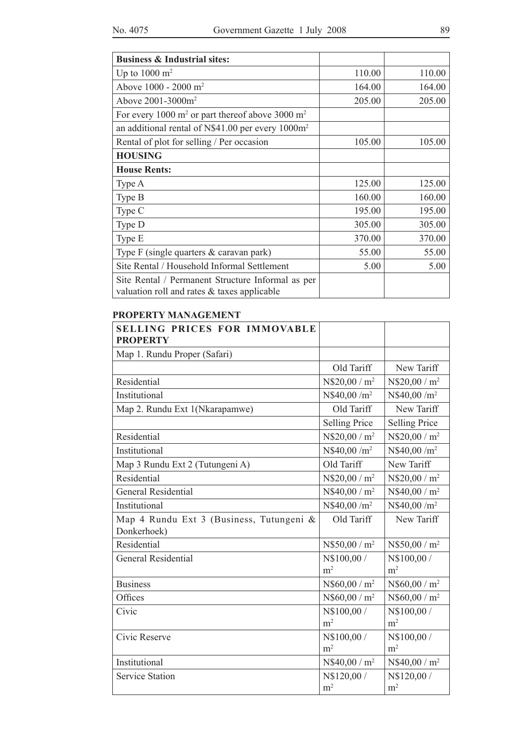| <b>Business &amp; Industrial sites:</b>                                                            |        |        |
|----------------------------------------------------------------------------------------------------|--------|--------|
| Up to $1000 \text{ m}^2$                                                                           | 110.00 | 110.00 |
| Above 1000 - 2000 m <sup>2</sup>                                                                   | 164.00 | 164.00 |
| Above 2001-3000m <sup>2</sup>                                                                      | 205.00 | 205.00 |
| For every 1000 $m^2$ or part thereof above 3000 $m^2$                                              |        |        |
| an additional rental of N\$41.00 per every 1000m <sup>2</sup>                                      |        |        |
| Rental of plot for selling / Per occasion                                                          | 105.00 | 105.00 |
| <b>HOUSING</b>                                                                                     |        |        |
| <b>House Rents:</b>                                                                                |        |        |
| Type A                                                                                             | 125.00 | 125.00 |
| Type B                                                                                             | 160.00 | 160.00 |
| Type C                                                                                             | 195.00 | 195.00 |
| Type D                                                                                             | 305.00 | 305.00 |
| Type E                                                                                             | 370.00 | 370.00 |
| Type $F$ (single quarters $\&$ caravan park)                                                       | 55.00  | 55.00  |
| Site Rental / Household Informal Settlement                                                        | 5.00   | 5.00   |
| Site Rental / Permanent Structure Informal as per<br>valuation roll and rates $&$ taxes applicable |        |        |

#### **PROPERTY MANAGEMENT**

| <b>SELLING PRICES FOR IMMOVABLE</b><br><b>PROPERTY</b> |                          |                          |
|--------------------------------------------------------|--------------------------|--------------------------|
| Map 1. Rundu Proper (Safari)                           |                          |                          |
|                                                        | Old Tariff               | New Tariff               |
| Residential                                            | $N$20,00/m^2$            | $N$20,00/m^2$            |
| Institutional                                          | N\$40,00 /m <sup>2</sup> | $N$40,00/m^2$            |
| Map 2. Rundu Ext 1(Nkarapamwe)                         | Old Tariff               | New Tariff               |
|                                                        | <b>Selling Price</b>     | <b>Selling Price</b>     |
| Residential                                            | $N$20,00/m^2$            | $N$20,00/m^2$            |
| Institutional                                          | N\$40,00 /m <sup>2</sup> | N\$40,00 /m <sup>2</sup> |
| Map 3 Rundu Ext 2 (Tutungeni A)                        | Old Tariff               | New Tariff               |
| Residential                                            | $N$20,00/m^2$            | $N$20,00/m^2$            |
| <b>General Residential</b>                             | $N$40,00 / m^2$          | $N$40,00 / m^2$          |
| Institutional                                          | N\$40,00 /m <sup>2</sup> | N\$40,00 /m <sup>2</sup> |
| Map 4 Rundu Ext 3 (Business, Tutungeni &               | Old Tariff               | New Tariff               |
| Donkerhoek)                                            |                          |                          |
| Residential                                            | $N$50,00 / m^2$          | $N$50,00 / m^2$          |
| <b>General Residential</b>                             | N\$100,00 /              | N\$100,00 /              |
|                                                        | m <sup>2</sup>           | m <sup>2</sup>           |
| <b>Business</b>                                        | $N$60,00/m^2$            | $N$60,00/m^2$            |
| Offices                                                | $N$60,00 / m^2$          | $N$60,00 / m^2$          |
| Civic                                                  | N\$100,00 /              | N\$100,00 /              |
|                                                        | m <sup>2</sup>           | m <sup>2</sup>           |
| Civic Reserve                                          | N\$100,00 /              | N\$100,00 /              |
|                                                        | m <sup>2</sup>           | m <sup>2</sup>           |
| Institutional                                          | $N$40,00 / m^2$          | $N$40,00 / m^2$          |
| <b>Service Station</b>                                 | N\$120,00 /              | N\$120,00 /              |
|                                                        | m <sup>2</sup>           | m <sup>2</sup>           |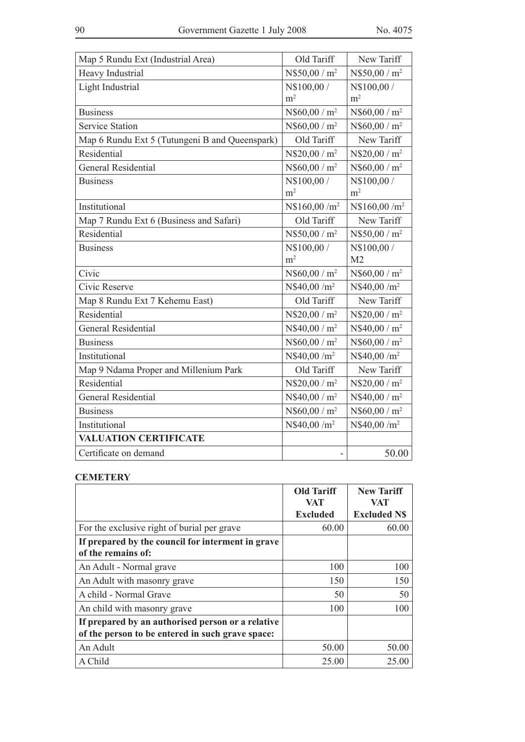| Map 5 Rundu Ext (Industrial Area)              | Old Tariff                | New Tariff                |
|------------------------------------------------|---------------------------|---------------------------|
| Heavy Industrial                               | N\$50,00 / m <sup>2</sup> | N\$50,00 / m <sup>2</sup> |
| Light Industrial                               | N\$100,00 /               | N\$100,00 /               |
|                                                | m <sup>2</sup>            | m <sup>2</sup>            |
| <b>Business</b>                                | $N$60,00/m^2$             | $N$60,00 / m^2$           |
| <b>Service Station</b>                         | $N$60,00 / m^2$           | $N$60,00 / m^2$           |
| Map 6 Rundu Ext 5 (Tutungeni B and Queenspark) | Old Tariff                | New Tariff                |
| Residential                                    | N\$20,00 / m <sup>2</sup> | $N$20,00 / m^2$           |
| General Residential                            | $N$60,00/m^2$             | $N$60,00 / m^2$           |
| <b>Business</b>                                | N\$100,00 /               | N\$100,00 /               |
|                                                | m <sup>2</sup>            | m <sup>2</sup>            |
| Institutional                                  | N\$160,00 /m <sup>2</sup> | N\$160,00 /m <sup>2</sup> |
| Map 7 Rundu Ext 6 (Business and Safari)        | Old Tariff                | New Tariff                |
| Residential                                    | N\$50,00 / m <sup>2</sup> | N\$50,00 / m <sup>2</sup> |
| <b>Business</b>                                | N\$100,00 /               | N\$100,00 /               |
|                                                | m <sup>2</sup>            | M <sub>2</sub>            |
| Civic                                          | $N$60,00 / m^2$           | $N$60,00 / m^2$           |
| Civic Reserve                                  | N\$40,00 /m <sup>2</sup>  | N\$40,00 /m <sup>2</sup>  |
| Map 8 Rundu Ext 7 Kehemu East)                 | Old Tariff                | New Tariff                |
| Residential                                    | $N$20,00/m^2$             | $N$20,00/m^2$             |
| <b>General Residential</b>                     | $N$40,00 / m^2$           | $N$40,00 / m^2$           |
| <b>Business</b>                                | $N$60,00/m^2$             | $N$60,00 / m^2$           |
| Institutional                                  | N\$40,00 /m <sup>2</sup>  | N\$40,00 /m <sup>2</sup>  |
| Map 9 Ndama Proper and Millenium Park          | Old Tariff                | New Tariff                |
| Residential                                    | $N$20,00/m^2$             | N\$20,00 / m <sup>2</sup> |
| <b>General Residential</b>                     | N\$40,00 / m <sup>2</sup> | N\$40,00 / m <sup>2</sup> |
| <b>Business</b>                                | $N$60,00/m^2$             | $N$60,00 / m^2$           |
| Institutional                                  | N\$40,00 /m <sup>2</sup>  | N\$40,00 /m <sup>2</sup>  |
| <b>VALUATION CERTIFICATE</b>                   |                           |                           |
| Certificate on demand                          | $\overline{\phantom{0}}$  | 50.00                     |

# **CEMETERY**

|                                                   | <b>Old Tariff</b><br>VAT | <b>New Tariff</b><br>VAT |
|---------------------------------------------------|--------------------------|--------------------------|
|                                                   | <b>Excluded</b>          | <b>Excluded NS</b>       |
| For the exclusive right of burial per grave       | 60.00                    | 60.00                    |
| If prepared by the council for interment in grave |                          |                          |
| of the remains of:                                |                          |                          |
| An Adult - Normal grave                           | 100                      | 100                      |
| An Adult with masonry grave                       | 150                      | 150                      |
| A child - Normal Grave                            | 50                       | 50                       |
| An child with masonry grave                       | 100                      | 100                      |
| If prepared by an authorised person or a relative |                          |                          |
| of the person to be entered in such grave space:  |                          |                          |
| An Adult                                          | 50.00                    | 50.00                    |
| A Child                                           | 25.00                    | 25.00                    |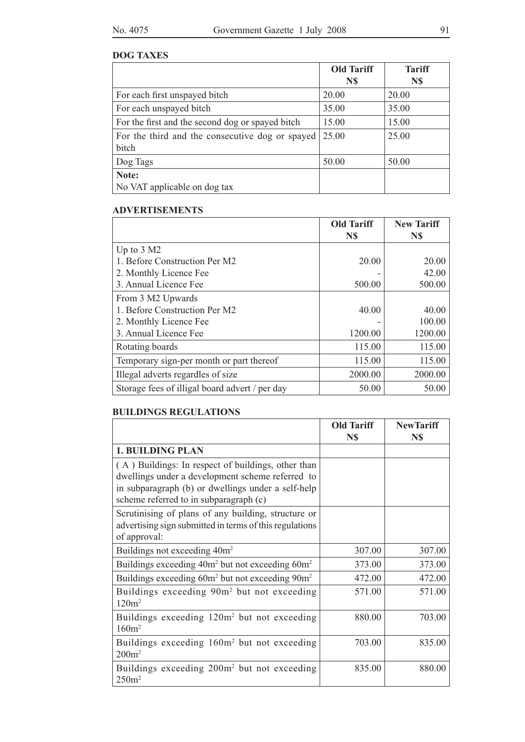# **DOG TAXES**

|                                                          | <b>Old Tariff</b> | <b>Tariff</b> |
|----------------------------------------------------------|-------------------|---------------|
|                                                          | N\$               | N\$           |
| For each first unspayed bitch                            | 20.00             | 20.00         |
| For each unspayed bitch                                  | 35.00             | 35.00         |
| For the first and the second dog or spayed bitch         | 15.00             | 15.00         |
| For the third and the consecutive dog or spayed<br>bitch | 25.00             | 25.00         |
|                                                          |                   |               |
| Dog Tags                                                 | 50.00             | 50.00         |
| Note:                                                    |                   |               |
| No VAT applicable on dog tax                             |                   |               |

## **ADVERTISEMENTS**

|                                                | <b>Old Tariff</b> | <b>New Tariff</b> |
|------------------------------------------------|-------------------|-------------------|
|                                                | N\$               | N\$               |
| Up to $3 \text{ M2}$                           |                   |                   |
| 1. Before Construction Per M2                  | 20.00             | 20.00             |
| 2. Monthly Licence Fee                         |                   | 42.00             |
| 3. Annual Licence Fee                          | 500.00            | 500.00            |
| From 3 M2 Upwards                              |                   |                   |
| 1. Before Construction Per M2                  | 40.00             | 40.00             |
| 2. Monthly Licence Fee                         |                   | 100.00            |
| 3. Annual Licence Fee                          | 1200.00           | 1200.00           |
| Rotating boards                                | 115.00            | 115.00            |
| Temporary sign-per month or part thereof       | 115.00            | 115.00            |
| Illegal adverts regardles of size              | 2000.00           | 2000.00           |
| Storage fees of illigal board advert / per day | 50.00             | 50.00             |

## **BUILDINGS REGULATIONS**

|                                                                              | <b>Old Tariff</b> | <b>NewTariff</b> |
|------------------------------------------------------------------------------|-------------------|------------------|
|                                                                              | N\$               | N\$              |
| <b>1. BUILDING PLAN</b>                                                      |                   |                  |
| (A) Buildings: In respect of buildings, other than                           |                   |                  |
| dwellings under a development scheme referred to                             |                   |                  |
| in subparagraph (b) or dwellings under a self-help                           |                   |                  |
| scheme referred to in subparagraph (c)                                       |                   |                  |
| Scrutinising of plans of any building, structure or                          |                   |                  |
| advertising sign submitted in terms of this regulations                      |                   |                  |
| of approval:                                                                 |                   |                  |
| Buildings not exceeding 40m <sup>2</sup>                                     | 307.00            | 307.00           |
| Buildings exceeding 40m <sup>2</sup> but not exceeding 60m <sup>2</sup>      | 373.00            | 373.00           |
| Buildings exceeding 60m <sup>2</sup> but not exceeding 90m <sup>2</sup>      | 472.00            | 472.00           |
| Buildings exceeding 90m <sup>2</sup> but not exceeding<br>120m <sup>2</sup>  | 571.00            | 571.00           |
| Buildings exceeding 120m <sup>2</sup> but not exceeding<br>160m <sup>2</sup> | 880.00            | 703.00           |
| Buildings exceeding 160m <sup>2</sup> but not exceeding<br>200m <sup>2</sup> | 703.00            | 835.00           |
| Buildings exceeding 200m <sup>2</sup> but not exceeding<br>250m <sup>2</sup> | 835.00            | 880.00           |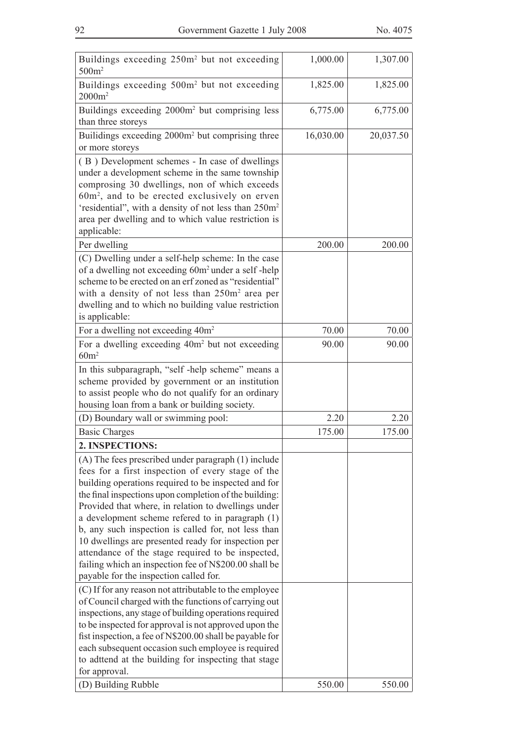| Buildings exceeding 250m <sup>2</sup> but not exceeding<br>500m <sup>2</sup>                                                                                                                                                                                                                                                                                                                                                                                                                                                                                                                                | 1,000.00  | 1,307.00  |
|-------------------------------------------------------------------------------------------------------------------------------------------------------------------------------------------------------------------------------------------------------------------------------------------------------------------------------------------------------------------------------------------------------------------------------------------------------------------------------------------------------------------------------------------------------------------------------------------------------------|-----------|-----------|
| Buildings exceeding 500m <sup>2</sup> but not exceeding<br>$2000m^2$                                                                                                                                                                                                                                                                                                                                                                                                                                                                                                                                        | 1,825.00  | 1,825.00  |
| Buildings exceeding 2000m <sup>2</sup> but comprising less<br>than three storeys                                                                                                                                                                                                                                                                                                                                                                                                                                                                                                                            | 6,775.00  | 6,775.00  |
| Builidings exceeding 2000m <sup>2</sup> but comprising three<br>or more storeys                                                                                                                                                                                                                                                                                                                                                                                                                                                                                                                             | 16,030.00 | 20,037.50 |
| (B) Development schemes - In case of dwellings<br>under a development scheme in the same township<br>comprosing 30 dwellings, non of which exceeds<br>60m <sup>2</sup> , and to be erected exclusively on erven<br>'residential", with a density of not less than 250m <sup>2</sup><br>area per dwelling and to which value restriction is<br>applicable:                                                                                                                                                                                                                                                   |           |           |
| Per dwelling                                                                                                                                                                                                                                                                                                                                                                                                                                                                                                                                                                                                | 200.00    | 200.00    |
| (C) Dwelling under a self-help scheme: In the case<br>of a dwelling not exceeding 60m <sup>2</sup> under a self-help<br>scheme to be erected on an erf zoned as "residential"<br>with a density of not less than 250m <sup>2</sup> area per<br>dwelling and to which no building value restriction<br>is applicable:                                                                                                                                                                                                                                                                                        |           |           |
| For a dwelling not exceeding 40m <sup>2</sup>                                                                                                                                                                                                                                                                                                                                                                                                                                                                                                                                                               | 70.00     | 70.00     |
| For a dwelling exceeding 40m <sup>2</sup> but not exceeding<br>60m <sup>2</sup>                                                                                                                                                                                                                                                                                                                                                                                                                                                                                                                             | 90.00     | 90.00     |
| In this subparagraph, "self-help scheme" means a<br>scheme provided by government or an institution<br>to assist people who do not qualify for an ordinary<br>housing loan from a bank or building society.                                                                                                                                                                                                                                                                                                                                                                                                 |           |           |
| (D) Boundary wall or swimming pool:                                                                                                                                                                                                                                                                                                                                                                                                                                                                                                                                                                         | 2.20      | 2.20      |
| <b>Basic Charges</b>                                                                                                                                                                                                                                                                                                                                                                                                                                                                                                                                                                                        | 175.00    | 175.00    |
| 2. INSPECTIONS:                                                                                                                                                                                                                                                                                                                                                                                                                                                                                                                                                                                             |           |           |
| (A) The fees prescribed under paragraph (1) include<br>fees for a first inspection of every stage of the<br>building operations required to be inspected and for<br>the final inspections upon completion of the building:<br>Provided that where, in relation to dwellings under<br>a development scheme refered to in paragraph (1)<br>b, any such inspection is called for, not less than<br>10 dwellings are presented ready for inspection per<br>attendance of the stage required to be inspected,<br>failing which an inspection fee of N\$200.00 shall be<br>payable for the inspection called for. |           |           |
| (C) If for any reason not attributable to the employee<br>of Council charged with the functions of carrying out<br>inspections, any stage of building operations required<br>to be inspected for approval is not approved upon the<br>fist inspection, a fee of N\$200.00 shall be payable for<br>each subsequent occasion such employee is required<br>to adttend at the building for inspecting that stage<br>for approval.                                                                                                                                                                               |           |           |
| (D) Building Rubble                                                                                                                                                                                                                                                                                                                                                                                                                                                                                                                                                                                         | 550.00    | 550.00    |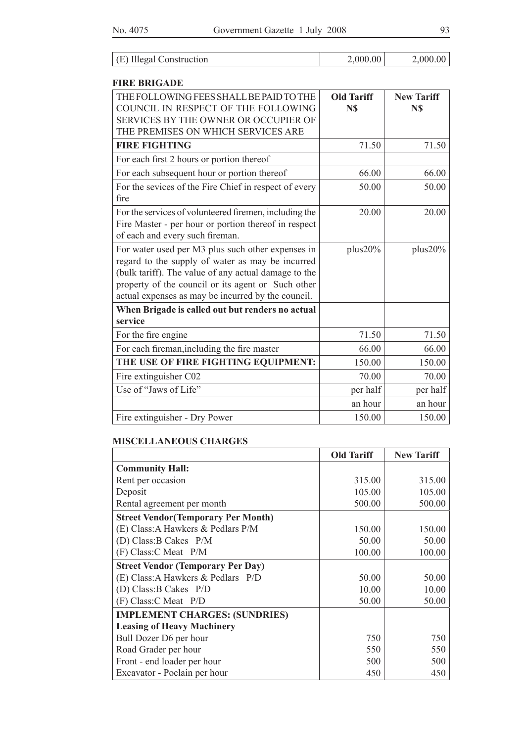| (E) Illegal Construction | 2,000.00 | 2,000.00 |
|--------------------------|----------|----------|
|--------------------------|----------|----------|

#### **FIRE BRIGADE**

| THE FOLLOWING FEES SHALL BE PAID TO THE<br>COUNCIL IN RESPECT OF THE FOLLOWING | <b>Old Tariff</b> | <b>New Tariff</b> |
|--------------------------------------------------------------------------------|-------------------|-------------------|
| SERVICES BY THE OWNER OR OCCUPIER OF                                           | N\$               | N\$               |
|                                                                                |                   |                   |
| THE PREMISES ON WHICH SERVICES ARE                                             |                   |                   |
| <b>FIRE FIGHTING</b>                                                           | 71.50             | 71.50             |
| For each first 2 hours or portion thereof                                      |                   |                   |
| For each subsequent hour or portion thereof                                    | 66.00             | 66.00             |
| For the sevices of the Fire Chief in respect of every                          | 50.00             | 50.00             |
| fire                                                                           |                   |                   |
| For the services of volunteered firemen, including the                         | 20.00             | 20.00             |
| Fire Master - per hour or portion thereof in respect                           |                   |                   |
| of each and every such fireman.                                                |                   |                   |
| For water used per M3 plus such other expenses in                              | plus20%           | plus20%           |
| regard to the supply of water as may be incurred                               |                   |                   |
| (bulk tariff). The value of any actual damage to the                           |                   |                   |
| property of the council or its agent or Such other                             |                   |                   |
| actual expenses as may be incurred by the council.                             |                   |                   |
| When Brigade is called out but renders no actual                               |                   |                   |
| service                                                                        |                   |                   |
| For the fire engine                                                            | 71.50             | 71.50             |
| For each fireman, including the fire master                                    | 66.00             | 66.00             |
| THE USE OF FIRE FIGHTING EQUIPMENT:                                            | 150.00            | 150.00            |
| Fire extinguisher C02                                                          | 70.00             | 70.00             |
| Use of "Jaws of Life"                                                          | per half          | per half          |
|                                                                                | an hour           | an hour           |
| Fire extinguisher - Dry Power                                                  | 150.00            | 150.00            |

#### **MISCELLANEOUS CHARGES**

|                                            | <b>Old Tariff</b> | <b>New Tariff</b> |
|--------------------------------------------|-------------------|-------------------|
| <b>Community Hall:</b>                     |                   |                   |
| Rent per occasion                          | 315.00            | 315.00            |
| Deposit                                    | 105.00            | 105.00            |
| Rental agreement per month                 | 500.00            | 500.00            |
| <b>Street Vendor (Temporary Per Month)</b> |                   |                   |
| (E) Class: A Hawkers & Pedlars P/M         | 150.00            | 150.00            |
| (D) Class: B Cakes $P/M$                   | 50.00             | 50.00             |
| $(F) Class:C$ Meat $P/M$                   | 100.00            | 100.00            |
| <b>Street Vendor (Temporary Per Day)</b>   |                   |                   |
| (E) Class: A Hawkers & Pedlars P/D         | 50.00             | 50.00             |
| (D) Class: B Cakes P/D                     | 10.00             | 10.00             |
| (F) Class:C <sub>1</sub> <i>P</i> /D       | 50.00             | 50.00             |
| <b>IMPLEMENT CHARGES: (SUNDRIES)</b>       |                   |                   |
| <b>Leasing of Heavy Machinery</b>          |                   |                   |
| Bull Dozer D6 per hour                     | 750               | 750               |
| Road Grader per hour                       | 550               | 550               |
| Front - end loader per hour                | 500               | 500               |
| Excavator - Poclain per hour               | 450               | 450               |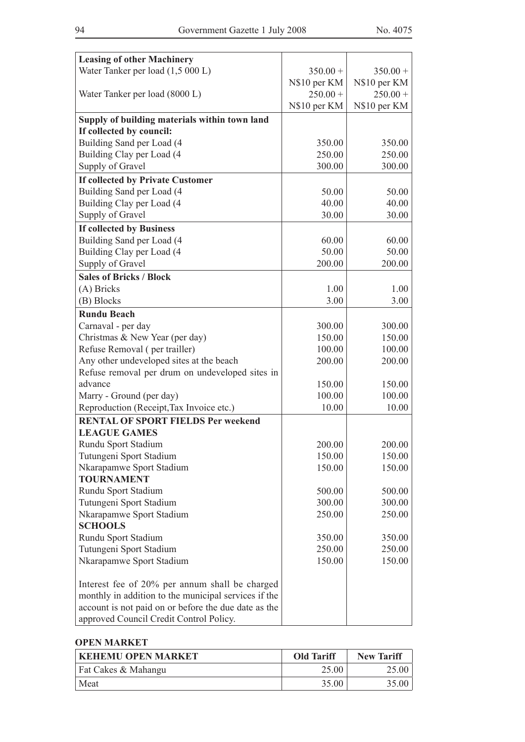| <b>Leasing of other Machinery</b>                                    |              |              |
|----------------------------------------------------------------------|--------------|--------------|
| Water Tanker per load (1,5 000 L)                                    | $350.00 +$   | $350.00 +$   |
|                                                                      | N\$10 per KM | N\$10 per KM |
| Water Tanker per load (8000 L)                                       | $250.00 +$   | $250.00 +$   |
|                                                                      | N\$10 per KM | N\$10 per KM |
| Supply of building materials within town land                        |              |              |
| If collected by council:                                             |              |              |
| Building Sand per Load (4                                            | 350.00       | 350.00       |
| Building Clay per Load (4                                            | 250.00       | 250.00       |
| Supply of Gravel                                                     | 300.00       | 300.00       |
| If collected by Private Customer                                     |              |              |
| Building Sand per Load (4                                            | 50.00        | 50.00        |
| Building Clay per Load (4                                            | 40.00        | 40.00        |
| Supply of Gravel                                                     | 30.00        | 30.00        |
| <b>If collected by Business</b>                                      |              |              |
| Building Sand per Load (4                                            | 60.00        | 60.00        |
| Building Clay per Load (4                                            | 50.00        | 50.00        |
| Supply of Gravel                                                     | 200.00       | 200.00       |
| <b>Sales of Bricks / Block</b>                                       |              |              |
| (A) Bricks                                                           | 1.00         | 1.00         |
| (B) Blocks                                                           | 3.00         | 3.00         |
|                                                                      |              |              |
| <b>Rundu Beach</b>                                                   |              |              |
| Carnaval - per day                                                   | 300.00       | 300.00       |
| Christmas & New Year (per day)                                       | 150.00       | 150.00       |
| Refuse Removal (per trailler)                                        | 100.00       | 100.00       |
| Any other undeveloped sites at the beach                             | 200.00       | 200.00       |
| Refuse removal per drum on undeveloped sites in<br>advance           |              |              |
|                                                                      | 150.00       | 150.00       |
| Marry - Ground (per day)<br>Reproduction (Receipt, Tax Invoice etc.) | 100.00       | 100.00       |
|                                                                      | 10.00        | 10.00        |
| <b>RENTAL OF SPORT FIELDS Per weekend</b>                            |              |              |
| <b>LEAGUE GAMES</b>                                                  |              |              |
| Rundu Sport Stadium                                                  | 200.00       | 200.00       |
| Tutungeni Sport Stadium                                              | 150.00       | 150.00       |
| Nkarapamwe Sport Stadium                                             | 150.00       | 150.00       |
| <b>TOURNAMENT</b>                                                    |              |              |
| Rundu Sport Stadium                                                  | 500.00       | 500.00       |
| Tutungeni Sport Stadium                                              | 300.00       | 300.00       |
| Nkarapamwe Sport Stadium                                             | 250.00       | 250.00       |
| <b>SCHOOLS</b>                                                       |              |              |
| Rundu Sport Stadium                                                  | 350.00       | 350.00       |
| Tutungeni Sport Stadium                                              | 250.00       | 250.00       |
| Nkarapamwe Sport Stadium                                             | 150.00       | 150.00       |
| Interest fee of 20% per annum shall be charged                       |              |              |
| monthly in addition to the municipal services if the                 |              |              |
| account is not paid on or before the due date as the                 |              |              |
| approved Council Credit Control Policy.                              |              |              |

#### **OPEN MARKET**

| KEHEMU OPEN MARKET  | <b>Old Tariff</b> | <b>New Tariff</b> |
|---------------------|-------------------|-------------------|
| Fat Cakes & Mahangu | 25.00             | 25.00             |
| Meat                | 35.00             | 35.00             |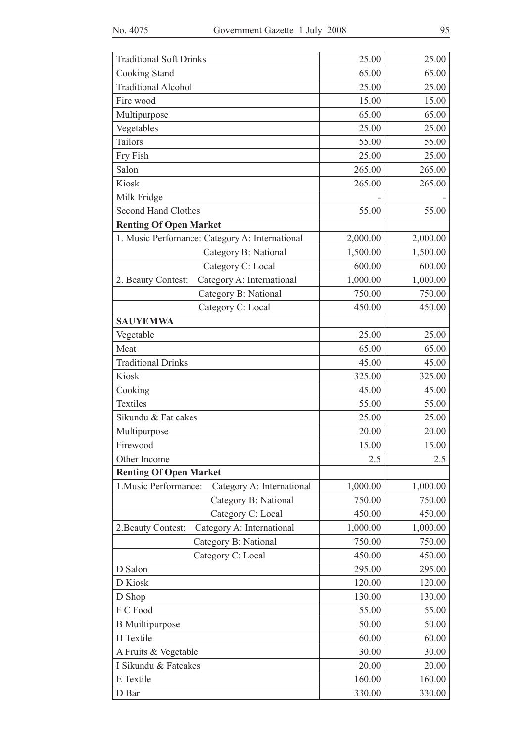| <b>Traditional Soft Drinks</b>                     | 25.00    | 25.00    |
|----------------------------------------------------|----------|----------|
| Cooking Stand                                      | 65.00    | 65.00    |
| <b>Traditional Alcohol</b>                         | 25.00    | 25.00    |
| Fire wood                                          | 15.00    | 15.00    |
| Multipurpose                                       | 65.00    | 65.00    |
| Vegetables                                         | 25.00    | 25.00    |
| Tailors                                            | 55.00    | 55.00    |
| Fry Fish                                           | 25.00    | 25.00    |
| Salon                                              | 265.00   | 265.00   |
| Kiosk                                              | 265.00   | 265.00   |
| Milk Fridge                                        |          |          |
| <b>Second Hand Clothes</b>                         | 55.00    | 55.00    |
| <b>Renting Of Open Market</b>                      |          |          |
| 1. Music Perfomance: Category A: International     | 2,000.00 | 2,000.00 |
| Category B: National                               | 1,500.00 | 1,500.00 |
| Category C: Local                                  | 600.00   | 600.00   |
| Category A: International<br>2. Beauty Contest:    | 1,000.00 | 1,000.00 |
| Category B: National                               | 750.00   | 750.00   |
| Category C: Local                                  | 450.00   | 450.00   |
| <b>SAUYEMWA</b>                                    |          |          |
| Vegetable                                          | 25.00    | 25.00    |
| Meat                                               | 65.00    | 65.00    |
| <b>Traditional Drinks</b>                          | 45.00    | 45.00    |
| Kiosk                                              | 325.00   | 325.00   |
| Cooking                                            | 45.00    | 45.00    |
| <b>Textiles</b>                                    | 55.00    | 55.00    |
| Sikundu & Fat cakes                                | 25.00    | 25.00    |
| Multipurpose                                       | 20.00    | 20.00    |
| Firewood                                           | 15.00    | 15.00    |
| Other Income                                       | 2.5      | 2.5      |
| <b>Renting Of Open Market</b>                      |          |          |
| 1. Music Performance:<br>Category A: International | 1,000.00 | 1,000.00 |
| Category B: National                               | 750.00   | 750.00   |
| Category C: Local                                  | 450.00   | 450.00   |
| Category A: International<br>2. Beauty Contest:    | 1,000.00 | 1,000.00 |
| Category B: National                               | 750.00   | 750.00   |
| Category C: Local                                  | 450.00   | 450.00   |
| D Salon                                            | 295.00   | 295.00   |
| D Kiosk                                            | 120.00   | 120.00   |
| D Shop                                             | 130.00   | 130.00   |
| F C Food                                           | 55.00    | 55.00    |
| <b>B</b> Muiltipurpose                             | 50.00    | 50.00    |
| H Textile                                          | 60.00    | 60.00    |
| A Fruits & Vegetable                               | 30.00    | 30.00    |
| I Sikundu & Fatcakes                               | 20.00    | 20.00    |
| E Textile                                          | 160.00   | 160.00   |
| D Bar                                              | 330.00   | 330.00   |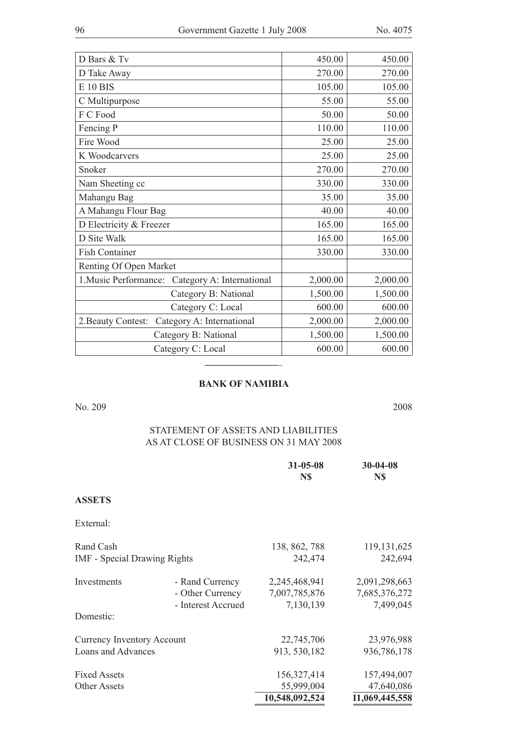| D Bars & Tv                                        | 450.00   | 450.00   |
|----------------------------------------------------|----------|----------|
| D Take Away                                        | 270.00   | 270.00   |
| <b>E</b> 10 BIS                                    | 105.00   | 105.00   |
| C Multipurpose                                     | 55.00    | 55.00    |
| F C Food                                           | 50.00    | 50.00    |
| Fencing P                                          | 110.00   | 110.00   |
| Fire Wood                                          | 25.00    | 25.00    |
| K Woodcarvers                                      | 25.00    | 25.00    |
| Snoker                                             | 270.00   | 270.00   |
| Nam Sheeting cc                                    | 330.00   | 330.00   |
| Mahangu Bag                                        | 35.00    | 35.00    |
| A Mahangu Flour Bag                                | 40.00    | 40.00    |
| D Electricity & Freezer                            | 165.00   | 165.00   |
| D Site Walk                                        | 165.00   | 165.00   |
| <b>Fish Container</b>                              | 330.00   | 330.00   |
| Renting Of Open Market                             |          |          |
| 1. Music Performance:<br>Category A: International | 2,000.00 | 2,000.00 |
| Category B: National                               | 1,500.00 | 1,500.00 |
| Category C: Local                                  | 600.00   | 600.00   |
| Category A: International<br>2. Beauty Contest:    | 2,000.00 | 2,000.00 |
| Category B: National                               | 1,500.00 | 1,500.00 |
| Category C: Local                                  | 600.00   | 600.00   |
|                                                    |          |          |

#### **BANK OF NAMIBIA**

No. 209 2008

# STATEMENT OF ASSETS AND LIABILITIES As at close of business on 31 May 2008

|                                     |                    | $31 - 05 - 08$<br>N\$ | 30-04-08<br>N\$ |
|-------------------------------------|--------------------|-----------------------|-----------------|
| <b>ASSETS</b>                       |                    |                       |                 |
| External:                           |                    |                       |                 |
| Rand Cash                           |                    | 138, 862, 788         | 119, 131, 625   |
| <b>IMF</b> - Special Drawing Rights |                    | 242,474               | 242,694         |
| Investments                         | - Rand Currency    | 2,245,468,941         | 2,091,298,663   |
|                                     | - Other Currency   | 7,007,785,876         | 7,685,376,272   |
|                                     | - Interest Accrued | 7,130,139             | 7,499,045       |
| Domestic:                           |                    |                       |                 |
| <b>Currency Inventory Account</b>   |                    | 22,745,706            | 23,976,988      |
| Loans and Advances                  |                    | 913, 530, 182         | 936,786,178     |
| <b>Fixed Assets</b>                 |                    | 156,327,414           | 157,494,007     |
| <b>Other Assets</b>                 |                    | 55,999,004            | 47,640,086      |
|                                     |                    | 10,548,092,524        | 11,069,445,558  |